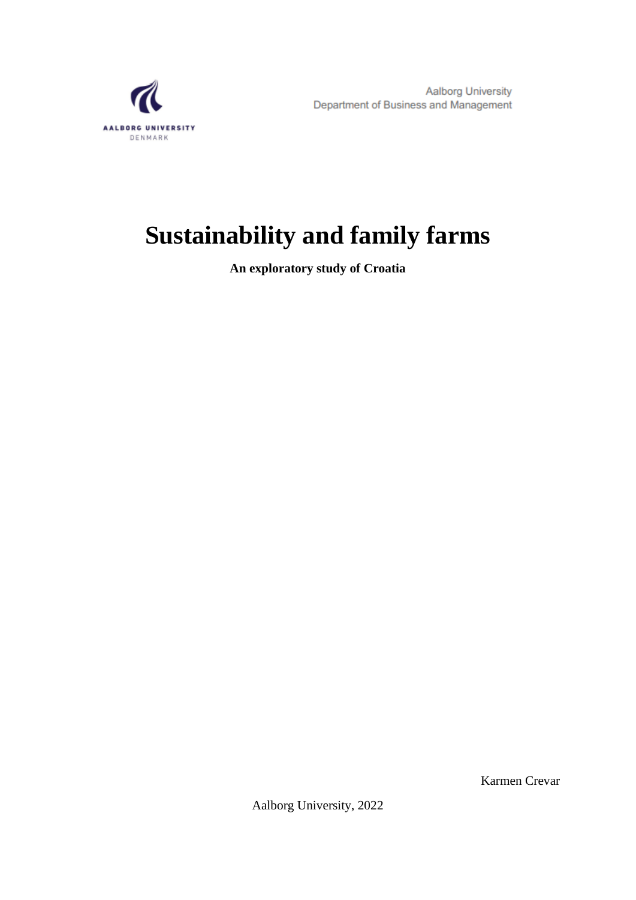<span id="page-0-0"></span>

# **Sustainability and family farms**

**An exploratory study of Croatia**

Karmen Crevar

Aalborg University, 2022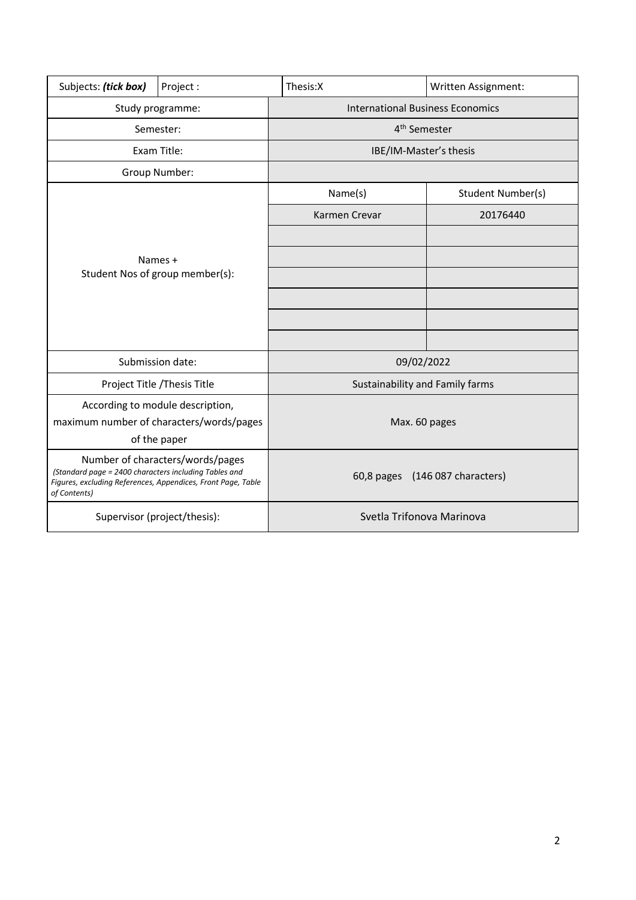| Subjects: (tick box)                                                                                                                                                      | Project: | Thesis:X                                | Written Assignment:             |
|---------------------------------------------------------------------------------------------------------------------------------------------------------------------------|----------|-----------------------------------------|---------------------------------|
| Study programme:                                                                                                                                                          |          | <b>International Business Economics</b> |                                 |
| Semester:                                                                                                                                                                 |          | 4 <sup>th</sup> Semester                |                                 |
| Exam Title:                                                                                                                                                               |          | IBE/IM-Master's thesis                  |                                 |
| Group Number:                                                                                                                                                             |          |                                         |                                 |
| Names +<br>Student Nos of group member(s):                                                                                                                                |          | Name(s)                                 | Student Number(s)               |
|                                                                                                                                                                           |          | Karmen Crevar                           | 20176440                        |
|                                                                                                                                                                           |          |                                         |                                 |
|                                                                                                                                                                           |          |                                         |                                 |
|                                                                                                                                                                           |          |                                         |                                 |
|                                                                                                                                                                           |          |                                         |                                 |
|                                                                                                                                                                           |          |                                         |                                 |
|                                                                                                                                                                           |          |                                         |                                 |
| Submission date:                                                                                                                                                          |          | 09/02/2022                              |                                 |
| Project Title / Thesis Title                                                                                                                                              |          | Sustainability and Family farms         |                                 |
| According to module description,                                                                                                                                          |          |                                         |                                 |
| maximum number of characters/words/pages                                                                                                                                  |          | Max. 60 pages                           |                                 |
| of the paper                                                                                                                                                              |          |                                         |                                 |
| Number of characters/words/pages<br>(Standard page = 2400 characters including Tables and<br>Figures, excluding References, Appendices, Front Page, Table<br>of Contents) |          |                                         | 60,8 pages (146 087 characters) |
| Supervisor (project/thesis):                                                                                                                                              |          | Svetla Trifonova Marinova               |                                 |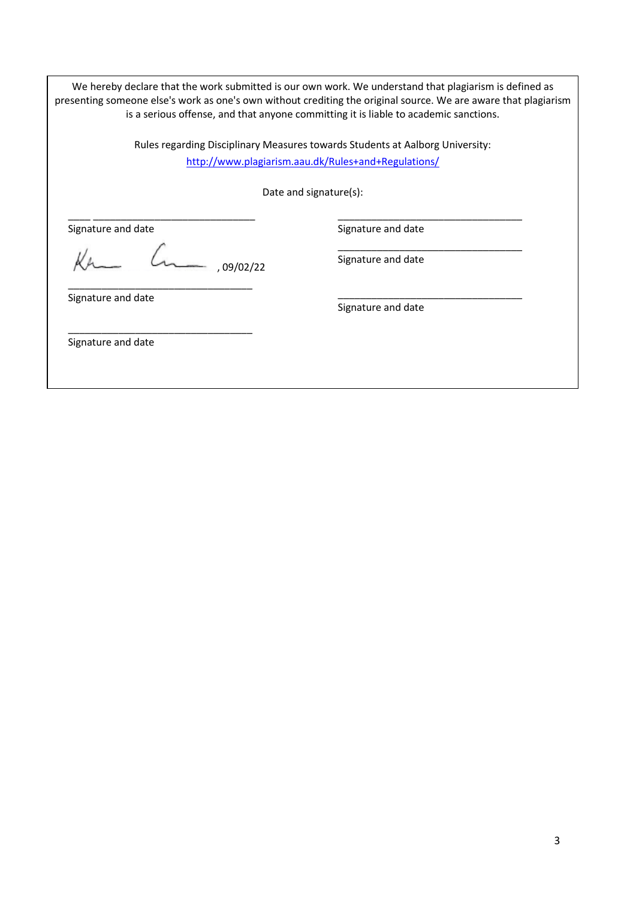We hereby declare that the work submitted is our own work. We understand that plagiarism is defined as presenting someone else's work as one's own without crediting the original source. We are aware that plagiarism is a serious offense, and that anyone committing it is liable to academic sanctions.

> Rules regarding Disciplinary Measures towards Students at Aalborg University: <http://www.plagiarism.aau.dk/Rules+and+Regulations/>

> > Date and signature(s):

Signature and date

Kr L.  $-$ , 09/02/22

\_\_\_\_\_\_\_\_\_\_\_\_\_\_\_\_\_\_\_\_\_\_\_\_\_\_\_\_\_\_\_\_\_

\_\_\_\_\_\_\_\_\_\_\_\_\_\_\_\_\_\_\_\_\_\_\_\_\_\_\_\_\_\_\_\_\_

\_\_\_\_ \_\_\_\_\_\_\_\_\_\_\_\_\_\_\_\_\_\_\_\_\_\_\_\_\_\_\_\_\_

\_\_\_\_\_\_\_\_\_\_\_\_\_\_\_\_\_\_\_\_\_\_\_\_\_\_\_\_\_\_\_\_\_ Signature and date

Signature and date

\_\_\_\_\_\_\_\_\_\_\_\_\_\_\_\_\_\_\_\_\_\_\_\_\_\_\_\_\_\_\_\_\_

Signature and date

\_\_\_\_\_\_\_\_\_\_\_\_\_\_\_\_\_\_\_\_\_\_\_\_\_\_\_\_\_\_\_\_\_ Signature and date

Signature and date

Signature and date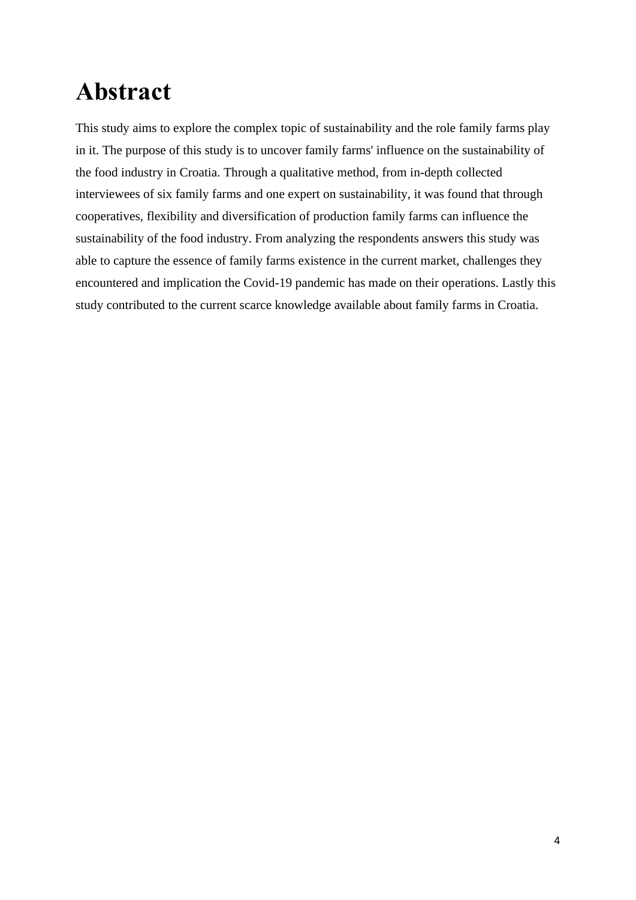# <span id="page-3-0"></span>**Abstract**

This study aims to explore the complex topic of sustainability and the role family farms play in it. The purpose of this study is to uncover family farms' influence on the sustainability of the food industry in Croatia. Through a qualitative method, from in-depth collected interviewees of six family farms and one expert on sustainability, it was found that through cooperatives, flexibility and diversification of production family farms can influence the sustainability of the food industry. From analyzing the respondents answers this study was able to capture the essence of family farms existence in the current market, challenges they encountered and implication the Covid-19 pandemic has made on their operations. Lastly this study contributed to the current scarce knowledge available about family farms in Croatia.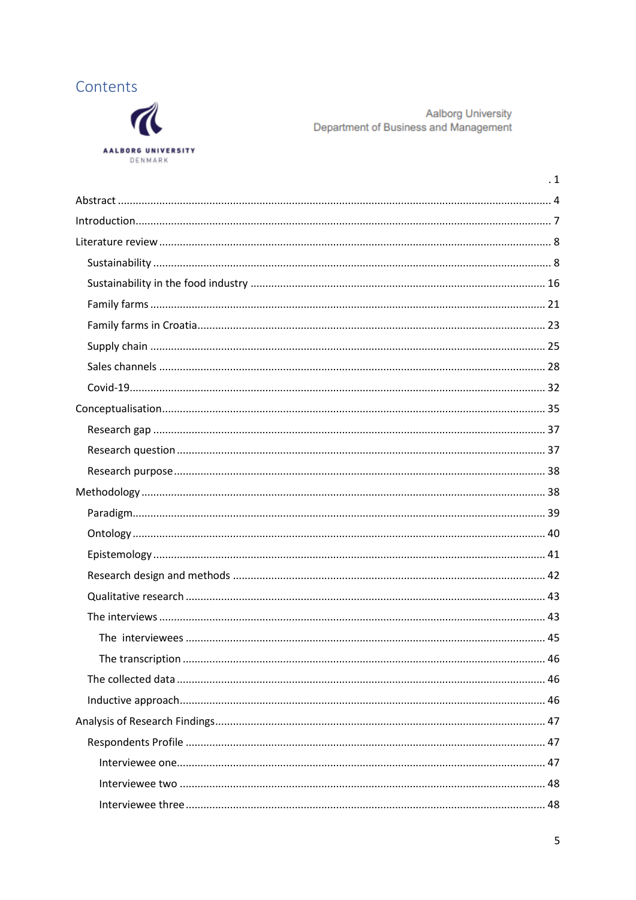



Aalborg University Department of Business and Management

| $\cdot$ 1 |
|-----------|
|           |
|           |
|           |
|           |
|           |
|           |
|           |
|           |
|           |
|           |
|           |
|           |
|           |
|           |
|           |
|           |
|           |
|           |
|           |
|           |
|           |
|           |
|           |
|           |
|           |
|           |
|           |
|           |
|           |
|           |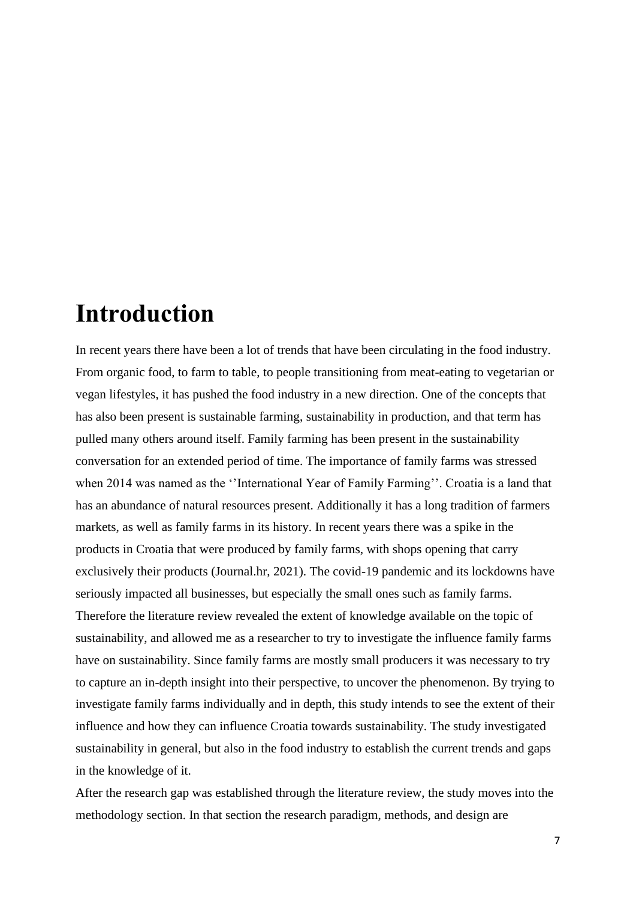## <span id="page-6-0"></span>**Introduction**

In recent years there have been a lot of trends that have been circulating in the food industry. From organic food, to farm to table, to people transitioning from meat-eating to vegetarian or vegan lifestyles, it has pushed the food industry in a new direction. One of the concepts that has also been present is sustainable farming, sustainability in production, and that term has pulled many others around itself. Family farming has been present in the sustainability conversation for an extended period of time. The importance of family farms was stressed when 2014 was named as the "International Year of Family Farming". Croatia is a land that has an abundance of natural resources present. Additionally it has a long tradition of farmers markets, as well as family farms in its history. In recent years there was a spike in the products in Croatia that were produced by family farms, with shops opening that carry exclusively their products (Journal.hr, 2021). The covid-19 pandemic and its lockdowns have seriously impacted all businesses, but especially the small ones such as family farms. Therefore the literature review revealed the extent of knowledge available on the topic of sustainability, and allowed me as a researcher to try to investigate the influence family farms have on sustainability. Since family farms are mostly small producers it was necessary to try to capture an in-depth insight into their perspective, to uncover the phenomenon. By trying to investigate family farms individually and in depth, this study intends to see the extent of their influence and how they can influence Croatia towards sustainability. The study investigated sustainability in general, but also in the food industry to establish the current trends and gaps in the knowledge of it.

After the research gap was established through the literature review, the study moves into the methodology section. In that section the research paradigm, methods, and design are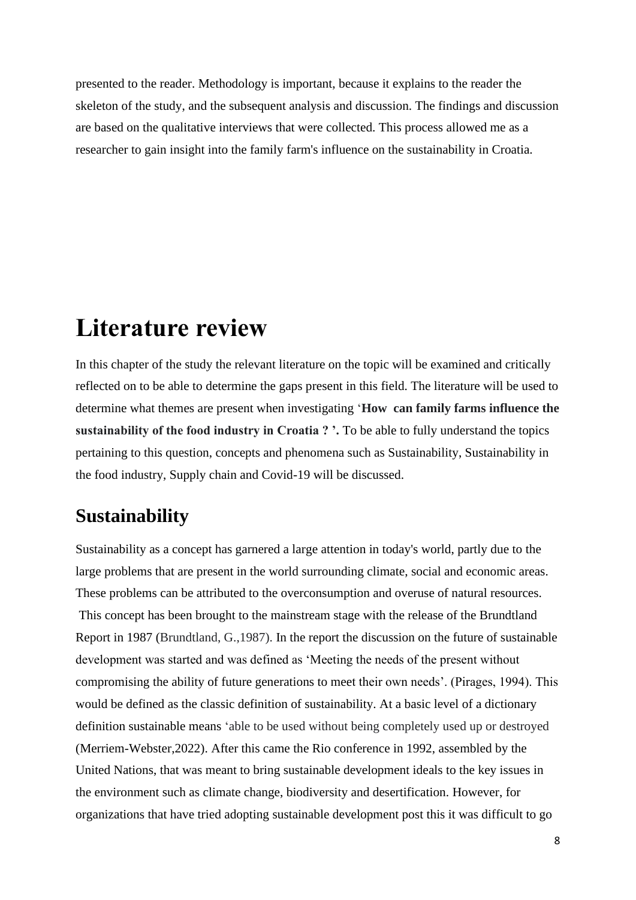presented to the reader. Methodology is important, because it explains to the reader the skeleton of the study, and the subsequent analysis and discussion. The findings and discussion are based on the qualitative interviews that were collected. This process allowed me as a researcher to gain insight into the family farm's influence on the sustainability in Croatia.

### <span id="page-7-0"></span>**Literature review**

In this chapter of the study the relevant literature on the topic will be examined and critically reflected on to be able to determine the gaps present in this field. The literature will be used to determine what themes are present when investigating '**How can family farms influence the sustainability of the food industry in Croatia ? '.** To be able to fully understand the topics pertaining to this question, concepts and phenomena such as Sustainability, Sustainability in the food industry, Supply chain and Covid-19 will be discussed.

#### <span id="page-7-1"></span>**Sustainability**

Sustainability as a concept has garnered a large attention in today's world, partly due to the large problems that are present in the world surrounding climate, social and economic areas. These problems can be attributed to the overconsumption and overuse of natural resources. This concept has been brought to the mainstream stage with the release of the Brundtland Report in 1987 (Brundtland, G.,1987). In the report the discussion on the future of sustainable development was started and was defined as 'Meeting the needs of the present without compromising the ability of future generations to meet their own needs'. (Pirages, 1994). This would be defined as the classic definition of sustainability. At a basic level of a dictionary definition sustainable means 'able to be used without being completely used up or destroyed (Merriem-Webster,2022). After this came the Rio conference in 1992, assembled by the United Nations, that was meant to bring sustainable development ideals to the key issues in the environment such as climate change, biodiversity and desertification. However, for organizations that have tried adopting sustainable development post this it was difficult to go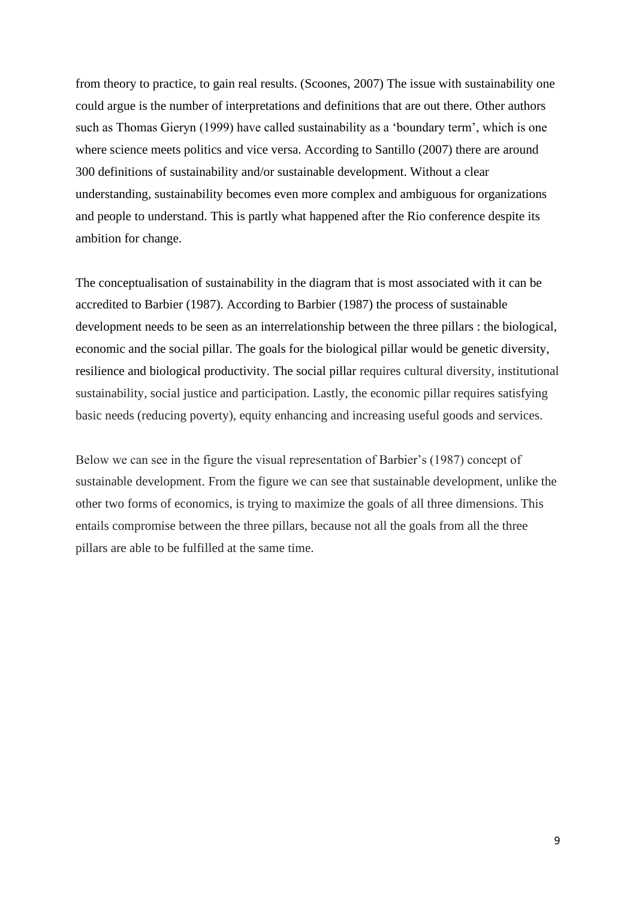from theory to practice, to gain real results. (Scoones, 2007) The issue with sustainability one could argue is the number of interpretations and definitions that are out there. Other authors such as Thomas Gieryn (1999) have called sustainability as a 'boundary term', which is one where science meets politics and vice versa. According to Santillo (2007) there are around 300 definitions of sustainability and/or sustainable development. Without a clear understanding, sustainability becomes even more complex and ambiguous for organizations and people to understand. This is partly what happened after the Rio conference despite its ambition for change.

The conceptualisation of sustainability in the diagram that is most associated with it can be accredited to Barbier (1987). According to Barbier (1987) the process of sustainable development needs to be seen as an interrelationship between the three pillars : the biological, economic and the social pillar. The goals for the biological pillar would be genetic diversity, resilience and biological productivity. The social pillar requires cultural diversity, institutional sustainability, social justice and participation. Lastly, the economic pillar requires satisfying basic needs (reducing poverty), equity enhancing and increasing useful goods and services.

Below we can see in the figure the visual representation of Barbier's (1987) concept of sustainable development. From the figure we can see that sustainable development, unlike the other two forms of economics, is trying to maximize the goals of all three dimensions. This entails compromise between the three pillars, because not all the goals from all the three pillars are able to be fulfilled at the same time.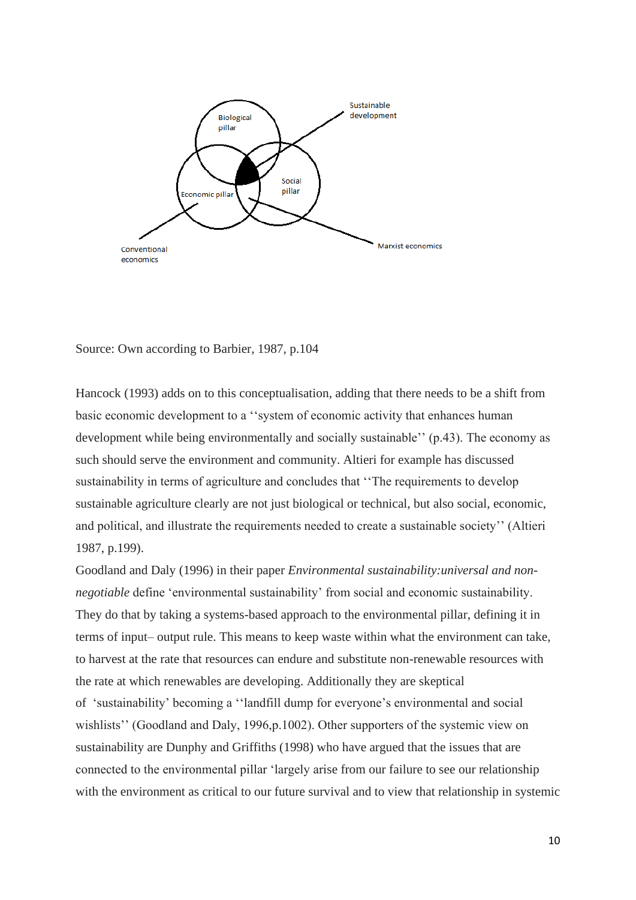

Source: Own according to Barbier, 1987, p.104

Hancock (1993) adds on to this conceptualisation, adding that there needs to be a shift from basic economic development to a ''system of economic activity that enhances human development while being environmentally and socially sustainable'' (p.43). The economy as such should serve the environment and community. Altieri for example has discussed sustainability in terms of agriculture and concludes that ''The requirements to develop sustainable agriculture clearly are not just biological or technical, but also social, economic, and political, and illustrate the requirements needed to create a sustainable society'' (Altieri 1987, p.199).

Goodland and Daly (1996) in their paper *Environmental sustainability:universal and nonnegotiable* define 'environmental sustainability' from social and economic sustainability. They do that by taking a systems-based approach to the environmental pillar, defining it in terms of input– output rule. This means to keep waste within what the environment can take, to harvest at the rate that resources can endure and substitute non-renewable resources with the rate at which renewables are developing. Additionally they are skeptical of 'sustainability' becoming a ''landfill dump for everyone's environmental and social wishlists'' (Goodland and Daly, 1996,p.1002). Other supporters of the systemic view on sustainability are Dunphy and Griffiths (1998) who have argued that the issues that are connected to the environmental pillar 'largely arise from our failure to see our relationship with the environment as critical to our future survival and to view that relationship in systemic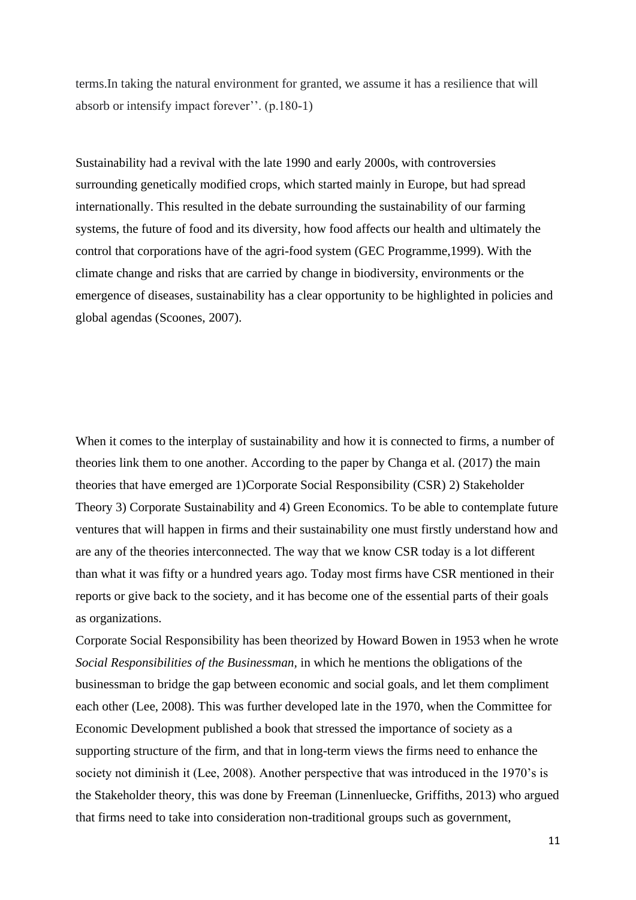terms.In taking the natural environment for granted, we assume it has a resilience that will absorb or intensify impact forever''. (p.180-1)

Sustainability had a revival with the late 1990 and early 2000s, with controversies surrounding genetically modified crops, which started mainly in Europe, but had spread internationally. This resulted in the debate surrounding the sustainability of our farming systems, the future of food and its diversity, how food affects our health and ultimately the control that corporations have of the agri-food system (GEC Programme,1999). With the climate change and risks that are carried by change in biodiversity, environments or the emergence of diseases, sustainability has a clear opportunity to be highlighted in policies and global agendas (Scoones, 2007).

When it comes to the interplay of sustainability and how it is connected to firms, a number of theories link them to one another. According to the paper by Changa et al. (2017) the main theories that have emerged are 1)Corporate Social Responsibility (CSR) 2) Stakeholder Theory 3) Corporate Sustainability and 4) Green Economics. To be able to contemplate future ventures that will happen in firms and their sustainability one must firstly understand how and are any of the theories interconnected. The way that we know CSR today is a lot different than what it was fifty or a hundred years ago. Today most firms have CSR mentioned in their reports or give back to the society, and it has become one of the essential parts of their goals as organizations.

Corporate Social Responsibility has been theorized by Howard Bowen in 1953 when he wrote *Social Responsibilities of the Businessman,* in which he mentions the obligations of the businessman to bridge the gap between economic and social goals, and let them compliment each other (Lee, 2008). This was further developed late in the 1970, when the Committee for Economic Development published a book that stressed the importance of society as a supporting structure of the firm, and that in long-term views the firms need to enhance the society not diminish it (Lee, 2008). Another perspective that was introduced in the 1970's is the Stakeholder theory, this was done by Freeman (Linnenluecke, Griffiths, 2013) who argued that firms need to take into consideration non-traditional groups such as government,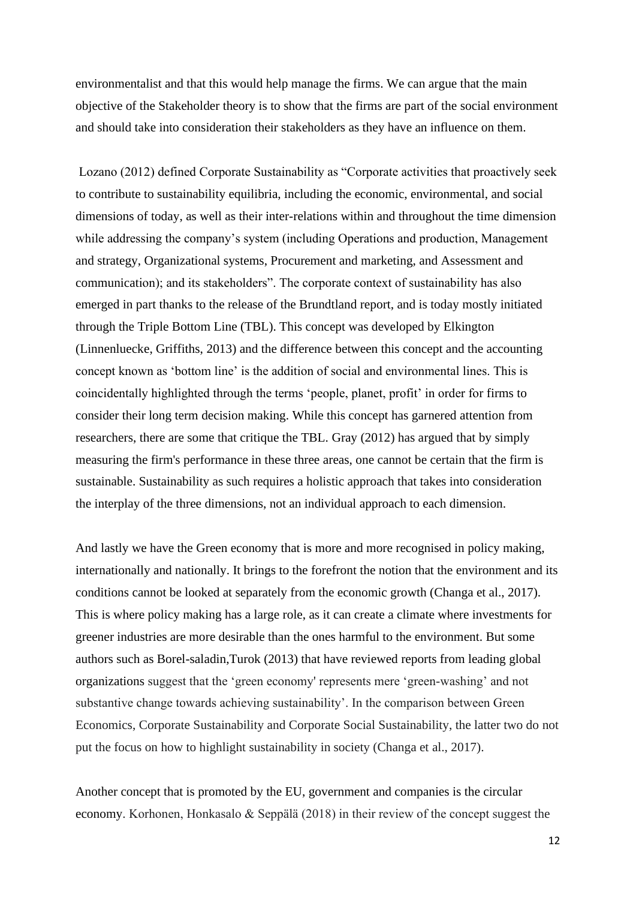environmentalist and that this would help manage the firms. We can argue that the main objective of the Stakeholder theory is to show that the firms are part of the social environment and should take into consideration their stakeholders as they have an influence on them.

Lozano (2012) defined Corporate Sustainability as "Corporate activities that proactively seek to contribute to sustainability equilibria, including the economic, environmental, and social dimensions of today, as well as their inter-relations within and throughout the time dimension while addressing the company's system (including Operations and production, Management and strategy, Organizational systems, Procurement and marketing, and Assessment and communication); and its stakeholders". The corporate context of sustainability has also emerged in part thanks to the release of the Brundtland report, and is today mostly initiated through the Triple Bottom Line (TBL). This concept was developed by Elkington (Linnenluecke, Griffiths, 2013) and the difference between this concept and the accounting concept known as 'bottom line' is the addition of social and environmental lines. This is coincidentally highlighted through the terms 'people, planet, profit' in order for firms to consider their long term decision making. While this concept has garnered attention from researchers, there are some that critique the TBL. Gray (2012) has argued that by simply measuring the firm's performance in these three areas, one cannot be certain that the firm is sustainable. Sustainability as such requires a holistic approach that takes into consideration the interplay of the three dimensions, not an individual approach to each dimension.

And lastly we have the Green economy that is more and more recognised in policy making, internationally and nationally. It brings to the forefront the notion that the environment and its conditions cannot be looked at separately from the economic growth (Changa et al., 2017). This is where policy making has a large role, as it can create a climate where investments for greener industries are more desirable than the ones harmful to the environment. But some authors such as Borel-saladin,Turok (2013) that have reviewed reports from leading global organizations suggest that the 'green economy' represents mere 'green-washing' and not substantive change towards achieving sustainability'. In the comparison between Green Economics, Corporate Sustainability and Corporate Social Sustainability, the latter two do not put the focus on how to highlight sustainability in society (Changa et al., 2017).

Another concept that is promoted by the EU, government and companies is the circular economy. Korhonen, Honkasalo & Seppälä (2018) in their review of the concept suggest the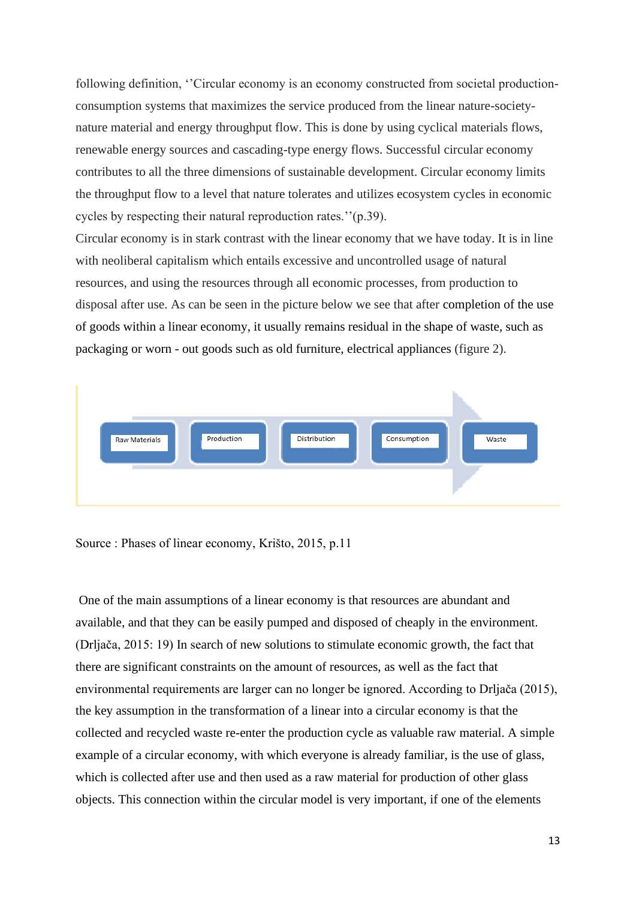following definition, "Circular economy is an economy constructed from societal productionconsumption systems that maximizes the service produced from the linear nature-societynature material and energy throughput flow. This is done by using cyclical materials flows, renewable energy sources and cascading-type energy flows. Successful circular economy contributes to all the three dimensions of sustainable development. Circular economy limits the throughput flow to a level that nature tolerates and utilizes ecosystem cycles in economic cycles by respecting their natural reproduction rates.''(p.39).

Circular economy is in stark contrast with the linear economy that we have today. It is in line with neoliberal capitalism which entails excessive and uncontrolled usage of natural resources, and using the resources through all economic processes, from production to disposal after use. As can be seen in the picture below we see that after completion of the use of goods within a linear economy, it usually remains residual in the shape of waste, such as packaging or worn - out goods such as old furniture, electrical appliances (figure 2).



Source : Phases of linear economy, Krišto, 2015, p.11

One of the main assumptions of a linear economy is that resources are abundant and available, and that they can be easily pumped and disposed of cheaply in the environment. (Drljača, 2015: 19) In search of new solutions to stimulate economic growth, the fact that there are significant constraints on the amount of resources, as well as the fact that environmental requirements are larger can no longer be ignored. According to Drljača (2015), the key assumption in the transformation of a linear into a circular economy is that the collected and recycled waste re-enter the production cycle as valuable raw material. A simple example of a circular economy, with which everyone is already familiar, is the use of glass, which is collected after use and then used as a raw material for production of other glass objects. This connection within the circular model is very important, if one of the elements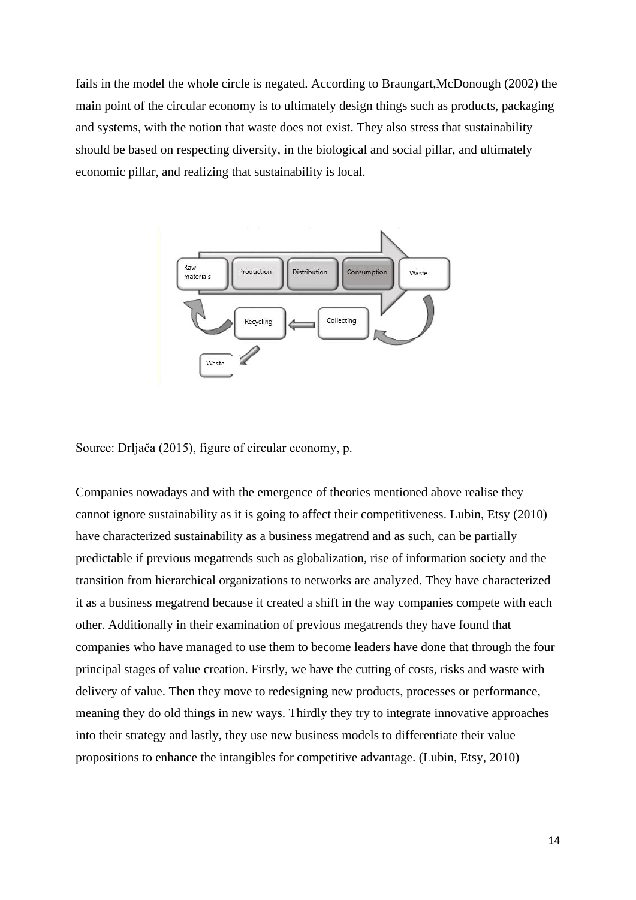fails in the model the whole circle is negated. According to Braungart,McDonough (2002) the main point of the circular economy is to ultimately design things such as products, packaging and systems, with the notion that waste does not exist. They also stress that sustainability should be based on respecting diversity, in the biological and social pillar, and ultimately economic pillar, and realizing that sustainability is local.



Source: Drljača (2015), figure of circular economy, p.

Companies nowadays and with the emergence of theories mentioned above realise they cannot ignore sustainability as it is going to affect their competitiveness. Lubin, Etsy (2010) have characterized sustainability as a business megatrend and as such, can be partially predictable if previous megatrends such as globalization, rise of information society and the transition from hierarchical organizations to networks are analyzed. They have characterized it as a business megatrend because it created a shift in the way companies compete with each other. Additionally in their examination of previous megatrends they have found that companies who have managed to use them to become leaders have done that through the four principal stages of value creation. Firstly, we have the cutting of costs, risks and waste with delivery of value. Then they move to redesigning new products, processes or performance, meaning they do old things in new ways. Thirdly they try to integrate innovative approaches into their strategy and lastly, they use new business models to differentiate their value propositions to enhance the intangibles for competitive advantage. (Lubin, Etsy, 2010)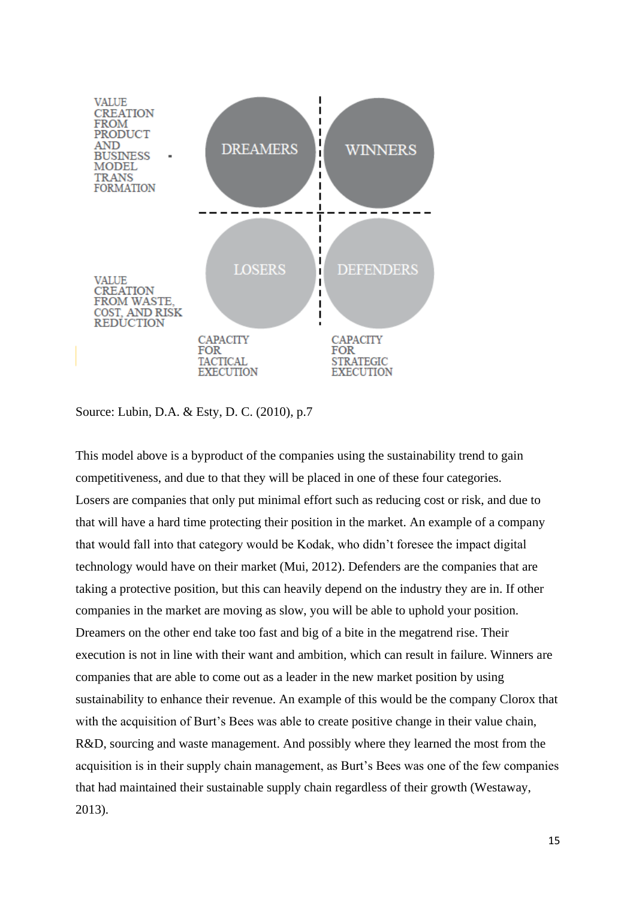

Source: Lubin, D.A. & Esty, D. C. (2010), p.7

This model above is a byproduct of the companies using the sustainability trend to gain competitiveness, and due to that they will be placed in one of these four categories. Losers are companies that only put minimal effort such as reducing cost or risk, and due to that will have a hard time protecting their position in the market. An example of a company that would fall into that category would be Kodak, who didn't foresee the impact digital technology would have on their market (Mui, 2012). Defenders are the companies that are taking a protective position, but this can heavily depend on the industry they are in. If other companies in the market are moving as slow, you will be able to uphold your position. Dreamers on the other end take too fast and big of a bite in the megatrend rise. Their execution is not in line with their want and ambition, which can result in failure. Winners are companies that are able to come out as a leader in the new market position by using sustainability to enhance their revenue. An example of this would be the company Clorox that with the acquisition of Burt's Bees was able to create positive change in their value chain, R&D, sourcing and waste management. And possibly where they learned the most from the acquisition is in their supply chain management, as Burt's Bees was one of the few companies that had maintained their sustainable supply chain regardless of their growth (Westaway, 2013).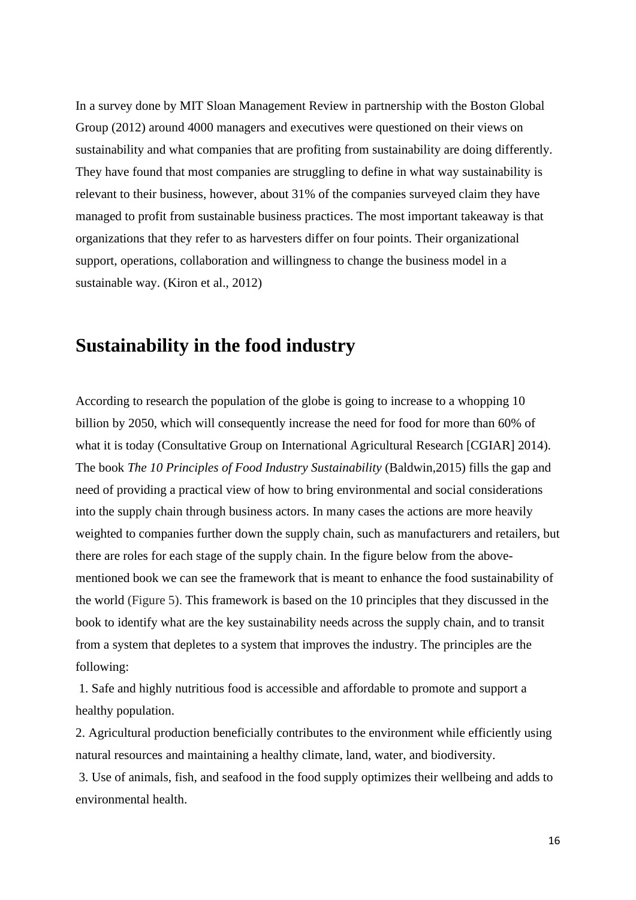In a survey done by MIT Sloan Management Review in partnership with the Boston Global Group (2012) around 4000 managers and executives were questioned on their views on sustainability and what companies that are profiting from sustainability are doing differently. They have found that most companies are struggling to define in what way sustainability is relevant to their business, however, about 31% of the companies surveyed claim they have managed to profit from sustainable business practices. The most important takeaway is that organizations that they refer to as harvesters differ on four points. Their organizational support, operations, collaboration and willingness to change the business model in a sustainable way. (Kiron et al., 2012)

#### <span id="page-15-0"></span>**Sustainability in the food industry**

According to research the population of the globe is going to increase to a whopping 10 billion by 2050, which will consequently increase the need for food for more than 60% of what it is today (Consultative Group on International Agricultural Research [CGIAR] 2014). The book *The 10 Principles of Food Industry Sustainability* (Baldwin,2015) fills the gap and need of providing a practical view of how to bring environmental and social considerations into the supply chain through business actors. In many cases the actions are more heavily weighted to companies further down the supply chain, such as manufacturers and retailers, but there are roles for each stage of the supply chain. In the figure below from the abovementioned book we can see the framework that is meant to enhance the food sustainability of the world (Figure 5). This framework is based on the 10 principles that they discussed in the book to identify what are the key sustainability needs across the supply chain, and to transit from a system that depletes to a system that improves the industry. The principles are the following:

1. Safe and highly nutritious food is accessible and affordable to promote and support a healthy population.

2. Agricultural production beneficially contributes to the environment while efficiently using natural resources and maintaining a healthy climate, land, water, and biodiversity.

3. Use of animals, fish, and seafood in the food supply optimizes their wellbeing and adds to environmental health.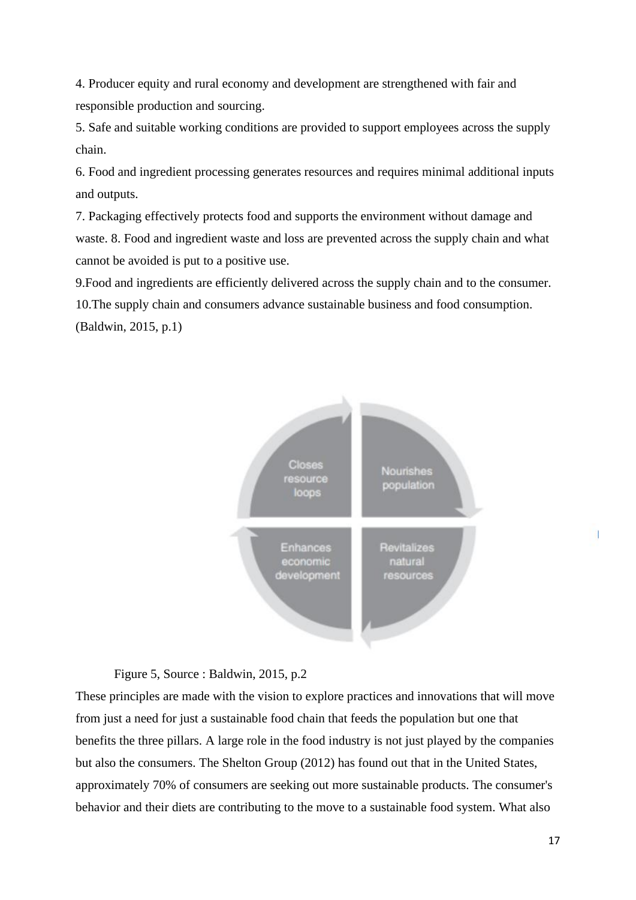4. Producer equity and rural economy and development are strengthened with fair and responsible production and sourcing.

5. Safe and suitable working conditions are provided to support employees across the supply chain.

6. Food and ingredient processing generates resources and requires minimal additional inputs and outputs.

7. Packaging effectively protects food and supports the environment without damage and waste. 8. Food and ingredient waste and loss are prevented across the supply chain and what cannot be avoided is put to a positive use.

9.Food and ingredients are efficiently delivered across the supply chain and to the consumer. 10.The supply chain and consumers advance sustainable business and food consumption. (Baldwin, 2015, p.1)



Figure 5, Source : Baldwin, 2015, p.2

These principles are made with the vision to explore practices and innovations that will move from just a need for just a sustainable food chain that feeds the population but one that benefits the three pillars. A large role in the food industry is not just played by the companies but also the consumers. The Shelton Group (2012) has found out that in the United States, approximately 70% of consumers are seeking out more sustainable products. The consumer's behavior and their diets are contributing to the move to a sustainable food system. What also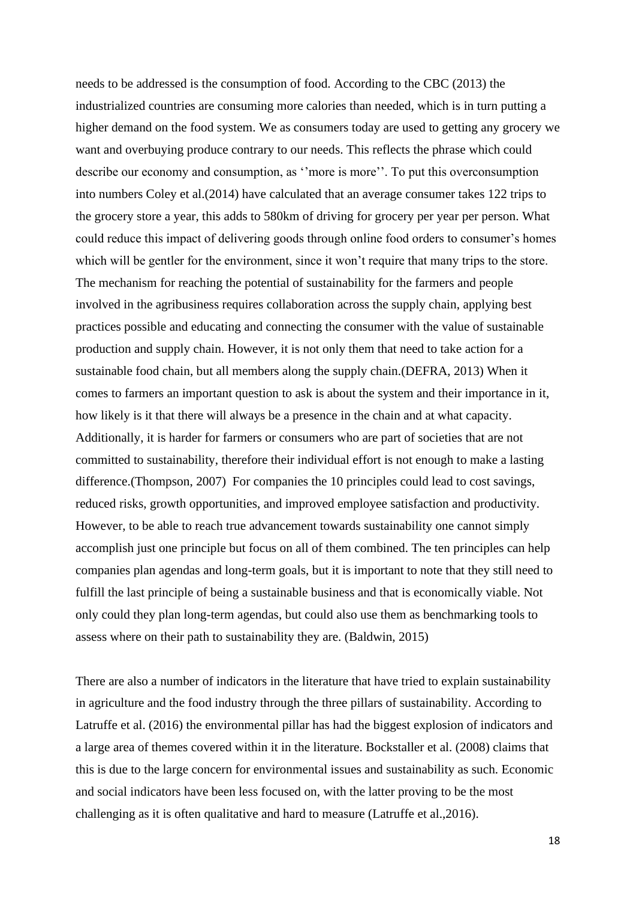needs to be addressed is the consumption of food. According to the CBC (2013) the industrialized countries are consuming more calories than needed, which is in turn putting a higher demand on the food system. We as consumers today are used to getting any grocery we want and overbuying produce contrary to our needs. This reflects the phrase which could describe our economy and consumption, as ''more is more''. To put this overconsumption into numbers Coley et al.(2014) have calculated that an average consumer takes 122 trips to the grocery store a year, this adds to 580km of driving for grocery per year per person. What could reduce this impact of delivering goods through online food orders to consumer's homes which will be gentler for the environment, since it won't require that many trips to the store. The mechanism for reaching the potential of sustainability for the farmers and people involved in the agribusiness requires collaboration across the supply chain, applying best practices possible and educating and connecting the consumer with the value of sustainable production and supply chain. However, it is not only them that need to take action for a sustainable food chain, but all members along the supply chain.(DEFRA, 2013) When it comes to farmers an important question to ask is about the system and their importance in it, how likely is it that there will always be a presence in the chain and at what capacity. Additionally, it is harder for farmers or consumers who are part of societies that are not committed to sustainability, therefore their individual effort is not enough to make a lasting difference.(Thompson, 2007) For companies the 10 principles could lead to cost savings, reduced risks, growth opportunities, and improved employee satisfaction and productivity. However, to be able to reach true advancement towards sustainability one cannot simply accomplish just one principle but focus on all of them combined. The ten principles can help companies plan agendas and long-term goals, but it is important to note that they still need to fulfill the last principle of being a sustainable business and that is economically viable. Not only could they plan long-term agendas, but could also use them as benchmarking tools to assess where on their path to sustainability they are. (Baldwin, 2015)

There are also a number of indicators in the literature that have tried to explain sustainability in agriculture and the food industry through the three pillars of sustainability. According to Latruffe et al. (2016) the environmental pillar has had the biggest explosion of indicators and a large area of themes covered within it in the literature. Bockstaller et al. (2008) claims that this is due to the large concern for environmental issues and sustainability as such. Economic and social indicators have been less focused on, with the latter proving to be the most challenging as it is often qualitative and hard to measure (Latruffe et al.,2016).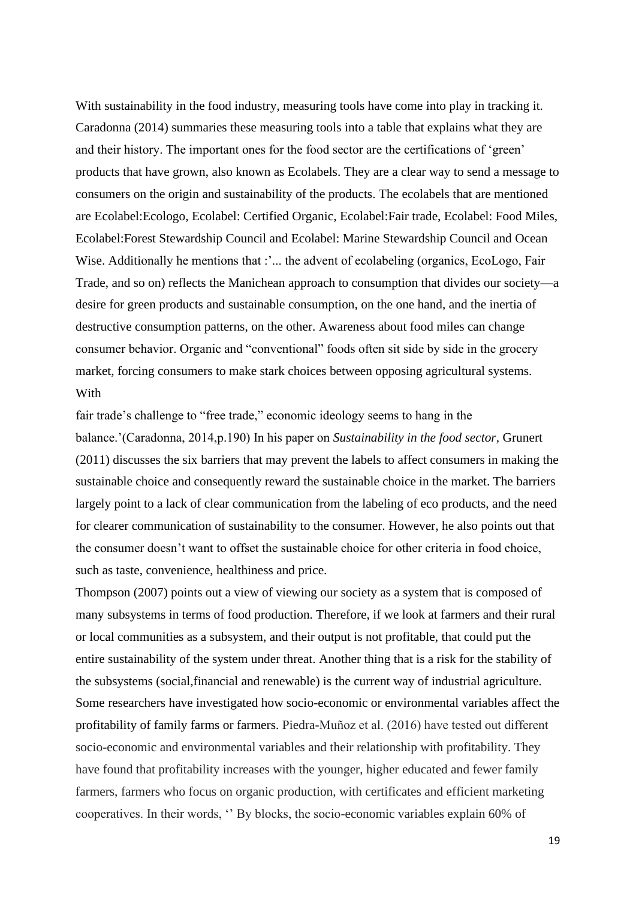With sustainability in the food industry, measuring tools have come into play in tracking it. Caradonna (2014) summaries these measuring tools into a table that explains what they are and their history. The important ones for the food sector are the certifications of 'green' products that have grown, also known as Ecolabels. They are a clear way to send a message to consumers on the origin and sustainability of the products. The ecolabels that are mentioned are Ecolabel:Ecologo, Ecolabel: Certified Organic, Ecolabel:Fair trade, Ecolabel: Food Miles, Ecolabel:Forest Stewardship Council and Ecolabel: Marine Stewardship Council and Ocean Wise. Additionally he mentions that :'... the advent of ecolabeling (organics, EcoLogo, Fair Trade, and so on) reflects the Manichean approach to consumption that divides our society—a desire for green products and sustainable consumption, on the one hand, and the inertia of destructive consumption patterns, on the other. Awareness about food miles can change consumer behavior. Organic and "conventional" foods often sit side by side in the grocery market, forcing consumers to make stark choices between opposing agricultural systems. **With** 

fair trade's challenge to "free trade," economic ideology seems to hang in the balance.'(Caradonna, 2014,p.190) In his paper on *Sustainability in the food sector,* Grunert (2011) discusses the six barriers that may prevent the labels to affect consumers in making the sustainable choice and consequently reward the sustainable choice in the market. The barriers largely point to a lack of clear communication from the labeling of eco products, and the need for clearer communication of sustainability to the consumer. However, he also points out that the consumer doesn't want to offset the sustainable choice for other criteria in food choice, such as taste, convenience, healthiness and price.

Thompson (2007) points out a view of viewing our society as a system that is composed of many subsystems in terms of food production. Therefore, if we look at farmers and their rural or local communities as a subsystem, and their output is not profitable, that could put the entire sustainability of the system under threat. Another thing that is a risk for the stability of the subsystems (social,financial and renewable) is the current way of industrial agriculture. Some researchers have investigated how socio-economic or environmental variables affect the profitability of family farms or farmers. Piedra-Muñoz et al. (2016) have tested out different socio-economic and environmental variables and their relationship with profitability. They have found that profitability increases with the younger, higher educated and fewer family farmers, farmers who focus on organic production, with certificates and efficient marketing cooperatives. In their words, '' By blocks, the socio-economic variables explain 60% of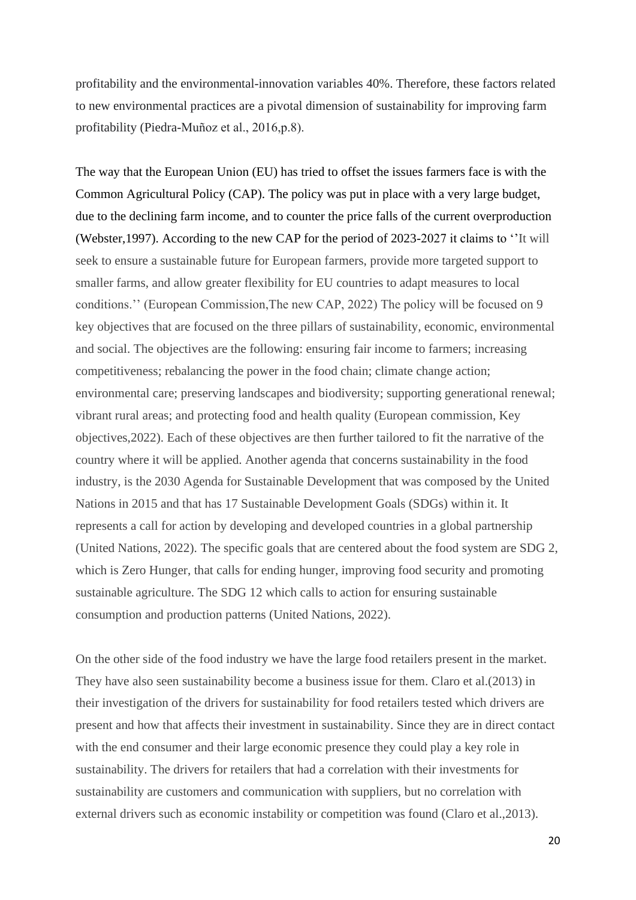profitability and the environmental-innovation variables 40%. Therefore, these factors related to new environmental practices are a pivotal dimension of sustainability for improving farm profitability (Piedra-Muñoz et al., 2016,p.8).

The way that the European Union (EU) has tried to offset the issues farmers face is with the Common Agricultural Policy (CAP). The policy was put in place with a very large budget, due to the declining farm income, and to counter the price falls of the current overproduction (Webster,1997). According to the new CAP for the period of 2023-2027 it claims to ''It will seek to ensure a sustainable future for European farmers, provide more targeted support to smaller farms, and allow greater flexibility for EU countries to adapt measures to local conditions.'' (European Commission,The new CAP, 2022) The policy will be focused on 9 key objectives that are focused on the three pillars of sustainability, economic, environmental and social. The objectives are the following: ensuring fair income to farmers; increasing competitiveness; rebalancing the power in the food chain; climate change action; environmental care; preserving landscapes and biodiversity; supporting generational renewal; vibrant rural areas; and protecting food and health quality (European commission, Key objectives,2022). Each of these objectives are then further tailored to fit the narrative of the country where it will be applied. Another agenda that concerns sustainability in the food industry, is the 2030 Agenda for Sustainable Development that was composed by the United Nations in 2015 and that has 17 Sustainable Development Goals (SDGs) within it. It represents a call for action by developing and developed countries in a global partnership (United Nations, 2022). The specific goals that are centered about the food system are SDG 2, which is Zero Hunger, that calls for ending hunger, improving food security and promoting sustainable agriculture. The SDG 12 which calls to action for ensuring sustainable consumption and production patterns (United Nations, 2022).

On the other side of the food industry we have the large food retailers present in the market. They have also seen sustainability become a business issue for them. Claro et al.(2013) in their investigation of the drivers for sustainability for food retailers tested which drivers are present and how that affects their investment in sustainability. Since they are in direct contact with the end consumer and their large economic presence they could play a key role in sustainability. The drivers for retailers that had a correlation with their investments for sustainability are customers and communication with suppliers, but no correlation with external drivers such as economic instability or competition was found (Claro et al., 2013).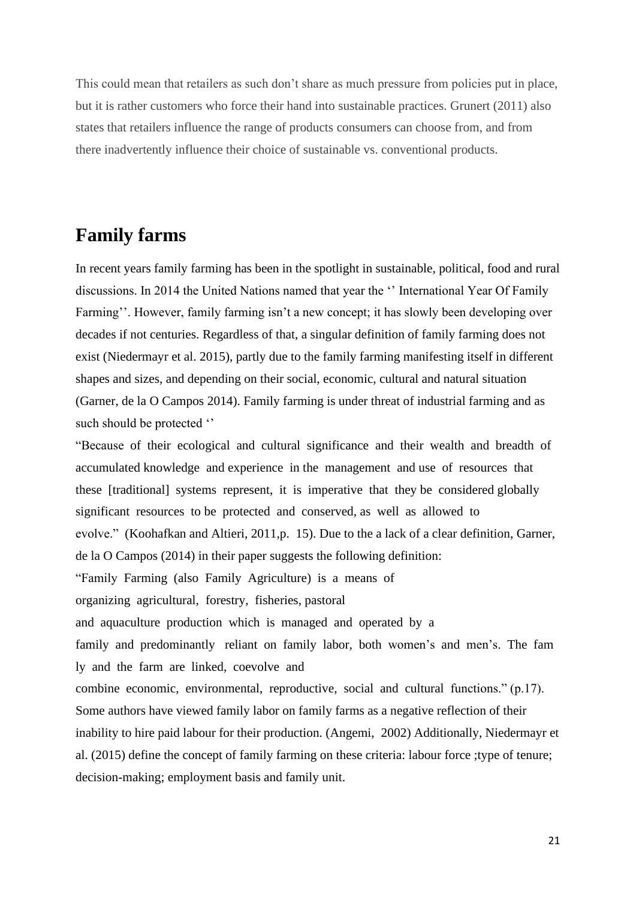This could mean that retailers as such don't share as much pressure from policies put in place, but it is rather customers who force their hand into sustainable practices. Grunert (2011) also states that retailers influence the range of products consumers can choose from, and from there inadvertently influence their choice of sustainable vs. conventional products.

#### <span id="page-20-0"></span>**Family farms**

In recent years family farming has been in the spotlight in sustainable, political, food and rural discussions. In 2014 the United Nations named that year the '' International Year Of Family Farming''. However, family farming isn't a new concept; it has slowly been developing over decades if not centuries. Regardless of that, a singular definition of family farming does not exist (Niedermayr et al. 2015), partly due to the family farming manifesting itself in different shapes and sizes, and depending on their social, economic, cultural and natural situation (Garner, de la O Campos 2014). Family farming is under threat of industrial farming and as such should be protected ''

"Because of their ecological and cultural significance and their wealth and breadth of accumulated knowledge and experience in the management and use of resources that these [traditional] systems represent, it is imperative that they be considered globally significant resources to be protected and conserved, as well as allowed to evolve." (Koohafkan and Altieri, 2011,p. 15). Due to the a lack of a clear definition, Garner, de la O Campos (2014) in their paper suggests the following definition: "Family Farming (also Family Agriculture) is a means of organizing agricultural, forestry, fisheries, pastoral and aquaculture production which is managed and operated by a family and predominantly reliant on family labor, both women's and men's. The fam ly and the farm are linked, coevolve and combine economic, environmental, reproductive, social and cultural functions." (p.17). Some authors have viewed family labor on family farms as a negative reflection of their inability to hire paid labour for their production. (Angemi, 2002) Additionally, Niedermayr et al. (2015) define the concept of family farming on these criteria: labour force ;type of tenure; decision-making; employment basis and family unit.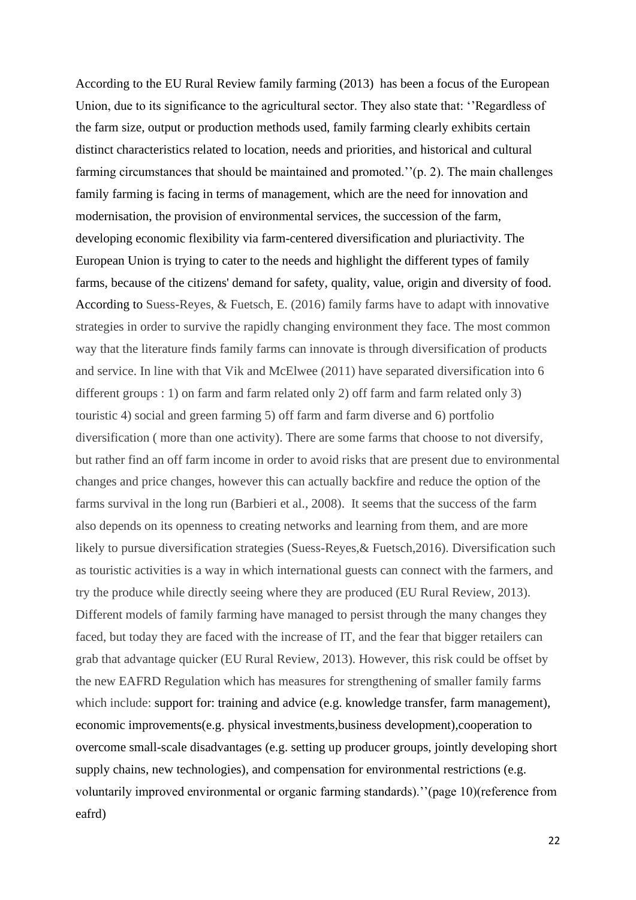According to the EU Rural Review family farming (2013) has been a focus of the European Union, due to its significance to the agricultural sector. They also state that: ''Regardless of the farm size, output or production methods used, family farming clearly exhibits certain distinct characteristics related to location, needs and priorities, and historical and cultural farming circumstances that should be maintained and promoted.''(p. 2). The main challenges family farming is facing in terms of management, which are the need for innovation and modernisation, the provision of environmental services, the succession of the farm, developing economic flexibility via farm-centered diversification and pluriactivity. The European Union is trying to cater to the needs and highlight the different types of family farms, because of the citizens' demand for safety, quality, value, origin and diversity of food. According to Suess-Reyes, & Fuetsch, E. (2016) family farms have to adapt with innovative strategies in order to survive the rapidly changing environment they face. The most common way that the literature finds family farms can innovate is through diversification of products and service. In line with that Vik and McElwee (2011) have separated diversification into 6 different groups : 1) on farm and farm related only 2) off farm and farm related only 3) touristic 4) social and green farming 5) off farm and farm diverse and 6) portfolio diversification ( more than one activity). There are some farms that choose to not diversify, but rather find an off farm income in order to avoid risks that are present due to environmental changes and price changes, however this can actually backfire and reduce the option of the farms survival in the long run (Barbieri et al., 2008). It seems that the success of the farm also depends on its openness to creating networks and learning from them, and are more likely to pursue diversification strategies (Suess-Reyes,& Fuetsch,2016). Diversification such as touristic activities is a way in which international guests can connect with the farmers, and try the produce while directly seeing where they are produced (EU Rural Review, 2013). Different models of family farming have managed to persist through the many changes they faced, but today they are faced with the increase of IT, and the fear that bigger retailers can grab that advantage quicker (EU Rural Review, 2013). However, this risk could be offset by the new EAFRD Regulation which has measures for strengthening of smaller family farms which include: support for: training and advice (e.g. knowledge transfer, farm management), economic improvements(e.g. physical investments,business development),cooperation to overcome small-scale disadvantages (e.g. setting up producer groups, jointly developing short supply chains, new technologies), and compensation for environmental restrictions (e.g. voluntarily improved environmental or organic farming standards).''(page 10)(reference from eafrd)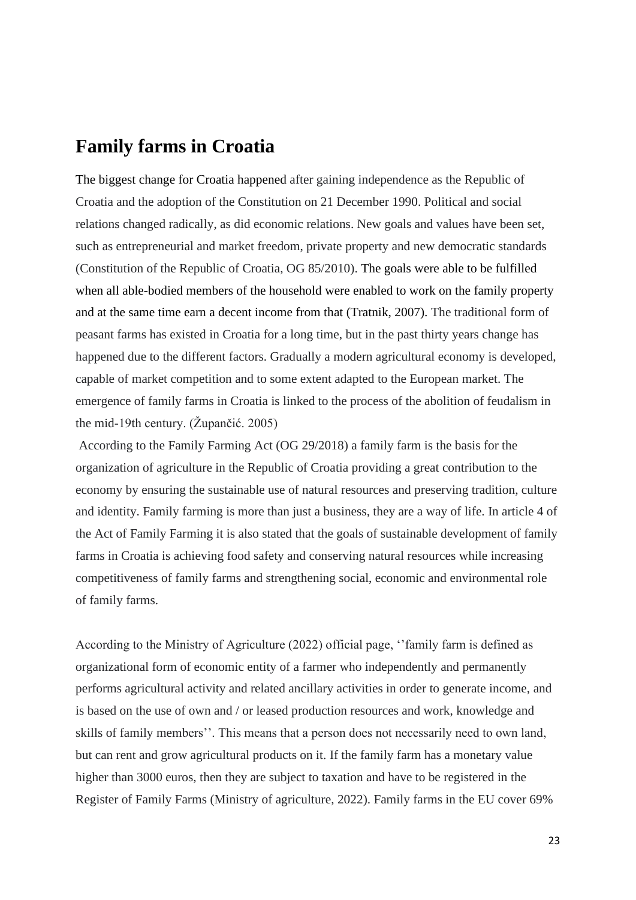#### <span id="page-22-0"></span>**Family farms in Croatia**

The biggest change for Croatia happened after gaining independence as the Republic of Croatia and the adoption of the Constitution on 21 December 1990. Political and social relations changed radically, as did economic relations. New goals and values have been set, such as entrepreneurial and market freedom, private property and new democratic standards (Constitution of the Republic of Croatia, OG 85/2010). The goals were able to be fulfilled when all able-bodied members of the household were enabled to work on the family property and at the same time earn a decent income from that (Tratnik, 2007). The traditional form of peasant farms has existed in Croatia for a long time, but in the past thirty years change has happened due to the different factors. Gradually a modern agricultural economy is developed, capable of market competition and to some extent adapted to the European market. The emergence of family farms in Croatia is linked to the process of the abolition of feudalism in the mid-19th century. (Župančić. 2005)

According to the Family Farming Act (OG 29/2018) a family farm is the basis for the organization of agriculture in the Republic of Croatia providing a great contribution to the economy by ensuring the sustainable use of natural resources and preserving tradition, culture and identity. Family farming is more than just a business, they are a way of life. In article 4 of the Act of Family Farming it is also stated that the goals of sustainable development of family farms in Croatia is achieving food safety and conserving natural resources while increasing competitiveness of family farms and strengthening social, economic and environmental role of family farms.

According to the Ministry of Agriculture (2022) official page, ''family farm is defined as organizational form of economic entity of a farmer who independently and permanently performs agricultural activity and related ancillary activities in order to generate income, and is based on the use of own and / or leased production resources and work, knowledge and skills of family members''. This means that a person does not necessarily need to own land, but can rent and grow agricultural products on it. If the family farm has a monetary value higher than 3000 euros, then they are subject to taxation and have to be registered in the Register of Family Farms (Ministry of agriculture, 2022). Family farms in the EU cover 69%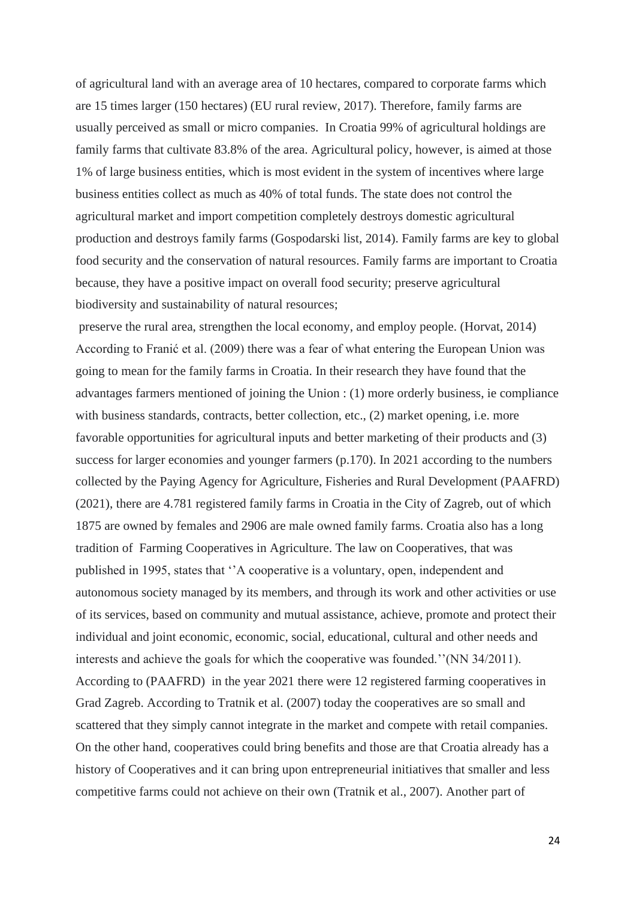of agricultural land with an average area of 10 hectares, compared to corporate farms which are 15 times larger (150 hectares) (EU rural review, 2017). Therefore, family farms are usually perceived as small or micro companies. In Croatia 99% of agricultural holdings are family farms that cultivate 83.8% of the area. Agricultural policy, however, is aimed at those 1% of large business entities, which is most evident in the system of incentives where large business entities collect as much as 40% of total funds. The state does not control the agricultural market and import competition completely destroys domestic agricultural production and destroys family farms (Gospodarski list, 2014). Family farms are key to global food security and the conservation of natural resources. Family farms are important to Croatia because, they have a positive impact on overall food security; preserve agricultural biodiversity and sustainability of natural resources;

preserve the rural area, strengthen the local economy, and employ people. (Horvat, 2014) According to Franić et al. (2009) there was a fear of what entering the European Union was going to mean for the family farms in Croatia. In their research they have found that the advantages farmers mentioned of joining the Union : (1) more orderly business, ie compliance with business standards, contracts, better collection, etc., (2) market opening, i.e. more favorable opportunities for agricultural inputs and better marketing of their products and (3) success for larger economies and younger farmers (p.170). In 2021 according to the numbers collected by the Paying Agency for Agriculture, Fisheries and Rural Development (PAAFRD) (2021), there are 4.781 registered family farms in Croatia in the City of Zagreb, out of which 1875 are owned by females and 2906 are male owned family farms. Croatia also has a long tradition of Farming Cooperatives in Agriculture. The law on Cooperatives, that was published in 1995, states that ''A cooperative is a voluntary, open, independent and autonomous society managed by its members, and through its work and other activities or use of its services, based on community and mutual assistance, achieve, promote and protect their individual and joint economic, economic, social, educational, cultural and other needs and interests and achieve the goals for which the cooperative was founded.''(NN 34/2011). According to (PAAFRD) in the year 2021 there were 12 registered farming cooperatives in Grad Zagreb. According to Tratnik et al. (2007) today the cooperatives are so small and scattered that they simply cannot integrate in the market and compete with retail companies. On the other hand, cooperatives could bring benefits and those are that Croatia already has a history of Cooperatives and it can bring upon entrepreneurial initiatives that smaller and less competitive farms could not achieve on their own (Tratnik et al., 2007). Another part of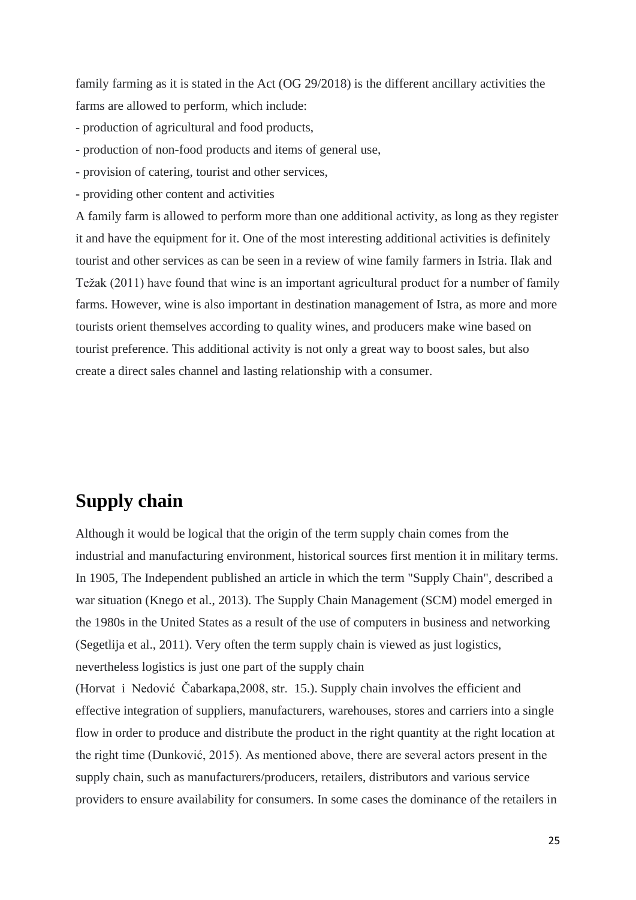family farming as it is stated in the Act (OG 29/2018) is the different ancillary activities the farms are allowed to perform, which include:

- production of agricultural and food products,
- production of non-food products and items of general use,
- provision of catering, tourist and other services,
- providing other content and activities

A family farm is allowed to perform more than one additional activity, as long as they register it and have the equipment for it. One of the most interesting additional activities is definitely tourist and other services as can be seen in a review of wine family farmers in Istria. Ilak and Težak (2011) have found that wine is an important agricultural product for a number of family farms. However, wine is also important in destination management of Istra, as more and more tourists orient themselves according to quality wines, and producers make wine based on tourist preference. This additional activity is not only a great way to boost sales, but also create a direct sales channel and lasting relationship with a consumer.

### <span id="page-24-0"></span>**Supply chain**

Although it would be logical that the origin of the term supply chain comes from the industrial and manufacturing environment, historical sources first mention it in military terms. In 1905, The Independent published an article in which the term "Supply Chain", described a war situation (Knego et al., 2013). The Supply Chain Management (SCM) model emerged in the 1980s in the United States as a result of the use of computers in business and networking (Segetlija et al., 2011). Very often the term supply chain is viewed as just logistics, nevertheless logistics is just one part of the supply chain

(Horvat i Nedović Čabarkapa,2008, str. 15.). Supply chain involves the efficient and effective integration of suppliers, manufacturers, warehouses, stores and carriers into a single flow in order to produce and distribute the product in the right quantity at the right location at the right time (Dunković, 2015). As mentioned above, there are several actors present in the supply chain, such as manufacturers/producers, retailers, distributors and various service providers to ensure availability for consumers. In some cases the dominance of the retailers in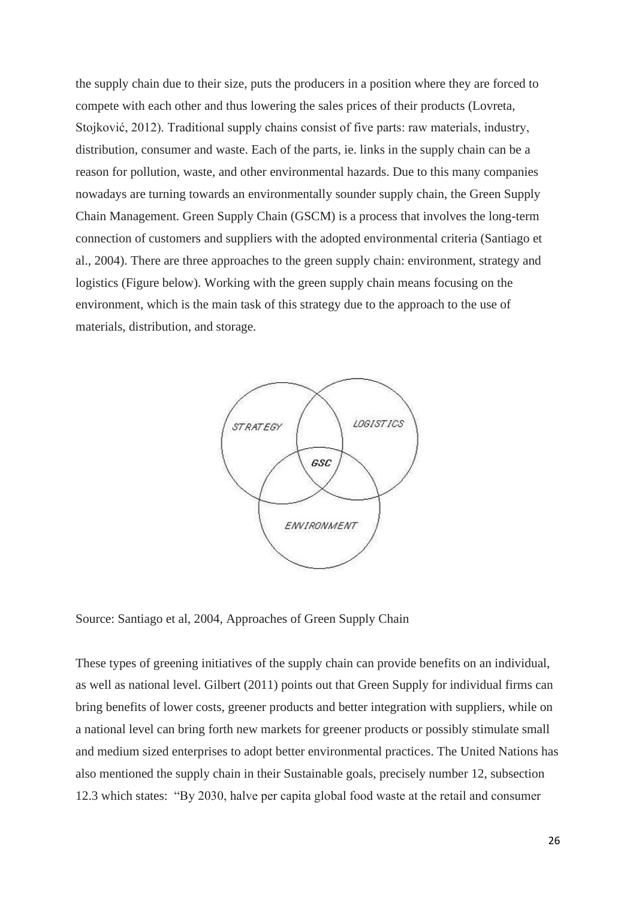the supply chain due to their size, puts the producers in a position where they are forced to compete with each other and thus lowering the sales prices of their products (Lovreta, Stojković, 2012). Traditional supply chains consist of five parts: raw materials, industry, distribution, consumer and waste. Each of the parts, ie. links in the supply chain can be a reason for pollution, waste, and other environmental hazards. Due to this many companies nowadays are turning towards an environmentally sounder supply chain, the Green Supply Chain Management. Green Supply Chain (GSCM) is a process that involves the long-term connection of customers and suppliers with the adopted environmental criteria (Santiago et al., 2004). There are three approaches to the green supply chain: environment, strategy and logistics (Figure below). Working with the green supply chain means focusing on the environment, which is the main task of this strategy due to the approach to the use of materials, distribution, and storage.



Source: Santiago et al, 2004, Approaches of Green Supply Chain

These types of greening initiatives of the supply chain can provide benefits on an individual, as well as national level. Gilbert (2011) points out that Green Supply for individual firms can bring benefits of lower costs, greener products and better integration with suppliers, while on a national level can bring forth new markets for greener products or possibly stimulate small and medium sized enterprises to adopt better environmental practices. The United Nations has also mentioned the supply chain in their Sustainable goals, precisely number 12, subsection 12.3 which states: "By 2030, halve per capita global food waste at the retail and consumer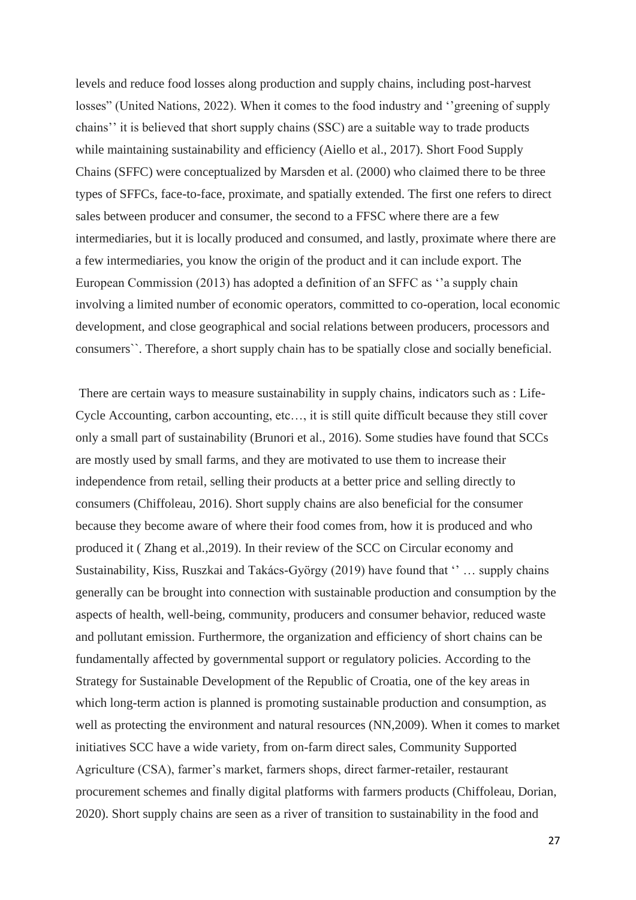levels and reduce food losses along production and supply chains, including post-harvest losses" (United Nations, 2022). When it comes to the food industry and ''greening of supply chains'' it is believed that short supply chains (SSC) are a suitable way to trade products while maintaining sustainability and efficiency (Aiello et al., 2017). Short Food Supply Chains (SFFC) were conceptualized by Marsden et al. (2000) who claimed there to be three types of SFFCs, face-to-face, proximate, and spatially extended. The first one refers to direct sales between producer and consumer, the second to a FFSC where there are a few intermediaries, but it is locally produced and consumed, and lastly, proximate where there are a few intermediaries, you know the origin of the product and it can include export. The European Commission (2013) has adopted a definition of an SFFC as ''a supply chain involving a limited number of economic operators, committed to co-operation, local economic development, and close geographical and social relations between producers, processors and consumers``. Therefore, a short supply chain has to be spatially close and socially beneficial.

There are certain ways to measure sustainability in supply chains, indicators such as : Life-Cycle Accounting, carbon accounting, etc…, it is still quite difficult because they still cover only a small part of sustainability (Brunori et al., 2016). Some studies have found that SCCs are mostly used by small farms, and they are motivated to use them to increase their independence from retail, selling their products at a better price and selling directly to consumers (Chiffoleau, 2016). Short supply chains are also beneficial for the consumer because they become aware of where their food comes from, how it is produced and who produced it ( Zhang et al.,2019). In their review of the SCC on Circular economy and Sustainability, Kiss, Ruszkai and [Takács-György](https://sciprofiles.com/profile/274563) (2019) have found that '' … supply chains generally can be brought into connection with sustainable production and consumption by the aspects of health, well-being, community, producers and consumer behavior, reduced waste and pollutant emission. Furthermore, the organization and efficiency of short chains can be fundamentally affected by governmental support or regulatory policies. According to the Strategy for Sustainable Development of the Republic of Croatia, one of the key areas in which long-term action is planned is promoting sustainable production and consumption, as well as protecting the environment and natural resources (NN,2009). When it comes to market initiatives SCC have a wide variety, from on-farm direct sales, Community Supported Agriculture (CSA), farmer's market, farmers shops, direct farmer-retailer, restaurant procurement schemes and finally digital platforms with farmers products (Chiffoleau, Dorian, 2020). Short supply chains are seen as a river of transition to sustainability in the food and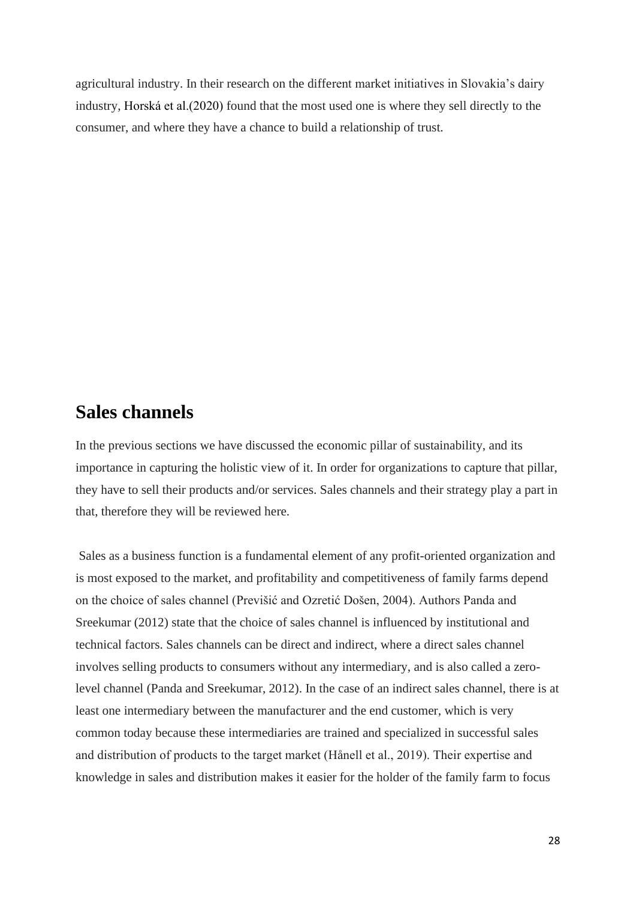agricultural industry. In their research on the different market initiatives in Slovakia's dairy industry, Horská et al.(2020) found that the most used one is where they sell directly to the consumer, and where they have a chance to build a relationship of trust.

#### <span id="page-27-0"></span>**Sales channels**

In the previous sections we have discussed the economic pillar of sustainability, and its importance in capturing the holistic view of it. In order for organizations to capture that pillar, they have to sell their products and/or services. Sales channels and their strategy play a part in that, therefore they will be reviewed here.

Sales as a business function is a fundamental element of any profit-oriented organization and is most exposed to the market, and profitability and competitiveness of family farms depend on the choice of sales channel (Previšić and Ozretić Došen, 2004). Authors Panda and Sreekumar (2012) state that the choice of sales channel is influenced by institutional and technical factors. Sales channels can be direct and indirect, where a direct sales channel involves selling products to consumers without any intermediary, and is also called a zerolevel channel (Panda and Sreekumar, 2012). In the case of an indirect sales channel, there is at least one intermediary between the manufacturer and the end customer, which is very common today because these intermediaries are trained and specialized in successful sales and distribution of products to the target market (Hånell et al., 2019). Their expertise and knowledge in sales and distribution makes it easier for the holder of the family farm to focus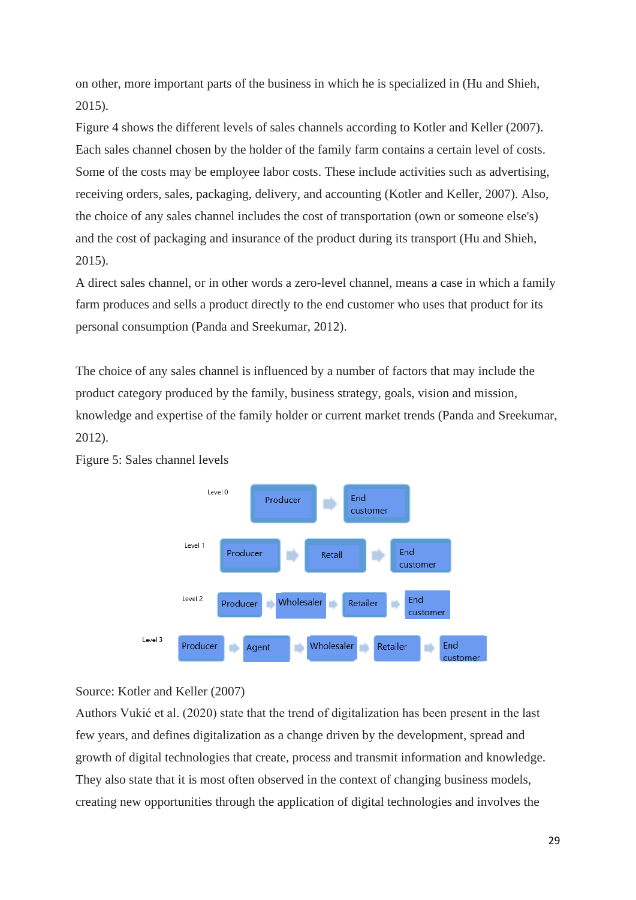on other, more important parts of the business in which he is specialized in (Hu and Shieh, 2015).

Figure 4 shows the different levels of sales channels according to Kotler and Keller (2007). Each sales channel chosen by the holder of the family farm contains a certain level of costs. Some of the costs may be employee labor costs. These include activities such as advertising, receiving orders, sales, packaging, delivery, and accounting (Kotler and Keller, 2007). Also, the choice of any sales channel includes the cost of transportation (own or someone else's) and the cost of packaging and insurance of the product during its transport (Hu and Shieh, 2015).

A direct sales channel, or in other words a zero-level channel, means a case in which a family farm produces and sells a product directly to the end customer who uses that product for its personal consumption (Panda and Sreekumar, 2012).

The choice of any sales channel is influenced by a number of factors that may include the product category produced by the family, business strategy, goals, vision and mission, knowledge and expertise of the family holder or current market trends (Panda and Sreekumar, 2012).



Figure 5: Sales channel levels

Source: Kotler and Keller (2007)

Authors Vukić et al. (2020) state that the trend of digitalization has been present in the last few years, and defines digitalization as a change driven by the development, spread and growth of digital technologies that create, process and transmit information and knowledge. They also state that it is most often observed in the context of changing business models, creating new opportunities through the application of digital technologies and involves the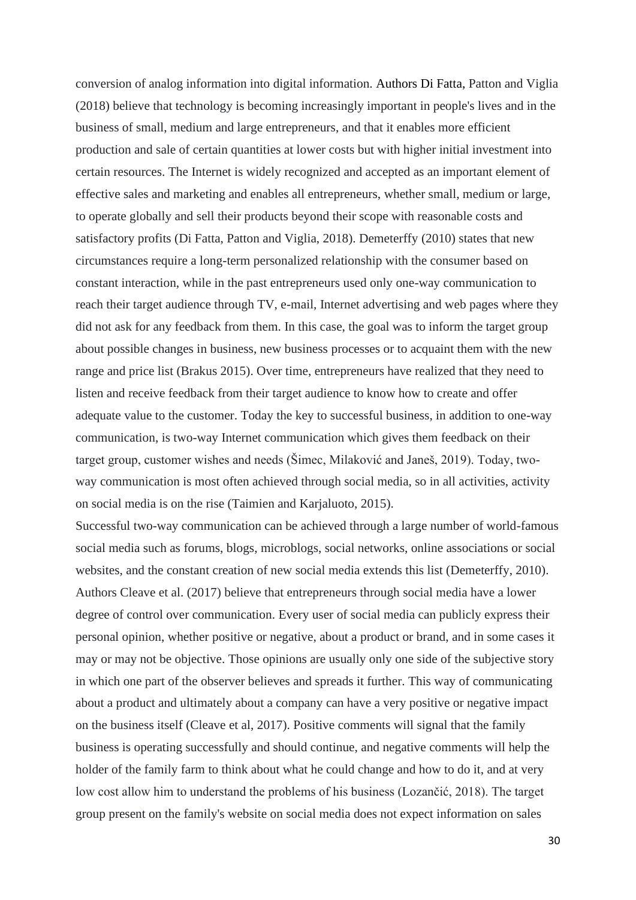conversion of analog information into digital information. Authors Di Fatta, Patton and Viglia (2018) believe that technology is becoming increasingly important in people's lives and in the business of small, medium and large entrepreneurs, and that it enables more efficient production and sale of certain quantities at lower costs but with higher initial investment into certain resources. The Internet is widely recognized and accepted as an important element of effective sales and marketing and enables all entrepreneurs, whether small, medium or large, to operate globally and sell their products beyond their scope with reasonable costs and satisfactory profits (Di Fatta, Patton and Viglia, 2018). Demeterffy (2010) states that new circumstances require a long-term personalized relationship with the consumer based on constant interaction, while in the past entrepreneurs used only one-way communication to reach their target audience through TV, e-mail, Internet advertising and web pages where they did not ask for any feedback from them. In this case, the goal was to inform the target group about possible changes in business, new business processes or to acquaint them with the new range and price list (Brakus 2015). Over time, entrepreneurs have realized that they need to listen and receive feedback from their target audience to know how to create and offer adequate value to the customer. Today the key to successful business, in addition to one-way communication, is two-way Internet communication which gives them feedback on their target group, customer wishes and needs (Šimec, Milaković and Janeš, 2019). Today, twoway communication is most often achieved through social media, so in all activities, activity on social media is on the rise (Taimien and Karjaluoto, 2015).

Successful two-way communication can be achieved through a large number of world-famous social media such as forums, blogs, microblogs, social networks, online associations or social websites, and the constant creation of new social media extends this list (Demeterffy, 2010). Authors Cleave et al. (2017) believe that entrepreneurs through social media have a lower degree of control over communication. Every user of social media can publicly express their personal opinion, whether positive or negative, about a product or brand, and in some cases it may or may not be objective. Those opinions are usually only one side of the subjective story in which one part of the observer believes and spreads it further. This way of communicating about a product and ultimately about a company can have a very positive or negative impact on the business itself (Cleave et al, 2017). Positive comments will signal that the family business is operating successfully and should continue, and negative comments will help the holder of the family farm to think about what he could change and how to do it, and at very low cost allow him to understand the problems of his business (Lozančić, 2018). The target group present on the family's website on social media does not expect information on sales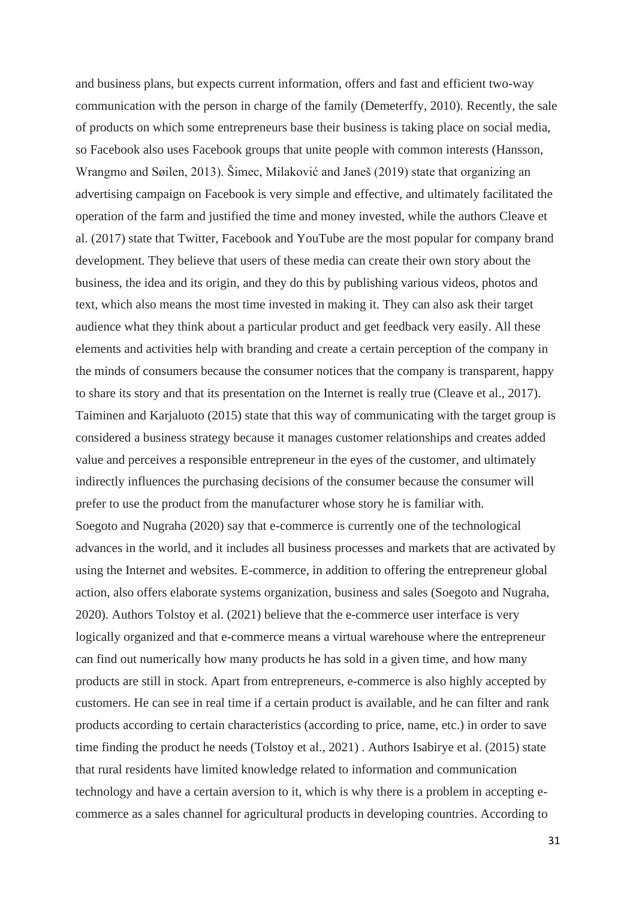and business plans, but expects current information, offers and fast and efficient two-way communication with the person in charge of the family (Demeterffy, 2010). Recently, the sale of products on which some entrepreneurs base their business is taking place on social media, so Facebook also uses Facebook groups that unite people with common interests (Hansson, Wrangmo and Søilen, 2013). Šimec, Milaković and Janeš (2019) state that organizing an advertising campaign on Facebook is very simple and effective, and ultimately facilitated the operation of the farm and justified the time and money invested, while the authors Cleave et al. (2017) state that Twitter, Facebook and YouTube are the most popular for company brand development. They believe that users of these media can create their own story about the business, the idea and its origin, and they do this by publishing various videos, photos and text, which also means the most time invested in making it. They can also ask their target audience what they think about a particular product and get feedback very easily. All these elements and activities help with branding and create a certain perception of the company in the minds of consumers because the consumer notices that the company is transparent, happy to share its story and that its presentation on the Internet is really true (Cleave et al., 2017). Taiminen and Karjaluoto (2015) state that this way of communicating with the target group is considered a business strategy because it manages customer relationships and creates added value and perceives a responsible entrepreneur in the eyes of the customer, and ultimately indirectly influences the purchasing decisions of the consumer because the consumer will prefer to use the product from the manufacturer whose story he is familiar with. Soegoto and Nugraha (2020) say that e-commerce is currently one of the technological advances in the world, and it includes all business processes and markets that are activated by using the Internet and websites. E-commerce, in addition to offering the entrepreneur global action, also offers elaborate systems organization, business and sales (Soegoto and Nugraha, 2020). Authors Tolstoy et al. (2021) believe that the e-commerce user interface is very logically organized and that e-commerce means a virtual warehouse where the entrepreneur can find out numerically how many products he has sold in a given time, and how many products are still in stock. Apart from entrepreneurs, e-commerce is also highly accepted by customers. He can see in real time if a certain product is available, and he can filter and rank products according to certain characteristics (according to price, name, etc.) in order to save time finding the product he needs (Tolstoy et al., 2021) . Authors Isabirye et al. (2015) state that rural residents have limited knowledge related to information and communication technology and have a certain aversion to it, which is why there is a problem in accepting ecommerce as a sales channel for agricultural products in developing countries. According to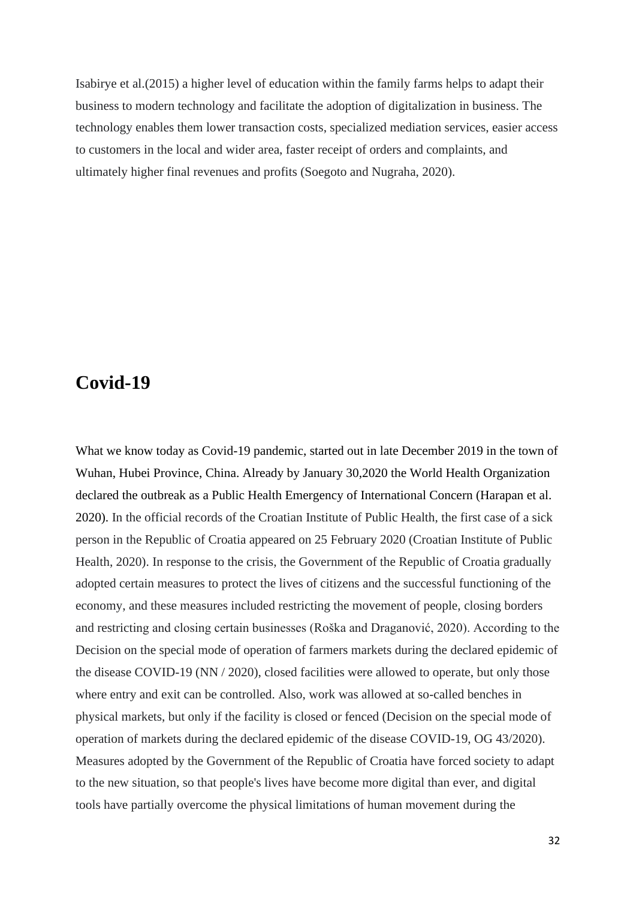Isabirye et al.(2015) a higher level of education within the family farms helps to adapt their business to modern technology and facilitate the adoption of digitalization in business. The technology enables them lower transaction costs, specialized mediation services, easier access to customers in the local and wider area, faster receipt of orders and complaints, and ultimately higher final revenues and profits (Soegoto and Nugraha, 2020).

#### <span id="page-31-0"></span>**Covid-19**

What we know today as Covid-19 pandemic, started out in late December 2019 in the town of Wuhan, Hubei Province, China. Already by January 30,2020 the World Health Organization declared the outbreak as a Public Health Emergency of International Concern (Harapan et al. 2020). In the official records of the Croatian Institute of Public Health, the first case of a sick person in the Republic of Croatia appeared on 25 February 2020 (Croatian Institute of Public Health, 2020). In response to the crisis, the Government of the Republic of Croatia gradually adopted certain measures to protect the lives of citizens and the successful functioning of the economy, and these measures included restricting the movement of people, closing borders and restricting and closing certain businesses (Roška and Draganović, 2020). According to the Decision on the special mode of operation of farmers markets during the declared epidemic of the disease COVID-19 (NN / 2020), closed facilities were allowed to operate, but only those where entry and exit can be controlled. Also, work was allowed at so-called benches in physical markets, but only if the facility is closed or fenced (Decision on the special mode of operation of markets during the declared epidemic of the disease COVID-19, OG 43/2020). Measures adopted by the Government of the Republic of Croatia have forced society to adapt to the new situation, so that people's lives have become more digital than ever, and digital tools have partially overcome the physical limitations of human movement during the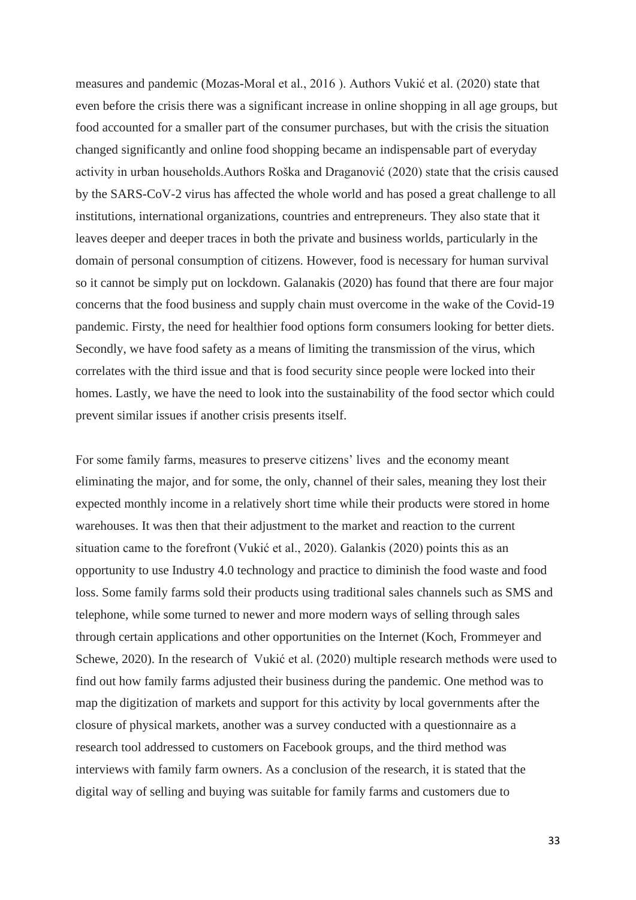measures and pandemic (Mozas-Moral et al., 2016 ). Authors Vukić et al. (2020) state that even before the crisis there was a significant increase in online shopping in all age groups, but food accounted for a smaller part of the consumer purchases, but with the crisis the situation changed significantly and online food shopping became an indispensable part of everyday activity in urban households.Authors Roška and Draganović (2020) state that the crisis caused by the SARS-CoV-2 virus has affected the whole world and has posed a great challenge to all institutions, international organizations, countries and entrepreneurs. They also state that it leaves deeper and deeper traces in both the private and business worlds, particularly in the domain of personal consumption of citizens. However, food is necessary for human survival so it cannot be simply put on lockdown. Galanakis (2020) has found that there are four major concerns that the food business and supply chain must overcome in the wake of the Covid-19 pandemic. Firsty, the need for healthier food options form consumers looking for better diets. Secondly, we have food safety as a means of limiting the transmission of the virus, which correlates with the third issue and that is food security since people were locked into their homes. Lastly, we have the need to look into the sustainability of the food sector which could prevent similar issues if another crisis presents itself.

For some family farms, measures to preserve citizens' lives and the economy meant eliminating the major, and for some, the only, channel of their sales, meaning they lost their expected monthly income in a relatively short time while their products were stored in home warehouses. It was then that their adjustment to the market and reaction to the current situation came to the forefront (Vukić et al., 2020). Galankis (2020) points this as an opportunity to use Industry 4.0 technology and practice to diminish the food waste and food loss. Some family farms sold their products using traditional sales channels such as SMS and telephone, while some turned to newer and more modern ways of selling through sales through certain applications and other opportunities on the Internet (Koch, Frommeyer and Schewe, 2020). In the research of Vukić et al. (2020) multiple research methods were used to find out how family farms adjusted their business during the pandemic. One method was to map the digitization of markets and support for this activity by local governments after the closure of physical markets, another was a survey conducted with a questionnaire as a research tool addressed to customers on Facebook groups, and the third method was interviews with family farm owners. As a conclusion of the research, it is stated that the digital way of selling and buying was suitable for family farms and customers due to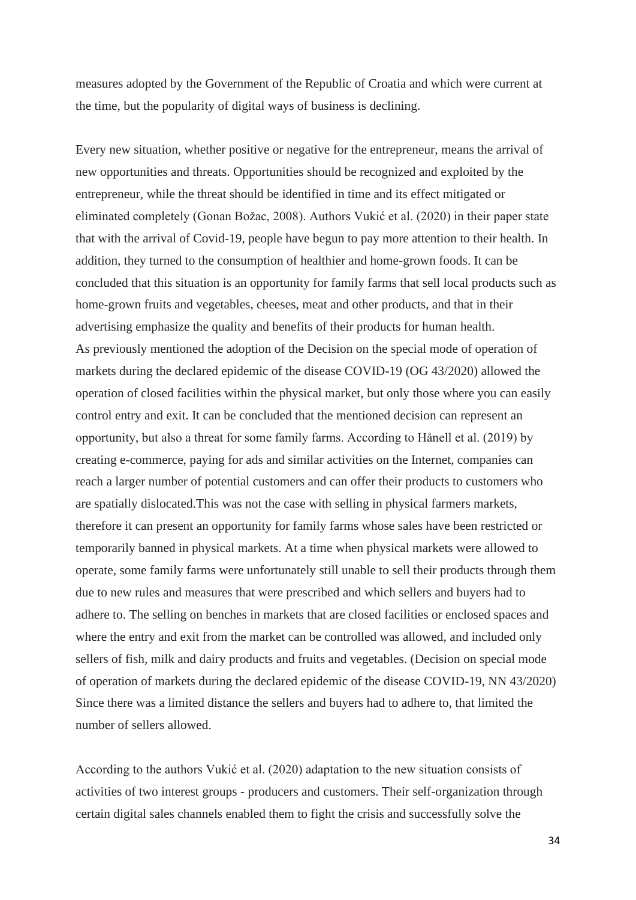measures adopted by the Government of the Republic of Croatia and which were current at the time, but the popularity of digital ways of business is declining.

Every new situation, whether positive or negative for the entrepreneur, means the arrival of new opportunities and threats. Opportunities should be recognized and exploited by the entrepreneur, while the threat should be identified in time and its effect mitigated or eliminated completely (Gonan Božac, 2008). Authors Vukić et al. (2020) in their paper state that with the arrival of Covid-19, people have begun to pay more attention to their health. In addition, they turned to the consumption of healthier and home-grown foods. It can be concluded that this situation is an opportunity for family farms that sell local products such as home-grown fruits and vegetables, cheeses, meat and other products, and that in their advertising emphasize the quality and benefits of their products for human health. As previously mentioned the adoption of the Decision on the special mode of operation of markets during the declared epidemic of the disease COVID-19 (OG 43/2020) allowed the operation of closed facilities within the physical market, but only those where you can easily control entry and exit. It can be concluded that the mentioned decision can represent an opportunity, but also a threat for some family farms. According to Hånell et al. (2019) by creating e-commerce, paying for ads and similar activities on the Internet, companies can reach a larger number of potential customers and can offer their products to customers who are spatially dislocated.This was not the case with selling in physical farmers markets, therefore it can present an opportunity for family farms whose sales have been restricted or temporarily banned in physical markets. At a time when physical markets were allowed to operate, some family farms were unfortunately still unable to sell their products through them due to new rules and measures that were prescribed and which sellers and buyers had to adhere to. The selling on benches in markets that are closed facilities or enclosed spaces and where the entry and exit from the market can be controlled was allowed, and included only sellers of fish, milk and dairy products and fruits and vegetables. (Decision on special mode of operation of markets during the declared epidemic of the disease COVID-19, NN 43/2020) Since there was a limited distance the sellers and buyers had to adhere to, that limited the number of sellers allowed.

According to the authors Vukić et al. (2020) adaptation to the new situation consists of activities of two interest groups - producers and customers. Their self-organization through certain digital sales channels enabled them to fight the crisis and successfully solve the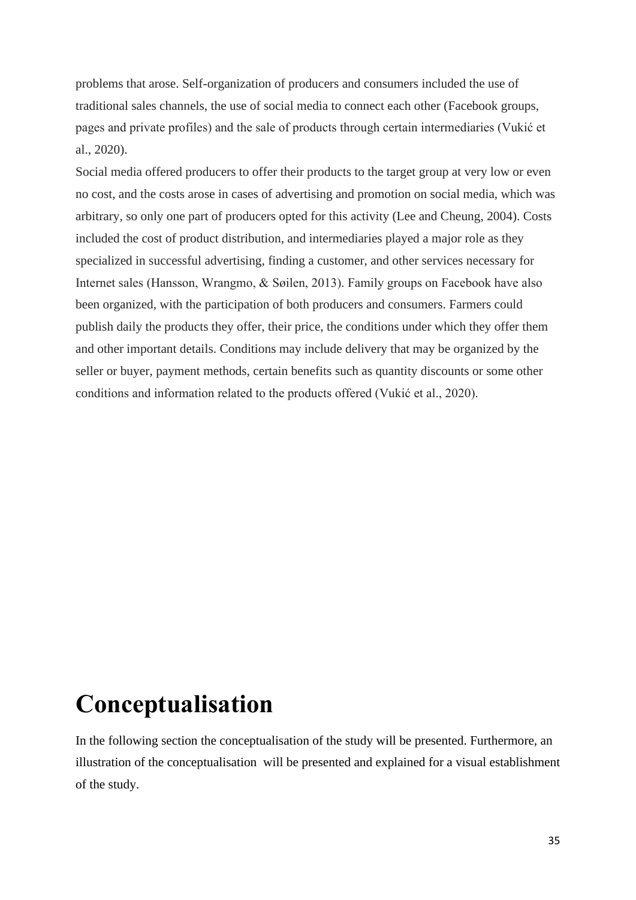problems that arose. Self-organization of producers and consumers included the use of traditional sales channels, the use of social media to connect each other (Facebook groups, pages and private profiles) and the sale of products through certain intermediaries (Vukić et al., 2020).

Social media offered producers to offer their products to the target group at very low or even no cost, and the costs arose in cases of advertising and promotion on social media, which was arbitrary, so only one part of producers opted for this activity (Lee and Cheung, 2004). Costs included the cost of product distribution, and intermediaries played a major role as they specialized in successful advertising, finding a customer, and other services necessary for Internet sales (Hansson, Wrangmo, & Søilen, 2013). Family groups on Facebook have also been organized, with the participation of both producers and consumers. Farmers could publish daily the products they offer, their price, the conditions under which they offer them and other important details. Conditions may include delivery that may be organized by the seller or buyer, payment methods, certain benefits such as quantity discounts or some other conditions and information related to the products offered (Vukić et al., 2020).

### <span id="page-34-0"></span>**Conceptualisation**

In the following section the conceptualisation of the study will be presented. Furthermore, an illustration of the conceptualisation will be presented and explained for a visual establishment of the study.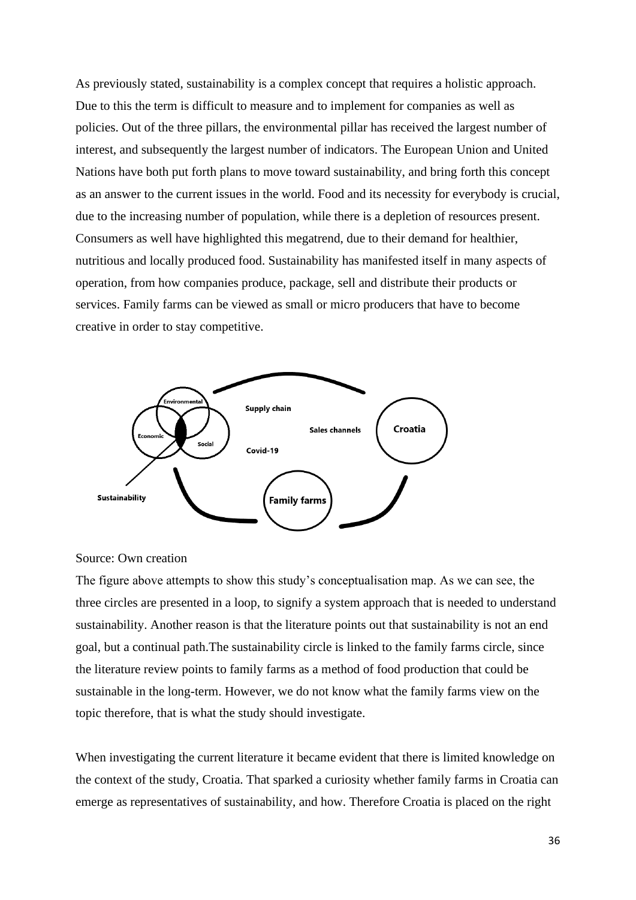As previously stated, sustainability is a complex concept that requires a holistic approach. Due to this the term is difficult to measure and to implement for companies as well as policies. Out of the three pillars, the environmental pillar has received the largest number of interest, and subsequently the largest number of indicators. The European Union and United Nations have both put forth plans to move toward sustainability, and bring forth this concept as an answer to the current issues in the world. Food and its necessity for everybody is crucial, due to the increasing number of population, while there is a depletion of resources present. Consumers as well have highlighted this megatrend, due to their demand for healthier, nutritious and locally produced food. Sustainability has manifested itself in many aspects of operation, from how companies produce, package, sell and distribute their products or services. Family farms can be viewed as small or micro producers that have to become creative in order to stay competitive.



#### Source: Own creation

The figure above attempts to show this study's conceptualisation map. As we can see, the three circles are presented in a loop, to signify a system approach that is needed to understand sustainability. Another reason is that the literature points out that sustainability is not an end goal, but a continual path.The sustainability circle is linked to the family farms circle, since the literature review points to family farms as a method of food production that could be sustainable in the long-term. However, we do not know what the family farms view on the topic therefore, that is what the study should investigate.

When investigating the current literature it became evident that there is limited knowledge on the context of the study, Croatia. That sparked a curiosity whether family farms in Croatia can emerge as representatives of sustainability, and how. Therefore Croatia is placed on the right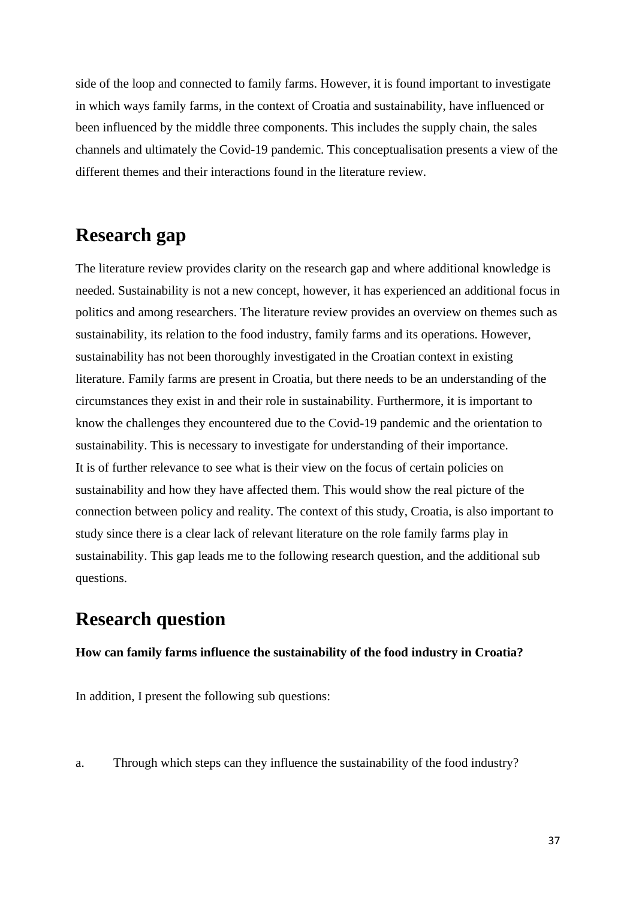side of the loop and connected to family farms. However, it is found important to investigate in which ways family farms, in the context of Croatia and sustainability, have influenced or been influenced by the middle three components. This includes the supply chain, the sales channels and ultimately the Covid-19 pandemic. This conceptualisation presents a view of the different themes and their interactions found in the literature review.

# **Research gap**

The literature review provides clarity on the research gap and where additional knowledge is needed. Sustainability is not a new concept, however, it has experienced an additional focus in politics and among researchers. The literature review provides an overview on themes such as sustainability, its relation to the food industry, family farms and its operations. However, sustainability has not been thoroughly investigated in the Croatian context in existing literature. Family farms are present in Croatia, but there needs to be an understanding of the circumstances they exist in and their role in sustainability. Furthermore, it is important to know the challenges they encountered due to the Covid-19 pandemic and the orientation to sustainability. This is necessary to investigate for understanding of their importance. It is of further relevance to see what is their view on the focus of certain policies on sustainability and how they have affected them. This would show the real picture of the connection between policy and reality. The context of this study, Croatia, is also important to study since there is a clear lack of relevant literature on the role family farms play in sustainability. This gap leads me to the following research question, and the additional sub questions.

# **Research question**

#### **How can family farms influence the sustainability of the food industry in Croatia?**

In addition, I present the following sub questions:

a. Through which steps can they influence the sustainability of the food industry?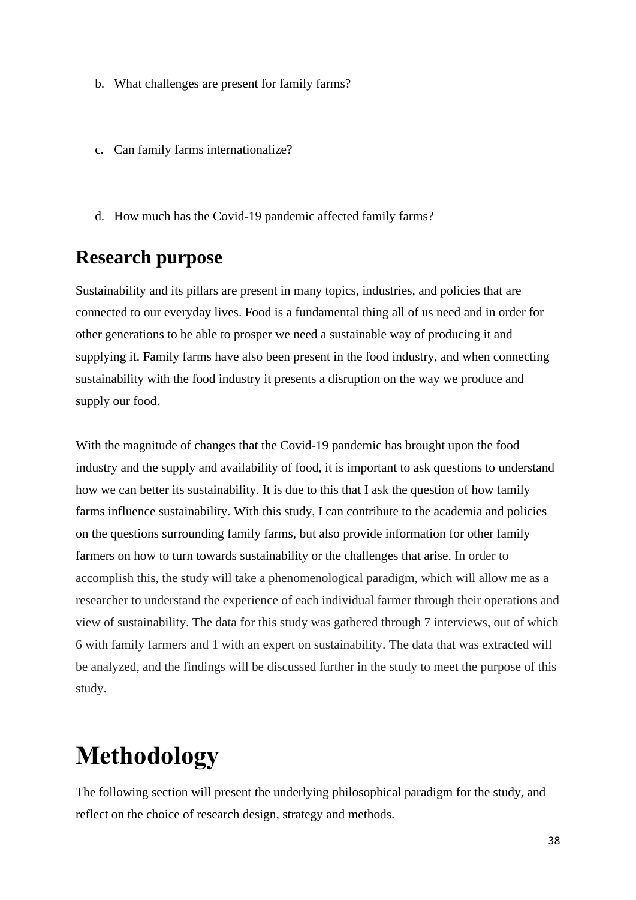- b. What challenges are present for family farms?
- c. Can family farms internationalize?
- d. How much has the Covid-19 pandemic affected family farms?

## **Research purpose**

Sustainability and its pillars are present in many topics, industries, and policies that are connected to our everyday lives. Food is a fundamental thing all of us need and in order for other generations to be able to prosper we need a sustainable way of producing it and supplying it. Family farms have also been present in the food industry, and when connecting sustainability with the food industry it presents a disruption on the way we produce and supply our food.

With the magnitude of changes that the Covid-19 pandemic has brought upon the food industry and the supply and availability of food, it is important to ask questions to understand how we can better its sustainability. It is due to this that I ask the question of how family farms influence sustainability. With this study, I can contribute to the academia and policies on the questions surrounding family farms, but also provide information for other family farmers on how to turn towards sustainability or the challenges that arise. In order to accomplish this, the study will take a phenomenological paradigm, which will allow me as a researcher to understand the experience of each individual farmer through their operations and view of sustainability. The data for this study was gathered through 7 interviews, out of which 6 with family farmers and 1 with an expert on sustainability. The data that was extracted will be analyzed, and the findings will be discussed further in the study to meet the purpose of this study.

# **Methodology**

The following section will present the underlying philosophical paradigm for the study, and reflect on the choice of research design, strategy and methods.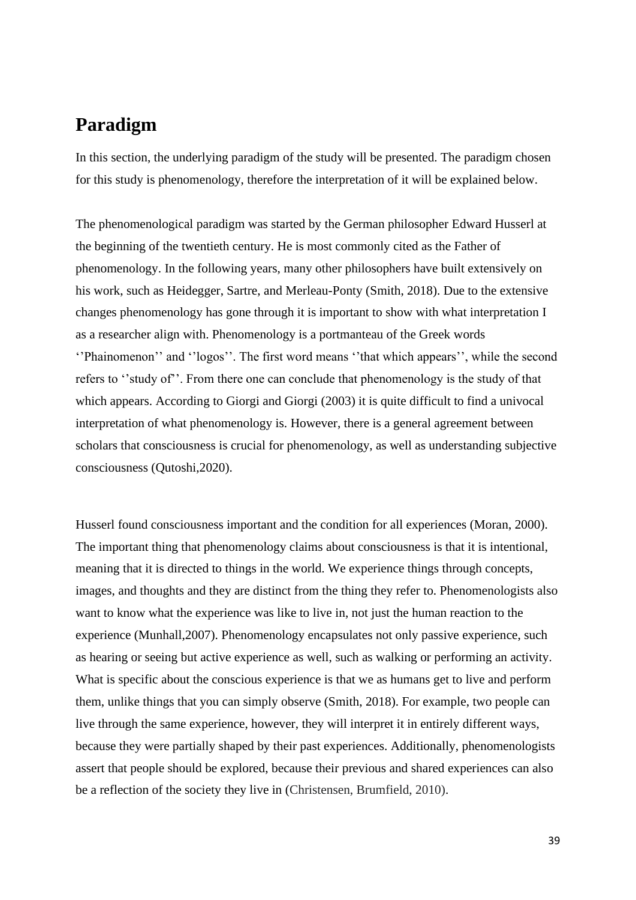# **Paradigm**

In this section, the underlying paradigm of the study will be presented. The paradigm chosen for this study is phenomenology, therefore the interpretation of it will be explained below.

The phenomenological paradigm was started by the German philosopher Edward Husserl at the beginning of the twentieth century. He is most commonly cited as the Father of phenomenology. In the following years, many other philosophers have built extensively on his work, such as Heidegger, Sartre, and Merleau-Ponty (Smith, 2018). Due to the extensive changes phenomenology has gone through it is important to show with what interpretation I as a researcher align with. Phenomenology is a portmanteau of the Greek words ''Phainomenon'' and ''logos''. The first word means ''that which appears'', while the second refers to ''study of''. From there one can conclude that phenomenology is the study of that which appears. According to Giorgi and Giorgi (2003) it is quite difficult to find a univocal interpretation of what phenomenology is. However, there is a general agreement between scholars that consciousness is crucial for phenomenology, as well as understanding subjective consciousness (Qutoshi,2020).

Husserl found consciousness important and the condition for all experiences (Moran, 2000). The important thing that phenomenology claims about consciousness is that it is intentional, meaning that it is directed to things in the world. We experience things through concepts, images, and thoughts and they are distinct from the thing they refer to. Phenomenologists also want to know what the experience was like to live in, not just the human reaction to the experience (Munhall,2007). Phenomenology encapsulates not only passive experience, such as hearing or seeing but active experience as well, such as walking or performing an activity. What is specific about the conscious experience is that we as humans get to live and perform them, unlike things that you can simply observe (Smith, 2018). For example, two people can live through the same experience, however, they will interpret it in entirely different ways, because they were partially shaped by their past experiences. Additionally, phenomenologists assert that people should be explored, because their previous and shared experiences can also be a reflection of the society they live in (Christensen, Brumfield, 2010).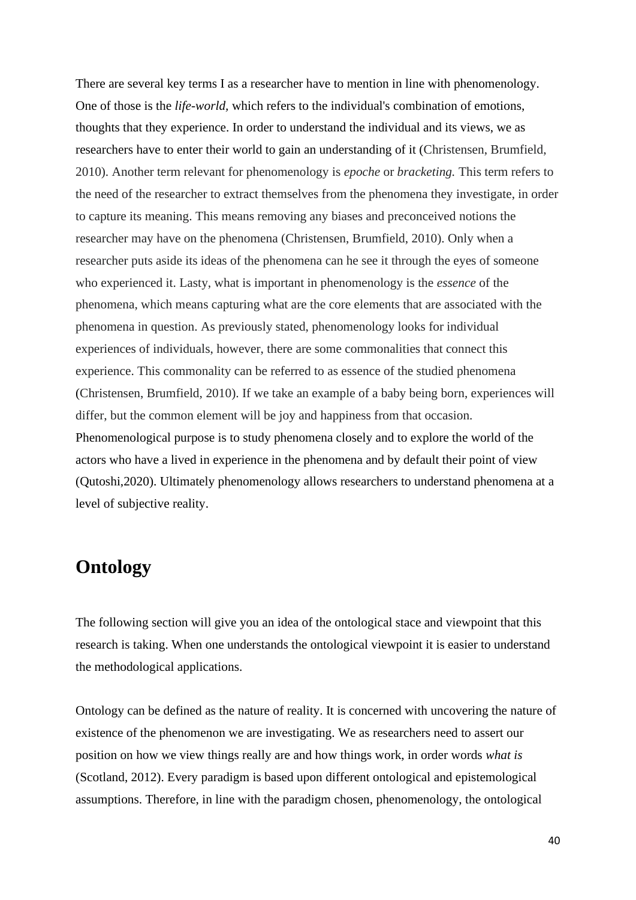There are several key terms I as a researcher have to mention in line with phenomenology. One of those is the *life-world,* which refers to the individual's combination of emotions, thoughts that they experience. In order to understand the individual and its views, we as researchers have to enter their world to gain an understanding of it (Christensen, Brumfield, 2010). Another term relevant for phenomenology is *epoche* or *bracketing.* This term refers to the need of the researcher to extract themselves from the phenomena they investigate, in order to capture its meaning. This means removing any biases and preconceived notions the researcher may have on the phenomena (Christensen, Brumfield, 2010). Only when a researcher puts aside its ideas of the phenomena can he see it through the eyes of someone who experienced it. Lasty, what is important in phenomenology is the *essence* of the phenomena, which means capturing what are the core elements that are associated with the phenomena in question. As previously stated, phenomenology looks for individual experiences of individuals, however, there are some commonalities that connect this experience. This commonality can be referred to as essence of the studied phenomena (Christensen, Brumfield, 2010). If we take an example of a baby being born, experiences will differ, but the common element will be joy and happiness from that occasion. Phenomenological purpose is to study phenomena closely and to explore the world of the actors who have a lived in experience in the phenomena and by default their point of view (Qutoshi,2020). Ultimately phenomenology allows researchers to understand phenomena at a level of subjective reality.

## **Ontology**

The following section will give you an idea of the ontological stace and viewpoint that this research is taking. When one understands the ontological viewpoint it is easier to understand the methodological applications.

Ontology can be defined as the nature of reality. It is concerned with uncovering the nature of existence of the phenomenon we are investigating. We as researchers need to assert our position on how we view things really are and how things work, in order words *what is*  (Scotland, 2012). Every paradigm is based upon different ontological and epistemological assumptions. Therefore, in line with the paradigm chosen, phenomenology, the ontological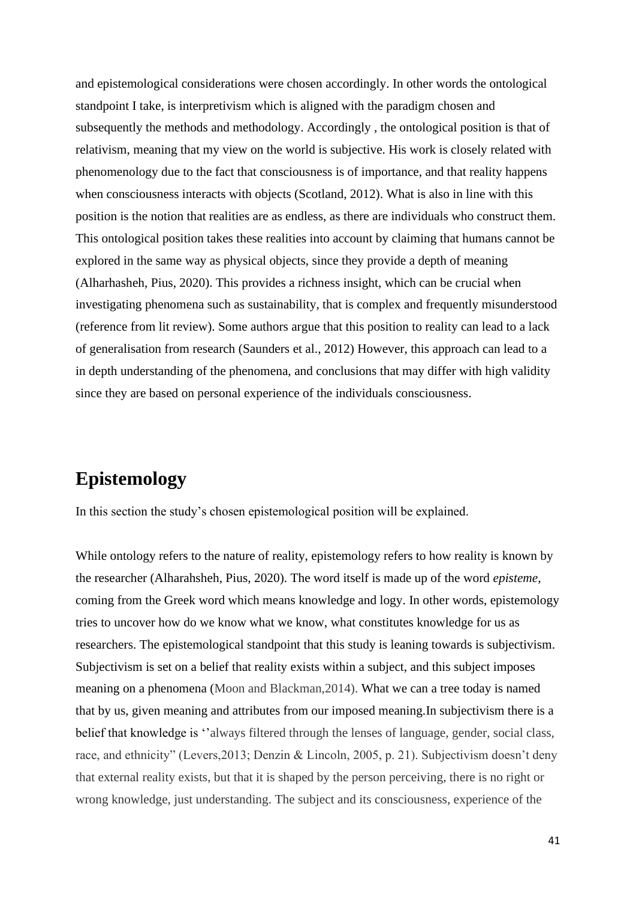and epistemological considerations were chosen accordingly. In other words the ontological standpoint I take, is interpretivism which is aligned with the paradigm chosen and subsequently the methods and methodology. Accordingly , the ontological position is that of relativism, meaning that my view on the world is subjective. His work is closely related with phenomenology due to the fact that consciousness is of importance, and that reality happens when consciousness interacts with objects (Scotland, 2012). What is also in line with this position is the notion that realities are as endless, as there are individuals who construct them. This ontological position takes these realities into account by claiming that humans cannot be explored in the same way as physical objects, since they provide a depth of meaning (Alharhasheh, Pius, 2020). This provides a richness insight, which can be crucial when investigating phenomena such as sustainability, that is complex and frequently misunderstood (reference from lit review). Some authors argue that this position to reality can lead to a lack of generalisation from research (Saunders et al., 2012) However, this approach can lead to a in depth understanding of the phenomena, and conclusions that may differ with high validity since they are based on personal experience of the individuals consciousness.

# **Epistemology**

In this section the study's chosen epistemological position will be explained.

While ontology refers to the nature of reality, epistemology refers to how reality is known by the researcher (Alharahsheh, Pius, 2020). The word itself is made up of the word *episteme*, coming from the Greek word which means knowledge and logy. In other words, epistemology tries to uncover how do we know what we know, what constitutes knowledge for us as researchers. The epistemological standpoint that this study is leaning towards is subjectivism. Subjectivism is set on a belief that reality exists within a subject, and this subject imposes meaning on a phenomena (Moon and Blackman,2014). What we can a tree today is named that by us, given meaning and attributes from our imposed meaning.In subjectivism there is a belief that knowledge is ''always filtered through the lenses of language, gender, social class, race, and ethnicity" (Levers,2013; Denzin & Lincoln, 2005, p. 21). Subjectivism doesn't deny that external reality exists, but that it is shaped by the person perceiving, there is no right or wrong knowledge, just understanding. The subject and its consciousness, experience of the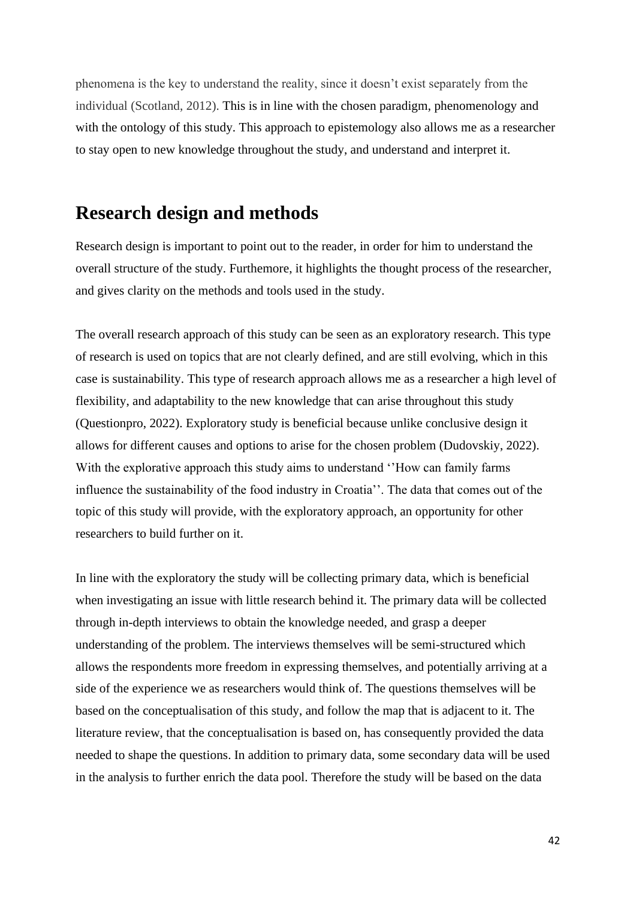phenomena is the key to understand the reality, since it doesn't exist separately from the individual (Scotland, 2012). This is in line with the chosen paradigm, phenomenology and with the ontology of this study. This approach to epistemology also allows me as a researcher to stay open to new knowledge throughout the study, and understand and interpret it.

## **Research design and methods**

Research design is important to point out to the reader, in order for him to understand the overall structure of the study. Furthemore, it highlights the thought process of the researcher, and gives clarity on the methods and tools used in the study.

The overall research approach of this study can be seen as an exploratory research. This type of research is used on topics that are not clearly defined, and are still evolving, which in this case is sustainability. This type of research approach allows me as a researcher a high level of flexibility, and adaptability to the new knowledge that can arise throughout this study (Questionpro, 2022). Exploratory study is beneficial because unlike conclusive design it allows for different causes and options to arise for the chosen problem (Dudovskiy, 2022). With the explorative approach this study aims to understand ''How can family farms influence the sustainability of the food industry in Croatia''. The data that comes out of the topic of this study will provide, with the exploratory approach, an opportunity for other researchers to build further on it.

In line with the exploratory the study will be collecting primary data, which is beneficial when investigating an issue with little research behind it. The primary data will be collected through in-depth interviews to obtain the knowledge needed, and grasp a deeper understanding of the problem. The interviews themselves will be semi-structured which allows the respondents more freedom in expressing themselves, and potentially arriving at a side of the experience we as researchers would think of. The questions themselves will be based on the conceptualisation of this study, and follow the map that is adjacent to it. The literature review, that the conceptualisation is based on, has consequently provided the data needed to shape the questions. In addition to primary data, some secondary data will be used in the analysis to further enrich the data pool. Therefore the study will be based on the data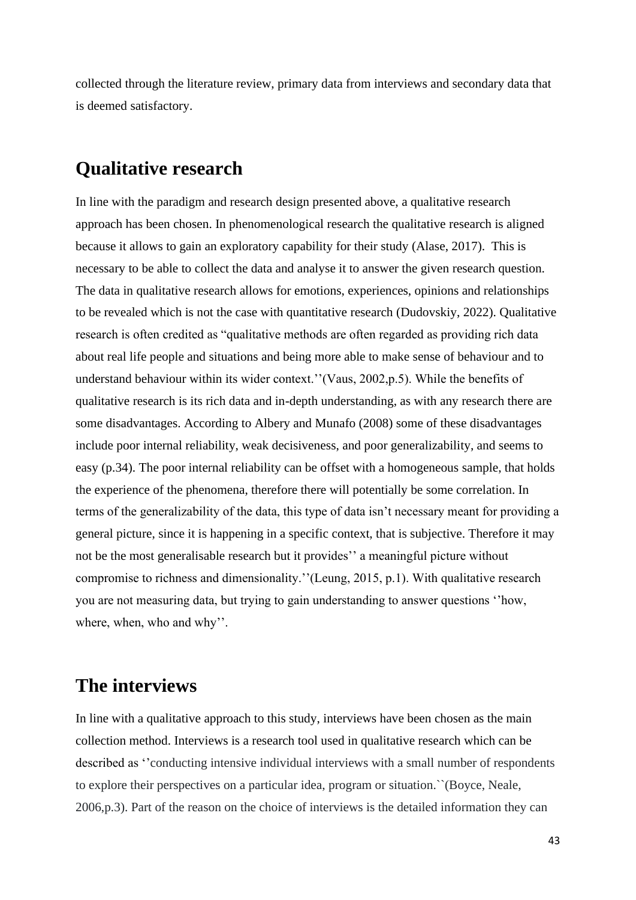collected through the literature review, primary data from interviews and secondary data that is deemed satisfactory.

### **Qualitative research**

In line with the paradigm and research design presented above, a qualitative research approach has been chosen. In phenomenological research the qualitative research is aligned because it allows to gain an exploratory capability for their study (Alase, 2017). This is necessary to be able to collect the data and analyse it to answer the given research question. The data in qualitative research allows for emotions, experiences, opinions and relationships to be revealed which is not the case with quantitative research (Dudovskiy, 2022). Qualitative research is often credited as "qualitative methods are often regarded as providing rich data about real life people and situations and being more able to make sense of behaviour and to understand behaviour within its wider context.''(Vaus, 2002,p.5). While the benefits of qualitative research is its rich data and in-depth understanding, as with any research there are some disadvantages. According to Albery and Munafo (2008) some of these disadvantages include poor internal reliability, weak decisiveness, and poor generalizability, and seems to easy (p.34). The poor internal reliability can be offset with a homogeneous sample, that holds the experience of the phenomena, therefore there will potentially be some correlation. In terms of the generalizability of the data, this type of data isn't necessary meant for providing a general picture, since it is happening in a specific context, that is subjective. Therefore it may not be the most generalisable research but it provides'' a meaningful picture without compromise to richness and dimensionality.''(Leung, 2015, p.1). With qualitative research you are not measuring data, but trying to gain understanding to answer questions ''how, where, when, who and why''.

### **The interviews**

In line with a qualitative approach to this study, interviews have been chosen as the main collection method. Interviews is a research tool used in qualitative research which can be described as ''conducting intensive individual interviews with a small number of respondents to explore their perspectives on a particular idea, program or situation.``(Boyce, Neale, 2006,p.3). Part of the reason on the choice of interviews is the detailed information they can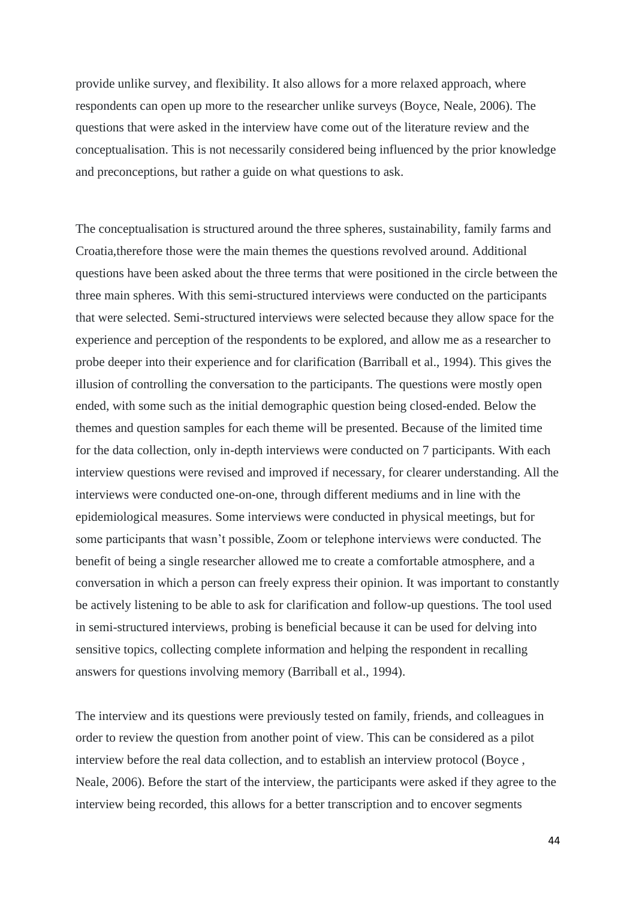provide unlike survey, and flexibility. It also allows for a more relaxed approach, where respondents can open up more to the researcher unlike surveys (Boyce, Neale, 2006). The questions that were asked in the interview have come out of the literature review and the conceptualisation. This is not necessarily considered being influenced by the prior knowledge and preconceptions, but rather a guide on what questions to ask.

The conceptualisation is structured around the three spheres, sustainability, family farms and Croatia,therefore those were the main themes the questions revolved around. Additional questions have been asked about the three terms that were positioned in the circle between the three main spheres. With this semi-structured interviews were conducted on the participants that were selected. Semi-structured interviews were selected because they allow space for the experience and perception of the respondents to be explored, and allow me as a researcher to probe deeper into their experience and for clarification (Barriball et al., 1994). This gives the illusion of controlling the conversation to the participants. The questions were mostly open ended, with some such as the initial demographic question being closed-ended. Below the themes and question samples for each theme will be presented. Because of the limited time for the data collection, only in-depth interviews were conducted on 7 participants. With each interview questions were revised and improved if necessary, for clearer understanding. All the interviews were conducted one-on-one, through different mediums and in line with the epidemiological measures. Some interviews were conducted in physical meetings, but for some participants that wasn't possible, Zoom or telephone interviews were conducted. The benefit of being a single researcher allowed me to create a comfortable atmosphere, and a conversation in which a person can freely express their opinion. It was important to constantly be actively listening to be able to ask for clarification and follow-up questions. The tool used in semi-structured interviews, probing is beneficial because it can be used for delving into sensitive topics, collecting complete information and helping the respondent in recalling answers for questions involving memory (Barriball et al., 1994).

The interview and its questions were previously tested on family, friends, and colleagues in order to review the question from another point of view. This can be considered as a pilot interview before the real data collection, and to establish an interview protocol (Boyce , Neale, 2006). Before the start of the interview, the participants were asked if they agree to the interview being recorded, this allows for a better transcription and to encover segments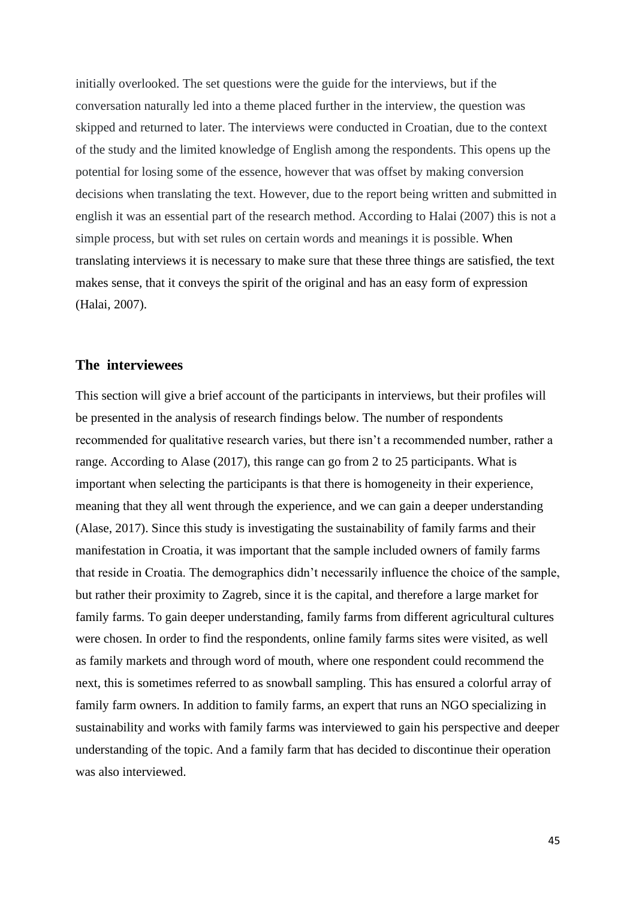initially overlooked. The set questions were the guide for the interviews, but if the conversation naturally led into a theme placed further in the interview, the question was skipped and returned to later. The interviews were conducted in Croatian, due to the context of the study and the limited knowledge of English among the respondents. This opens up the potential for losing some of the essence, however that was offset by making conversion decisions when translating the text. However, due to the report being written and submitted in english it was an essential part of the research method. According to Halai (2007) this is not a simple process, but with set rules on certain words and meanings it is possible. When translating interviews it is necessary to make sure that these three things are satisfied, the text makes sense, that it conveys the spirit of the original and has an easy form of expression (Halai, 2007).

#### **The interviewees**

This section will give a brief account of the participants in interviews, but their profiles will be presented in the analysis of research findings below. The number of respondents recommended for qualitative research varies, but there isn't a recommended number, rather a range. According to Alase (2017), this range can go from 2 to 25 participants. What is important when selecting the participants is that there is homogeneity in their experience, meaning that they all went through the experience, and we can gain a deeper understanding (Alase, 2017). Since this study is investigating the sustainability of family farms and their manifestation in Croatia, it was important that the sample included owners of family farms that reside in Croatia. The demographics didn't necessarily influence the choice of the sample, but rather their proximity to Zagreb, since it is the capital, and therefore a large market for family farms. To gain deeper understanding, family farms from different agricultural cultures were chosen. In order to find the respondents, online family farms sites were visited, as well as family markets and through word of mouth, where one respondent could recommend the next, this is sometimes referred to as snowball sampling. This has ensured a colorful array of family farm owners. In addition to family farms, an expert that runs an NGO specializing in sustainability and works with family farms was interviewed to gain his perspective and deeper understanding of the topic. And a family farm that has decided to discontinue their operation was also interviewed.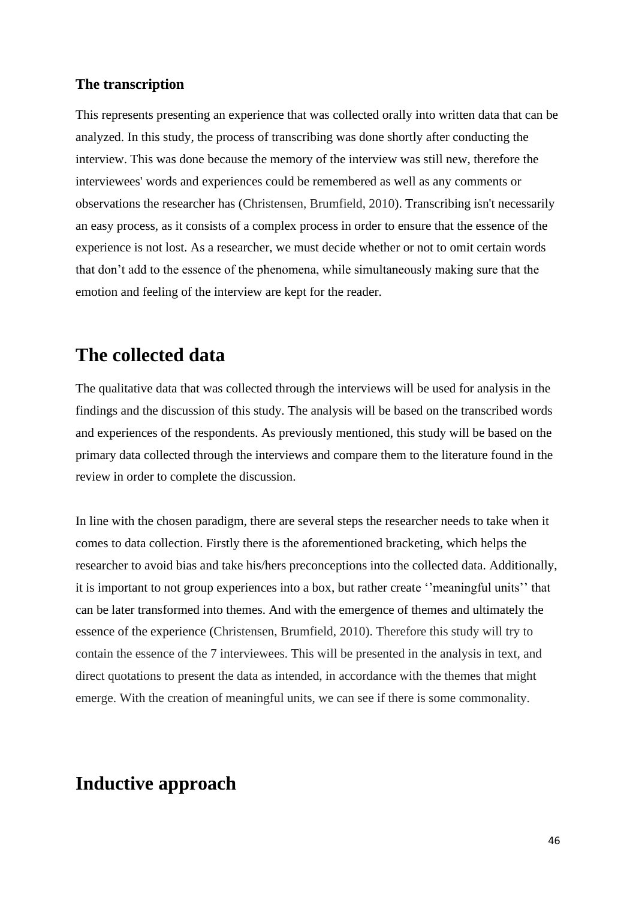#### **The transcription**

This represents presenting an experience that was collected orally into written data that can be analyzed. In this study, the process of transcribing was done shortly after conducting the interview. This was done because the memory of the interview was still new, therefore the interviewees' words and experiences could be remembered as well as any comments or observations the researcher has (Christensen, Brumfield, 2010). Transcribing isn't necessarily an easy process, as it consists of a complex process in order to ensure that the essence of the experience is not lost. As a researcher, we must decide whether or not to omit certain words that don't add to the essence of the phenomena, while simultaneously making sure that the emotion and feeling of the interview are kept for the reader.

### **The collected data**

The qualitative data that was collected through the interviews will be used for analysis in the findings and the discussion of this study. The analysis will be based on the transcribed words and experiences of the respondents. As previously mentioned, this study will be based on the primary data collected through the interviews and compare them to the literature found in the review in order to complete the discussion.

In line with the chosen paradigm, there are several steps the researcher needs to take when it comes to data collection. Firstly there is the aforementioned bracketing, which helps the researcher to avoid bias and take his/hers preconceptions into the collected data. Additionally, it is important to not group experiences into a box, but rather create ''meaningful units'' that can be later transformed into themes. And with the emergence of themes and ultimately the essence of the experience (Christensen, Brumfield, 2010). Therefore this study will try to contain the essence of the 7 interviewees. This will be presented in the analysis in text, and direct quotations to present the data as intended, in accordance with the themes that might emerge. With the creation of meaningful units, we can see if there is some commonality.

### **Inductive approach**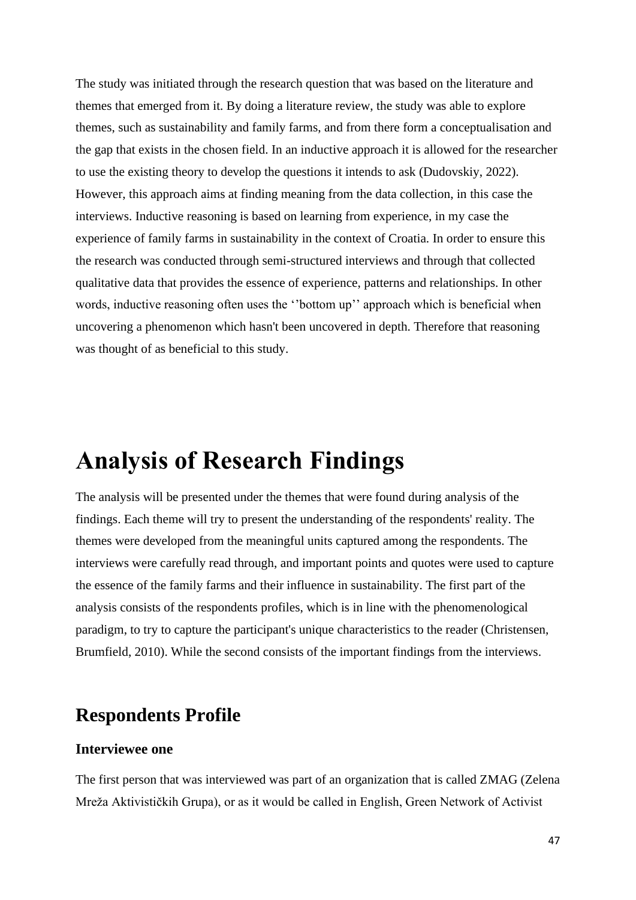The study was initiated through the research question that was based on the literature and themes that emerged from it. By doing a literature review, the study was able to explore themes, such as sustainability and family farms, and from there form a conceptualisation and the gap that exists in the chosen field. In an inductive approach it is allowed for the researcher to use the existing theory to develop the questions it intends to ask (Dudovskiy, 2022). However, this approach aims at finding meaning from the data collection, in this case the interviews. Inductive reasoning is based on learning from experience, in my case the experience of family farms in sustainability in the context of Croatia. In order to ensure this the research was conducted through semi-structured interviews and through that collected qualitative data that provides the essence of experience, patterns and relationships. In other words, inductive reasoning often uses the ''bottom up'' approach which is beneficial when uncovering a phenomenon which hasn't been uncovered in depth. Therefore that reasoning was thought of as beneficial to this study.

# **Analysis of Research Findings**

The analysis will be presented under the themes that were found during analysis of the findings. Each theme will try to present the understanding of the respondents' reality. The themes were developed from the meaningful units captured among the respondents. The interviews were carefully read through, and important points and quotes were used to capture the essence of the family farms and their influence in sustainability. The first part of the analysis consists of the respondents profiles, which is in line with the phenomenological paradigm, to try to capture the participant's unique characteristics to the reader (Christensen, Brumfield, 2010). While the second consists of the important findings from the interviews.

# **Respondents Profile**

#### **Interviewee one**

The first person that was interviewed was part of an organization that is called ZMAG (Zelena Mreža Aktivističkih Grupa), or as it would be called in English, Green Network of Activist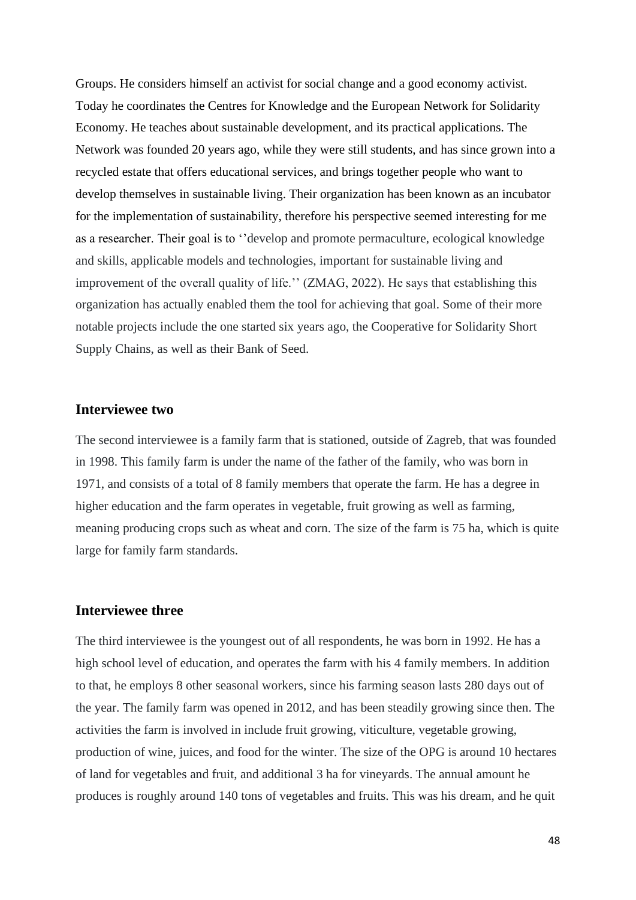Groups. He considers himself an activist for social change and a good economy activist. Today he coordinates the Centres for Knowledge and the European Network for Solidarity Economy. He teaches about sustainable development, and its practical applications. The Network was founded 20 years ago, while they were still students, and has since grown into a recycled estate that offers educational services, and brings together people who want to develop themselves in sustainable living. Their organization has been known as an incubator for the implementation of sustainability, therefore his perspective seemed interesting for me as a researcher. Their goal is to ''develop and promote permaculture, ecological knowledge and skills, applicable models and technologies, important for sustainable living and improvement of the overall quality of life.'' (ZMAG, 2022). He says that establishing this organization has actually enabled them the tool for achieving that goal. Some of their more notable projects include the one started six years ago, the Cooperative for Solidarity Short Supply Chains, as well as their Bank of Seed.

#### **Interviewee two**

The second interviewee is a family farm that is stationed, outside of Zagreb, that was founded in 1998. This family farm is under the name of the father of the family, who was born in 1971, and consists of a total of 8 family members that operate the farm. He has a degree in higher education and the farm operates in vegetable, fruit growing as well as farming, meaning producing crops such as wheat and corn. The size of the farm is 75 ha, which is quite large for family farm standards.

#### **Interviewee three**

The third interviewee is the youngest out of all respondents, he was born in 1992. He has a high school level of education, and operates the farm with his 4 family members. In addition to that, he employs 8 other seasonal workers, since his farming season lasts 280 days out of the year. The family farm was opened in 2012, and has been steadily growing since then. The activities the farm is involved in include fruit growing, viticulture, vegetable growing, production of wine, juices, and food for the winter. The size of the OPG is around 10 hectares of land for vegetables and fruit, and additional 3 ha for vineyards. The annual amount he produces is roughly around 140 tons of vegetables and fruits. This was his dream, and he quit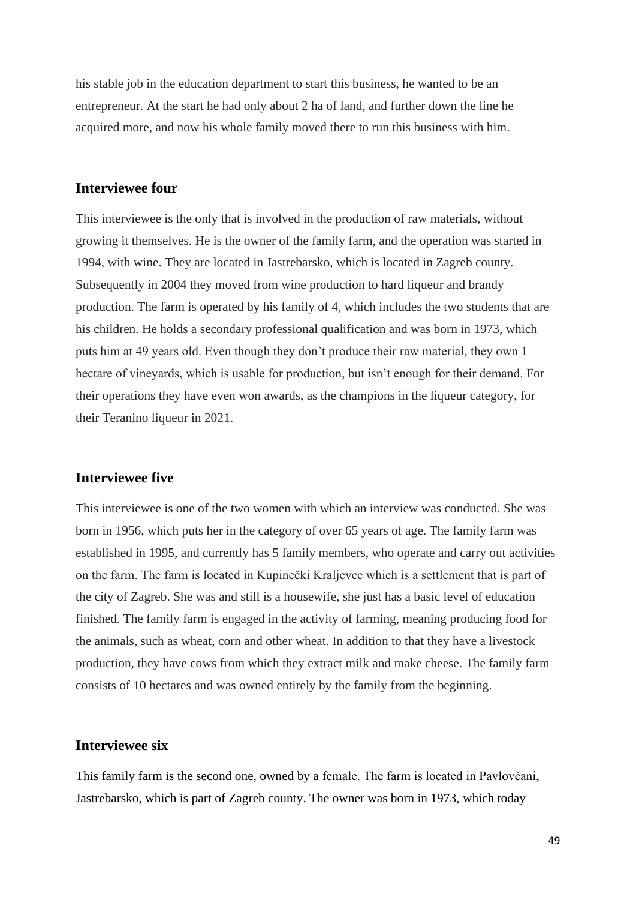his stable job in the education department to start this business, he wanted to be an entrepreneur. At the start he had only about 2 ha of land, and further down the line he acquired more, and now his whole family moved there to run this business with him.

#### **Interviewee four**

This interviewee is the only that is involved in the production of raw materials, without growing it themselves. He is the owner of the family farm, and the operation was started in 1994, with wine. They are located in Jastrebarsko, which is located in Zagreb county. Subsequently in 2004 they moved from wine production to hard liqueur and brandy production. The farm is operated by his family of 4, which includes the two students that are his children. He holds a secondary professional qualification and was born in 1973, which puts him at 49 years old. Even though they don't produce their raw material, they own 1 hectare of vineyards, which is usable for production, but isn't enough for their demand. For their operations they have even won awards, as the champions in the liqueur category, for their Teranino liqueur in 2021.

#### **Interviewee five**

This interviewee is one of the two women with which an interview was conducted. She was born in 1956, which puts her in the category of over 65 years of age. The family farm was established in 1995, and currently has 5 family members, who operate and carry out activities on the farm. The farm is located in Kupinečki Kraljevec which is a settlement that is part of the city of Zagreb. She was and still is a housewife, she just has a basic level of education finished. The family farm is engaged in the activity of farming, meaning producing food for the animals, such as wheat, corn and other wheat. In addition to that they have a livestock production, they have cows from which they extract milk and make cheese. The family farm consists of 10 hectares and was owned entirely by the family from the beginning.

#### **Interviewee six**

This family farm is the second one, owned by a female. The farm is located in Pavlovčani, Jastrebarsko, which is part of Zagreb county. The owner was born in 1973, which today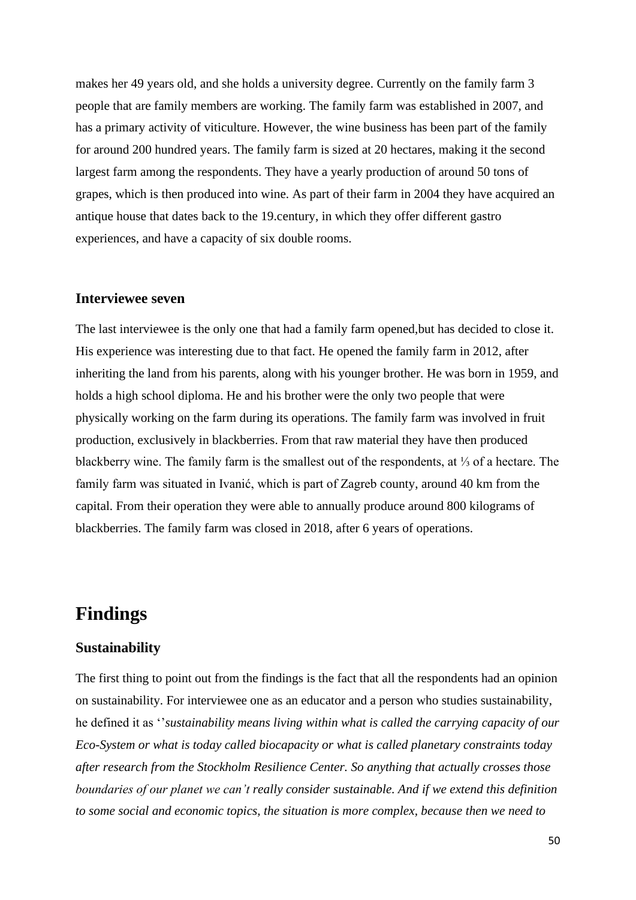makes her 49 years old, and she holds a university degree. Currently on the family farm 3 people that are family members are working. The family farm was established in 2007, and has a primary activity of viticulture. However, the wine business has been part of the family for around 200 hundred years. The family farm is sized at 20 hectares, making it the second largest farm among the respondents. They have a yearly production of around 50 tons of grapes, which is then produced into wine. As part of their farm in 2004 they have acquired an antique house that dates back to the 19.century, in which they offer different gastro experiences, and have a capacity of six double rooms.

#### **Interviewee seven**

The last interviewee is the only one that had a family farm opened,but has decided to close it. His experience was interesting due to that fact. He opened the family farm in 2012, after inheriting the land from his parents, along with his younger brother. He was born in 1959, and holds a high school diploma. He and his brother were the only two people that were physically working on the farm during its operations. The family farm was involved in fruit production, exclusively in blackberries. From that raw material they have then produced blackberry wine. The family farm is the smallest out of the respondents, at ⅓ of a hectare. The family farm was situated in Ivanić, which is part of Zagreb county, around 40 km from the capital. From their operation they were able to annually produce around 800 kilograms of blackberries. The family farm was closed in 2018, after 6 years of operations.

### **Findings**

#### **Sustainability**

The first thing to point out from the findings is the fact that all the respondents had an opinion on sustainability. For interviewee one as an educator and a person who studies sustainability, he defined it as ''*sustainability means living within what is called the carrying capacity of our Eco-System or what is today called biocapacity or what is called planetary constraints today after research from the Stockholm Resilience Center. So anything that actually crosses those boundaries of our planet we can't really consider sustainable. And if we extend this definition to some social and economic topics, the situation is more complex, because then we need to*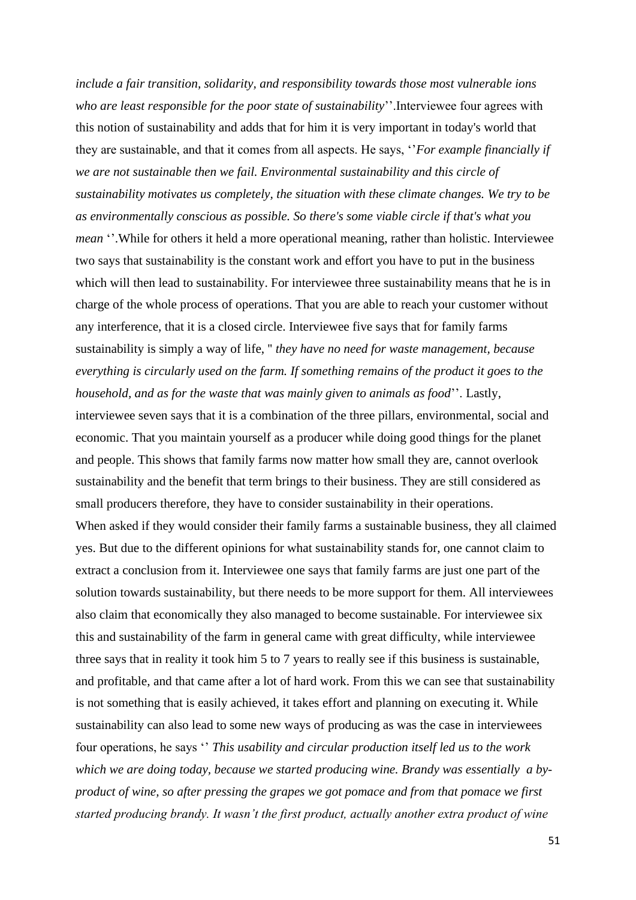*include a fair transition, solidarity, and responsibility towards those most vulnerable ions who are least responsible for the poor state of sustainability*''.Interviewee four agrees with this notion of sustainability and adds that for him it is very important in today's world that they are sustainable, and that it comes from all aspects. He says, ''*For example financially if we are not sustainable then we fail. Environmental sustainability and this circle of sustainability motivates us completely, the situation with these climate changes. We try to be as environmentally conscious as possible. So there's some viable circle if that's what you mean* ''.While for others it held a more operational meaning, rather than holistic. Interviewee two says that sustainability is the constant work and effort you have to put in the business which will then lead to sustainability. For interviewee three sustainability means that he is in charge of the whole process of operations. That you are able to reach your customer without any interference, that it is a closed circle. Interviewee five says that for family farms sustainability is simply a way of life, '' *they have no need for waste management, because everything is circularly used on the farm. If something remains of the product it goes to the household, and as for the waste that was mainly given to animals as food*''. Lastly, interviewee seven says that it is a combination of the three pillars, environmental, social and

economic. That you maintain yourself as a producer while doing good things for the planet and people. This shows that family farms now matter how small they are, cannot overlook sustainability and the benefit that term brings to their business. They are still considered as small producers therefore, they have to consider sustainability in their operations. When asked if they would consider their family farms a sustainable business, they all claimed yes. But due to the different opinions for what sustainability stands for, one cannot claim to extract a conclusion from it. Interviewee one says that family farms are just one part of the solution towards sustainability, but there needs to be more support for them. All interviewees also claim that economically they also managed to become sustainable. For interviewee six this and sustainability of the farm in general came with great difficulty, while interviewee three says that in reality it took him 5 to 7 years to really see if this business is sustainable, and profitable, and that came after a lot of hard work. From this we can see that sustainability is not something that is easily achieved, it takes effort and planning on executing it. While sustainability can also lead to some new ways of producing as was the case in interviewees four operations, he says '' *This usability and circular production itself led us to the work which we are doing today, because we started producing wine. Brandy was essentially a byproduct of wine, so after pressing the grapes we got pomace and from that pomace we first started producing brandy. It wasn't the first product, actually another extra product of wine*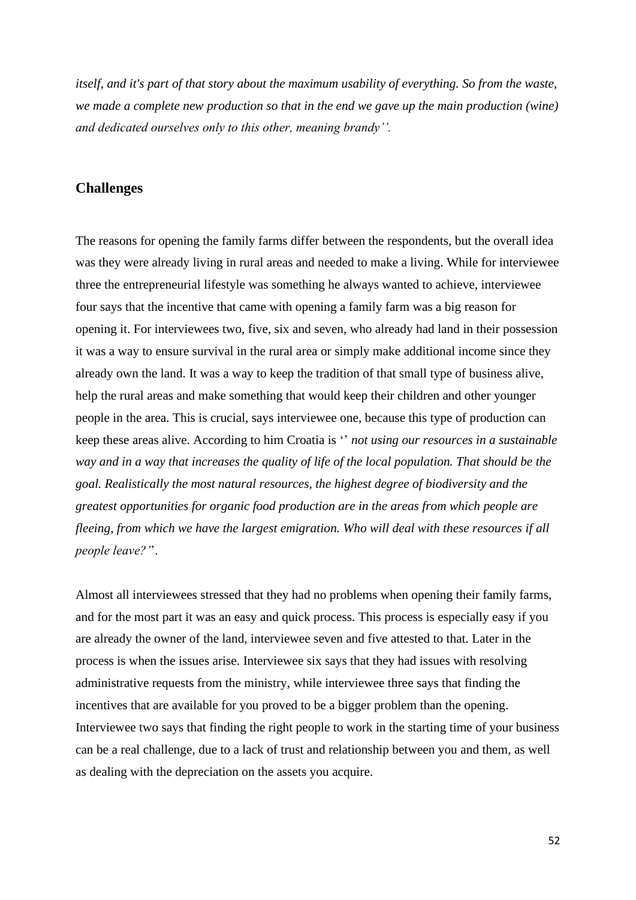*itself, and it's part of that story about the maximum usability of everything. So from the waste, we made a complete new production so that in the end we gave up the main production (wine) and dedicated ourselves only to this other, meaning brandy''.*

#### **Challenges**

The reasons for opening the family farms differ between the respondents, but the overall idea was they were already living in rural areas and needed to make a living. While for interviewee three the entrepreneurial lifestyle was something he always wanted to achieve, interviewee four says that the incentive that came with opening a family farm was a big reason for opening it. For interviewees two, five, six and seven, who already had land in their possession it was a way to ensure survival in the rural area or simply make additional income since they already own the land. It was a way to keep the tradition of that small type of business alive, help the rural areas and make something that would keep their children and other younger people in the area. This is crucial, says interviewee one, because this type of production can keep these areas alive. According to him Croatia is '' *not using our resources in a sustainable way and in a way that increases the quality of life of the local population. That should be the goal. Realistically the most natural resources, the highest degree of biodiversity and the greatest opportunities for organic food production are in the areas from which people are fleeing, from which we have the largest emigration. Who will deal with these resources if all people leave?'*'.

Almost all interviewees stressed that they had no problems when opening their family farms, and for the most part it was an easy and quick process. This process is especially easy if you are already the owner of the land, interviewee seven and five attested to that. Later in the process is when the issues arise. Interviewee six says that they had issues with resolving administrative requests from the ministry, while interviewee three says that finding the incentives that are available for you proved to be a bigger problem than the opening. Interviewee two says that finding the right people to work in the starting time of your business can be a real challenge, due to a lack of trust and relationship between you and them, as well as dealing with the depreciation on the assets you acquire.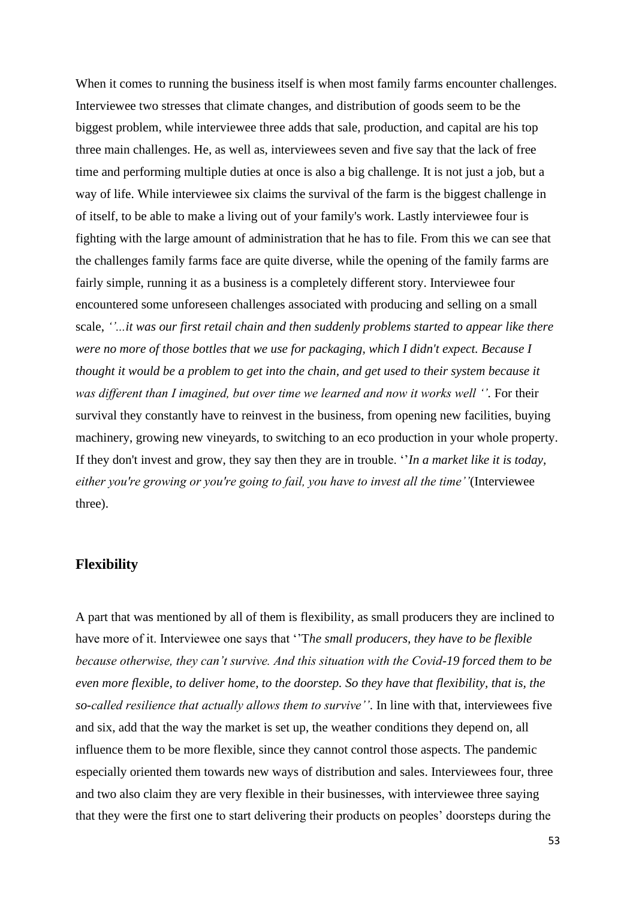When it comes to running the business itself is when most family farms encounter challenges. Interviewee two stresses that climate changes, and distribution of goods seem to be the biggest problem, while interviewee three adds that sale, production, and capital are his top three main challenges. He, as well as, interviewees seven and five say that the lack of free time and performing multiple duties at once is also a big challenge. It is not just a job, but a way of life. While interviewee six claims the survival of the farm is the biggest challenge in of itself, to be able to make a living out of your family's work. Lastly interviewee four is fighting with the large amount of administration that he has to file. From this we can see that the challenges family farms face are quite diverse, while the opening of the family farms are fairly simple, running it as a business is a completely different story. Interviewee four encountered some unforeseen challenges associated with producing and selling on a small scale, *''...it was our first retail chain and then suddenly problems started to appear like there were no more of those bottles that we use for packaging, which I didn't expect. Because I thought it would be a problem to get into the chain, and get used to their system because it was different than I imagined, but over time we learned and now it works well ''.* For their survival they constantly have to reinvest in the business, from opening new facilities, buying machinery, growing new vineyards, to switching to an eco production in your whole property. If they don't invest and grow, they say then they are in trouble. ''*In a market like it is today, either you're growing or you're going to fail, you have to invest all the time''*(Interviewee three).

#### **Flexibility**

A part that was mentioned by all of them is flexibility, as small producers they are inclined to have more of it. Interviewee one says that ''T*he small producers, they have to be flexible because otherwise, they can't survive. And this situation with the Covid-19 forced them to be even more flexible, to deliver home, to the doorstep. So they have that flexibility, that is, the so-called resilience that actually allows them to survive''*. In line with that, interviewees five and six, add that the way the market is set up, the weather conditions they depend on, all influence them to be more flexible, since they cannot control those aspects. The pandemic especially oriented them towards new ways of distribution and sales. Interviewees four, three and two also claim they are very flexible in their businesses, with interviewee three saying that they were the first one to start delivering their products on peoples' doorsteps during the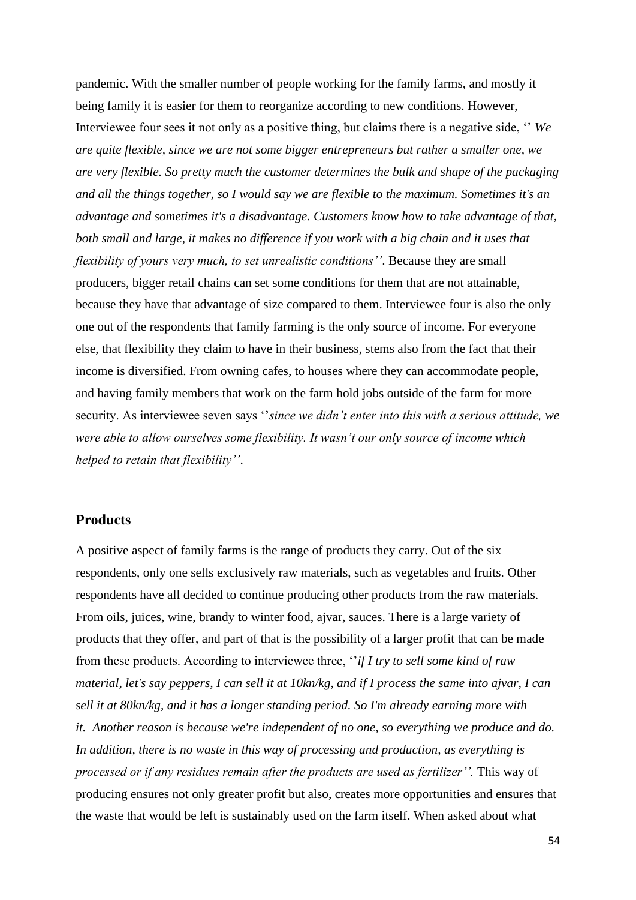pandemic. With the smaller number of people working for the family farms, and mostly it being family it is easier for them to reorganize according to new conditions. However, Interviewee four sees it not only as a positive thing, but claims there is a negative side, '' *We are quite flexible, since we are not some bigger entrepreneurs but rather a smaller one, we are very flexible. So pretty much the customer determines the bulk and shape of the packaging and all the things together, so I would say we are flexible to the maximum. Sometimes it's an advantage and sometimes it's a disadvantage. Customers know how to take advantage of that, both small and large, it makes no difference if you work with a big chain and it uses that flexibility of yours very much, to set unrealistic conditions''*. Because they are small producers, bigger retail chains can set some conditions for them that are not attainable, because they have that advantage of size compared to them. Interviewee four is also the only one out of the respondents that family farming is the only source of income. For everyone else, that flexibility they claim to have in their business, stems also from the fact that their income is diversified. From owning cafes, to houses where they can accommodate people, and having family members that work on the farm hold jobs outside of the farm for more security. As interviewee seven says ''*since we didn't enter into this with a serious attitude, we were able to allow ourselves some flexibility. It wasn't our only source of income which helped to retain that flexibility''*.

#### **Products**

A positive aspect of family farms is the range of products they carry. Out of the six respondents, only one sells exclusively raw materials, such as vegetables and fruits. Other respondents have all decided to continue producing other products from the raw materials. From oils, juices, wine, brandy to winter food, ajvar, sauces. There is a large variety of products that they offer, and part of that is the possibility of a larger profit that can be made from these products. According to interviewee three, ''*if I try to sell some kind of raw material, let's say peppers, I can sell it at 10kn/kg, and if I process the same into ajvar, I can sell it at 80kn/kg, and it has a longer standing period. So I'm already earning more with it. Another reason is because we're independent of no one, so everything we produce and do. In addition, there is no waste in this way of processing and production, as everything is processed or if any residues remain after the products are used as fertilizer''.* This way of producing ensures not only greater profit but also, creates more opportunities and ensures that the waste that would be left is sustainably used on the farm itself. When asked about what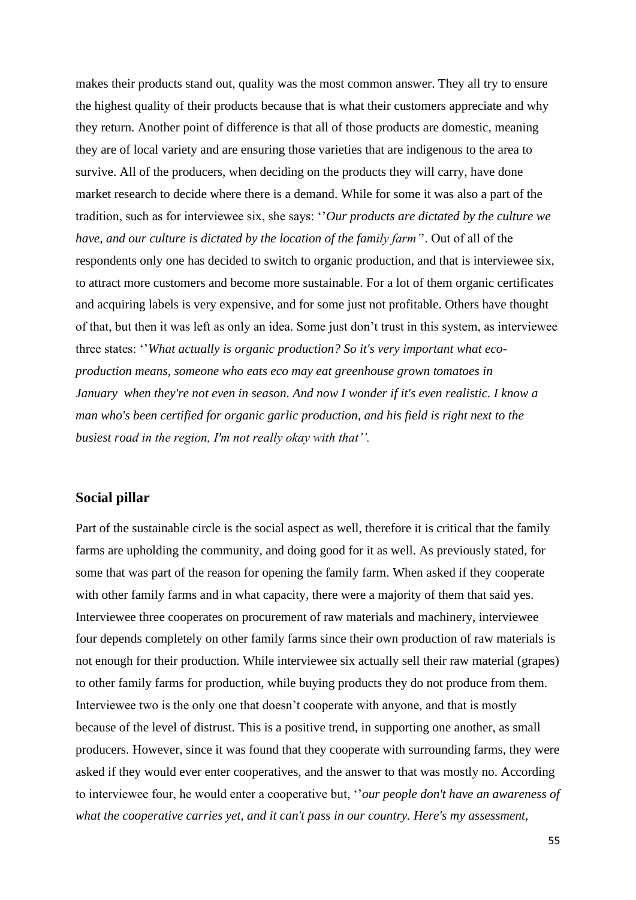makes their products stand out, quality was the most common answer. They all try to ensure the highest quality of their products because that is what their customers appreciate and why they return. Another point of difference is that all of those products are domestic, meaning they are of local variety and are ensuring those varieties that are indigenous to the area to survive. All of the producers, when deciding on the products they will carry, have done market research to decide where there is a demand. While for some it was also a part of the tradition, such as for interviewee six, she says: ''*Our products are dictated by the culture we have, and our culture is dictated by the location of the family farm'*'. Out of all of the respondents only one has decided to switch to organic production, and that is interviewee six, to attract more customers and become more sustainable. For a lot of them organic certificates and acquiring labels is very expensive, and for some just not profitable. Others have thought of that, but then it was left as only an idea. Some just don't trust in this system, as interviewee three states: ''*What actually is organic production? So it's very important what ecoproduction means, someone who eats eco may eat greenhouse grown tomatoes in January when they're not even in season. And now I wonder if it's even realistic. I know a man who's been certified for organic garlic production, and his field is right next to the busiest road in the region, I'm not really okay with that''.*

#### **Social pillar**

Part of the sustainable circle is the social aspect as well, therefore it is critical that the family farms are upholding the community, and doing good for it as well. As previously stated, for some that was part of the reason for opening the family farm. When asked if they cooperate with other family farms and in what capacity, there were a majority of them that said yes. Interviewee three cooperates on procurement of raw materials and machinery, interviewee four depends completely on other family farms since their own production of raw materials is not enough for their production. While interviewee six actually sell their raw material (grapes) to other family farms for production, while buying products they do not produce from them. Interviewee two is the only one that doesn't cooperate with anyone, and that is mostly because of the level of distrust. This is a positive trend, in supporting one another, as small producers. However, since it was found that they cooperate with surrounding farms, they were asked if they would ever enter cooperatives, and the answer to that was mostly no. According to interviewee four, he would enter a cooperative but, ''*our people don't have an awareness of what the cooperative carries yet, and it can't pass in our country. Here's my assessment,*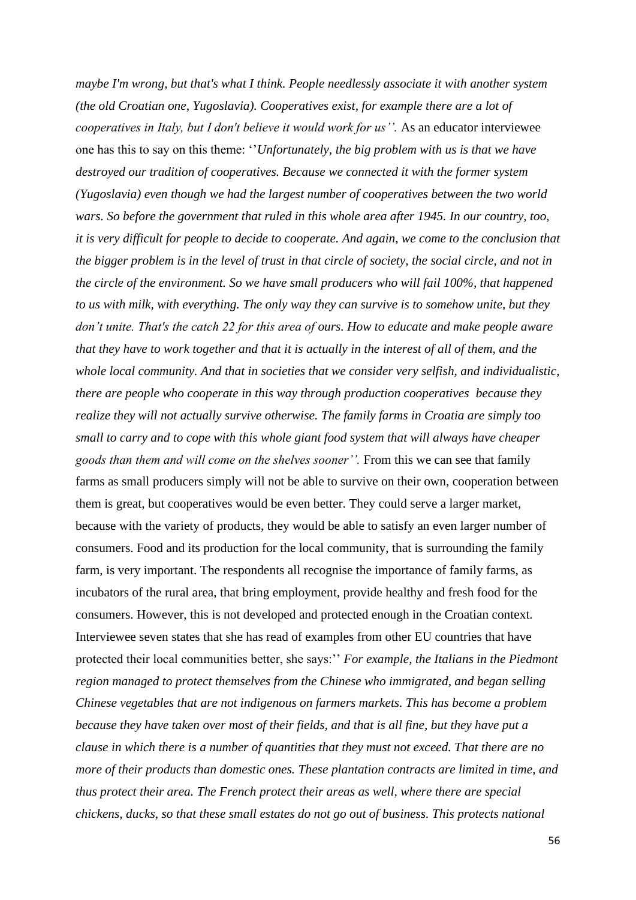*maybe I'm wrong, but that's what I think. People needlessly associate it with another system (the old Croatian one, Yugoslavia). Cooperatives exist, for example there are a lot of cooperatives in Italy, but I don't believe it would work for us''.* As an educator interviewee one has this to say on this theme: ''*Unfortunately, the big problem with us is that we have destroyed our tradition of cooperatives. Because we connected it with the former system (Yugoslavia) even though we had the largest number of cooperatives between the two world wars. So before the government that ruled in this whole area after 1945. In our country, too, it is very difficult for people to decide to cooperate. And again, we come to the conclusion that the bigger problem is in the level of trust in that circle of society, the social circle, and not in the circle of the environment. So we have small producers who will fail 100%, that happened to us with milk, with everything. The only way they can survive is to somehow unite, but they don't unite. That's the catch 22 for this area of ours. How to educate and make people aware that they have to work together and that it is actually in the interest of all of them, and the whole local community. And that in societies that we consider very selfish, and individualistic, there are people who cooperate in this way through production cooperatives because they realize they will not actually survive otherwise. The family farms in Croatia are simply too small to carry and to cope with this whole giant food system that will always have cheaper goods than them and will come on the shelves sooner''.* From this we can see that family farms as small producers simply will not be able to survive on their own, cooperation between them is great, but cooperatives would be even better. They could serve a larger market, because with the variety of products, they would be able to satisfy an even larger number of consumers. Food and its production for the local community, that is surrounding the family farm, is very important. The respondents all recognise the importance of family farms, as incubators of the rural area, that bring employment, provide healthy and fresh food for the consumers. However, this is not developed and protected enough in the Croatian context. Interviewee seven states that she has read of examples from other EU countries that have protected their local communities better, she says:'' *For example, the Italians in the Piedmont region managed to protect themselves from the Chinese who immigrated, and began selling Chinese vegetables that are not indigenous on farmers markets. This has become a problem because they have taken over most of their fields, and that is all fine, but they have put a clause in which there is a number of quantities that they must not exceed. That there are no more of their products than domestic ones. These plantation contracts are limited in time, and thus protect their area. The French protect their areas as well, where there are special chickens, ducks, so that these small estates do not go out of business. This protects national*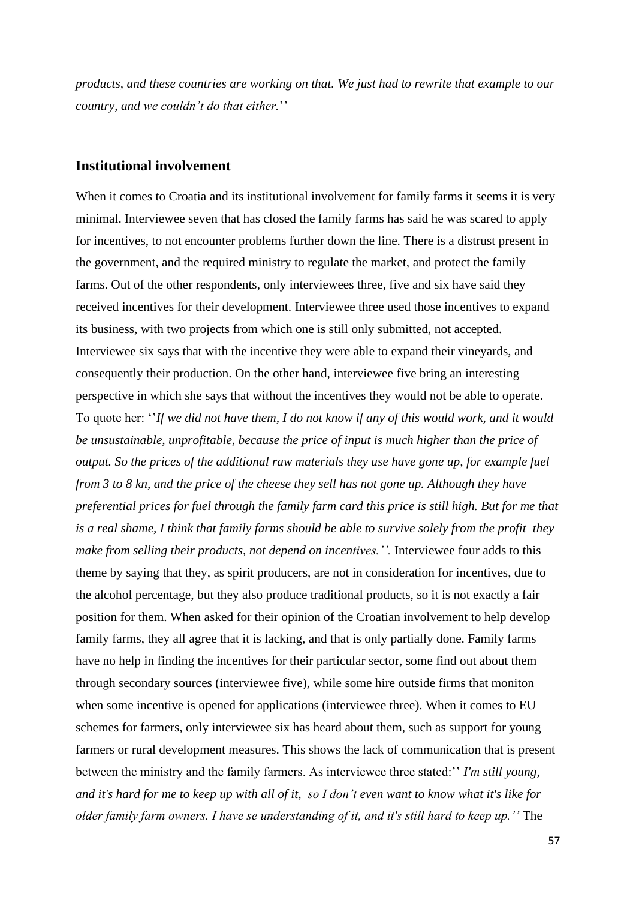*products, and these countries are working on that. We just had to rewrite that example to our country, and we couldn't do that either.*''

#### **Institutional involvement**

When it comes to Croatia and its institutional involvement for family farms it seems it is very minimal. Interviewee seven that has closed the family farms has said he was scared to apply for incentives, to not encounter problems further down the line. There is a distrust present in the government, and the required ministry to regulate the market, and protect the family farms. Out of the other respondents, only interviewees three, five and six have said they received incentives for their development. Interviewee three used those incentives to expand its business, with two projects from which one is still only submitted, not accepted. Interviewee six says that with the incentive they were able to expand their vineyards, and consequently their production. On the other hand, interviewee five bring an interesting perspective in which she says that without the incentives they would not be able to operate. To quote her: ''*If we did not have them, I do not know if any of this would work, and it would be unsustainable, unprofitable, because the price of input is much higher than the price of output. So the prices of the additional raw materials they use have gone up, for example fuel from 3 to 8 kn, and the price of the cheese they sell has not gone up. Although they have preferential prices for fuel through the family farm card this price is still high. But for me that is a real shame, I think that family farms should be able to survive solely from the profit they make from selling their products, not depend on incentives.''.* Interviewee four adds to this theme by saying that they, as spirit producers, are not in consideration for incentives, due to the alcohol percentage, but they also produce traditional products, so it is not exactly a fair position for them. When asked for their opinion of the Croatian involvement to help develop family farms, they all agree that it is lacking, and that is only partially done. Family farms have no help in finding the incentives for their particular sector, some find out about them through secondary sources (interviewee five), while some hire outside firms that moniton when some incentive is opened for applications (interviewee three). When it comes to EU schemes for farmers, only interviewee six has heard about them, such as support for young farmers or rural development measures. This shows the lack of communication that is present between the ministry and the family farmers. As interviewee three stated:'' *I'm still young, and it's hard for me to keep up with all of it, so I don't even want to know what it's like for older family farm owners. I have se understanding of it, and it's still hard to keep up.''* The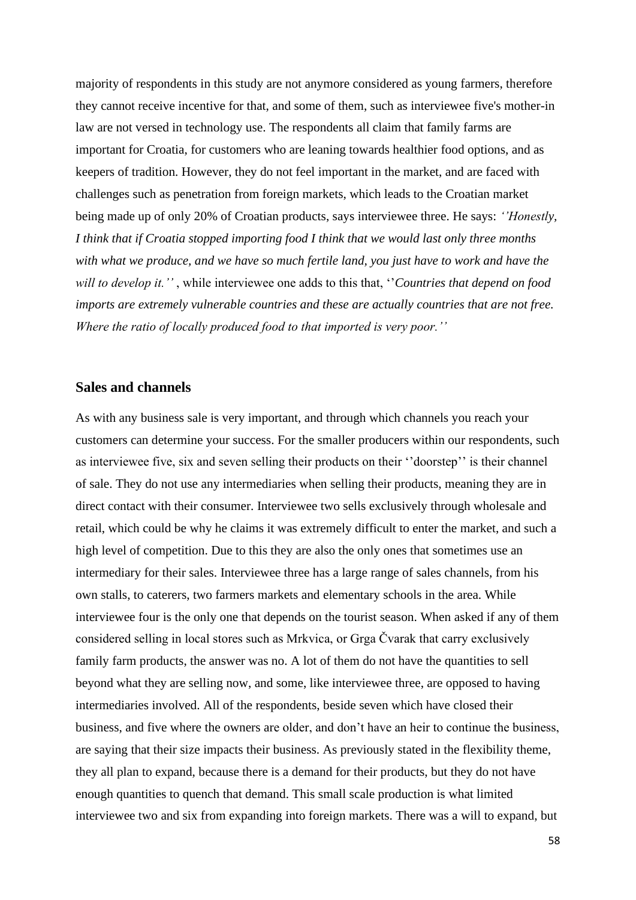majority of respondents in this study are not anymore considered as young farmers, therefore they cannot receive incentive for that, and some of them, such as interviewee five's mother-in law are not versed in technology use. The respondents all claim that family farms are important for Croatia, for customers who are leaning towards healthier food options, and as keepers of tradition. However, they do not feel important in the market, and are faced with challenges such as penetration from foreign markets, which leads to the Croatian market being made up of only 20% of Croatian products, says interviewee three. He says: *''Honestly, I think that if Croatia stopped importing food I think that we would last only three months with what we produce, and we have so much fertile land, you just have to work and have the will to develop it.''* , while interviewee one adds to this that, ''*Countries that depend on food imports are extremely vulnerable countries and these are actually countries that are not free. Where the ratio of locally produced food to that imported is very poor.''*

#### **Sales and channels**

As with any business sale is very important, and through which channels you reach your customers can determine your success. For the smaller producers within our respondents, such as interviewee five, six and seven selling their products on their ''doorstep'' is their channel of sale. They do not use any intermediaries when selling their products, meaning they are in direct contact with their consumer. Interviewee two sells exclusively through wholesale and retail, which could be why he claims it was extremely difficult to enter the market, and such a high level of competition. Due to this they are also the only ones that sometimes use an intermediary for their sales. Interviewee three has a large range of sales channels, from his own stalls, to caterers, two farmers markets and elementary schools in the area. While interviewee four is the only one that depends on the tourist season. When asked if any of them considered selling in local stores such as Mrkvica, or Grga Čvarak that carry exclusively family farm products, the answer was no. A lot of them do not have the quantities to sell beyond what they are selling now, and some, like interviewee three, are opposed to having intermediaries involved. All of the respondents, beside seven which have closed their business, and five where the owners are older, and don't have an heir to continue the business, are saying that their size impacts their business. As previously stated in the flexibility theme, they all plan to expand, because there is a demand for their products, but they do not have enough quantities to quench that demand. This small scale production is what limited interviewee two and six from expanding into foreign markets. There was a will to expand, but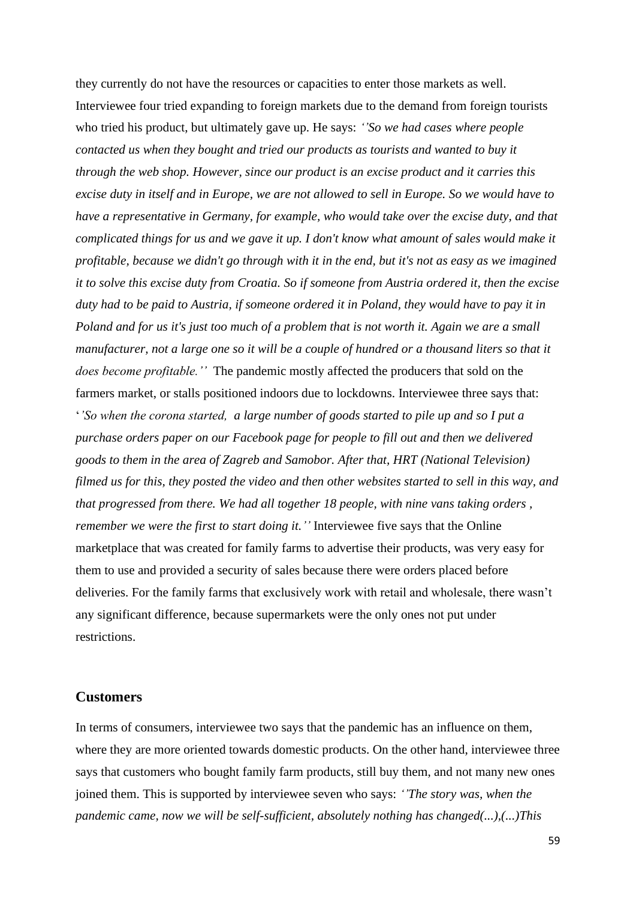they currently do not have the resources or capacities to enter those markets as well. Interviewee four tried expanding to foreign markets due to the demand from foreign tourists who tried his product, but ultimately gave up. He says: *''So we had cases where people contacted us when they bought and tried our products as tourists and wanted to buy it through the web shop. However, since our product is an excise product and it carries this excise duty in itself and in Europe, we are not allowed to sell in Europe. So we would have to have a representative in Germany, for example, who would take over the excise duty, and that complicated things for us and we gave it up. I don't know what amount of sales would make it profitable, because we didn't go through with it in the end, but it's not as easy as we imagined it to solve this excise duty from Croatia. So if someone from Austria ordered it, then the excise duty had to be paid to Austria, if someone ordered it in Poland, they would have to pay it in Poland and for us it's just too much of a problem that is not worth it. Again we are a small manufacturer, not a large one so it will be a couple of hundred or a thousand liters so that it does become profitable.''* The pandemic mostly affected the producers that sold on the farmers market, or stalls positioned indoors due to lockdowns. Interviewee three says that: '*'So when the corona started, a large number of goods started to pile up and so I put a purchase orders paper on our Facebook page for people to fill out and then we delivered goods to them in the area of Zagreb and Samobor. After that, HRT (National Television) filmed us for this, they posted the video and then other websites started to sell in this way, and that progressed from there. We had all together 18 people, with nine vans taking orders , remember we were the first to start doing it.''* Interviewee five says that the Online marketplace that was created for family farms to advertise their products, was very easy for them to use and provided a security of sales because there were orders placed before deliveries. For the family farms that exclusively work with retail and wholesale, there wasn't any significant difference, because supermarkets were the only ones not put under restrictions.

#### **Customers**

In terms of consumers, interviewee two says that the pandemic has an influence on them, where they are more oriented towards domestic products. On the other hand, interviewee three says that customers who bought family farm products, still buy them, and not many new ones joined them. This is supported by interviewee seven who says: *''The story was, when the pandemic came, now we will be self-sufficient, absolutely nothing has changed(...),(...)This*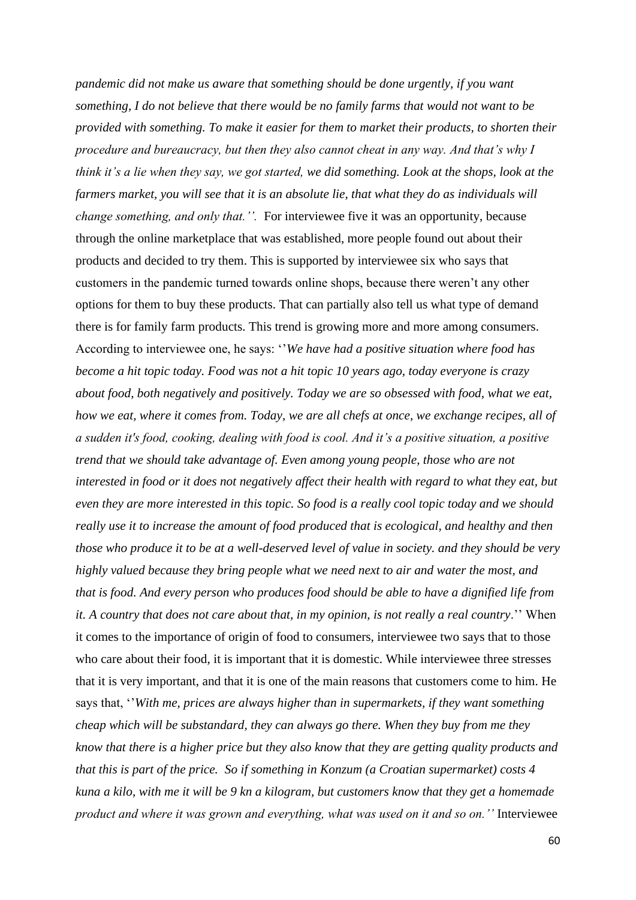*pandemic did not make us aware that something should be done urgently, if you want something, I do not believe that there would be no family farms that would not want to be provided with something. To make it easier for them to market their products, to shorten their procedure and bureaucracy, but then they also cannot cheat in any way. And that's why I think it's a lie when they say, we got started, we did something. Look at the shops, look at the farmers market, you will see that it is an absolute lie, that what they do as individuals will change something, and only that.''.* For interviewee five it was an opportunity, because through the online marketplace that was established, more people found out about their products and decided to try them. This is supported by interviewee six who says that customers in the pandemic turned towards online shops, because there weren't any other options for them to buy these products. That can partially also tell us what type of demand there is for family farm products. This trend is growing more and more among consumers. According to interviewee one, he says: ''*We have had a positive situation where food has become a hit topic today. Food was not a hit topic 10 years ago, today everyone is crazy about food, both negatively and positively. Today we are so obsessed with food, what we eat, how we eat, where it comes from. Today, we are all chefs at once, we exchange recipes, all of a sudden it's food, cooking, dealing with food is cool. And it's a positive situation, a positive trend that we should take advantage of. Even among young people, those who are not interested in food or it does not negatively affect their health with regard to what they eat, but even they are more interested in this topic. So food is a really cool topic today and we should really use it to increase the amount of food produced that is ecological, and healthy and then those who produce it to be at a well-deserved level of value in society. and they should be very highly valued because they bring people what we need next to air and water the most, and that is food. And every person who produces food should be able to have a dignified life from it. A country that does not care about that, in my opinion, is not really a real country*.'' When it comes to the importance of origin of food to consumers, interviewee two says that to those who care about their food, it is important that it is domestic. While interviewee three stresses that it is very important, and that it is one of the main reasons that customers come to him. He says that, ''*With me, prices are always higher than in supermarkets, if they want something cheap which will be substandard, they can always go there. When they buy from me they know that there is a higher price but they also know that they are getting quality products and that this is part of the price. So if something in Konzum (a Croatian supermarket) costs 4 kuna a kilo, with me it will be 9 kn a kilogram, but customers know that they get a homemade product and where it was grown and everything, what was used on it and so on.''* Interviewee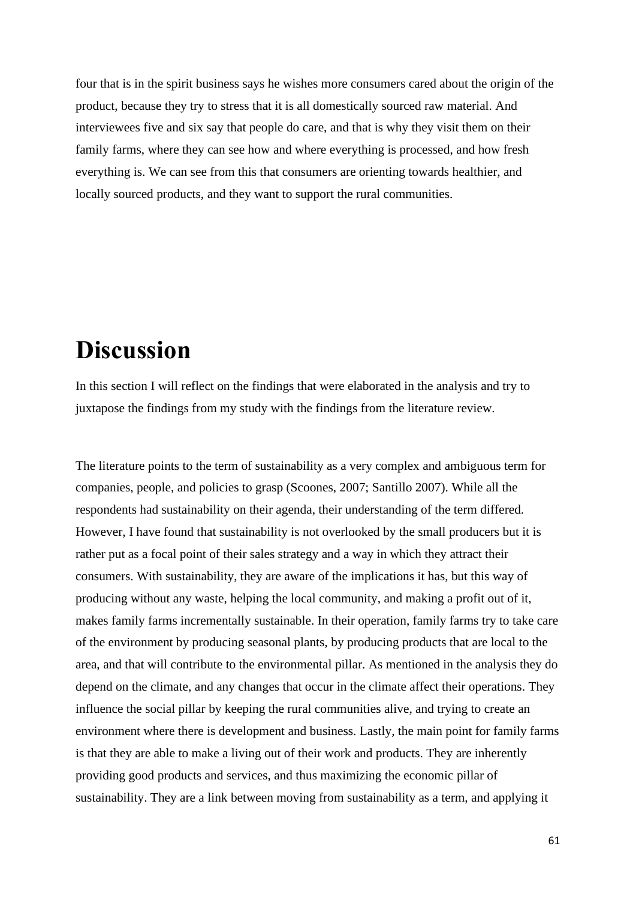four that is in the spirit business says he wishes more consumers cared about the origin of the product, because they try to stress that it is all domestically sourced raw material. And interviewees five and six say that people do care, and that is why they visit them on their family farms, where they can see how and where everything is processed, and how fresh everything is. We can see from this that consumers are orienting towards healthier, and locally sourced products, and they want to support the rural communities.

# **Discussion**

In this section I will reflect on the findings that were elaborated in the analysis and try to juxtapose the findings from my study with the findings from the literature review.

The literature points to the term of sustainability as a very complex and ambiguous term for companies, people, and policies to grasp (Scoones, 2007; Santillo 2007). While all the respondents had sustainability on their agenda, their understanding of the term differed. However, I have found that sustainability is not overlooked by the small producers but it is rather put as a focal point of their sales strategy and a way in which they attract their consumers. With sustainability, they are aware of the implications it has, but this way of producing without any waste, helping the local community, and making a profit out of it, makes family farms incrementally sustainable. In their operation, family farms try to take care of the environment by producing seasonal plants, by producing products that are local to the area, and that will contribute to the environmental pillar. As mentioned in the analysis they do depend on the climate, and any changes that occur in the climate affect their operations. They influence the social pillar by keeping the rural communities alive, and trying to create an environment where there is development and business. Lastly, the main point for family farms is that they are able to make a living out of their work and products. They are inherently providing good products and services, and thus maximizing the economic pillar of sustainability. They are a link between moving from sustainability as a term, and applying it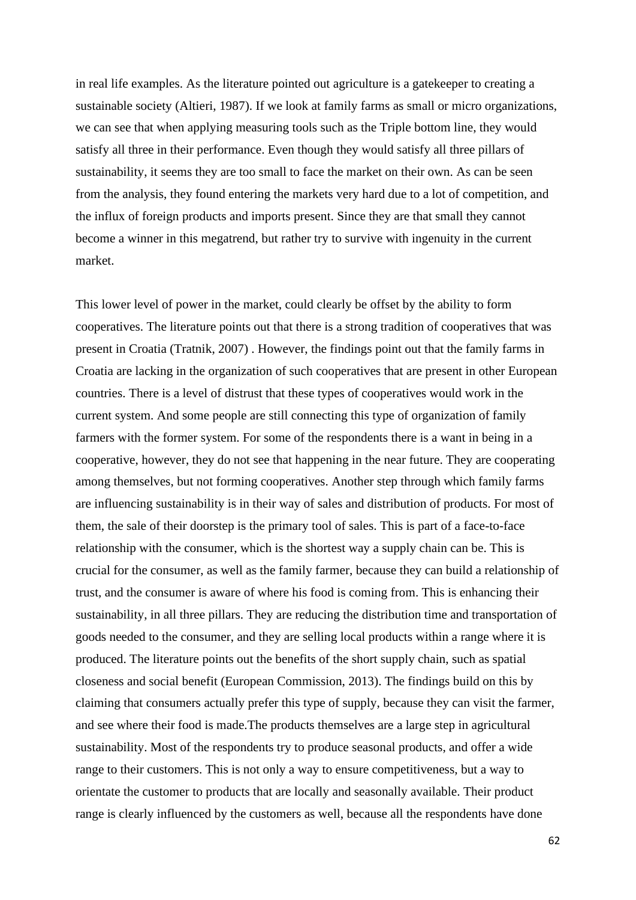in real life examples. As the literature pointed out agriculture is a gatekeeper to creating a sustainable society (Altieri, 1987). If we look at family farms as small or micro organizations, we can see that when applying measuring tools such as the Triple bottom line, they would satisfy all three in their performance. Even though they would satisfy all three pillars of sustainability, it seems they are too small to face the market on their own. As can be seen from the analysis, they found entering the markets very hard due to a lot of competition, and the influx of foreign products and imports present. Since they are that small they cannot become a winner in this megatrend, but rather try to survive with ingenuity in the current market.

This lower level of power in the market, could clearly be offset by the ability to form cooperatives. The literature points out that there is a strong tradition of cooperatives that was present in Croatia (Tratnik, 2007) . However, the findings point out that the family farms in Croatia are lacking in the organization of such cooperatives that are present in other European countries. There is a level of distrust that these types of cooperatives would work in the current system. And some people are still connecting this type of organization of family farmers with the former system. For some of the respondents there is a want in being in a cooperative, however, they do not see that happening in the near future. They are cooperating among themselves, but not forming cooperatives. Another step through which family farms are influencing sustainability is in their way of sales and distribution of products. For most of them, the sale of their doorstep is the primary tool of sales. This is part of a face-to-face relationship with the consumer, which is the shortest way a supply chain can be. This is crucial for the consumer, as well as the family farmer, because they can build a relationship of trust, and the consumer is aware of where his food is coming from. This is enhancing their sustainability, in all three pillars. They are reducing the distribution time and transportation of goods needed to the consumer, and they are selling local products within a range where it is produced. The literature points out the benefits of the short supply chain, such as spatial closeness and social benefit (European Commission, 2013). The findings build on this by claiming that consumers actually prefer this type of supply, because they can visit the farmer, and see where their food is made.The products themselves are a large step in agricultural sustainability. Most of the respondents try to produce seasonal products, and offer a wide range to their customers. This is not only a way to ensure competitiveness, but a way to orientate the customer to products that are locally and seasonally available. Their product range is clearly influenced by the customers as well, because all the respondents have done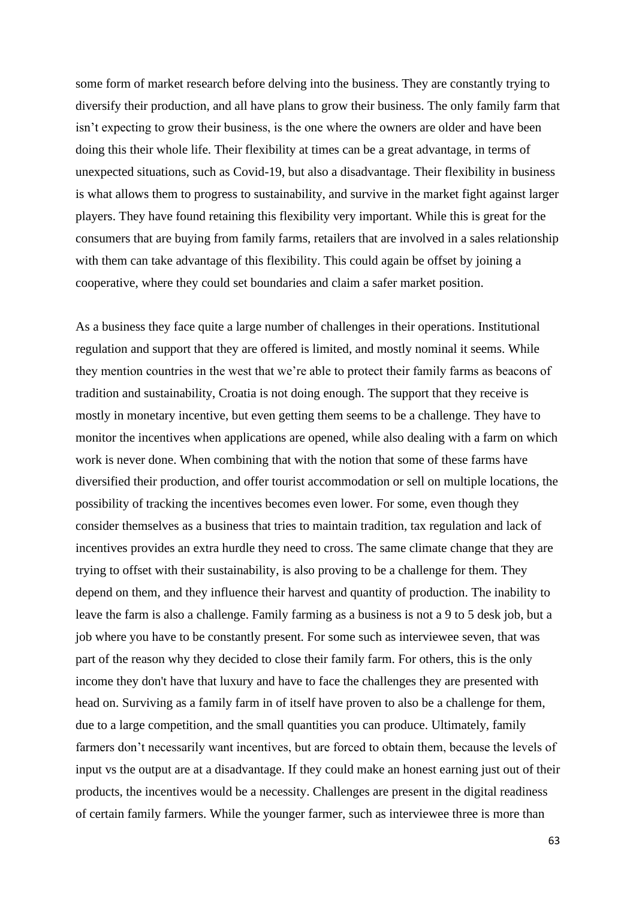some form of market research before delving into the business. They are constantly trying to diversify their production, and all have plans to grow their business. The only family farm that isn't expecting to grow their business, is the one where the owners are older and have been doing this their whole life. Their flexibility at times can be a great advantage, in terms of unexpected situations, such as Covid-19, but also a disadvantage. Their flexibility in business is what allows them to progress to sustainability, and survive in the market fight against larger players. They have found retaining this flexibility very important. While this is great for the consumers that are buying from family farms, retailers that are involved in a sales relationship with them can take advantage of this flexibility. This could again be offset by joining a cooperative, where they could set boundaries and claim a safer market position.

As a business they face quite a large number of challenges in their operations. Institutional regulation and support that they are offered is limited, and mostly nominal it seems. While they mention countries in the west that we're able to protect their family farms as beacons of tradition and sustainability, Croatia is not doing enough. The support that they receive is mostly in monetary incentive, but even getting them seems to be a challenge. They have to monitor the incentives when applications are opened, while also dealing with a farm on which work is never done. When combining that with the notion that some of these farms have diversified their production, and offer tourist accommodation or sell on multiple locations, the possibility of tracking the incentives becomes even lower. For some, even though they consider themselves as a business that tries to maintain tradition, tax regulation and lack of incentives provides an extra hurdle they need to cross. The same climate change that they are trying to offset with their sustainability, is also proving to be a challenge for them. They depend on them, and they influence their harvest and quantity of production. The inability to leave the farm is also a challenge. Family farming as a business is not a 9 to 5 desk job, but a job where you have to be constantly present. For some such as interviewee seven, that was part of the reason why they decided to close their family farm. For others, this is the only income they don't have that luxury and have to face the challenges they are presented with head on. Surviving as a family farm in of itself have proven to also be a challenge for them, due to a large competition, and the small quantities you can produce. Ultimately, family farmers don't necessarily want incentives, but are forced to obtain them, because the levels of input vs the output are at a disadvantage. If they could make an honest earning just out of their products, the incentives would be a necessity. Challenges are present in the digital readiness of certain family farmers. While the younger farmer, such as interviewee three is more than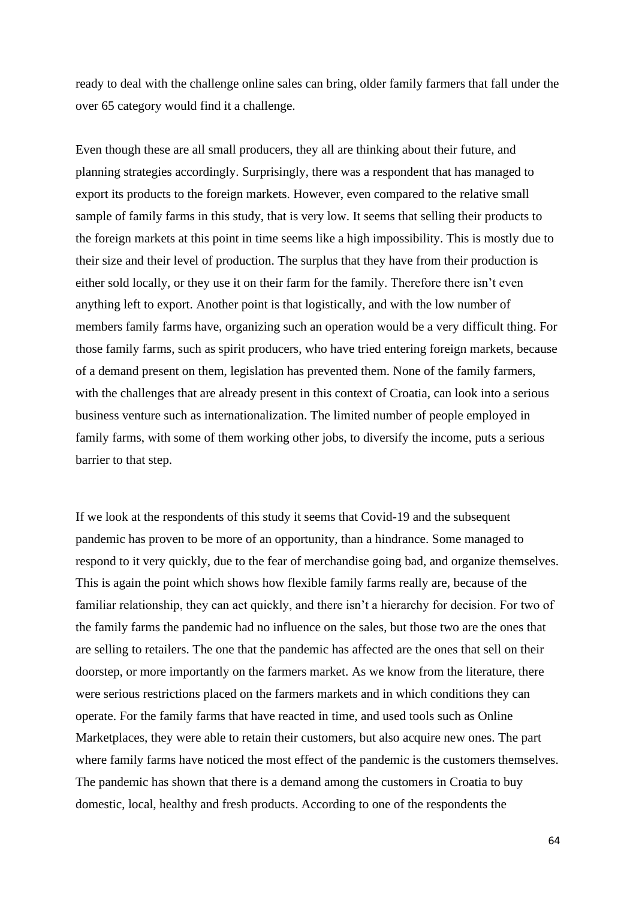ready to deal with the challenge online sales can bring, older family farmers that fall under the over 65 category would find it a challenge.

Even though these are all small producers, they all are thinking about their future, and planning strategies accordingly. Surprisingly, there was a respondent that has managed to export its products to the foreign markets. However, even compared to the relative small sample of family farms in this study, that is very low. It seems that selling their products to the foreign markets at this point in time seems like a high impossibility. This is mostly due to their size and their level of production. The surplus that they have from their production is either sold locally, or they use it on their farm for the family. Therefore there isn't even anything left to export. Another point is that logistically, and with the low number of members family farms have, organizing such an operation would be a very difficult thing. For those family farms, such as spirit producers, who have tried entering foreign markets, because of a demand present on them, legislation has prevented them. None of the family farmers, with the challenges that are already present in this context of Croatia, can look into a serious business venture such as internationalization. The limited number of people employed in family farms, with some of them working other jobs, to diversify the income, puts a serious barrier to that step.

If we look at the respondents of this study it seems that Covid-19 and the subsequent pandemic has proven to be more of an opportunity, than a hindrance. Some managed to respond to it very quickly, due to the fear of merchandise going bad, and organize themselves. This is again the point which shows how flexible family farms really are, because of the familiar relationship, they can act quickly, and there isn't a hierarchy for decision. For two of the family farms the pandemic had no influence on the sales, but those two are the ones that are selling to retailers. The one that the pandemic has affected are the ones that sell on their doorstep, or more importantly on the farmers market. As we know from the literature, there were serious restrictions placed on the farmers markets and in which conditions they can operate. For the family farms that have reacted in time, and used tools such as Online Marketplaces, they were able to retain their customers, but also acquire new ones. The part where family farms have noticed the most effect of the pandemic is the customers themselves. The pandemic has shown that there is a demand among the customers in Croatia to buy domestic, local, healthy and fresh products. According to one of the respondents the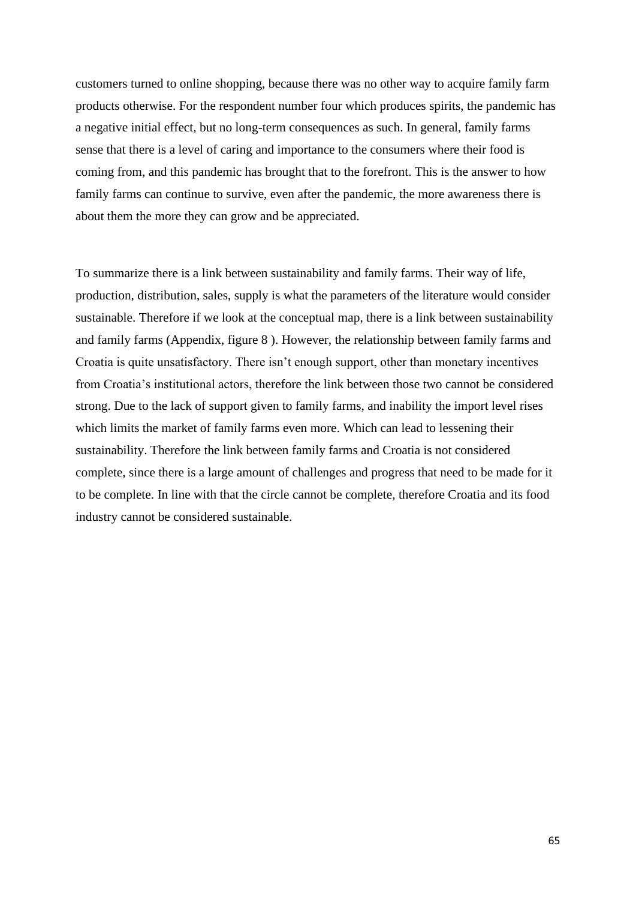customers turned to online shopping, because there was no other way to acquire family farm products otherwise. For the respondent number four which produces spirits, the pandemic has a negative initial effect, but no long-term consequences as such. In general, family farms sense that there is a level of caring and importance to the consumers where their food is coming from, and this pandemic has brought that to the forefront. This is the answer to how family farms can continue to survive, even after the pandemic, the more awareness there is about them the more they can grow and be appreciated.

To summarize there is a link between sustainability and family farms. Their way of life, production, distribution, sales, supply is what the parameters of the literature would consider sustainable. Therefore if we look at the conceptual map, there is a link between sustainability and family farms (Appendix, figure 8 ). However, the relationship between family farms and Croatia is quite unsatisfactory. There isn't enough support, other than monetary incentives from Croatia's institutional actors, therefore the link between those two cannot be considered strong. Due to the lack of support given to family farms, and inability the import level rises which limits the market of family farms even more. Which can lead to lessening their sustainability. Therefore the link between family farms and Croatia is not considered complete, since there is a large amount of challenges and progress that need to be made for it to be complete. In line with that the circle cannot be complete, therefore Croatia and its food industry cannot be considered sustainable.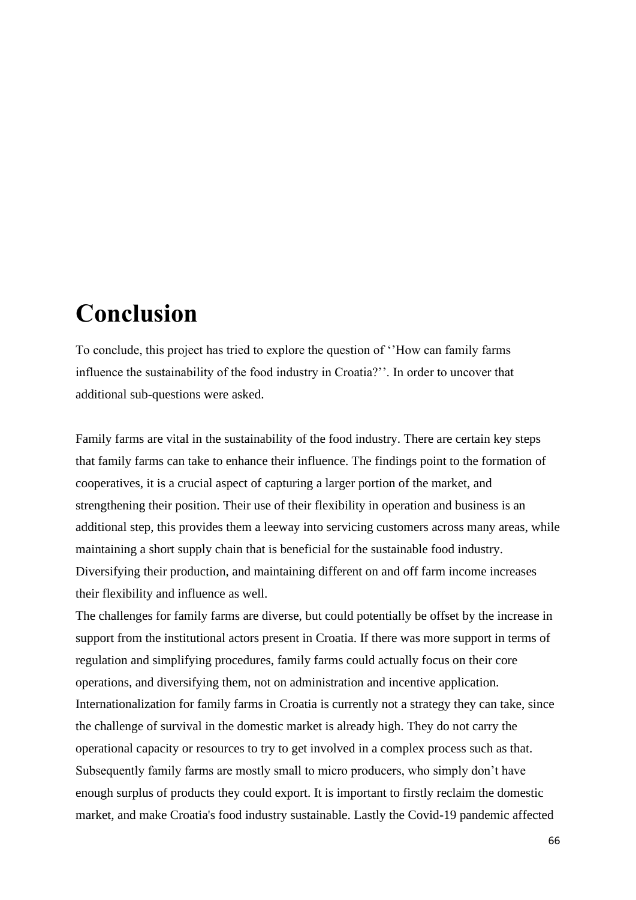# **Conclusion**

To conclude, this project has tried to explore the question of ''How can family farms influence the sustainability of the food industry in Croatia?''. In order to uncover that additional sub-questions were asked.

Family farms are vital in the sustainability of the food industry. There are certain key steps that family farms can take to enhance their influence. The findings point to the formation of cooperatives, it is a crucial aspect of capturing a larger portion of the market, and strengthening their position. Their use of their flexibility in operation and business is an additional step, this provides them a leeway into servicing customers across many areas, while maintaining a short supply chain that is beneficial for the sustainable food industry. Diversifying their production, and maintaining different on and off farm income increases their flexibility and influence as well.

The challenges for family farms are diverse, but could potentially be offset by the increase in support from the institutional actors present in Croatia. If there was more support in terms of regulation and simplifying procedures, family farms could actually focus on their core operations, and diversifying them, not on administration and incentive application. Internationalization for family farms in Croatia is currently not a strategy they can take, since the challenge of survival in the domestic market is already high. They do not carry the operational capacity or resources to try to get involved in a complex process such as that. Subsequently family farms are mostly small to micro producers, who simply don't have enough surplus of products they could export. It is important to firstly reclaim the domestic market, and make Croatia's food industry sustainable. Lastly the Covid-19 pandemic affected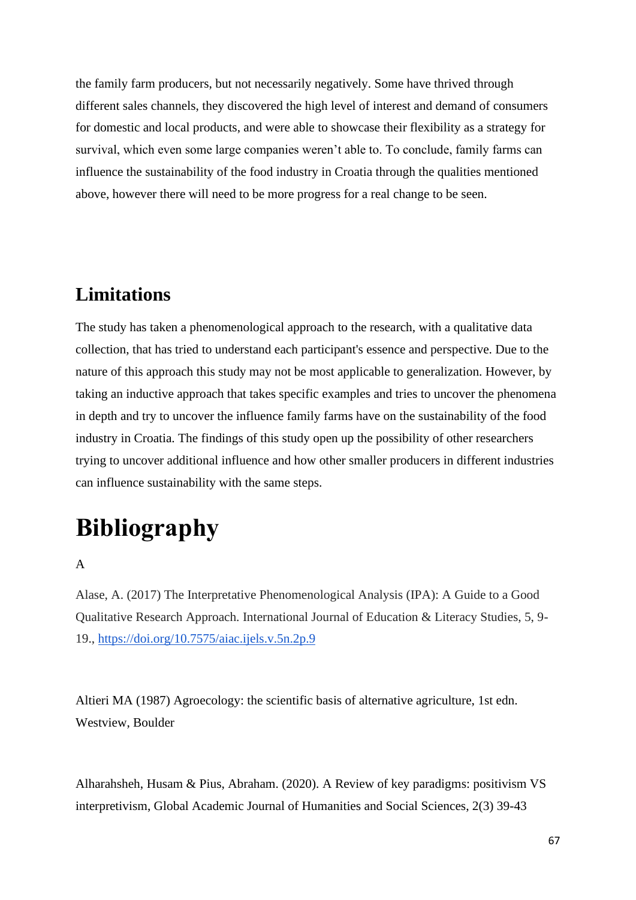the family farm producers, but not necessarily negatively. Some have thrived through different sales channels, they discovered the high level of interest and demand of consumers for domestic and local products, and were able to showcase their flexibility as a strategy for survival, which even some large companies weren't able to. To conclude, family farms can influence the sustainability of the food industry in Croatia through the qualities mentioned above, however there will need to be more progress for a real change to be seen.

## **Limitations**

The study has taken a phenomenological approach to the research, with a qualitative data collection, that has tried to understand each participant's essence and perspective. Due to the nature of this approach this study may not be most applicable to generalization. However, by taking an inductive approach that takes specific examples and tries to uncover the phenomena in depth and try to uncover the influence family farms have on the sustainability of the food industry in Croatia. The findings of this study open up the possibility of other researchers trying to uncover additional influence and how other smaller producers in different industries can influence sustainability with the same steps.

# **Bibliography**

#### A

Alase, A. (2017) The Interpretative Phenomenological Analysis (IPA): A Guide to a Good Qualitative Research Approach. International Journal of Education & Literacy Studies, 5, 9- 19.,<https://doi.org/10.7575/aiac.ijels.v.5n.2p.9>

Altieri MA (1987) Agroecology: the scientific basis of alternative agriculture, 1st edn. Westview, Boulder

Alharahsheh, Husam & Pius, Abraham. (2020). A Review of key paradigms: positivism VS interpretivism, Global Academic Journal of Humanities and Social Sciences, 2(3) 39-43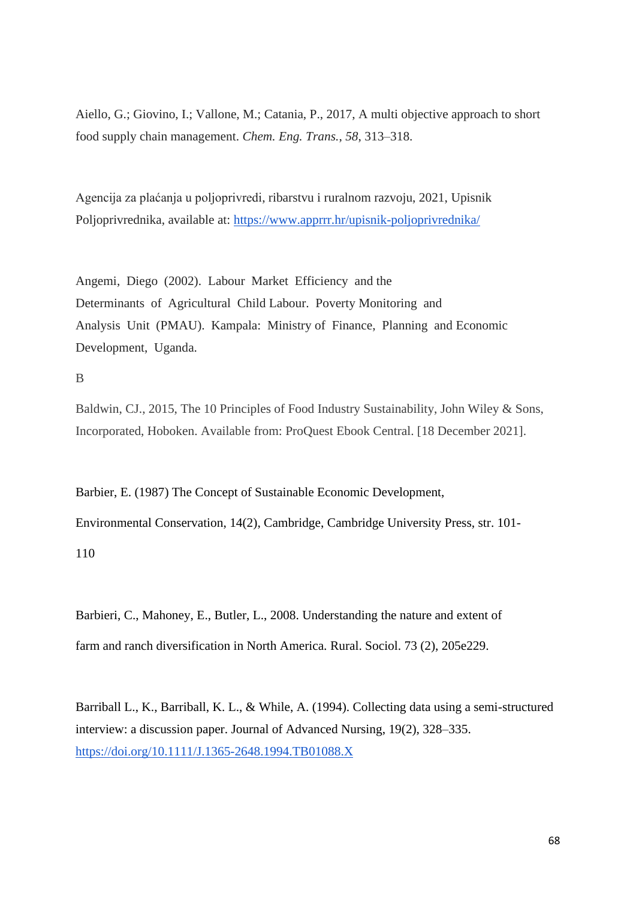Aiello, G.; Giovino, I.; Vallone, M.; Catania, P., 2017, A multi objective approach to short food supply chain management. *Chem. Eng. Trans.*, *58*, 313–318.

Agencija za plaćanja u poljoprivredi, ribarstvu i ruralnom razvoju, 2021, Upisnik Poljoprivrednika, available at:<https://www.apprrr.hr/upisnik-poljoprivrednika/>

Angemi, Diego (2002). Labour Market Efficiency and the Determinants of Agricultural Child Labour. Poverty Monitoring and Analysis Unit (PMAU). Kampala: Ministry of Finance, Planning and Economic Development, Uganda.

B

Baldwin, CJ., 2015, The 10 Principles of Food Industry Sustainability, John Wiley & Sons, Incorporated, Hoboken. Available from: ProQuest Ebook Central. [18 December 2021].

Barbier, E. (1987) The Concept of Sustainable Economic Development, Environmental Conservation, 14(2), Cambridge, Cambridge University Press, str. 101- 110

Barbieri, C., Mahoney, E., Butler, L., 2008. Understanding the nature and extent of farm and ranch diversification in North America. Rural. Sociol. 73 (2), 205e229.

Barriball L., K., Barriball, K. L., & While, A. (1994). Collecting data using a semi-structured interview: a discussion paper. Journal of Advanced Nursing, 19(2), 328–335. <https://doi.org/10.1111/J.1365-2648.1994.TB01088.X>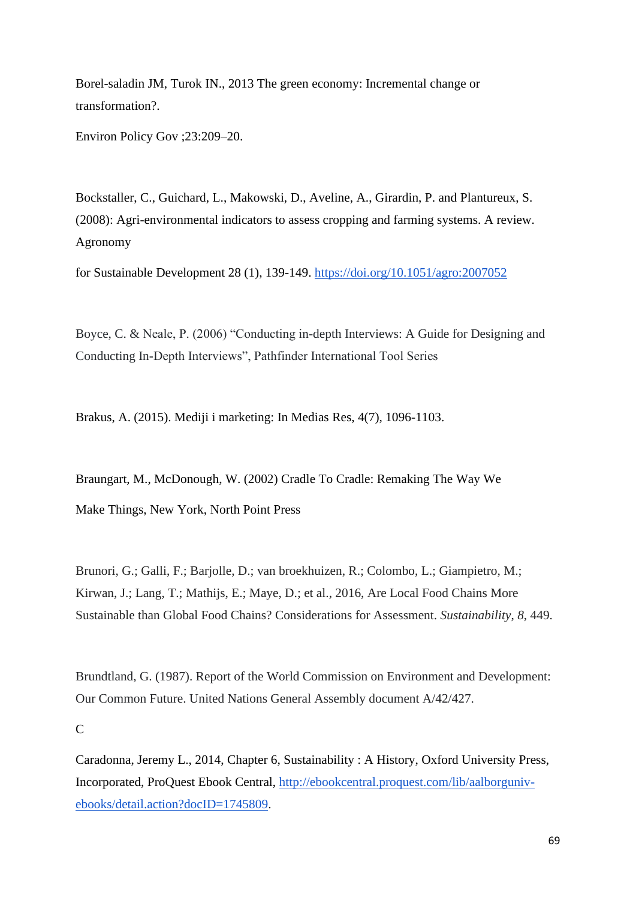Borel-saladin JM, Turok IN., 2013 The green economy: Incremental change or transformation?.

Environ Policy Gov ;23:209–20.

Bockstaller, C., Guichard, L., Makowski, D., Aveline, A., Girardin, P. and Plantureux, S. (2008): Agri-environmental indicators to assess cropping and farming systems. A review. Agronomy

for Sustainable Development 28 (1), 139-149.<https://doi.org/10.1051/agro:2007052>

Boyce, C. & Neale, P. (2006) "Conducting in-depth Interviews: A Guide for Designing and Conducting In-Depth Interviews", Pathfinder International Tool Series

Brakus, A. (2015). Mediji i marketing: In Medias Res, 4(7), 1096-1103.

Braungart, M., McDonough, W. (2002) Cradle To Cradle: Remaking The Way We Make Things, New York, North Point Press

Brunori, G.; Galli, F.; Barjolle, D.; van broekhuizen, R.; Colombo, L.; Giampietro, M.; Kirwan, J.; Lang, T.; Mathijs, E.; Maye, D.; et al., 2016, Are Local Food Chains More Sustainable than Global Food Chains? Considerations for Assessment. *Sustainability*, *8*, 449.

Brundtland, G. (1987). Report of the World Commission on Environment and Development: Our Common Future. United Nations General Assembly document A/42/427.

C

Caradonna, Jeremy L., 2014, Chapter 6, Sustainability : A History, Oxford University Press, Incorporated, ProQuest Ebook Central, [http://ebookcentral.proquest.com/lib/aalborguniv](http://ebookcentral.proquest.com/lib/aalborguniv-ebooks/detail.action?docID=1745809)[ebooks/detail.action?docID=1745809.](http://ebookcentral.proquest.com/lib/aalborguniv-ebooks/detail.action?docID=1745809)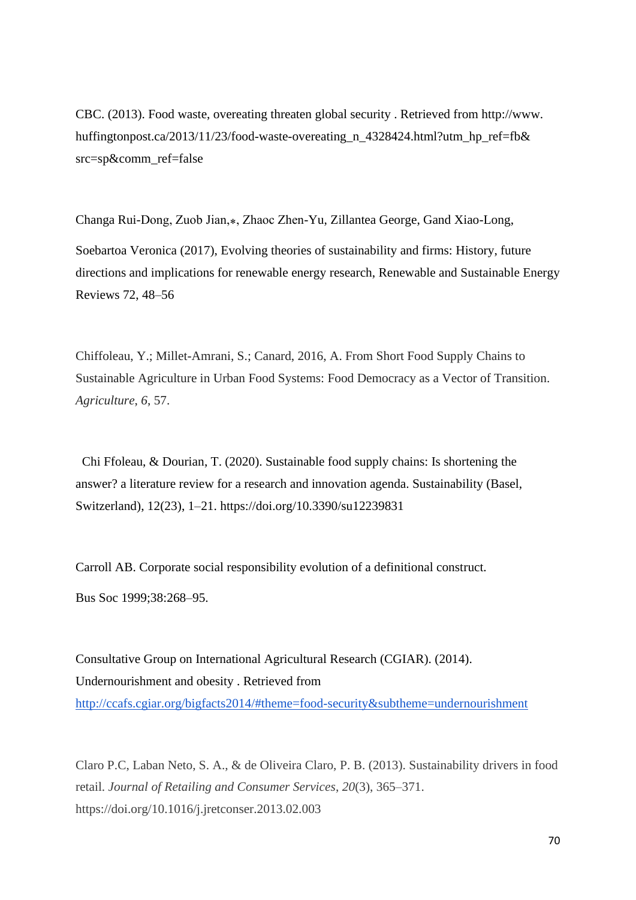CBC. (2013). Food waste, overeating threaten global security . Retrieved from http://www. huffingtonpost.ca/2013/11/23/food-waste-overeating n 4328424.html?utm hp\_ref=fb& src=sp&comm\_ref=false

Changa Rui-Dong, Zuob Jian,⁎, Zhaoc Zhen-Yu, Zillantea George, Gand Xiao-Long, Soebartoa Veronica (2017), Evolving theories of sustainability and firms: History, future directions and implications for renewable energy research, Renewable and Sustainable Energy Reviews 72, 48–56

Chiffoleau, Y.; Millet-Amrani, S.; Canard, 2016, A. From Short Food Supply Chains to Sustainable Agriculture in Urban Food Systems: Food Democracy as a Vector of Transition. *Agriculture*, *6*, 57.

 Chi Ffoleau, & Dourian, T. (2020). Sustainable food supply chains: Is shortening the answer? a literature review for a research and innovation agenda. Sustainability (Basel, Switzerland), 12(23), 1–21. https://doi.org/10.3390/su12239831

Carroll AB. Corporate social responsibility evolution of a definitional construct. Bus Soc 1999;38:268–95.

Consultative Group on International Agricultural Research (CGIAR). (2014). Undernourishment and obesity . Retrieved from <http://ccafs.cgiar.org/bigfacts2014/#theme=food-security&subtheme=undernourishment>

Claro P.C, Laban Neto, S. A., & de Oliveira Claro, P. B. (2013). Sustainability drivers in food retail. *Journal of Retailing and Consumer Services*, *20*(3), 365–371. https://doi.org/10.1016/j.jretconser.2013.02.003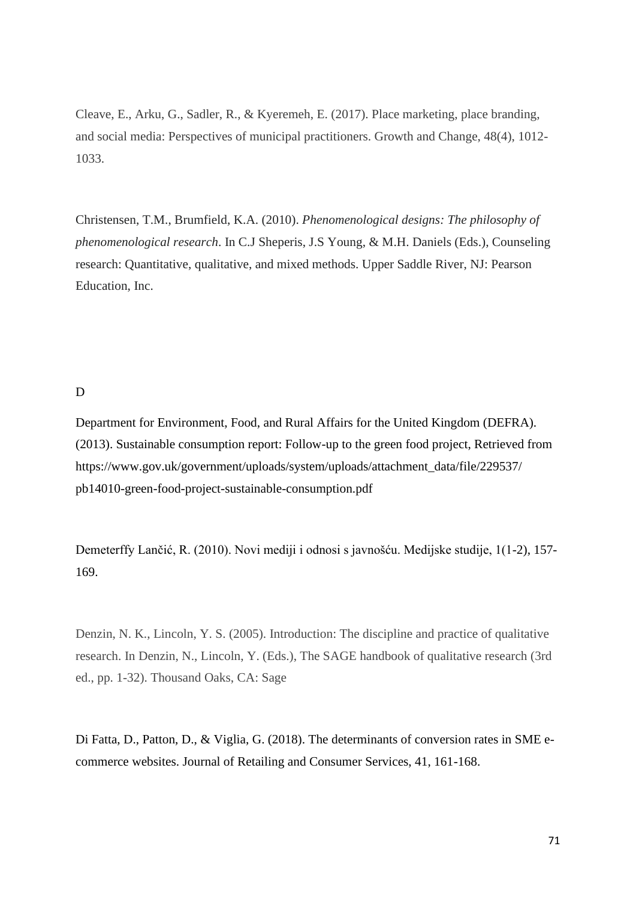Cleave, E., Arku, G., Sadler, R., & Kyeremeh, E. (2017). Place marketing, place branding, and social media: Perspectives of municipal practitioners. Growth and Change, 48(4), 1012- 1033.

Christensen, T.M., Brumfield, K.A. (2010). *Phenomenological designs: The philosophy of phenomenological research*. In C.J Sheperis, J.S Young, & M.H. Daniels (Eds.), Counseling research: Quantitative, qualitative, and mixed methods. Upper Saddle River, NJ: Pearson Education, Inc.

#### D

Department for Environment, Food, and Rural Affairs for the United Kingdom (DEFRA). (2013). Sustainable consumption report: Follow-up to the green food project, Retrieved from https://www.gov.uk/government/uploads/system/uploads/attachment\_data/file/229537/ pb14010-green-food-project-sustainable-consumption.pdf

Demeterffy Lančić, R. (2010). Novi mediji i odnosi s javnošću. Medijske studije, 1(1-2), 157- 169.

Denzin, N. K., Lincoln, Y. S. (2005). Introduction: The discipline and practice of qualitative research. In Denzin, N., Lincoln, Y. (Eds.), The SAGE handbook of qualitative research (3rd ed., pp. 1-32). Thousand Oaks, CA: Sage

Di Fatta, D., Patton, D., & Viglia, G. (2018). The determinants of conversion rates in SME ecommerce websites. Journal of Retailing and Consumer Services, 41, 161-168.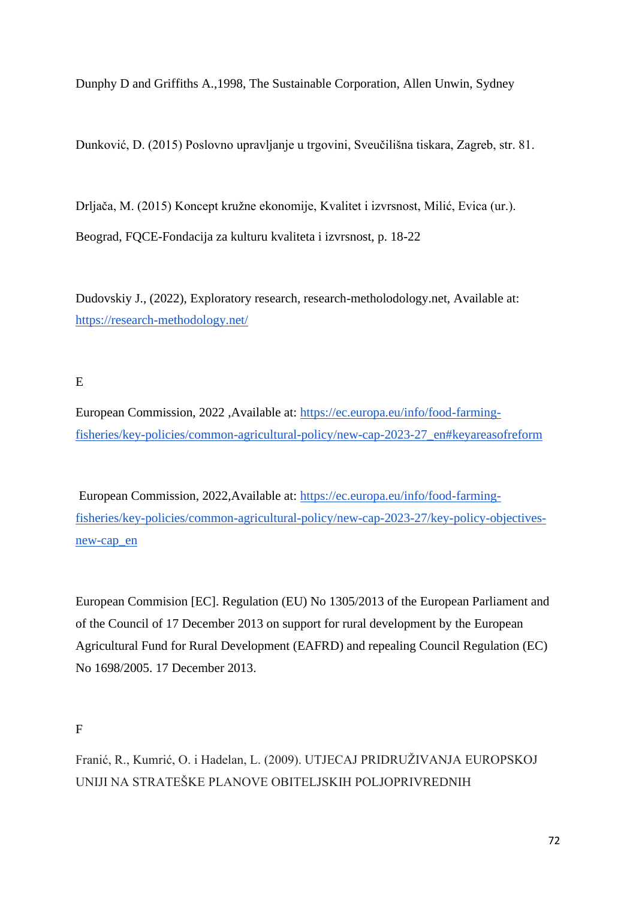Dunphy D and Griffiths A.,1998, The Sustainable Corporation, Allen Unwin, Sydney

Dunković, D. (2015) Poslovno upravljanje u trgovini, Sveučilišna tiskara, Zagreb, str. 81.

Drljača, M. (2015) Koncept kružne ekonomije, Kvalitet i izvrsnost, Milić, Evica (ur.). Beograd, FQCE-Fondacija za kulturu kvaliteta i izvrsnost, p. 18-22

Dudovskiy J., (2022), Exploratory research, research-metholodology.net, Available at: <https://research-methodology.net/>

E

European Commission, 2022 ,Available at: [https://ec.europa.eu/info/food-farming](https://ec.europa.eu/info/food-farming-fisheries/key-policies/common-agricultural-policy/new-cap-2023-27_en#keyareasofreform)[fisheries/key-policies/common-agricultural-policy/new-cap-2023-27\\_en#keyareasofreform](https://ec.europa.eu/info/food-farming-fisheries/key-policies/common-agricultural-policy/new-cap-2023-27_en#keyareasofreform)

European Commission, 2022,Available at: [https://ec.europa.eu/info/food-farming](https://ec.europa.eu/info/food-farming-fisheries/key-policies/common-agricultural-policy/new-cap-2023-27/key-policy-objectives-new-cap_en)[fisheries/key-policies/common-agricultural-policy/new-cap-2023-27/key-policy-objectives](https://ec.europa.eu/info/food-farming-fisheries/key-policies/common-agricultural-policy/new-cap-2023-27/key-policy-objectives-new-cap_en)[new-cap\\_en](https://ec.europa.eu/info/food-farming-fisheries/key-policies/common-agricultural-policy/new-cap-2023-27/key-policy-objectives-new-cap_en)

European Commision [EC]. Regulation (EU) No 1305/2013 of the European Parliament and of the Council of 17 December 2013 on support for rural development by the European Agricultural Fund for Rural Development (EAFRD) and repealing Council Regulation (EC) No 1698/2005. 17 December 2013.

 $\boldsymbol{\mathrm{F}}$ 

Franić, R., Kumrić, O. i Hadelan, L. (2009). UTJECAJ PRIDRUŽIVANJA EUROPSKOJ UNIJI NA STRATEŠKE PLANOVE OBITELJSKIH POLJOPRIVREDNIH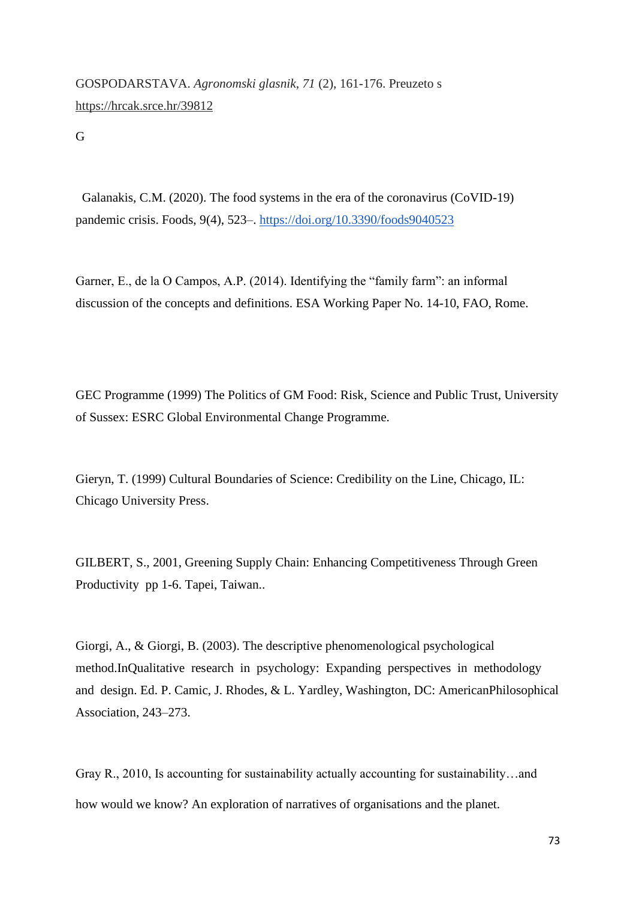GOSPODARSTAVA. *Agronomski glasnik, 71* (2), 161-176. Preuzeto s <https://hrcak.srce.hr/39812>

G

 Galanakis, C.M. (2020). The food systems in the era of the coronavirus (CoVID-19) pandemic crisis. Foods, 9(4), 523–.<https://doi.org/10.3390/foods9040523>

Garner, E., de la O Campos, A.P. (2014). Identifying the "family farm": an informal discussion of the concepts and definitions. ESA Working Paper No. 14-10, FAO, Rome.

GEC Programme (1999) The Politics of GM Food: Risk, Science and Public Trust, University of Sussex: ESRC Global Environmental Change Programme.

Gieryn, T. (1999) Cultural Boundaries of Science: Credibility on the Line, Chicago, IL: Chicago University Press.

GILBERT, S., 2001, Greening Supply Chain: Enhancing Competitiveness Through Green Productivity pp 1-6. Tapei, Taiwan..

Giorgi, A., & Giorgi, B. (2003). The descriptive phenomenological psychological method.InQualitative research in psychology: Expanding perspectives in methodology and design. Ed. P. Camic, J. Rhodes, & L. Yardley, Washington, DC: AmericanPhilosophical Association, 243–273.

Gray R., 2010, Is accounting for sustainability actually accounting for sustainability…and how would we know? An exploration of narratives of organisations and the planet.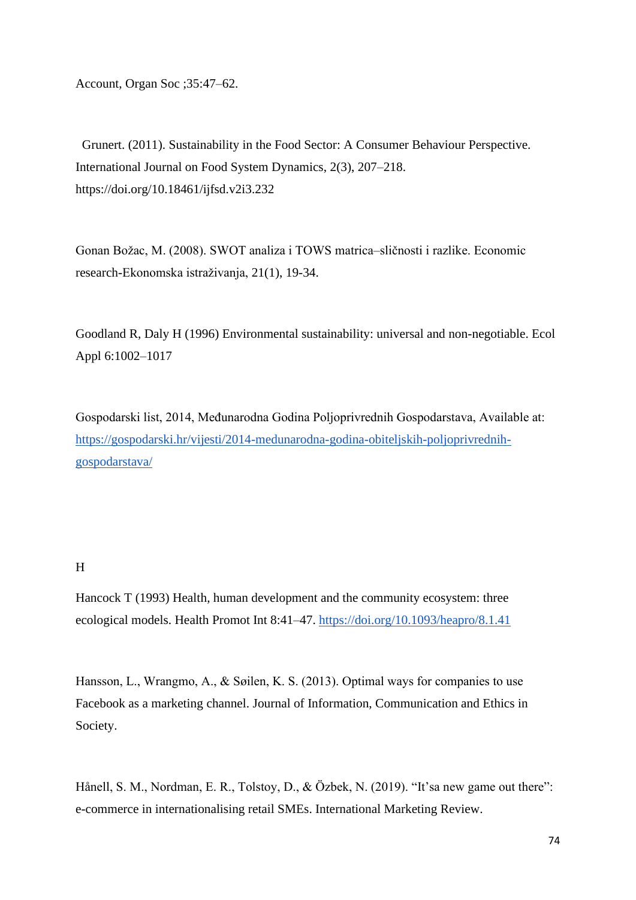Account, Organ Soc ;35:47–62.

 Grunert. (2011). Sustainability in the Food Sector: A Consumer Behaviour Perspective. International Journal on Food System Dynamics, 2(3), 207–218. https://doi.org/10.18461/ijfsd.v2i3.232

Gonan Božac, M. (2008). SWOT analiza i TOWS matrica–sličnosti i razlike. Economic research-Ekonomska istraživanja, 21(1), 19-34.

Goodland R, Daly H (1996) Environmental sustainability: universal and non-negotiable. Ecol Appl 6:1002–1017

Gospodarski list, 2014, Međunarodna Godina Poljoprivrednih Gospodarstava, Available at: [https://gospodarski.hr/vijesti/2014-medunarodna-godina-obiteljskih-poljoprivrednih](https://gospodarski.hr/vijesti/2014-medunarodna-godina-obiteljskih-poljoprivrednih-gospodarstava/)[gospodarstava/](https://gospodarski.hr/vijesti/2014-medunarodna-godina-obiteljskih-poljoprivrednih-gospodarstava/)

#### H

Hancock T (1993) Health, human development and the community ecosystem: three ecological models. Health Promot Int 8:41–47.<https://doi.org/10.1093/heapro/8.1.41>

Hansson, L., Wrangmo, A., & Søilen, K. S. (2013). Optimal ways for companies to use Facebook as a marketing channel. Journal of Information, Communication and Ethics in Society.

Hånell, S. M., Nordman, E. R., Tolstoy, D., & Özbek, N. (2019). "It's a new game out there": e-commerce in internationalising retail SMEs. International Marketing Review.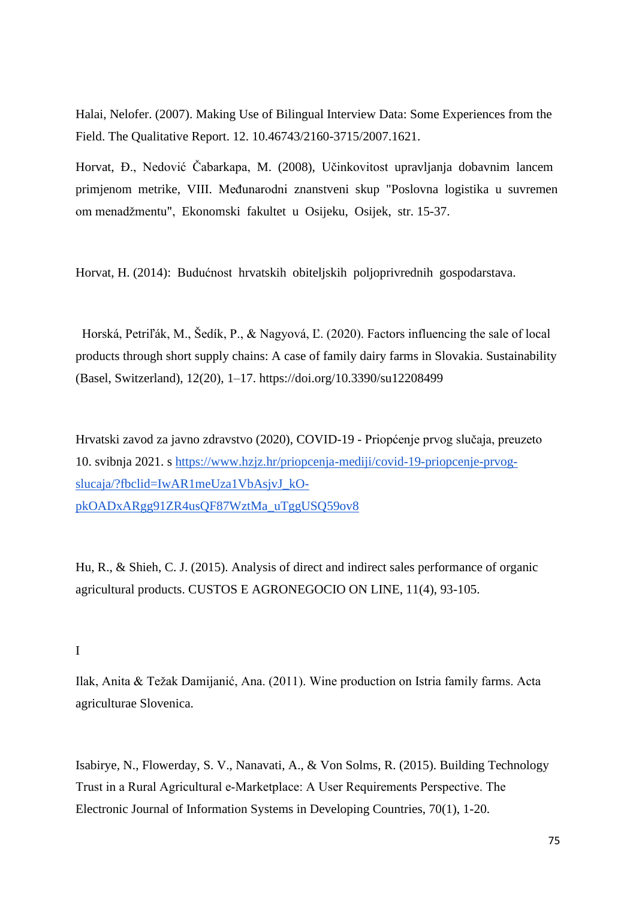Halai, Nelofer. (2007). Making Use of Bilingual Interview Data: Some Experiences from the Field. The Qualitative Report. 12. 10.46743/2160-3715/2007.1621.

Horvat, Đ., Nedović Čabarkapa, M. (2008), Učinkovitost upravljanja dobavnim lancem primjenom metrike, VIII. Međunarodni znanstveni skup "Poslovna logistika u suvremen om menadžmentu", Ekonomski fakultet u Osijeku, Osijek, str. 15-37.

Horvat, H. (2014): Budućnost hrvatskih obiteljskih poljoprivrednih gospodarstava.

 Horská, Petriľák, M., Šedík, P., & Nagyová, Ľ. (2020). Factors influencing the sale of local products through short supply chains: A case of family dairy farms in Slovakia. Sustainability (Basel, Switzerland), 12(20), 1–17. https://doi.org/10.3390/su12208499

Hrvatski zavod za javno zdravstvo (2020), COVID-19 - Priopćenje prvog slučaja, preuzeto 10. svibnja 2021. s [https://www.hzjz.hr/priopcenja-mediji/covid-19-priopcenje-prvog](https://www.hzjz.hr/priopcenja-mediji/covid-19-priopcenje-prvog-slucaja/?fbclid=IwAR1meUza1VbAsjvJ_kO-pkOADxARgg91ZR4usQF87WztMa_uTggUSQ59ov8)[slucaja/?fbclid=IwAR1meUza1VbAsjvJ\\_kO](https://www.hzjz.hr/priopcenja-mediji/covid-19-priopcenje-prvog-slucaja/?fbclid=IwAR1meUza1VbAsjvJ_kO-pkOADxARgg91ZR4usQF87WztMa_uTggUSQ59ov8)[pkOADxARgg91ZR4usQF87WztMa\\_uTggUSQ59ov8](https://www.hzjz.hr/priopcenja-mediji/covid-19-priopcenje-prvog-slucaja/?fbclid=IwAR1meUza1VbAsjvJ_kO-pkOADxARgg91ZR4usQF87WztMa_uTggUSQ59ov8)

Hu, R., & Shieh, C. J. (2015). Analysis of direct and indirect sales performance of organic agricultural products. CUSTOS E AGRONEGOCIO ON LINE, 11(4), 93-105.

#### I

Ilak, Anita & Težak Damijanić, Ana. (2011). Wine production on Istria family farms. Acta agriculturae Slovenica.

Isabirye, N., Flowerday, S. V., Nanavati, A., & Von Solms, R. (2015). Building Technology Trust in a Rural Agricultural e‐Marketplace: A User Requirements Perspective. The Electronic Journal of Information Systems in Developing Countries, 70(1), 1-20.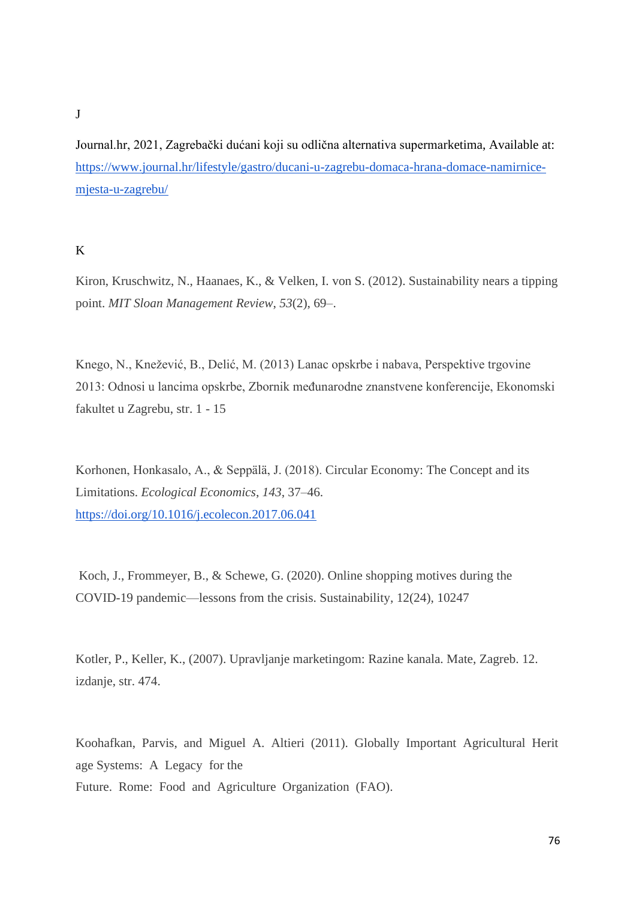#### J

Journal.hr, 2021, Zagrebački dućani koji su odlična alternativa supermarketima, Available at: [https://www.journal.hr/lifestyle/gastro/ducani-u-zagrebu-domaca-hrana-domace-namirnice](https://www.journal.hr/lifestyle/gastro/ducani-u-zagrebu-domaca-hrana-domace-namirnice-mjesta-u-zagrebu/)[mjesta-u-zagrebu/](https://www.journal.hr/lifestyle/gastro/ducani-u-zagrebu-domaca-hrana-domace-namirnice-mjesta-u-zagrebu/)

#### K

Kiron, Kruschwitz, N., Haanaes, K., & Velken, I. von S. (2012). Sustainability nears a tipping point. *MIT Sloan Management Review*, *53*(2), 69–.

Knego, N., Knežević, B., Delić, M. (2013) Lanac opskrbe i nabava, Perspektive trgovine 2013: Odnosi u lancima opskrbe, Zbornik međunarodne znanstvene konferencije, Ekonomski fakultet u Zagrebu, str. 1 - 15

Korhonen, Honkasalo, A., & Seppälä, J. (2018). Circular Economy: The Concept and its Limitations. *Ecological Economics*, *143*, 37–46. <https://doi.org/10.1016/j.ecolecon.2017.06.041>

Koch, J., Frommeyer, B., & Schewe, G. (2020). Online shopping motives during the COVID-19 pandemic—lessons from the crisis. Sustainability, 12(24), 10247

Kotler, P., Keller, K., (2007). Upravljanje marketingom: Razine kanala. Mate, Zagreb. 12. izdanje, str. 474.

Koohafkan, Parvis, and Miguel A. Altieri (2011). Globally Important Agricultural Herit age Systems: A Legacy for the Future. Rome: Food and Agriculture Organization (FAO).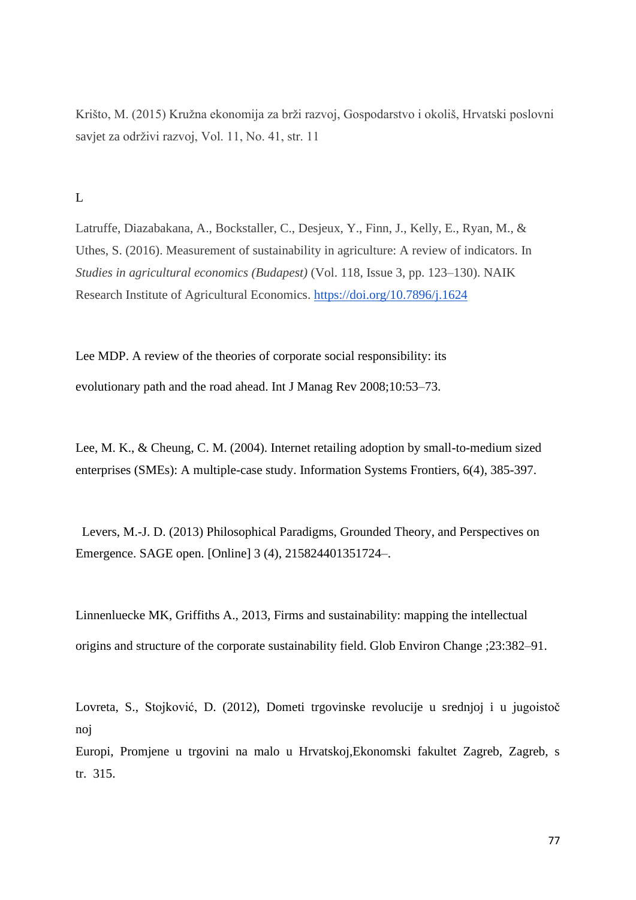Krišto, M. (2015) Kružna ekonomija za brži razvoj, Gospodarstvo i okoliš, Hrvatski poslovni savjet za održivi razvoj, Vol. 11, No. 41, str. 11

L

Latruffe, Diazabakana, A., Bockstaller, C., Desjeux, Y., Finn, J., Kelly, E., Ryan, M., & Uthes, S. (2016). Measurement of sustainability in agriculture: A review of indicators. In *Studies in agricultural economics (Budapest)* (Vol. 118, Issue 3, pp. 123–130). NAIK Research Institute of Agricultural Economics.<https://doi.org/10.7896/j.1624>

Lee MDP. A review of the theories of corporate social responsibility: its evolutionary path and the road ahead. Int J Manag Rev 2008;10:53–73.

Lee, M. K., & Cheung, C. M. (2004). Internet retailing adoption by small-to-medium sized enterprises (SMEs): A multiple-case study. Information Systems Frontiers, 6(4), 385-397.

 Levers, M.-J. D. (2013) Philosophical Paradigms, Grounded Theory, and Perspectives on Emergence. SAGE open. [Online] 3 (4), 215824401351724–.

Linnenluecke MK, Griffiths A., 2013, Firms and sustainability: mapping the intellectual origins and structure of the corporate sustainability field. Glob Environ Change ;23:382–91.

Lovreta, S., Stojković, D. (2012), Dometi trgovinske revolucije u srednjoj i u jugoistoč noj

Europi, Promjene u trgovini na malo u Hrvatskoj,Ekonomski fakultet Zagreb, Zagreb, s tr. 315.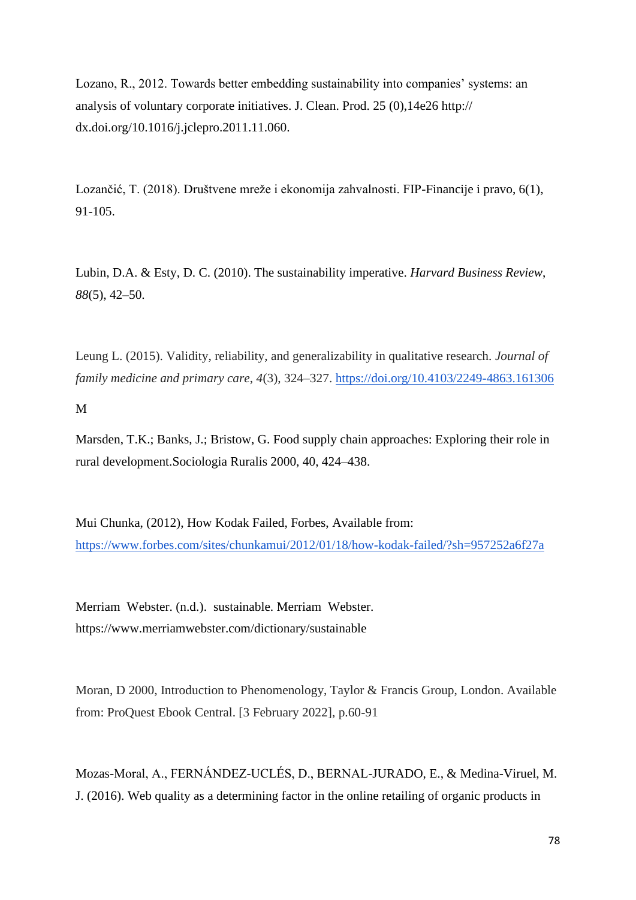Lozano, R., 2012. Towards better embedding sustainability into companies' systems: an analysis of voluntary corporate initiatives. J. Clean. Prod. 25 (0),14e26 http:// dx.doi.org/10.1016/j.jclepro.2011.11.060.

Lozančić, T. (2018). Društvene mreže i ekonomija zahvalnosti. FIP-Financije i pravo, 6(1), 91-105.

Lubin, D.A. & Esty, D. C. (2010). The sustainability imperative. *Harvard Business Review*, *88*(5), 42–50.

Leung L. (2015). Validity, reliability, and generalizability in qualitative research. *Journal of family medicine and primary care*, *4*(3), 324–327.<https://doi.org/10.4103/2249-4863.161306>

M

Marsden, T.K.; Banks, J.; Bristow, G. Food supply chain approaches: Exploring their role in rural development.Sociologia Ruralis 2000, 40, 424–438.

Mui Chunka, (2012), How Kodak Failed, Forbes, Available from: <https://www.forbes.com/sites/chunkamui/2012/01/18/how-kodak-failed/?sh=957252a6f27a>

Merriam Webster. (n.d.). sustainable. Merriam Webster. https://www.merriamwebster.com/dictionary/sustainable

Moran, D 2000, Introduction to Phenomenology, Taylor & Francis Group, London. Available from: ProQuest Ebook Central. [3 February 2022], p.60-91

Mozas-Moral, A., FERNÁNDEZ-UCLÉS, D., BERNAL-JURADO, E., & Medina-Viruel, M. J. (2016). Web quality as a determining factor in the online retailing of organic products in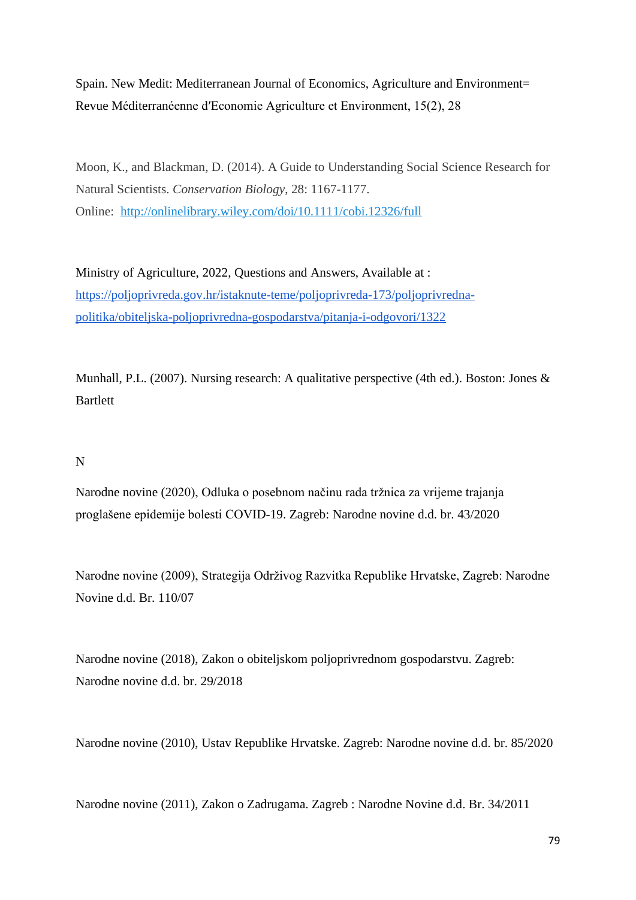Spain. New Medit: Mediterranean Journal of Economics, Agriculture and Environment= Revue Méditerranéenne dʹEconomie Agriculture et Environment, 15(2), 28

Moon, K., and Blackman, D. (2014). A Guide to Understanding Social Science Research for Natural Scientists. *Conservation Biology*, 28: 1167-1177. Online: <http://onlinelibrary.wiley.com/doi/10.1111/cobi.12326/full>

Ministry of Agriculture, 2022, Questions and Answers, Available at : [https://poljoprivreda.gov.hr/istaknute-teme/poljoprivreda-173/poljoprivredna](https://poljoprivreda.gov.hr/istaknute-teme/poljoprivreda-173/poljoprivredna-politika/obiteljska-poljoprivredna-gospodarstva/pitanja-i-odgovori/1322)[politika/obiteljska-poljoprivredna-gospodarstva/pitanja-i-odgovori/1322](https://poljoprivreda.gov.hr/istaknute-teme/poljoprivreda-173/poljoprivredna-politika/obiteljska-poljoprivredna-gospodarstva/pitanja-i-odgovori/1322)

Munhall, P.L. (2007). Nursing research: A qualitative perspective (4th ed.). Boston: Jones & Bartlett

#### N

Narodne novine (2020), Odluka o posebnom načinu rada tržnica za vrijeme trajanja proglašene epidemije bolesti COVID-19. Zagreb: Narodne novine d.d. br. 43/2020

Narodne novine (2009), Strategija Održivog Razvitka Republike Hrvatske, Zagreb: Narodne Novine d.d. Br. 110/07

Narodne novine (2018), Zakon o obiteljskom poljoprivrednom gospodarstvu. Zagreb: Narodne novine d.d. br. 29/2018

Narodne novine (2010), Ustav Republike Hrvatske. Zagreb: Narodne novine d.d. br. 85/2020

Narodne novine (2011), Zakon o Zadrugama. Zagreb : Narodne Novine d.d. Br. 34/2011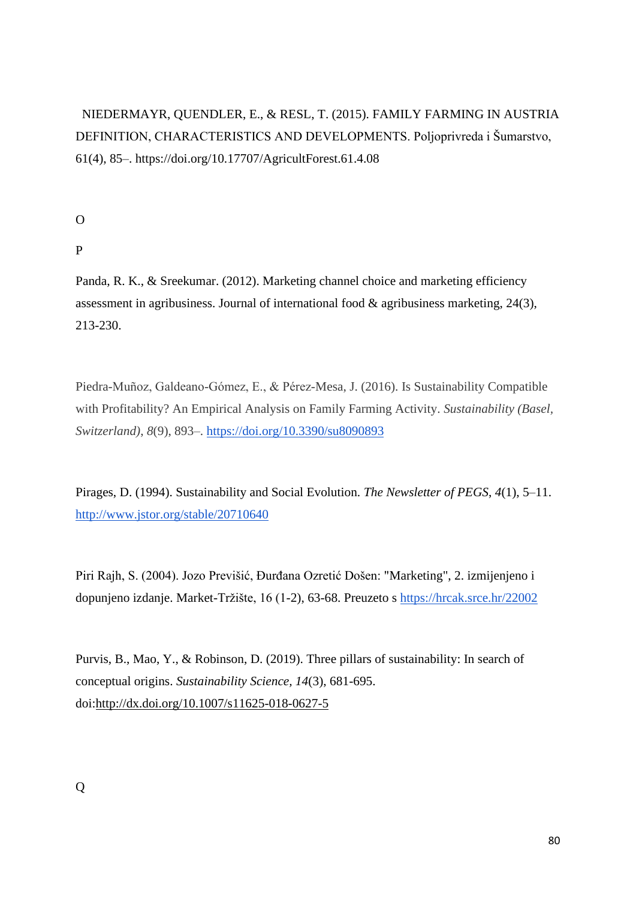# NIEDERMAYR, QUENDLER, E., & RESL, T. (2015). FAMILY FARMING IN AUSTRIA DEFINITION, CHARACTERISTICS AND DEVELOPMENTS. Poljoprivreda i Šumarstvo, 61(4), 85–. https://doi.org/10.17707/AgricultForest.61.4.08

O

P

Panda, R. K., & Sreekumar. (2012). Marketing channel choice and marketing efficiency assessment in agribusiness. Journal of international food & agribusiness marketing, 24(3), 213-230.

Piedra-Muñoz, Galdeano-Gómez, E., & Pérez-Mesa, J. (2016). Is Sustainability Compatible with Profitability? An Empirical Analysis on Family Farming Activity. *Sustainability (Basel, Switzerland)*, *8*(9), 893–.<https://doi.org/10.3390/su8090893>

Pirages, D. (1994). Sustainability and Social Evolution. *The Newsletter of PEGS*, *4*(1), 5–11. <http://www.jstor.org/stable/20710640>

Piri Rajh, S. (2004). Jozo Previšić, Đurđana Ozretić Došen: "Marketing", 2. izmijenjeno i dopunjeno izdanje. Market-Tržište, 16 (1-2), 63-68. Preuzeto s<https://hrcak.srce.hr/22002>

Purvis, B., Mao, Y., & Robinson, D. (2019). Three pillars of sustainability: In search of conceptual origins. *Sustainability Science, 14*(3), 681-695. doi[:http://dx.doi.org/10.1007/s11625-018-0627-5](http://dx.doi.org/10.1007/s11625-018-0627-5)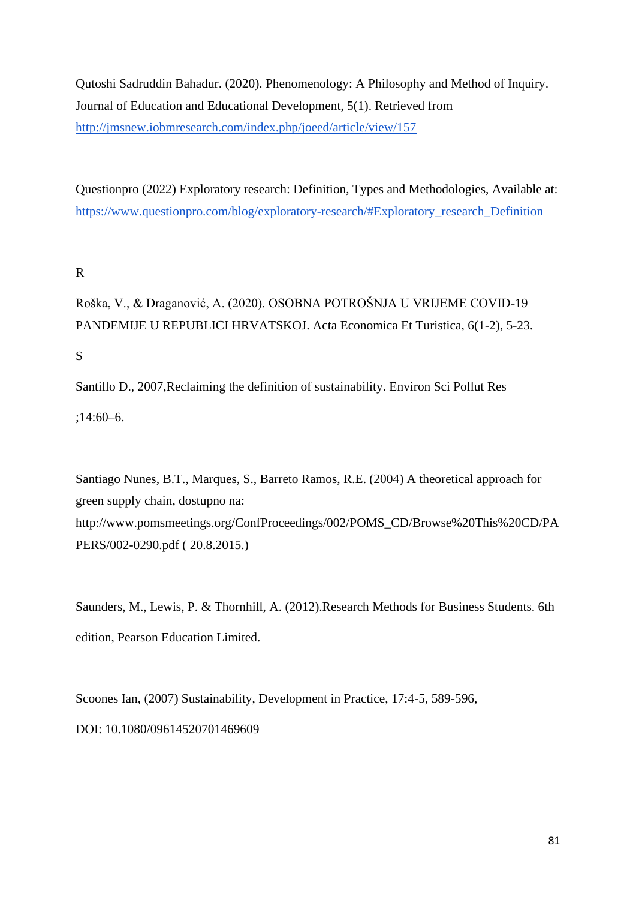Qutoshi Sadruddin Bahadur. (2020). Phenomenology: A Philosophy and Method of Inquiry. Journal of Education and Educational Development, 5(1). Retrieved from <http://jmsnew.iobmresearch.com/index.php/joeed/article/view/157>

Questionpro (2022) Exploratory research: Definition, Types and Methodologies, Available at: [https://www.questionpro.com/blog/exploratory-research/#Exploratory\\_research\\_Definition](https://www.questionpro.com/blog/exploratory-research/#Exploratory_research_Definition)

# R

Roška, V., & Draganović, A. (2020). OSOBNA POTROŠNJA U VRIJEME COVID-19 PANDEMIJE U REPUBLICI HRVATSKOJ. Acta Economica Et Turistica, 6(1-2), 5-23.

S

Santillo D., 2007,Reclaiming the definition of sustainability. Environ Sci Pollut Res ;14:60–6.

Santiago Nunes, B.T., Marques, S., Barreto Ramos, R.E. (2004) A theoretical approach for green supply chain, dostupno na: http://www.pomsmeetings.org/ConfProceedings/002/POMS\_CD/Browse%20This%20CD/PA PERS/002-0290.pdf ( 20.8.2015.)

Saunders, M., Lewis, P. & Thornhill, A. (2012).Research Methods for Business Students. 6th edition, Pearson Education Limited.

Scoones Ian, (2007) Sustainability, Development in Practice, 17:4-5, 589-596, DOI: 10.1080/09614520701469609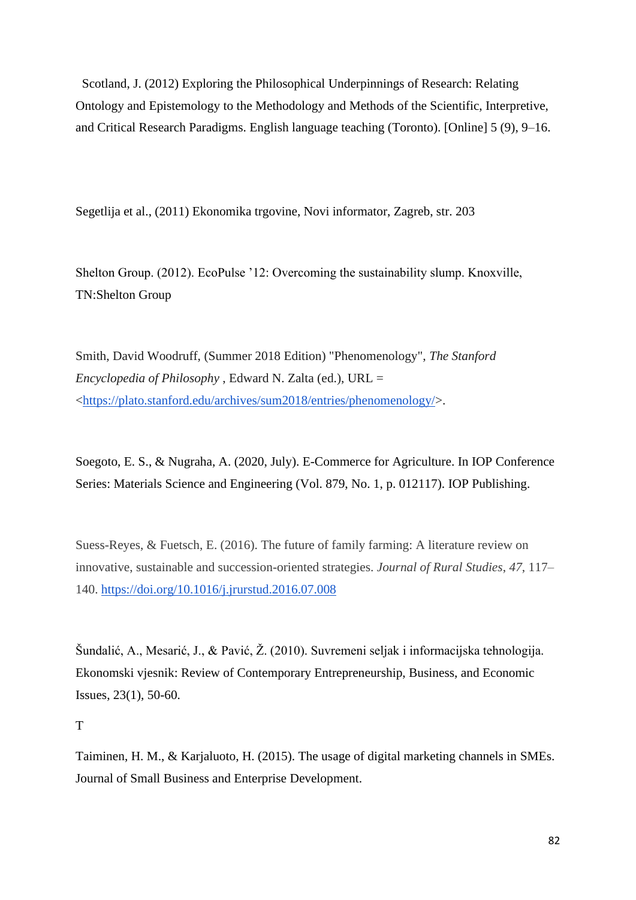Scotland, J. (2012) Exploring the Philosophical Underpinnings of Research: Relating Ontology and Epistemology to the Methodology and Methods of the Scientific, Interpretive, and Critical Research Paradigms. English language teaching (Toronto). [Online] 5 (9), 9–16.

Segetlija et al., (2011) Ekonomika trgovine, Novi informator, Zagreb, str. 203

Shelton Group. (2012). EcoPulse '12: Overcoming the sustainability slump. Knoxville, TN:Shelton Group

Smith, David Woodruff, (Summer 2018 Edition) "Phenomenology", *The Stanford Encyclopedia of Philosophy* , Edward N. Zalta (ed.), URL = [<https://plato.stanford.edu/archives/sum2018/entries/phenomenology/>](https://plato.stanford.edu/archives/sum2018/entries/phenomenology/).

Soegoto, E. S., & Nugraha, A. (2020, July). E-Commerce for Agriculture. In IOP Conference Series: Materials Science and Engineering (Vol. 879, No. 1, p. 012117). IOP Publishing.

Suess-Reyes, & Fuetsch, E. (2016). The future of family farming: A literature review on innovative, sustainable and succession-oriented strategies. *Journal of Rural Studies*, *47*, 117– 140.<https://doi.org/10.1016/j.jrurstud.2016.07.008>

Šundalić, A., Mesarić, J., & Pavić, Ž. (2010). Suvremeni seljak i informacijska tehnologija. Ekonomski vjesnik: Review of Contemporary Entrepreneurship, Business, and Economic Issues, 23(1), 50-60.

#### T

Taiminen, H. M., & Karjaluoto, H. (2015). The usage of digital marketing channels in SMEs. Journal of Small Business and Enterprise Development.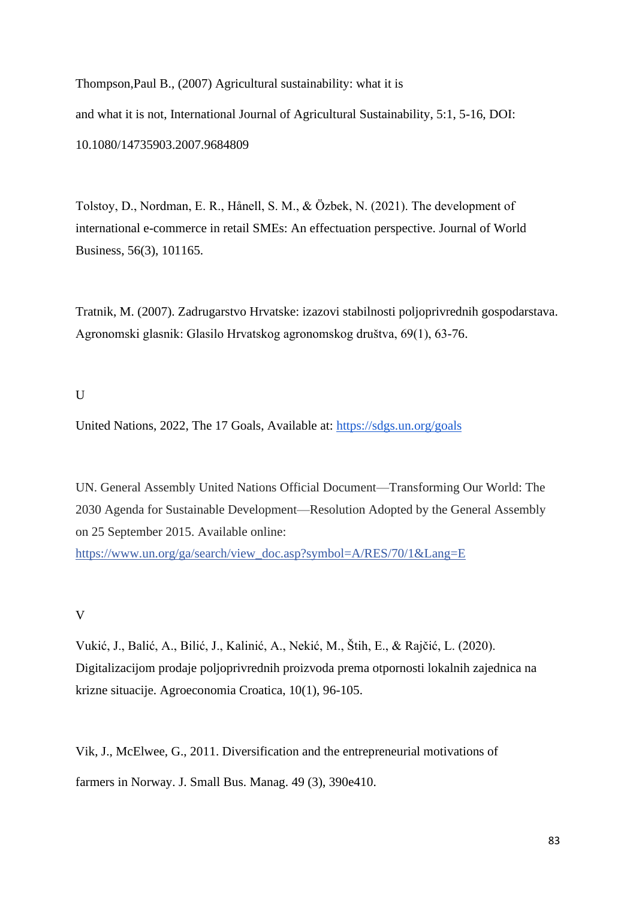Thompson,Paul B., (2007) Agricultural sustainability: what it is and what it is not, International Journal of Agricultural Sustainability, 5:1, 5-16, DOI: 10.1080/14735903.2007.9684809

Tolstoy, D., Nordman, E. R., Hånell, S. M., & Özbek, N. (2021). The development of international e-commerce in retail SMEs: An effectuation perspective. Journal of World Business, 56(3), 101165.

Tratnik, M. (2007). Zadrugarstvo Hrvatske: izazovi stabilnosti poljoprivrednih gospodarstava. Agronomski glasnik: Glasilo Hrvatskog agronomskog društva, 69(1), 63-76.

#### $\mathbf{U}$

United Nations, 2022, The 17 Goals, Available at:<https://sdgs.un.org/goals>

UN. General Assembly United Nations Official Document—Transforming Our World: The 2030 Agenda for Sustainable Development—Resolution Adopted by the General Assembly on 25 September 2015. Available online:

[https://www.un.org/ga/search/view\\_doc.asp?symbol=A/RES/70/1&Lang=E](https://www.un.org/ga/search/view_doc.asp?symbol=A/RES/70/1&Lang=E)

## V

Vukić, J., Balić, A., Bilić, J., Kalinić, A., Nekić, M., Štih, E., & Rajčić, L. (2020). Digitalizacijom prodaje poljoprivrednih proizvoda prema otpornosti lokalnih zajednica na krizne situacije. Agroeconomia Croatica, 10(1), 96-105.

Vik, J., McElwee, G., 2011. Diversification and the entrepreneurial motivations of farmers in Norway. J. Small Bus. Manag. 49 (3), 390e410.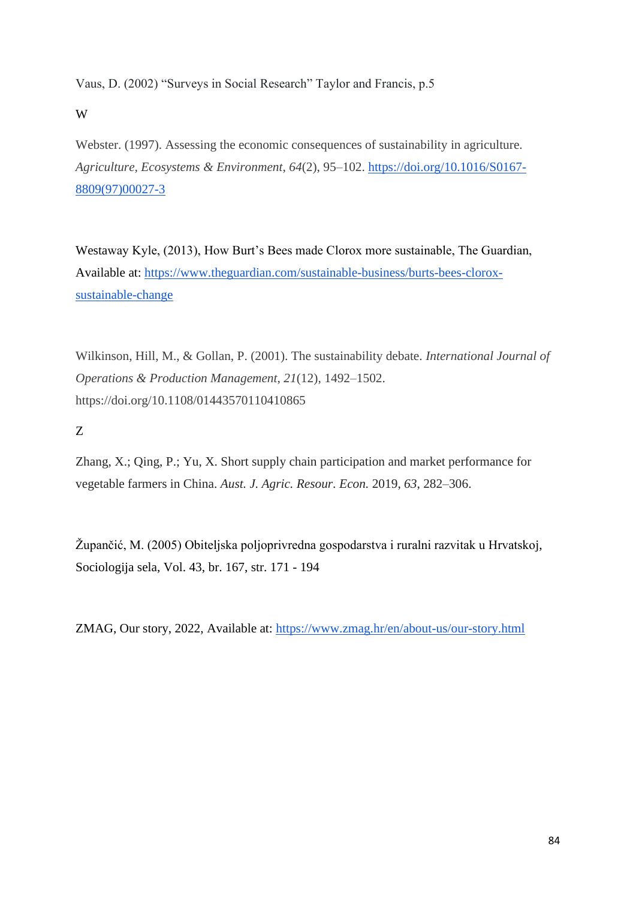Vaus, D. (2002) "Surveys in Social Research" Taylor and Francis, p.5

W

Webster. (1997). Assessing the economic consequences of sustainability in agriculture. *Agriculture, Ecosystems & Environment*, *64*(2), 95–102. [https://doi.org/10.1016/S0167-](https://doi.org/10.1016/S0167-8809(97)00027-3) [8809\(97\)00027-3](https://doi.org/10.1016/S0167-8809(97)00027-3)

Westaway Kyle, (2013), How Burt's Bees made Clorox more sustainable, The Guardian, Available at: [https://www.theguardian.com/sustainable-business/burts-bees-clorox](https://www.theguardian.com/sustainable-business/burts-bees-clorox-sustainable-change)[sustainable-change](https://www.theguardian.com/sustainable-business/burts-bees-clorox-sustainable-change)

Wilkinson, Hill, M., & Gollan, P. (2001). The sustainability debate. *International Journal of Operations & Production Management*, *21*(12), 1492–1502. https://doi.org/10.1108/01443570110410865

Z

Zhang, X.; Qing, P.; Yu, X. Short supply chain participation and market performance for vegetable farmers in China. *Aust. J. Agric. Resour. Econ.* 2019, *63*, 282–306.

Župančić, M. (2005) Obiteljska poljoprivredna gospodarstva i ruralni razvitak u Hrvatskoj, Sociologija sela, Vol. 43, br. 167, str. 171 - 194

ZMAG, Our story, 2022, Available at:<https://www.zmag.hr/en/about-us/our-story.html>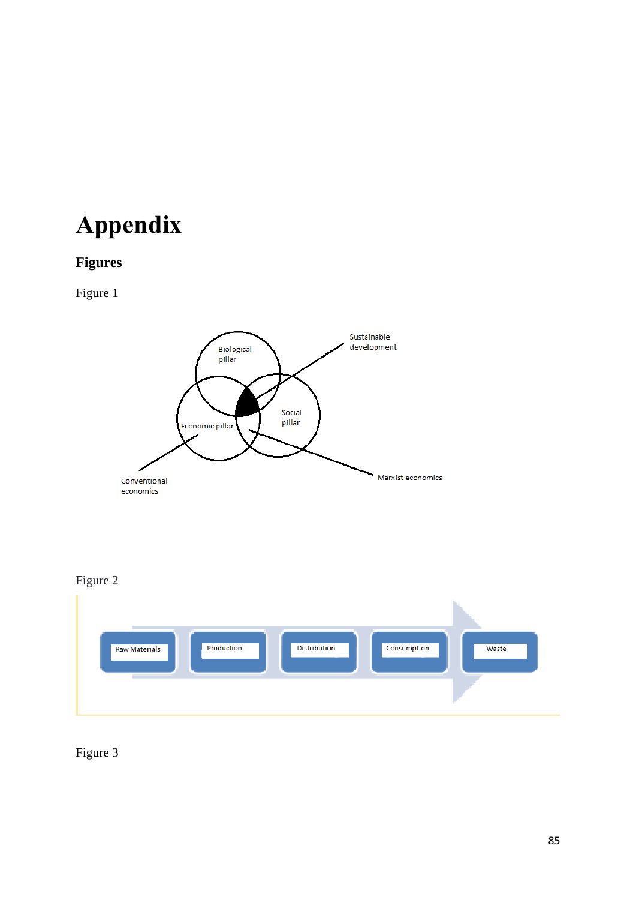# **Appendix**

# **Figures**

Figure 1







Figure 3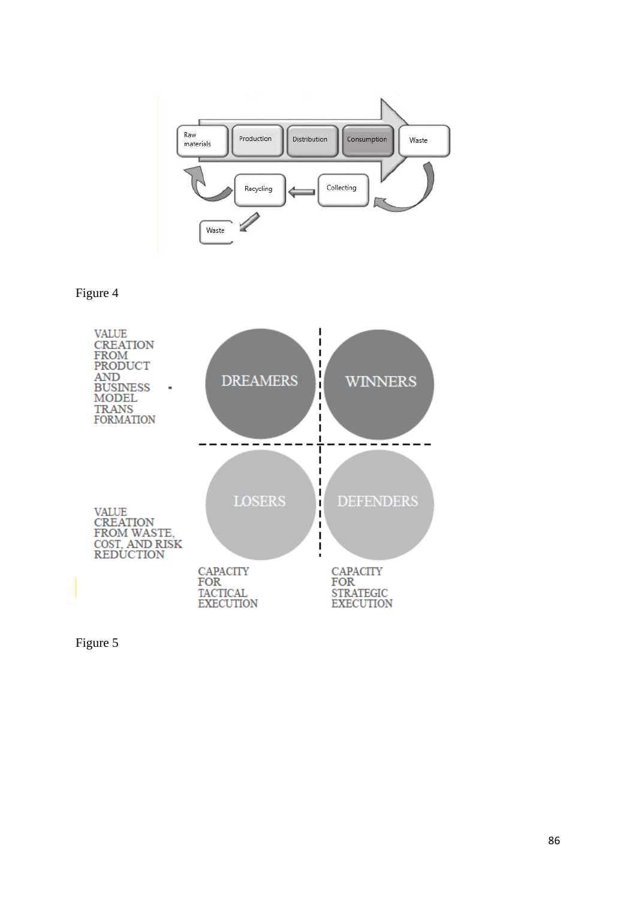

Figure 4



Figure 5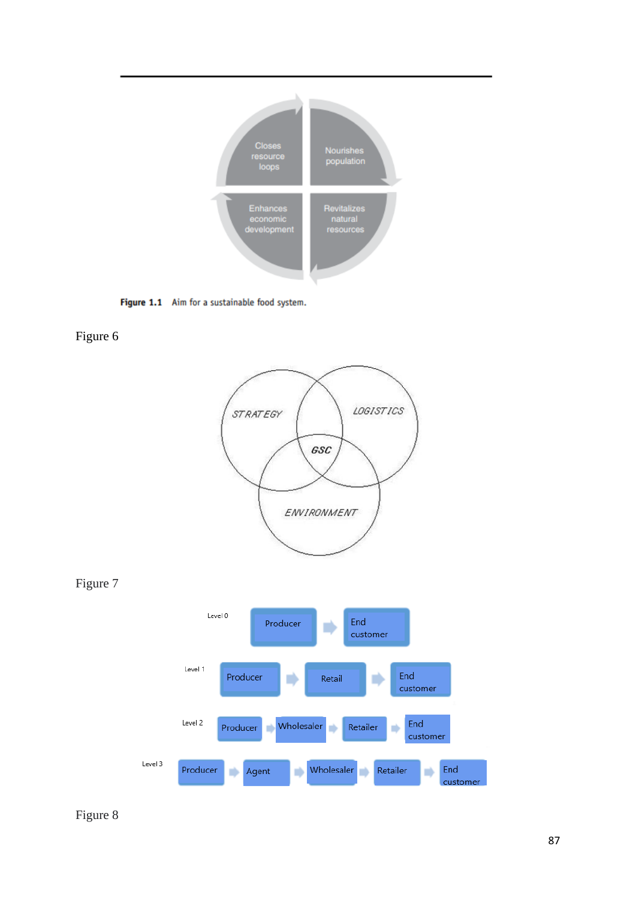

Figure 1.1 Aim for a sustainable food system.

Figure 6







Figure 8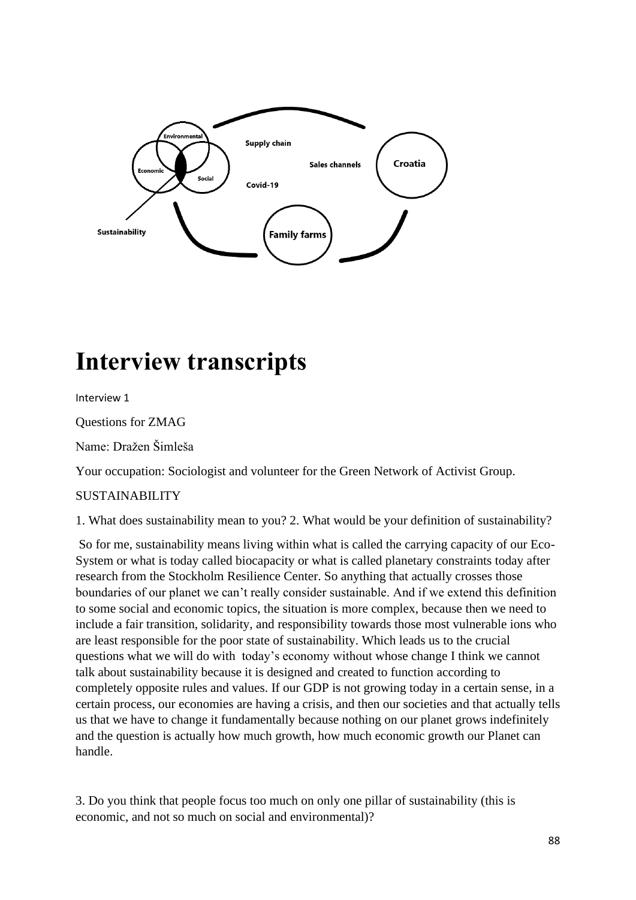

# **Interview transcripts**

Interview 1

Questions for ZMAG

Name: Dražen Šimleša

Your occupation: Sociologist and volunteer for the Green Network of Activist Group.

## SUSTAINABILITY

1. What does sustainability mean to you? 2. What would be your definition of sustainability?

So for me, sustainability means living within what is called the carrying capacity of our Eco-System or what is today called biocapacity or what is called planetary constraints today after research from the Stockholm Resilience Center. So anything that actually crosses those boundaries of our planet we can't really consider sustainable. And if we extend this definition to some social and economic topics, the situation is more complex, because then we need to include a fair transition, solidarity, and responsibility towards those most vulnerable ions who are least responsible for the poor state of sustainability. Which leads us to the crucial questions what we will do with today's economy without whose change I think we cannot talk about sustainability because it is designed and created to function according to completely opposite rules and values. If our GDP is not growing today in a certain sense, in a certain process, our economies are having a crisis, and then our societies and that actually tells us that we have to change it fundamentally because nothing on our planet grows indefinitely and the question is actually how much growth, how much economic growth our Planet can handle.

3. Do you think that people focus too much on only one pillar of sustainability (this is economic, and not so much on social and environmental)?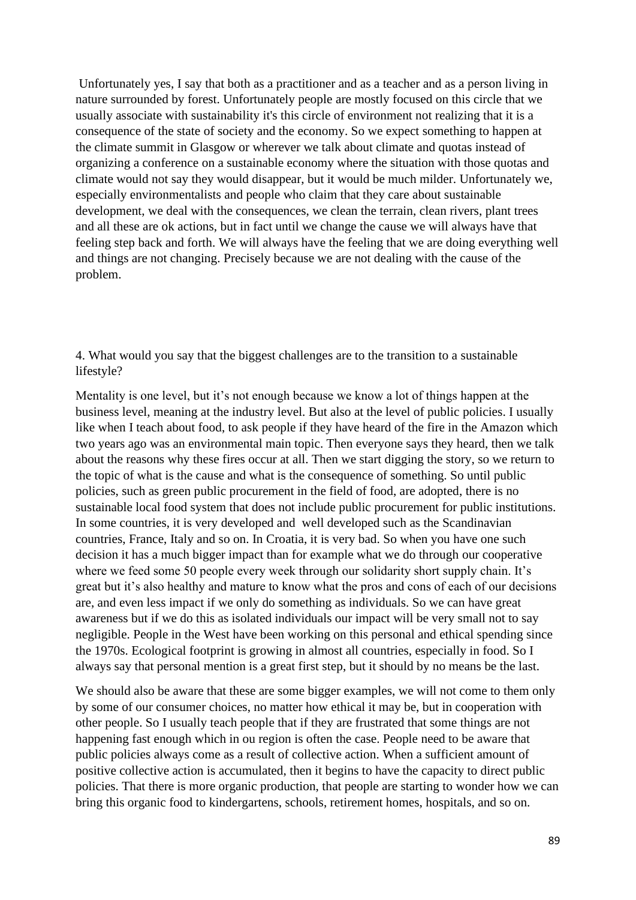Unfortunately yes, I say that both as a practitioner and as a teacher and as a person living in nature surrounded by forest. Unfortunately people are mostly focused on this circle that we usually associate with sustainability it's this circle of environment not realizing that it is a consequence of the state of society and the economy. So we expect something to happen at the climate summit in Glasgow or wherever we talk about climate and quotas instead of organizing a conference on a sustainable economy where the situation with those quotas and climate would not say they would disappear, but it would be much milder. Unfortunately we, especially environmentalists and people who claim that they care about sustainable development, we deal with the consequences, we clean the terrain, clean rivers, plant trees and all these are ok actions, but in fact until we change the cause we will always have that feeling step back and forth. We will always have the feeling that we are doing everything well and things are not changing. Precisely because we are not dealing with the cause of the problem.

4. What would you say that the biggest challenges are to the transition to a sustainable lifestyle?

Mentality is one level, but it's not enough because we know a lot of things happen at the business level, meaning at the industry level. But also at the level of public policies. I usually like when I teach about food, to ask people if they have heard of the fire in the Amazon which two years ago was an environmental main topic. Then everyone says they heard, then we talk about the reasons why these fires occur at all. Then we start digging the story, so we return to the topic of what is the cause and what is the consequence of something. So until public policies, such as green public procurement in the field of food, are adopted, there is no sustainable local food system that does not include public procurement for public institutions. In some countries, it is very developed and well developed such as the Scandinavian countries, France, Italy and so on. In Croatia, it is very bad. So when you have one such decision it has a much bigger impact than for example what we do through our cooperative where we feed some 50 people every week through our solidarity short supply chain. It's great but it's also healthy and mature to know what the pros and cons of each of our decisions are, and even less impact if we only do something as individuals. So we can have great awareness but if we do this as isolated individuals our impact will be very small not to say negligible. People in the West have been working on this personal and ethical spending since the 1970s. Ecological footprint is growing in almost all countries, especially in food. So I always say that personal mention is a great first step, but it should by no means be the last.

We should also be aware that these are some bigger examples, we will not come to them only by some of our consumer choices, no matter how ethical it may be, but in cooperation with other people. So I usually teach people that if they are frustrated that some things are not happening fast enough which in ou region is often the case. People need to be aware that public policies always come as a result of collective action. When a sufficient amount of positive collective action is accumulated, then it begins to have the capacity to direct public policies. That there is more organic production, that people are starting to wonder how we can bring this organic food to kindergartens, schools, retirement homes, hospitals, and so on.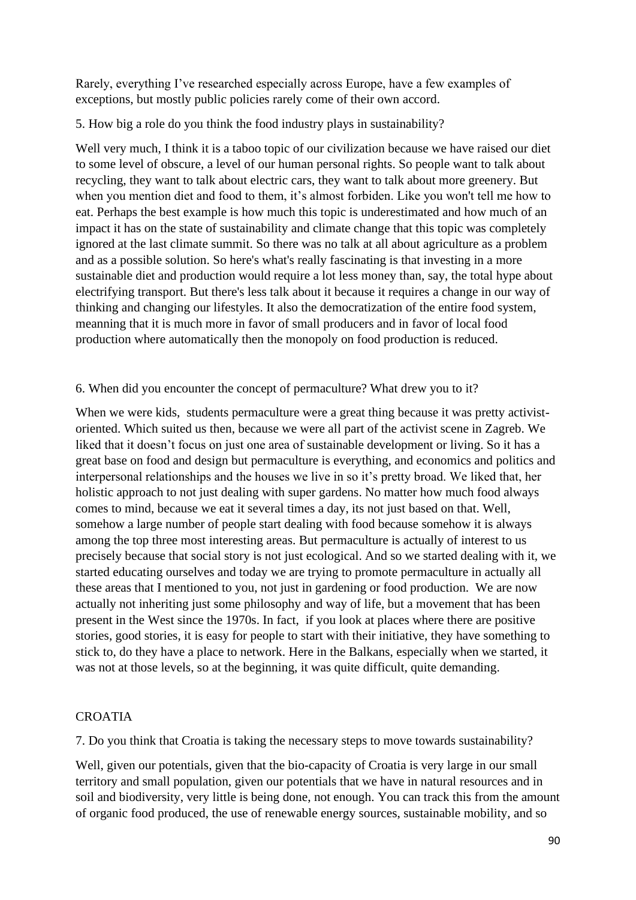Rarely, everything I've researched especially across Europe, have a few examples of exceptions, but mostly public policies rarely come of their own accord.

## 5. How big a role do you think the food industry plays in sustainability?

Well very much. I think it is a taboo topic of our civilization because we have raised our diet to some level of obscure, a level of our human personal rights. So people want to talk about recycling, they want to talk about electric cars, they want to talk about more greenery. But when you mention diet and food to them, it's almost forbiden. Like you won't tell me how to eat. Perhaps the best example is how much this topic is underestimated and how much of an impact it has on the state of sustainability and climate change that this topic was completely ignored at the last climate summit. So there was no talk at all about agriculture as a problem and as a possible solution. So here's what's really fascinating is that investing in a more sustainable diet and production would require a lot less money than, say, the total hype about electrifying transport. But there's less talk about it because it requires a change in our way of thinking and changing our lifestyles. It also the democratization of the entire food system, meanning that it is much more in favor of small producers and in favor of local food production where automatically then the monopoly on food production is reduced.

## 6. When did you encounter the concept of permaculture? What drew you to it?

When we were kids, students permaculture were a great thing because it was pretty activistoriented. Which suited us then, because we were all part of the activist scene in Zagreb. We liked that it doesn't focus on just one area of sustainable development or living. So it has a great base on food and design but permaculture is everything, and economics and politics and interpersonal relationships and the houses we live in so it's pretty broad. We liked that, her holistic approach to not just dealing with super gardens. No matter how much food always comes to mind, because we eat it several times a day, its not just based on that. Well, somehow a large number of people start dealing with food because somehow it is always among the top three most interesting areas. But permaculture is actually of interest to us precisely because that social story is not just ecological. And so we started dealing with it, we started educating ourselves and today we are trying to promote permaculture in actually all these areas that I mentioned to you, not just in gardening or food production. We are now actually not inheriting just some philosophy and way of life, but a movement that has been present in the West since the 1970s. In fact, if you look at places where there are positive stories, good stories, it is easy for people to start with their initiative, they have something to stick to, do they have a place to network. Here in the Balkans, especially when we started, it was not at those levels, so at the beginning, it was quite difficult, quite demanding.

## CROATIA

7. Do you think that Croatia is taking the necessary steps to move towards sustainability?

Well, given our potentials, given that the bio-capacity of Croatia is very large in our small territory and small population, given our potentials that we have in natural resources and in soil and biodiversity, very little is being done, not enough. You can track this from the amount of organic food produced, the use of renewable energy sources, sustainable mobility, and so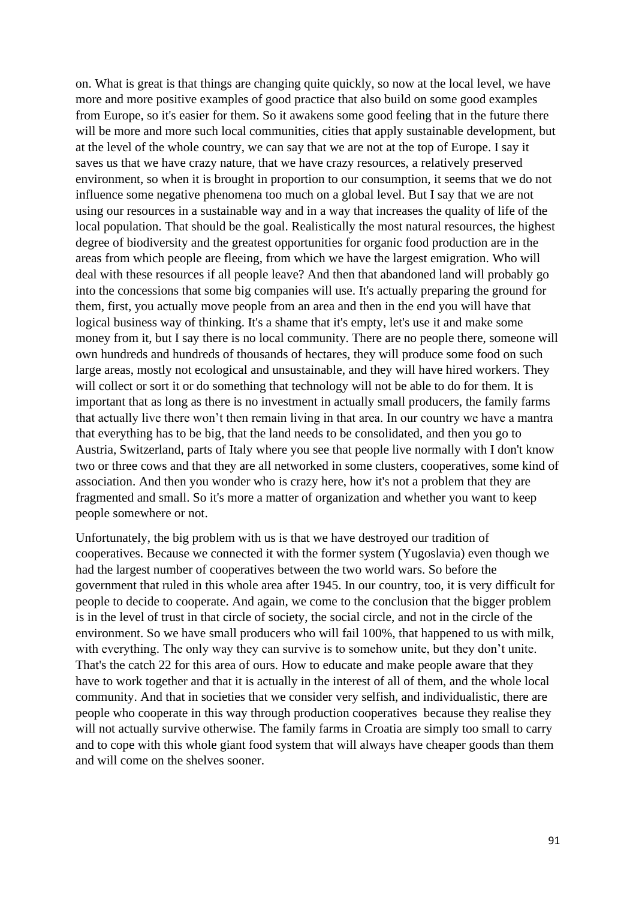on. What is great is that things are changing quite quickly, so now at the local level, we have more and more positive examples of good practice that also build on some good examples from Europe, so it's easier for them. So it awakens some good feeling that in the future there will be more and more such local communities, cities that apply sustainable development, but at the level of the whole country, we can say that we are not at the top of Europe. I say it saves us that we have crazy nature, that we have crazy resources, a relatively preserved environment, so when it is brought in proportion to our consumption, it seems that we do not influence some negative phenomena too much on a global level. But I say that we are not using our resources in a sustainable way and in a way that increases the quality of life of the local population. That should be the goal. Realistically the most natural resources, the highest degree of biodiversity and the greatest opportunities for organic food production are in the areas from which people are fleeing, from which we have the largest emigration. Who will deal with these resources if all people leave? And then that abandoned land will probably go into the concessions that some big companies will use. It's actually preparing the ground for them, first, you actually move people from an area and then in the end you will have that logical business way of thinking. It's a shame that it's empty, let's use it and make some money from it, but I say there is no local community. There are no people there, someone will own hundreds and hundreds of thousands of hectares, they will produce some food on such large areas, mostly not ecological and unsustainable, and they will have hired workers. They will collect or sort it or do something that technology will not be able to do for them. It is important that as long as there is no investment in actually small producers, the family farms that actually live there won't then remain living in that area. In our country we have a mantra that everything has to be big, that the land needs to be consolidated, and then you go to Austria, Switzerland, parts of Italy where you see that people live normally with I don't know two or three cows and that they are all networked in some clusters, cooperatives, some kind of association. And then you wonder who is crazy here, how it's not a problem that they are fragmented and small. So it's more a matter of organization and whether you want to keep people somewhere or not.

Unfortunately, the big problem with us is that we have destroyed our tradition of cooperatives. Because we connected it with the former system (Yugoslavia) even though we had the largest number of cooperatives between the two world wars. So before the government that ruled in this whole area after 1945. In our country, too, it is very difficult for people to decide to cooperate. And again, we come to the conclusion that the bigger problem is in the level of trust in that circle of society, the social circle, and not in the circle of the environment. So we have small producers who will fail 100%, that happened to us with milk, with everything. The only way they can survive is to somehow unite, but they don't unite. That's the catch 22 for this area of ours. How to educate and make people aware that they have to work together and that it is actually in the interest of all of them, and the whole local community. And that in societies that we consider very selfish, and individualistic, there are people who cooperate in this way through production cooperatives because they realise they will not actually survive otherwise. The family farms in Croatia are simply too small to carry and to cope with this whole giant food system that will always have cheaper goods than them and will come on the shelves sooner.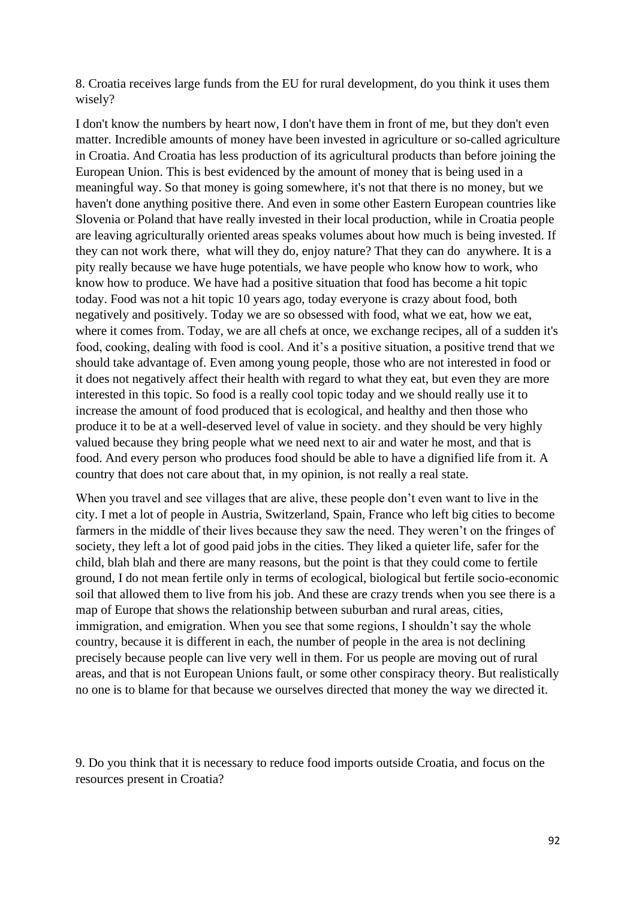8. Croatia receives large funds from the EU for rural development, do you think it uses them wisely?

I don't know the numbers by heart now, I don't have them in front of me, but they don't even matter. Incredible amounts of money have been invested in agriculture or so-called agriculture in Croatia. And Croatia has less production of its agricultural products than before joining the European Union. This is best evidenced by the amount of money that is being used in a meaningful way. So that money is going somewhere, it's not that there is no money, but we haven't done anything positive there. And even in some other Eastern European countries like Slovenia or Poland that have really invested in their local production, while in Croatia people are leaving agriculturally oriented areas speaks volumes about how much is being invested. If they can not work there, what will they do, enjoy nature? That they can do anywhere. It is a pity really because we have huge potentials, we have people who know how to work, who know how to produce. We have had a positive situation that food has become a hit topic today. Food was not a hit topic 10 years ago, today everyone is crazy about food, both negatively and positively. Today we are so obsessed with food, what we eat, how we eat, where it comes from. Today, we are all chefs at once, we exchange recipes, all of a sudden it's food, cooking, dealing with food is cool. And it's a positive situation, a positive trend that we should take advantage of. Even among young people, those who are not interested in food or it does not negatively affect their health with regard to what they eat, but even they are more interested in this topic. So food is a really cool topic today and we should really use it to increase the amount of food produced that is ecological, and healthy and then those who produce it to be at a well-deserved level of value in society. and they should be very highly valued because they bring people what we need next to air and water he most, and that is food. And every person who produces food should be able to have a dignified life from it. A country that does not care about that, in my opinion, is not really a real state.

When you travel and see villages that are alive, these people don't even want to live in the city. I met a lot of people in Austria, Switzerland, Spain, France who left big cities to become farmers in the middle of their lives because they saw the need. They weren't on the fringes of society, they left a lot of good paid jobs in the cities. They liked a quieter life, safer for the child, blah blah and there are many reasons, but the point is that they could come to fertile ground, I do not mean fertile only in terms of ecological, biological but fertile socio-economic soil that allowed them to live from his job. And these are crazy trends when you see there is a map of Europe that shows the relationship between suburban and rural areas, cities, immigration, and emigration. When you see that some regions, I shouldn't say the whole country, because it is different in each, the number of people in the area is not declining precisely because people can live very well in them. For us people are moving out of rural areas, and that is not European Unions fault, or some other conspiracy theory. But realistically no one is to blame for that because we ourselves directed that money the way we directed it.

9. Do you think that it is necessary to reduce food imports outside Croatia, and focus on the resources present in Croatia?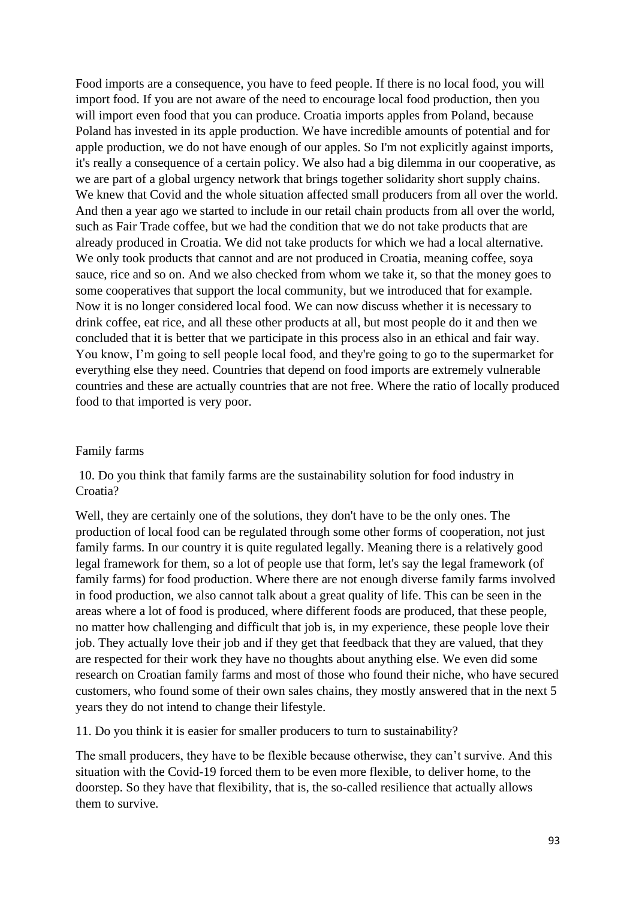Food imports are a consequence, you have to feed people. If there is no local food, you will import food. If you are not aware of the need to encourage local food production, then you will import even food that you can produce. Croatia imports apples from Poland, because Poland has invested in its apple production. We have incredible amounts of potential and for apple production, we do not have enough of our apples. So I'm not explicitly against imports, it's really a consequence of a certain policy. We also had a big dilemma in our cooperative, as we are part of a global urgency network that brings together solidarity short supply chains. We knew that Covid and the whole situation affected small producers from all over the world. And then a year ago we started to include in our retail chain products from all over the world, such as Fair Trade coffee, but we had the condition that we do not take products that are already produced in Croatia. We did not take products for which we had a local alternative. We only took products that cannot and are not produced in Croatia, meaning coffee, soya sauce, rice and so on. And we also checked from whom we take it, so that the money goes to some cooperatives that support the local community, but we introduced that for example. Now it is no longer considered local food. We can now discuss whether it is necessary to drink coffee, eat rice, and all these other products at all, but most people do it and then we concluded that it is better that we participate in this process also in an ethical and fair way. You know, I'm going to sell people local food, and they're going to go to the supermarket for everything else they need. Countries that depend on food imports are extremely vulnerable countries and these are actually countries that are not free. Where the ratio of locally produced food to that imported is very poor.

#### Family farms

10. Do you think that family farms are the sustainability solution for food industry in Croatia?

Well, they are certainly one of the solutions, they don't have to be the only ones. The production of local food can be regulated through some other forms of cooperation, not just family farms. In our country it is quite regulated legally. Meaning there is a relatively good legal framework for them, so a lot of people use that form, let's say the legal framework (of family farms) for food production. Where there are not enough diverse family farms involved in food production, we also cannot talk about a great quality of life. This can be seen in the areas where a lot of food is produced, where different foods are produced, that these people, no matter how challenging and difficult that job is, in my experience, these people love their job. They actually love their job and if they get that feedback that they are valued, that they are respected for their work they have no thoughts about anything else. We even did some research on Croatian family farms and most of those who found their niche, who have secured customers, who found some of their own sales chains, they mostly answered that in the next 5 years they do not intend to change their lifestyle.

11. Do you think it is easier for smaller producers to turn to sustainability?

The small producers, they have to be flexible because otherwise, they can't survive. And this situation with the Covid-19 forced them to be even more flexible, to deliver home, to the doorstep. So they have that flexibility, that is, the so-called resilience that actually allows them to survive.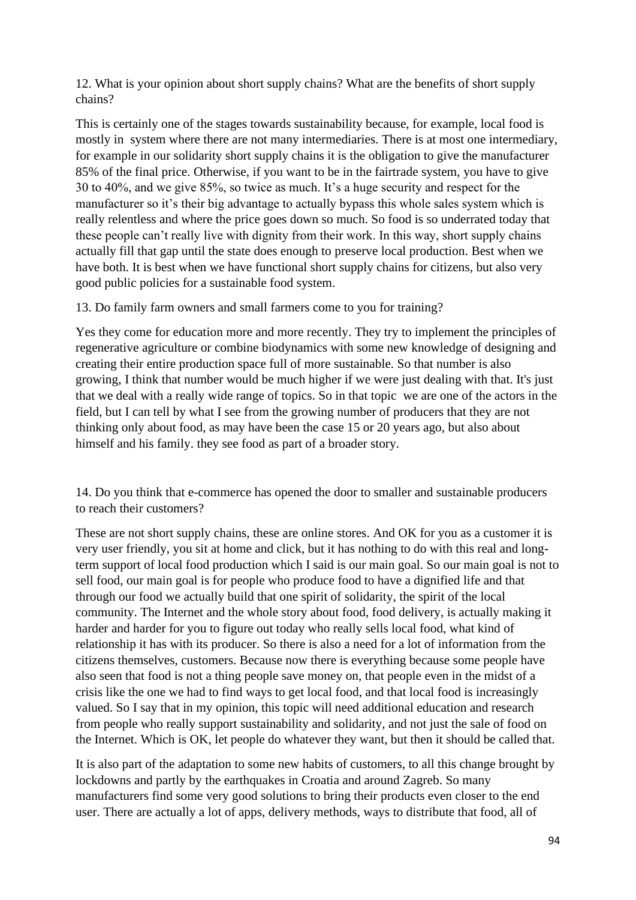12. What is your opinion about short supply chains? What are the benefits of short supply chains?

This is certainly one of the stages towards sustainability because, for example, local food is mostly in system where there are not many intermediaries. There is at most one intermediary, for example in our solidarity short supply chains it is the obligation to give the manufacturer 85% of the final price. Otherwise, if you want to be in the fairtrade system, you have to give 30 to 40%, and we give 85%, so twice as much. It's a huge security and respect for the manufacturer so it's their big advantage to actually bypass this whole sales system which is really relentless and where the price goes down so much. So food is so underrated today that these people can't really live with dignity from their work. In this way, short supply chains actually fill that gap until the state does enough to preserve local production. Best when we have both. It is best when we have functional short supply chains for citizens, but also very good public policies for a sustainable food system.

13. Do family farm owners and small farmers come to you for training?

Yes they come for education more and more recently. They try to implement the principles of regenerative agriculture or combine biodynamics with some new knowledge of designing and creating their entire production space full of more sustainable. So that number is also growing, I think that number would be much higher if we were just dealing with that. It's just that we deal with a really wide range of topics. So in that topic we are one of the actors in the field, but I can tell by what I see from the growing number of producers that they are not thinking only about food, as may have been the case 15 or 20 years ago, but also about himself and his family. they see food as part of a broader story.

14. Do you think that e-commerce has opened the door to smaller and sustainable producers to reach their customers?

These are not short supply chains, these are online stores. And OK for you as a customer it is very user friendly, you sit at home and click, but it has nothing to do with this real and longterm support of local food production which I said is our main goal. So our main goal is not to sell food, our main goal is for people who produce food to have a dignified life and that through our food we actually build that one spirit of solidarity, the spirit of the local community. The Internet and the whole story about food, food delivery, is actually making it harder and harder for you to figure out today who really sells local food, what kind of relationship it has with its producer. So there is also a need for a lot of information from the citizens themselves, customers. Because now there is everything because some people have also seen that food is not a thing people save money on, that people even in the midst of a crisis like the one we had to find ways to get local food, and that local food is increasingly valued. So I say that in my opinion, this topic will need additional education and research from people who really support sustainability and solidarity, and not just the sale of food on the Internet. Which is OK, let people do whatever they want, but then it should be called that.

It is also part of the adaptation to some new habits of customers, to all this change brought by lockdowns and partly by the earthquakes in Croatia and around Zagreb. So many manufacturers find some very good solutions to bring their products even closer to the end user. There are actually a lot of apps, delivery methods, ways to distribute that food, all of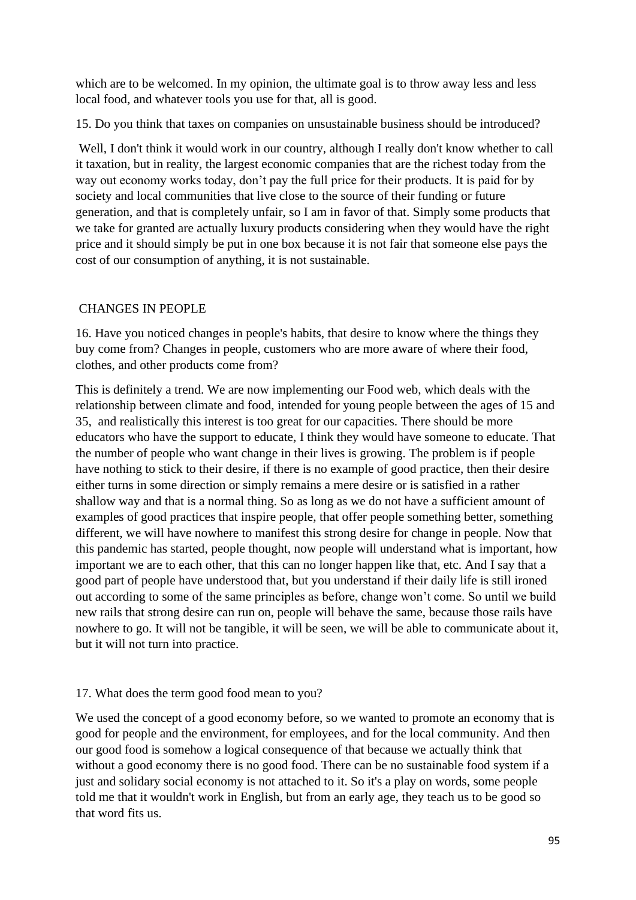which are to be welcomed. In my opinion, the ultimate goal is to throw away less and less local food, and whatever tools you use for that, all is good.

15. Do you think that taxes on companies on unsustainable business should be introduced?

Well, I don't think it would work in our country, although I really don't know whether to call it taxation, but in reality, the largest economic companies that are the richest today from the way out economy works today, don't pay the full price for their products. It is paid for by society and local communities that live close to the source of their funding or future generation, and that is completely unfair, so I am in favor of that. Simply some products that we take for granted are actually luxury products considering when they would have the right price and it should simply be put in one box because it is not fair that someone else pays the cost of our consumption of anything, it is not sustainable.

## CHANGES IN PEOPLE

16. Have you noticed changes in people's habits, that desire to know where the things they buy come from? Changes in people, customers who are more aware of where their food, clothes, and other products come from?

This is definitely a trend. We are now implementing our Food web, which deals with the relationship between climate and food, intended for young people between the ages of 15 and 35, and realistically this interest is too great for our capacities. There should be more educators who have the support to educate, I think they would have someone to educate. That the number of people who want change in their lives is growing. The problem is if people have nothing to stick to their desire, if there is no example of good practice, then their desire either turns in some direction or simply remains a mere desire or is satisfied in a rather shallow way and that is a normal thing. So as long as we do not have a sufficient amount of examples of good practices that inspire people, that offer people something better, something different, we will have nowhere to manifest this strong desire for change in people. Now that this pandemic has started, people thought, now people will understand what is important, how important we are to each other, that this can no longer happen like that, etc. And I say that a good part of people have understood that, but you understand if their daily life is still ironed out according to some of the same principles as before, change won't come. So until we build new rails that strong desire can run on, people will behave the same, because those rails have nowhere to go. It will not be tangible, it will be seen, we will be able to communicate about it, but it will not turn into practice.

## 17. What does the term good food mean to you?

We used the concept of a good economy before, so we wanted to promote an economy that is good for people and the environment, for employees, and for the local community. And then our good food is somehow a logical consequence of that because we actually think that without a good economy there is no good food. There can be no sustainable food system if a just and solidary social economy is not attached to it. So it's a play on words, some people told me that it wouldn't work in English, but from an early age, they teach us to be good so that word fits us.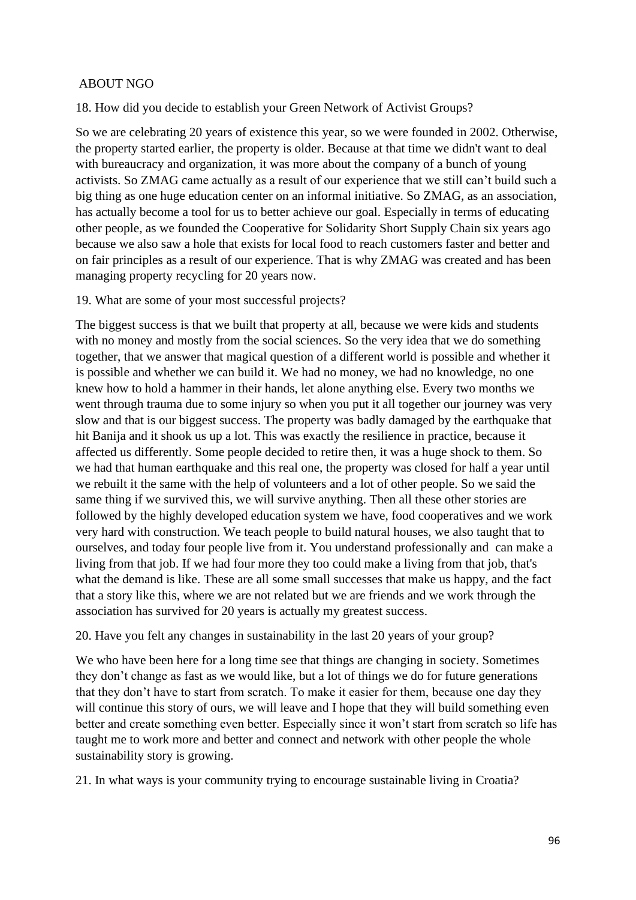## ABOUT NGO

18. How did you decide to establish your Green Network of Activist Groups?

So we are celebrating 20 years of existence this year, so we were founded in 2002. Otherwise, the property started earlier, the property is older. Because at that time we didn't want to deal with bureaucracy and organization, it was more about the company of a bunch of young activists. So ZMAG came actually as a result of our experience that we still can't build such a big thing as one huge education center on an informal initiative. So ZMAG, as an association, has actually become a tool for us to better achieve our goal. Especially in terms of educating other people, as we founded the Cooperative for Solidarity Short Supply Chain six years ago because we also saw a hole that exists for local food to reach customers faster and better and on fair principles as a result of our experience. That is why ZMAG was created and has been managing property recycling for 20 years now.

19. What are some of your most successful projects?

The biggest success is that we built that property at all, because we were kids and students with no money and mostly from the social sciences. So the very idea that we do something together, that we answer that magical question of a different world is possible and whether it is possible and whether we can build it. We had no money, we had no knowledge, no one knew how to hold a hammer in their hands, let alone anything else. Every two months we went through trauma due to some injury so when you put it all together our journey was very slow and that is our biggest success. The property was badly damaged by the earthquake that hit Banija and it shook us up a lot. This was exactly the resilience in practice, because it affected us differently. Some people decided to retire then, it was a huge shock to them. So we had that human earthquake and this real one, the property was closed for half a year until we rebuilt it the same with the help of volunteers and a lot of other people. So we said the same thing if we survived this, we will survive anything. Then all these other stories are followed by the highly developed education system we have, food cooperatives and we work very hard with construction. We teach people to build natural houses, we also taught that to ourselves, and today four people live from it. You understand professionally and can make a living from that job. If we had four more they too could make a living from that job, that's what the demand is like. These are all some small successes that make us happy, and the fact that a story like this, where we are not related but we are friends and we work through the association has survived for 20 years is actually my greatest success.

20. Have you felt any changes in sustainability in the last 20 years of your group?

We who have been here for a long time see that things are changing in society. Sometimes they don't change as fast as we would like, but a lot of things we do for future generations that they don't have to start from scratch. To make it easier for them, because one day they will continue this story of ours, we will leave and I hope that they will build something even better and create something even better. Especially since it won't start from scratch so life has taught me to work more and better and connect and network with other people the whole sustainability story is growing.

21. In what ways is your community trying to encourage sustainable living in Croatia?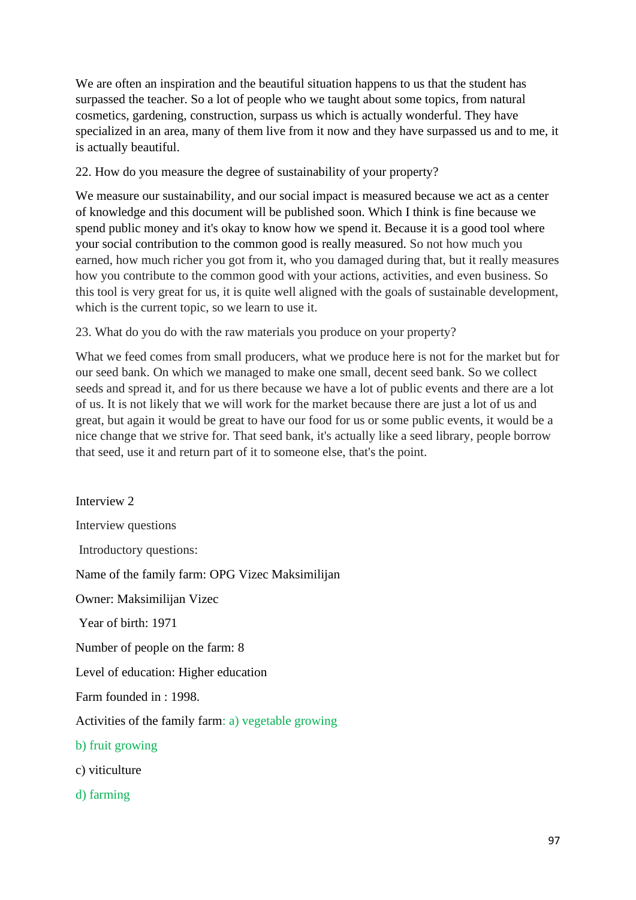We are often an inspiration and the beautiful situation happens to us that the student has surpassed the teacher. So a lot of people who we taught about some topics, from natural cosmetics, gardening, construction, surpass us which is actually wonderful. They have specialized in an area, many of them live from it now and they have surpassed us and to me, it is actually beautiful.

22. How do you measure the degree of sustainability of your property?

We measure our sustainability, and our social impact is measured because we act as a center of knowledge and this document will be published soon. Which I think is fine because we spend public money and it's okay to know how we spend it. Because it is a good tool where your social contribution to the common good is really measured. So not how much you earned, how much richer you got from it, who you damaged during that, but it really measures how you contribute to the common good with your actions, activities, and even business. So this tool is very great for us, it is quite well aligned with the goals of sustainable development, which is the current topic, so we learn to use it.

23. What do you do with the raw materials you produce on your property?

What we feed comes from small producers, what we produce here is not for the market but for our seed bank. On which we managed to make one small, decent seed bank. So we collect seeds and spread it, and for us there because we have a lot of public events and there are a lot of us. It is not likely that we will work for the market because there are just a lot of us and great, but again it would be great to have our food for us or some public events, it would be a nice change that we strive for. That seed bank, it's actually like a seed library, people borrow that seed, use it and return part of it to someone else, that's the point.

Interview 2 Interview questions Introductory questions: Name of the family farm: OPG Vizec Maksimilijan Owner: Maksimilijan Vizec Year of birth: 1971 Number of people on the farm: 8 Level of education: Higher education Farm founded in : 1998. Activities of the family farm: a) vegetable growing b) fruit growing c) viticulture d) farming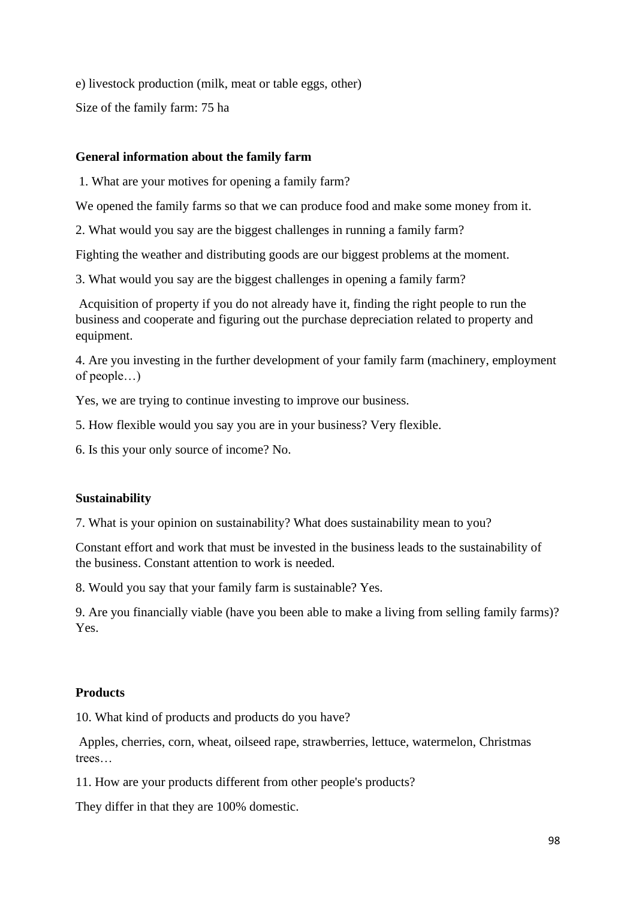e) livestock production (milk, meat or table eggs, other) Size of the family farm: 75 ha

## **General information about the family farm**

1. What are your motives for opening a family farm?

We opened the family farms so that we can produce food and make some money from it.

2. What would you say are the biggest challenges in running a family farm?

Fighting the weather and distributing goods are our biggest problems at the moment.

3. What would you say are the biggest challenges in opening a family farm?

Acquisition of property if you do not already have it, finding the right people to run the business and cooperate and figuring out the purchase depreciation related to property and equipment.

4. Are you investing in the further development of your family farm (machinery, employment of people…)

Yes, we are trying to continue investing to improve our business.

5. How flexible would you say you are in your business? Very flexible.

6. Is this your only source of income? No.

# **Sustainability**

7. What is your opinion on sustainability? What does sustainability mean to you?

Constant effort and work that must be invested in the business leads to the sustainability of the business. Constant attention to work is needed.

8. Would you say that your family farm is sustainable? Yes.

9. Are you financially viable (have you been able to make a living from selling family farms)? Yes.

# **Products**

10. What kind of products and products do you have?

Apples, cherries, corn, wheat, oilseed rape, strawberries, lettuce, watermelon, Christmas trees…

11. How are your products different from other people's products?

They differ in that they are 100% domestic.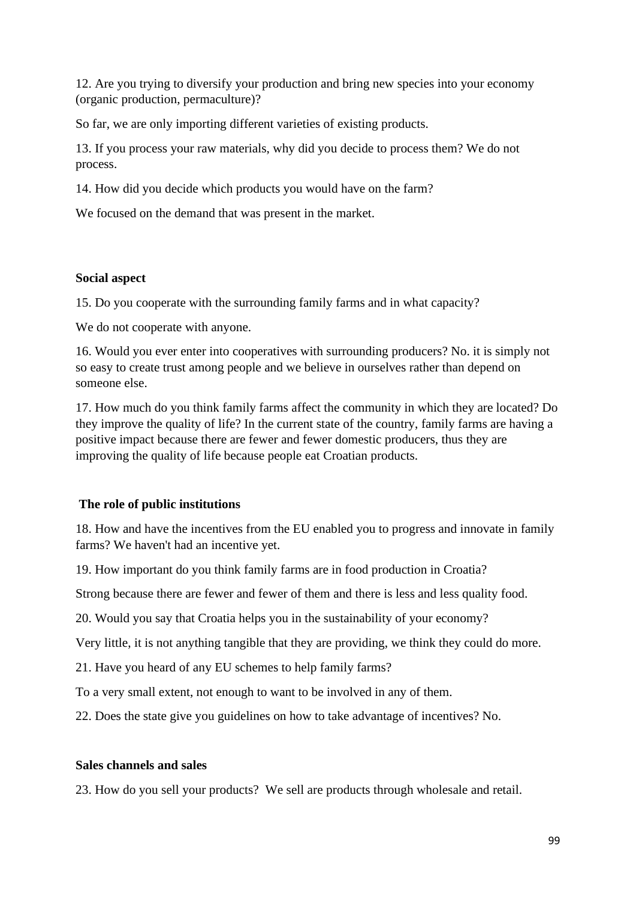12. Are you trying to diversify your production and bring new species into your economy (organic production, permaculture)?

So far, we are only importing different varieties of existing products.

13. If you process your raw materials, why did you decide to process them? We do not process.

14. How did you decide which products you would have on the farm?

We focused on the demand that was present in the market.

## **Social aspect**

15. Do you cooperate with the surrounding family farms and in what capacity?

We do not cooperate with anyone.

16. Would you ever enter into cooperatives with surrounding producers? No. it is simply not so easy to create trust among people and we believe in ourselves rather than depend on someone else.

17. How much do you think family farms affect the community in which they are located? Do they improve the quality of life? In the current state of the country, family farms are having a positive impact because there are fewer and fewer domestic producers, thus they are improving the quality of life because people eat Croatian products.

## **The role of public institutions**

18. How and have the incentives from the EU enabled you to progress and innovate in family farms? We haven't had an incentive yet.

19. How important do you think family farms are in food production in Croatia?

Strong because there are fewer and fewer of them and there is less and less quality food.

20. Would you say that Croatia helps you in the sustainability of your economy?

Very little, it is not anything tangible that they are providing, we think they could do more.

21. Have you heard of any EU schemes to help family farms?

To a very small extent, not enough to want to be involved in any of them.

22. Does the state give you guidelines on how to take advantage of incentives? No.

## **Sales channels and sales**

23. How do you sell your products? We sell are products through wholesale and retail.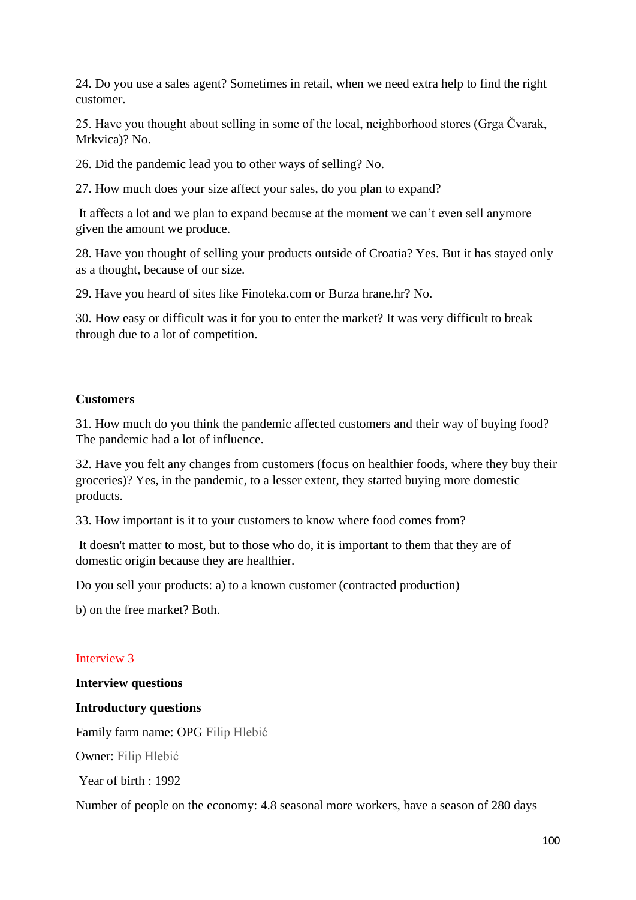24. Do you use a sales agent? Sometimes in retail, when we need extra help to find the right customer.

25. Have you thought about selling in some of the local, neighborhood stores (Grga Čvarak, Mrkvica)? No.

26. Did the pandemic lead you to other ways of selling? No.

27. How much does your size affect your sales, do you plan to expand?

It affects a lot and we plan to expand because at the moment we can't even sell anymore given the amount we produce.

28. Have you thought of selling your products outside of Croatia? Yes. But it has stayed only as a thought, because of our size.

29. Have you heard of sites like Finoteka.com or Burza hrane.hr? No.

30. How easy or difficult was it for you to enter the market? It was very difficult to break through due to a lot of competition.

#### **Customers**

31. How much do you think the pandemic affected customers and their way of buying food? The pandemic had a lot of influence.

32. Have you felt any changes from customers (focus on healthier foods, where they buy their groceries)? Yes, in the pandemic, to a lesser extent, they started buying more domestic products.

33. How important is it to your customers to know where food comes from?

It doesn't matter to most, but to those who do, it is important to them that they are of domestic origin because they are healthier.

Do you sell your products: a) to a known customer (contracted production)

b) on the free market? Both.

## Interview 3

#### **Interview questions**

#### **Introductory questions**

Family farm name: OPG Filip Hlebić

Owner: Filip Hlebić

Year of birth : 1992

Number of people on the economy: 4.8 seasonal more workers, have a season of 280 days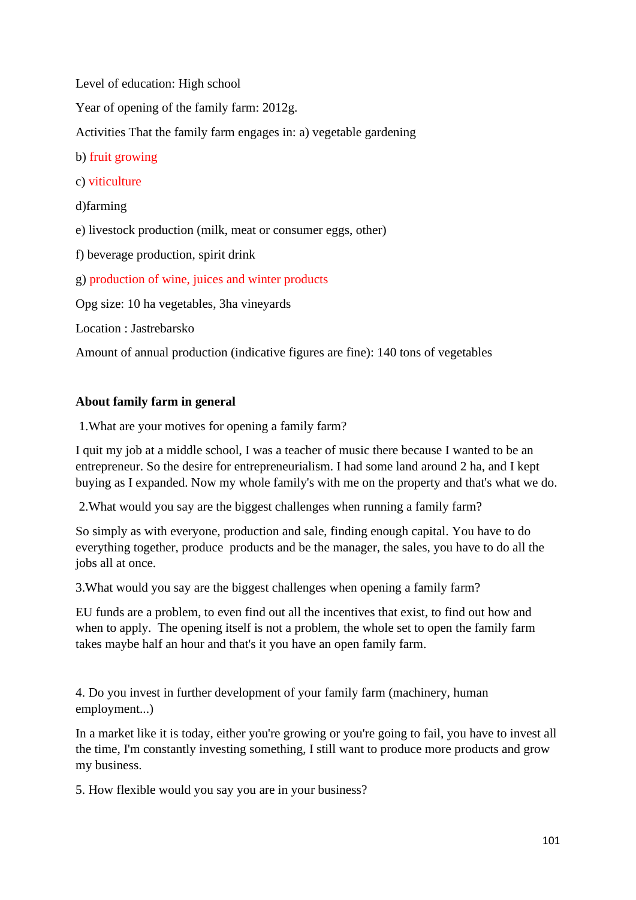Level of education: High school

Year of opening of the family farm: 2012g.

Activities That the family farm engages in: a) vegetable gardening

b) fruit growing

c) viticulture

d)farming

e) livestock production (milk, meat or consumer eggs, other)

f) beverage production, spirit drink

g) production of wine, juices and winter products

Opg size: 10 ha vegetables, 3ha vineyards

Location : Jastrebarsko

Amount of annual production (indicative figures are fine): 140 tons of vegetables

# **About family farm in general**

1.What are your motives for opening a family farm?

I quit my job at a middle school, I was a teacher of music there because I wanted to be an entrepreneur. So the desire for entrepreneurialism. I had some land around 2 ha, and I kept buying as I expanded. Now my whole family's with me on the property and that's what we do.

2.What would you say are the biggest challenges when running a family farm?

So simply as with everyone, production and sale, finding enough capital. You have to do everything together, produce products and be the manager, the sales, you have to do all the jobs all at once.

3.What would you say are the biggest challenges when opening a family farm?

EU funds are a problem, to even find out all the incentives that exist, to find out how and when to apply. The opening itself is not a problem, the whole set to open the family farm takes maybe half an hour and that's it you have an open family farm.

4. Do you invest in further development of your family farm (machinery, human employment...)

In a market like it is today, either you're growing or you're going to fail, you have to invest all the time, I'm constantly investing something, I still want to produce more products and grow my business.

5. How flexible would you say you are in your business?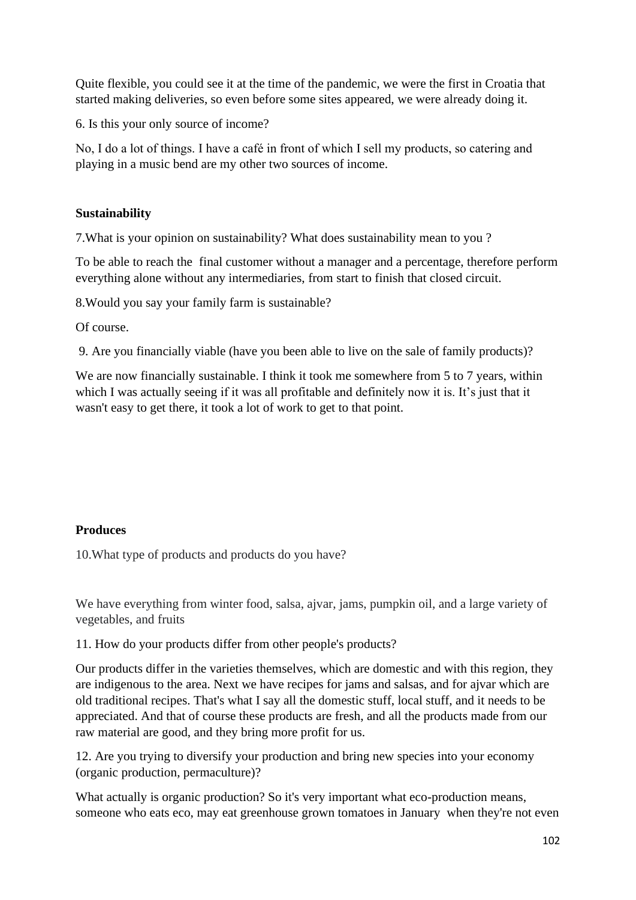Quite flexible, you could see it at the time of the pandemic, we were the first in Croatia that started making deliveries, so even before some sites appeared, we were already doing it.

6. Is this your only source of income?

No, I do a lot of things. I have a café in front of which I sell my products, so catering and playing in a music bend are my other two sources of income.

# **Sustainability**

7.What is your opinion on sustainability? What does sustainability mean to you ?

To be able to reach the final customer without a manager and a percentage, therefore perform everything alone without any intermediaries, from start to finish that closed circuit.

8.Would you say your family farm is sustainable?

Of course.

9. Are you financially viable (have you been able to live on the sale of family products)?

We are now financially sustainable. I think it took me somewhere from 5 to 7 years, within which I was actually seeing if it was all profitable and definitely now it is. It's just that it wasn't easy to get there, it took a lot of work to get to that point.

## **Produces**

10.What type of products and products do you have?

We have everything from winter food, salsa, ajvar, jams, pumpkin oil, and a large variety of vegetables, and fruits

11. How do your products differ from other people's products?

Our products differ in the varieties themselves, which are domestic and with this region, they are indigenous to the area. Next we have recipes for jams and salsas, and for ajvar which are old traditional recipes. That's what I say all the domestic stuff, local stuff, and it needs to be appreciated. And that of course these products are fresh, and all the products made from our raw material are good, and they bring more profit for us.

12. Are you trying to diversify your production and bring new species into your economy (organic production, permaculture)?

What actually is organic production? So it's very important what eco-production means, someone who eats eco, may eat greenhouse grown tomatoes in January when they're not even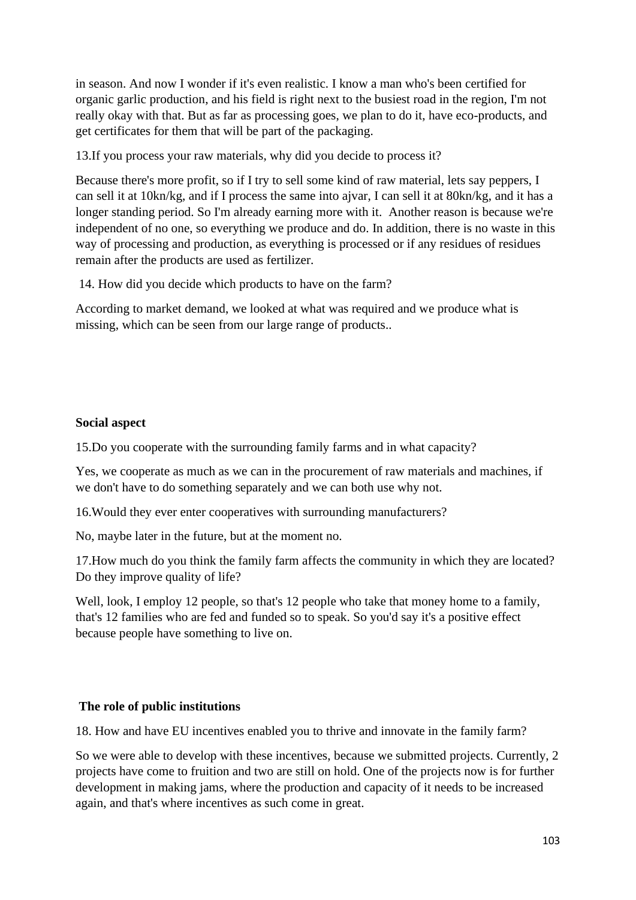in season. And now I wonder if it's even realistic. I know a man who's been certified for organic garlic production, and his field is right next to the busiest road in the region, I'm not really okay with that. But as far as processing goes, we plan to do it, have eco-products, and get certificates for them that will be part of the packaging.

13.If you process your raw materials, why did you decide to process it?

Because there's more profit, so if I try to sell some kind of raw material, lets say peppers, I can sell it at 10kn/kg, and if I process the same into ajvar, I can sell it at 80kn/kg, and it has a longer standing period. So I'm already earning more with it. Another reason is because we're independent of no one, so everything we produce and do. In addition, there is no waste in this way of processing and production, as everything is processed or if any residues of residues remain after the products are used as fertilizer.

14. How did you decide which products to have on the farm?

According to market demand, we looked at what was required and we produce what is missing, which can be seen from our large range of products..

## **Social aspect**

15.Do you cooperate with the surrounding family farms and in what capacity?

Yes, we cooperate as much as we can in the procurement of raw materials and machines, if we don't have to do something separately and we can both use why not.

16.Would they ever enter cooperatives with surrounding manufacturers?

No, maybe later in the future, but at the moment no.

17.How much do you think the family farm affects the community in which they are located? Do they improve quality of life?

Well, look, I employ 12 people, so that's 12 people who take that money home to a family, that's 12 families who are fed and funded so to speak. So you'd say it's a positive effect because people have something to live on.

## **The role of public institutions**

18. How and have EU incentives enabled you to thrive and innovate in the family farm?

So we were able to develop with these incentives, because we submitted projects. Currently, 2 projects have come to fruition and two are still on hold. One of the projects now is for further development in making jams, where the production and capacity of it needs to be increased again, and that's where incentives as such come in great.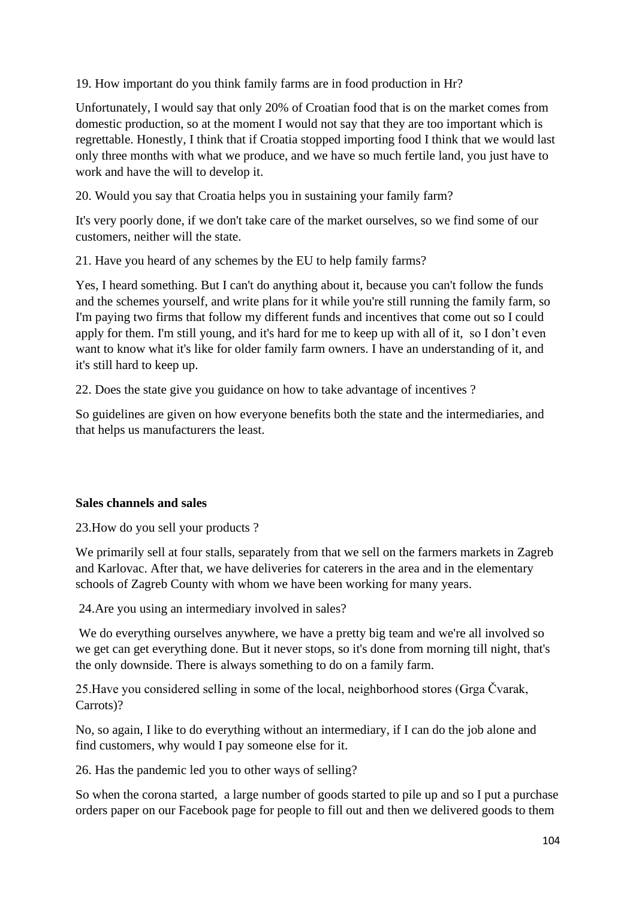19. How important do you think family farms are in food production in Hr?

Unfortunately, I would say that only 20% of Croatian food that is on the market comes from domestic production, so at the moment I would not say that they are too important which is regrettable. Honestly, I think that if Croatia stopped importing food I think that we would last only three months with what we produce, and we have so much fertile land, you just have to work and have the will to develop it.

20. Would you say that Croatia helps you in sustaining your family farm?

It's very poorly done, if we don't take care of the market ourselves, so we find some of our customers, neither will the state.

21. Have you heard of any schemes by the EU to help family farms?

Yes, I heard something. But I can't do anything about it, because you can't follow the funds and the schemes yourself, and write plans for it while you're still running the family farm, so I'm paying two firms that follow my different funds and incentives that come out so I could apply for them. I'm still young, and it's hard for me to keep up with all of it, so I don't even want to know what it's like for older family farm owners. I have an understanding of it, and it's still hard to keep up.

22. Does the state give you guidance on how to take advantage of incentives ?

So guidelines are given on how everyone benefits both the state and the intermediaries, and that helps us manufacturers the least.

## **Sales channels and sales**

23.How do you sell your products ?

We primarily sell at four stalls, separately from that we sell on the farmers markets in Zagreb and Karlovac. After that, we have deliveries for caterers in the area and in the elementary schools of Zagreb County with whom we have been working for many years.

24.Are you using an intermediary involved in sales?

We do everything ourselves anywhere, we have a pretty big team and we're all involved so we get can get everything done. But it never stops, so it's done from morning till night, that's the only downside. There is always something to do on a family farm.

25.Have you considered selling in some of the local, neighborhood stores (Grga Čvarak, Carrots)?

No, so again, I like to do everything without an intermediary, if I can do the job alone and find customers, why would I pay someone else for it.

26. Has the pandemic led you to other ways of selling?

So when the corona started, a large number of goods started to pile up and so I put a purchase orders paper on our Facebook page for people to fill out and then we delivered goods to them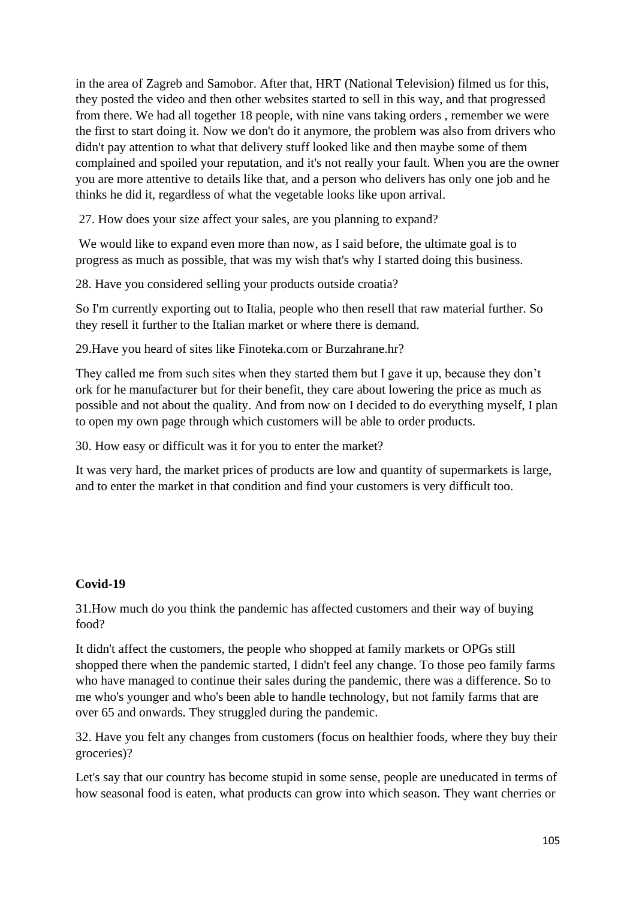in the area of Zagreb and Samobor. After that, HRT (National Television) filmed us for this, they posted the video and then other websites started to sell in this way, and that progressed from there. We had all together 18 people, with nine vans taking orders , remember we were the first to start doing it. Now we don't do it anymore, the problem was also from drivers who didn't pay attention to what that delivery stuff looked like and then maybe some of them complained and spoiled your reputation, and it's not really your fault. When you are the owner you are more attentive to details like that, and a person who delivers has only one job and he thinks he did it, regardless of what the vegetable looks like upon arrival.

27. How does your size affect your sales, are you planning to expand?

We would like to expand even more than now, as I said before, the ultimate goal is to progress as much as possible, that was my wish that's why I started doing this business.

28. Have you considered selling your products outside croatia?

So I'm currently exporting out to Italia, people who then resell that raw material further. So they resell it further to the Italian market or where there is demand.

29.Have you heard of sites like Finoteka.com or Burzahrane.hr?

They called me from such sites when they started them but I gave it up, because they don't ork for he manufacturer but for their benefit, they care about lowering the price as much as possible and not about the quality. And from now on I decided to do everything myself, I plan to open my own page through which customers will be able to order products.

30. How easy or difficult was it for you to enter the market?

It was very hard, the market prices of products are low and quantity of supermarkets is large, and to enter the market in that condition and find your customers is very difficult too.

## **Covid-19**

31.How much do you think the pandemic has affected customers and their way of buying food?

It didn't affect the customers, the people who shopped at family markets or OPGs still shopped there when the pandemic started, I didn't feel any change. To those peo family farms who have managed to continue their sales during the pandemic, there was a difference. So to me who's younger and who's been able to handle technology, but not family farms that are over 65 and onwards. They struggled during the pandemic.

32. Have you felt any changes from customers (focus on healthier foods, where they buy their groceries)?

Let's say that our country has become stupid in some sense, people are uneducated in terms of how seasonal food is eaten, what products can grow into which season. They want cherries or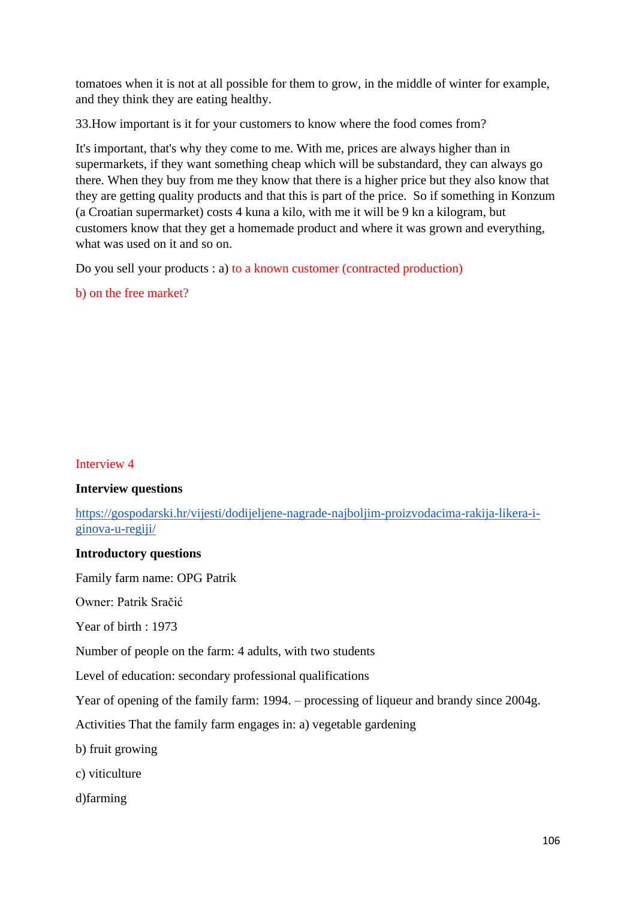tomatoes when it is not at all possible for them to grow, in the middle of winter for example, and they think they are eating healthy.

33.How important is it for your customers to know where the food comes from?

It's important, that's why they come to me. With me, prices are always higher than in supermarkets, if they want something cheap which will be substandard, they can always go there. When they buy from me they know that there is a higher price but they also know that they are getting quality products and that this is part of the price. So if something in Konzum (a Croatian supermarket) costs 4 kuna a kilo, with me it will be 9 kn a kilogram, but customers know that they get a homemade product and where it was grown and everything, what was used on it and so on.

Do you sell your products : a) to a known customer (contracted production)

b) on the free market?

## Interview 4

## **Interview questions**

[https://gospodarski.hr/vijesti/dodijeljene-nagrade-najboljim-proizvodacima-rakija-likera-i](https://gospodarski.hr/vijesti/dodijeljene-nagrade-najboljim-proizvodacima-rakija-likera-i-ginova-u-regiji/)[ginova-u-regiji/](https://gospodarski.hr/vijesti/dodijeljene-nagrade-najboljim-proizvodacima-rakija-likera-i-ginova-u-regiji/)

## **Introductory questions**

Family farm name: OPG Patrik

Owner: Patrik Sračić

Year of birth : 1973

Number of people on the farm: 4 adults, with two students

Level of education: secondary professional qualifications

Year of opening of the family farm: 1994. – processing of liqueur and brandy since 2004g.

Activities That the family farm engages in: a) vegetable gardening

- b) fruit growing
- c) viticulture
- d)farming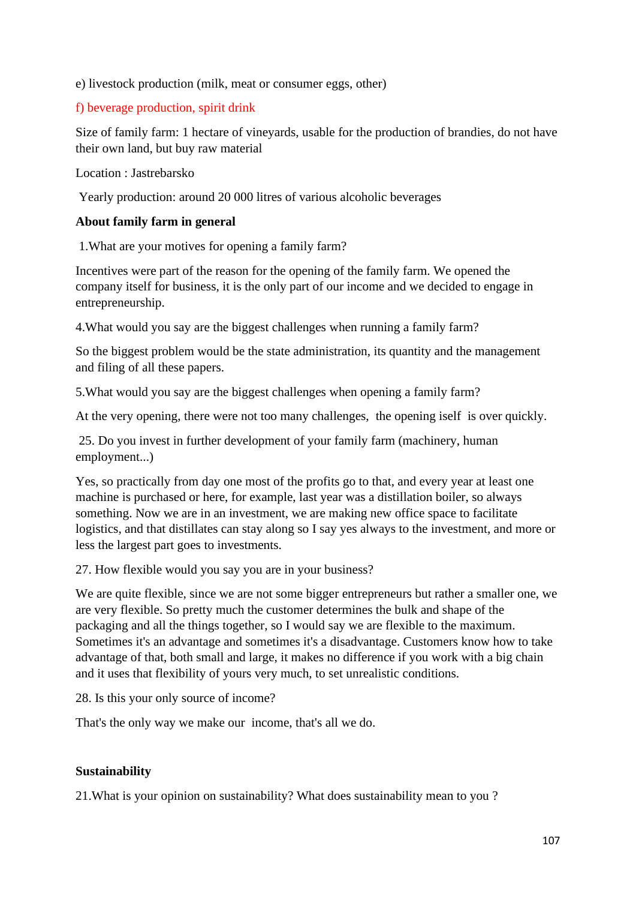e) livestock production (milk, meat or consumer eggs, other)

# f) beverage production, spirit drink

Size of family farm: 1 hectare of vineyards, usable for the production of brandies, do not have their own land, but buy raw material

Location : Jastrebarsko

Yearly production: around 20 000 litres of various alcoholic beverages

## **About family farm in general**

1.What are your motives for opening a family farm?

Incentives were part of the reason for the opening of the family farm. We opened the company itself for business, it is the only part of our income and we decided to engage in entrepreneurship.

4.What would you say are the biggest challenges when running a family farm?

So the biggest problem would be the state administration, its quantity and the management and filing of all these papers.

5.What would you say are the biggest challenges when opening a family farm?

At the very opening, there were not too many challenges, the opening iself is over quickly.

25. Do you invest in further development of your family farm (machinery, human employment...)

Yes, so practically from day one most of the profits go to that, and every year at least one machine is purchased or here, for example, last year was a distillation boiler, so always something. Now we are in an investment, we are making new office space to facilitate logistics, and that distillates can stay along so I say yes always to the investment, and more or less the largest part goes to investments.

27. How flexible would you say you are in your business?

We are quite flexible, since we are not some bigger entrepreneurs but rather a smaller one, we are very flexible. So pretty much the customer determines the bulk and shape of the packaging and all the things together, so I would say we are flexible to the maximum. Sometimes it's an advantage and sometimes it's a disadvantage. Customers know how to take advantage of that, both small and large, it makes no difference if you work with a big chain and it uses that flexibility of yours very much, to set unrealistic conditions.

28. Is this your only source of income?

That's the only way we make our income, that's all we do.

## **Sustainability**

21.What is your opinion on sustainability? What does sustainability mean to you ?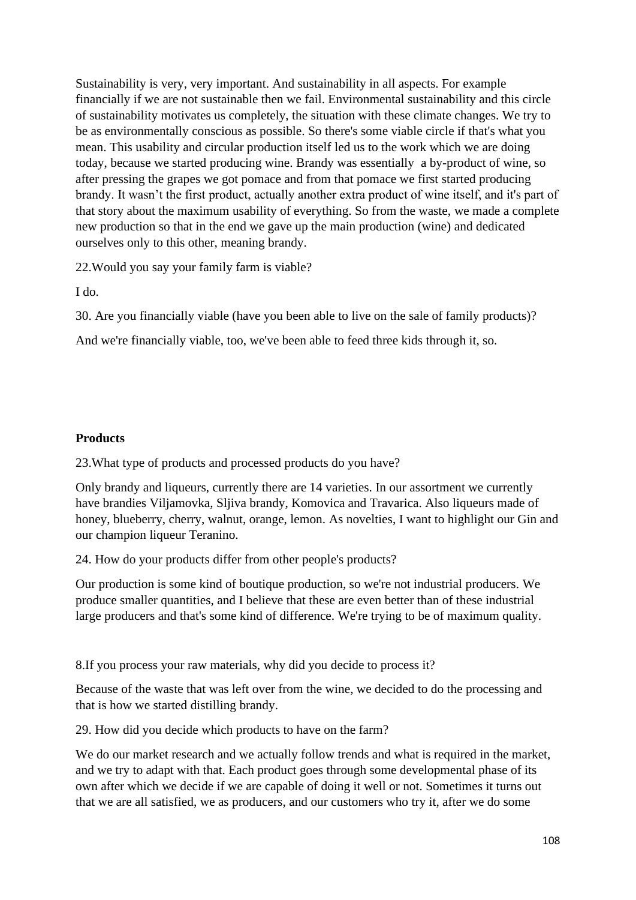Sustainability is very, very important. And sustainability in all aspects. For example financially if we are not sustainable then we fail. Environmental sustainability and this circle of sustainability motivates us completely, the situation with these climate changes. We try to be as environmentally conscious as possible. So there's some viable circle if that's what you mean. This usability and circular production itself led us to the work which we are doing today, because we started producing wine. Brandy was essentially a by-product of wine, so after pressing the grapes we got pomace and from that pomace we first started producing brandy. It wasn't the first product, actually another extra product of wine itself, and it's part of that story about the maximum usability of everything. So from the waste, we made a complete new production so that in the end we gave up the main production (wine) and dedicated ourselves only to this other, meaning brandy.

22.Would you say your family farm is viable?

I do.

30. Are you financially viable (have you been able to live on the sale of family products)?

And we're financially viable, too, we've been able to feed three kids through it, so.

# **Products**

23.What type of products and processed products do you have?

Only brandy and liqueurs, currently there are 14 varieties. In our assortment we currently have brandies Viljamovka, Sliiva brandy, Komovica and Travarica. Also liqueurs made of honey, blueberry, cherry, walnut, orange, lemon. As novelties, I want to highlight our Gin and our champion liqueur Teranino.

24. How do your products differ from other people's products?

Our production is some kind of boutique production, so we're not industrial producers. We produce smaller quantities, and I believe that these are even better than of these industrial large producers and that's some kind of difference. We're trying to be of maximum quality.

8.If you process your raw materials, why did you decide to process it?

Because of the waste that was left over from the wine, we decided to do the processing and that is how we started distilling brandy.

29. How did you decide which products to have on the farm?

We do our market research and we actually follow trends and what is required in the market, and we try to adapt with that. Each product goes through some developmental phase of its own after which we decide if we are capable of doing it well or not. Sometimes it turns out that we are all satisfied, we as producers, and our customers who try it, after we do some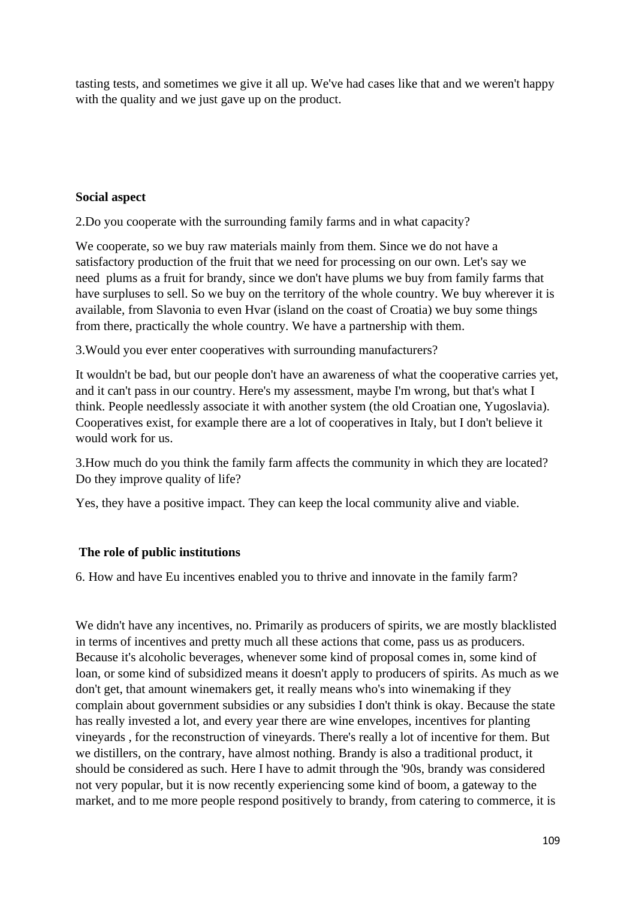tasting tests, and sometimes we give it all up. We've had cases like that and we weren't happy with the quality and we just gave up on the product.

## **Social aspect**

2.Do you cooperate with the surrounding family farms and in what capacity?

We cooperate, so we buy raw materials mainly from them. Since we do not have a satisfactory production of the fruit that we need for processing on our own. Let's say we need plums as a fruit for brandy, since we don't have plums we buy from family farms that have surpluses to sell. So we buy on the territory of the whole country. We buy wherever it is available, from Slavonia to even Hvar (island on the coast of Croatia) we buy some things from there, practically the whole country. We have a partnership with them.

3.Would you ever enter cooperatives with surrounding manufacturers?

It wouldn't be bad, but our people don't have an awareness of what the cooperative carries yet, and it can't pass in our country. Here's my assessment, maybe I'm wrong, but that's what I think. People needlessly associate it with another system (the old Croatian one, Yugoslavia). Cooperatives exist, for example there are a lot of cooperatives in Italy, but I don't believe it would work for us.

3.How much do you think the family farm affects the community in which they are located? Do they improve quality of life?

Yes, they have a positive impact. They can keep the local community alive and viable.

# **The role of public institutions**

6. How and have Eu incentives enabled you to thrive and innovate in the family farm?

We didn't have any incentives, no. Primarily as producers of spirits, we are mostly blacklisted in terms of incentives and pretty much all these actions that come, pass us as producers. Because it's alcoholic beverages, whenever some kind of proposal comes in, some kind of loan, or some kind of subsidized means it doesn't apply to producers of spirits. As much as we don't get, that amount winemakers get, it really means who's into winemaking if they complain about government subsidies or any subsidies I don't think is okay. Because the state has really invested a lot, and every year there are wine envelopes, incentives for planting vineyards , for the reconstruction of vineyards. There's really a lot of incentive for them. But we distillers, on the contrary, have almost nothing. Brandy is also a traditional product, it should be considered as such. Here I have to admit through the '90s, brandy was considered not very popular, but it is now recently experiencing some kind of boom, a gateway to the market, and to me more people respond positively to brandy, from catering to commerce, it is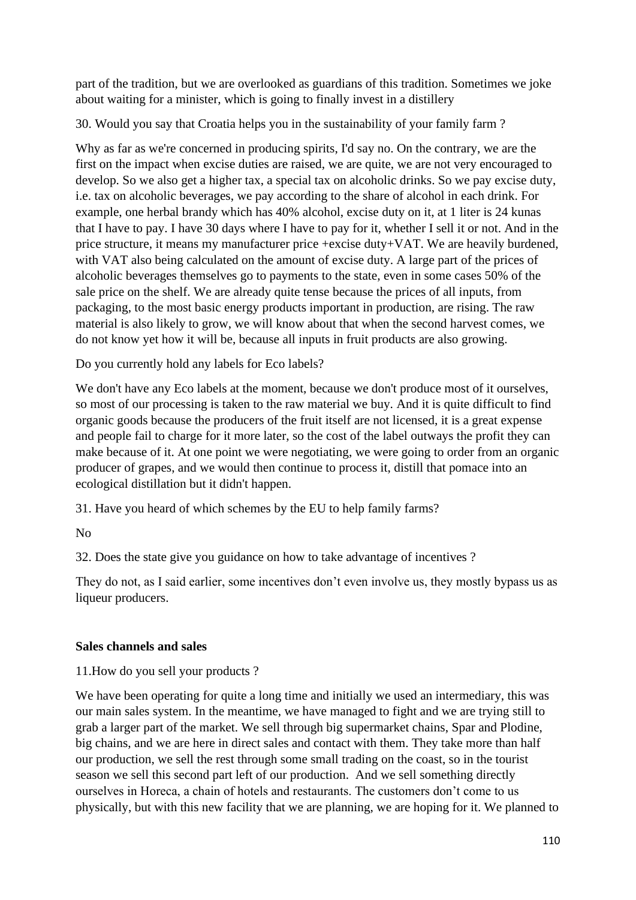part of the tradition, but we are overlooked as guardians of this tradition. Sometimes we joke about waiting for a minister, which is going to finally invest in a distillery

30. Would you say that Croatia helps you in the sustainability of your family farm ?

Why as far as we're concerned in producing spirits, I'd say no. On the contrary, we are the first on the impact when excise duties are raised, we are quite, we are not very encouraged to develop. So we also get a higher tax, a special tax on alcoholic drinks. So we pay excise duty, i.e. tax on alcoholic beverages, we pay according to the share of alcohol in each drink. For example, one herbal brandy which has 40% alcohol, excise duty on it, at 1 liter is 24 kunas that I have to pay. I have 30 days where I have to pay for it, whether I sell it or not. And in the price structure, it means my manufacturer price +excise duty+VAT. We are heavily burdened, with VAT also being calculated on the amount of excise duty. A large part of the prices of alcoholic beverages themselves go to payments to the state, even in some cases 50% of the sale price on the shelf. We are already quite tense because the prices of all inputs, from packaging, to the most basic energy products important in production, are rising. The raw material is also likely to grow, we will know about that when the second harvest comes, we do not know yet how it will be, because all inputs in fruit products are also growing.

Do you currently hold any labels for Eco labels?

We don't have any Eco labels at the moment, because we don't produce most of it ourselves, so most of our processing is taken to the raw material we buy. And it is quite difficult to find organic goods because the producers of the fruit itself are not licensed, it is a great expense and people fail to charge for it more later, so the cost of the label outways the profit they can make because of it. At one point we were negotiating, we were going to order from an organic producer of grapes, and we would then continue to process it, distill that pomace into an ecological distillation but it didn't happen.

31. Have you heard of which schemes by the EU to help family farms?

No

32. Does the state give you guidance on how to take advantage of incentives ?

They do not, as I said earlier, some incentives don't even involve us, they mostly bypass us as liqueur producers.

## **Sales channels and sales**

11.How do you sell your products ?

We have been operating for quite a long time and initially we used an intermediary, this was our main sales system. In the meantime, we have managed to fight and we are trying still to grab a larger part of the market. We sell through big supermarket chains, Spar and Plodine, big chains, and we are here in direct sales and contact with them. They take more than half our production, we sell the rest through some small trading on the coast, so in the tourist season we sell this second part left of our production. And we sell something directly ourselves in Horeca, a chain of hotels and restaurants. The customers don't come to us physically, but with this new facility that we are planning, we are hoping for it. We planned to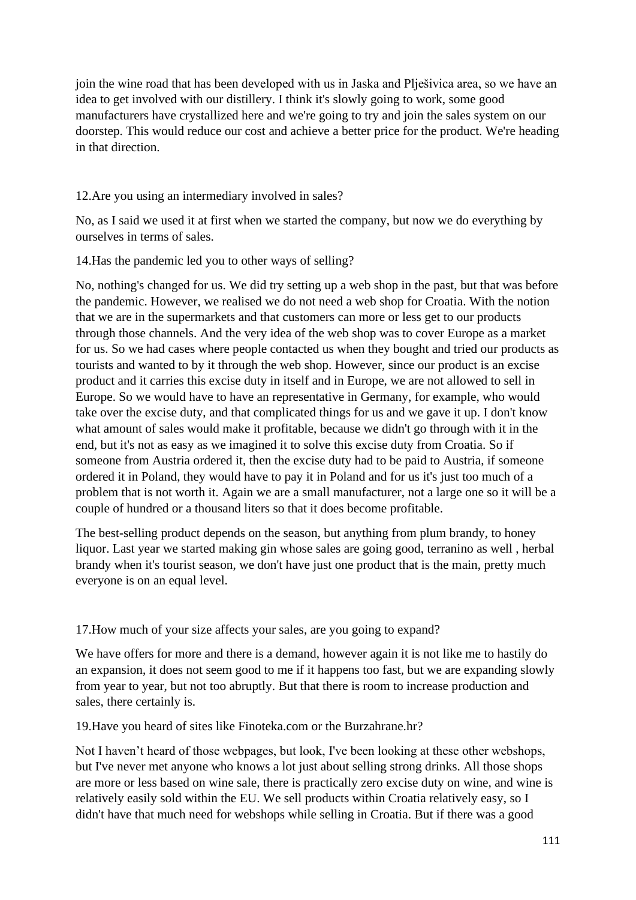join the wine road that has been developed with us in Jaska and Plješivica area, so we have an idea to get involved with our distillery. I think it's slowly going to work, some good manufacturers have crystallized here and we're going to try and join the sales system on our doorstep. This would reduce our cost and achieve a better price for the product. We're heading in that direction.

# 12.Are you using an intermediary involved in sales?

No, as I said we used it at first when we started the company, but now we do everything by ourselves in terms of sales.

14.Has the pandemic led you to other ways of selling?

No, nothing's changed for us. We did try setting up a web shop in the past, but that was before the pandemic. However, we realised we do not need a web shop for Croatia. With the notion that we are in the supermarkets and that customers can more or less get to our products through those channels. And the very idea of the web shop was to cover Europe as a market for us. So we had cases where people contacted us when they bought and tried our products as tourists and wanted to by it through the web shop. However, since our product is an excise product and it carries this excise duty in itself and in Europe, we are not allowed to sell in Europe. So we would have to have an representative in Germany, for example, who would take over the excise duty, and that complicated things for us and we gave it up. I don't know what amount of sales would make it profitable, because we didn't go through with it in the end, but it's not as easy as we imagined it to solve this excise duty from Croatia. So if someone from Austria ordered it, then the excise duty had to be paid to Austria, if someone ordered it in Poland, they would have to pay it in Poland and for us it's just too much of a problem that is not worth it. Again we are a small manufacturer, not a large one so it will be a couple of hundred or a thousand liters so that it does become profitable.

The best-selling product depends on the season, but anything from plum brandy, to honey liquor. Last year we started making gin whose sales are going good, terranino as well , herbal brandy when it's tourist season, we don't have just one product that is the main, pretty much everyone is on an equal level.

# 17.How much of your size affects your sales, are you going to expand?

We have offers for more and there is a demand, however again it is not like me to hastily do an expansion, it does not seem good to me if it happens too fast, but we are expanding slowly from year to year, but not too abruptly. But that there is room to increase production and sales, there certainly is.

19.Have you heard of sites like Finoteka.com or the Burzahrane.hr?

Not I haven't heard of those webpages, but look, I've been looking at these other webshops, but I've never met anyone who knows a lot just about selling strong drinks. All those shops are more or less based on wine sale, there is practically zero excise duty on wine, and wine is relatively easily sold within the EU. We sell products within Croatia relatively easy, so I didn't have that much need for webshops while selling in Croatia. But if there was a good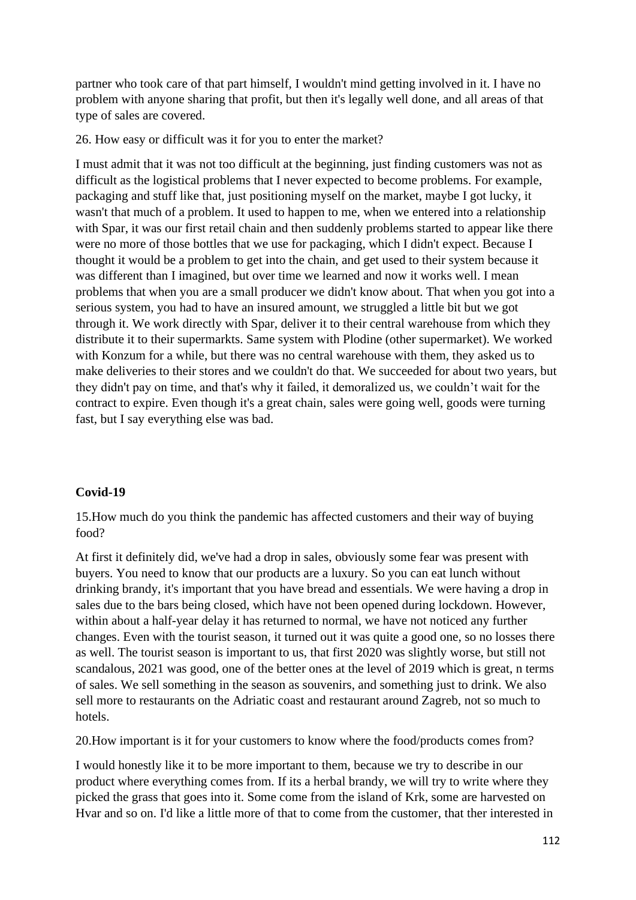partner who took care of that part himself, I wouldn't mind getting involved in it. I have no problem with anyone sharing that profit, but then it's legally well done, and all areas of that type of sales are covered.

26. How easy or difficult was it for you to enter the market?

I must admit that it was not too difficult at the beginning, just finding customers was not as difficult as the logistical problems that I never expected to become problems. For example, packaging and stuff like that, just positioning myself on the market, maybe I got lucky, it wasn't that much of a problem. It used to happen to me, when we entered into a relationship with Spar, it was our first retail chain and then suddenly problems started to appear like there were no more of those bottles that we use for packaging, which I didn't expect. Because I thought it would be a problem to get into the chain, and get used to their system because it was different than I imagined, but over time we learned and now it works well. I mean problems that when you are a small producer we didn't know about. That when you got into a serious system, you had to have an insured amount, we struggled a little bit but we got through it. We work directly with Spar, deliver it to their central warehouse from which they distribute it to their supermarkts. Same system with Plodine (other supermarket). We worked with Konzum for a while, but there was no central warehouse with them, they asked us to make deliveries to their stores and we couldn't do that. We succeeded for about two years, but they didn't pay on time, and that's why it failed, it demoralized us, we couldn't wait for the contract to expire. Even though it's a great chain, sales were going well, goods were turning fast, but I say everything else was bad.

## **Covid-19**

15.How much do you think the pandemic has affected customers and their way of buying food?

At first it definitely did, we've had a drop in sales, obviously some fear was present with buyers. You need to know that our products are a luxury. So you can eat lunch without drinking brandy, it's important that you have bread and essentials. We were having a drop in sales due to the bars being closed, which have not been opened during lockdown. However, within about a half-year delay it has returned to normal, we have not noticed any further changes. Even with the tourist season, it turned out it was quite a good one, so no losses there as well. The tourist season is important to us, that first 2020 was slightly worse, but still not scandalous, 2021 was good, one of the better ones at the level of 2019 which is great, n terms of sales. We sell something in the season as souvenirs, and something just to drink. We also sell more to restaurants on the Adriatic coast and restaurant around Zagreb, not so much to hotels.

20.How important is it for your customers to know where the food/products comes from?

I would honestly like it to be more important to them, because we try to describe in our product where everything comes from. If its a herbal brandy, we will try to write where they picked the grass that goes into it. Some come from the island of Krk, some are harvested on Hvar and so on. I'd like a little more of that to come from the customer, that ther interested in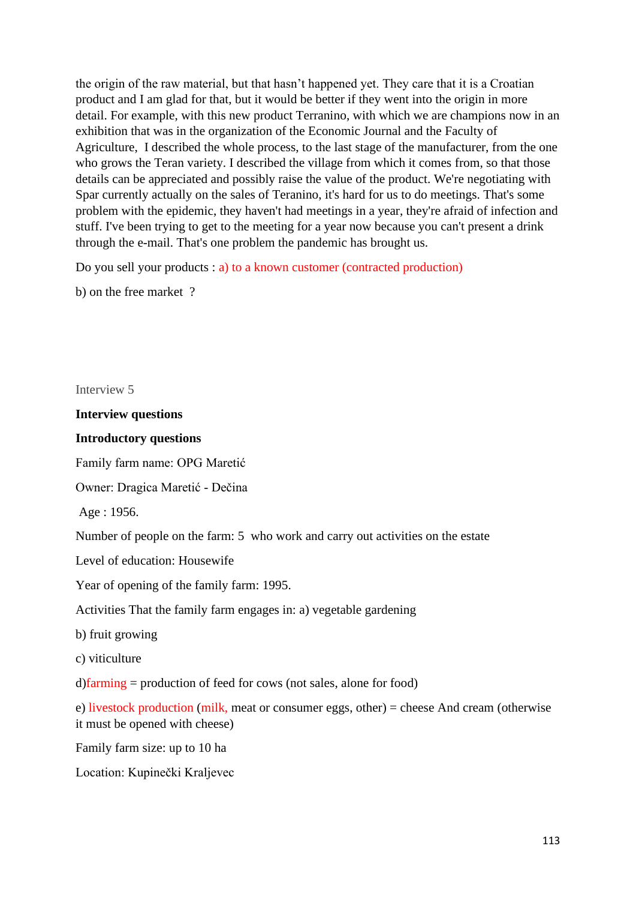the origin of the raw material, but that hasn't happened yet. They care that it is a Croatian product and I am glad for that, but it would be better if they went into the origin in more detail. For example, with this new product Terranino, with which we are champions now in an exhibition that was in the organization of the Economic Journal and the Faculty of Agriculture, I described the whole process, to the last stage of the manufacturer, from the one who grows the Teran variety. I described the village from which it comes from, so that those details can be appreciated and possibly raise the value of the product. We're negotiating with Spar currently actually on the sales of Teranino, it's hard for us to do meetings. That's some problem with the epidemic, they haven't had meetings in a year, they're afraid of infection and stuff. I've been trying to get to the meeting for a year now because you can't present a drink through the e-mail. That's one problem the pandemic has brought us.

Do you sell your products : a) to a known customer (contracted production)

b) on the free market ?

Interview 5

**Interview questions**

#### **Introductory questions**

Family farm name: OPG Maretić

Owner: Dragica Maretić - Dečina

Age : 1956.

Number of people on the farm: 5 who work and carry out activities on the estate

Level of education: Housewife

Year of opening of the family farm: 1995.

Activities That the family farm engages in: a) vegetable gardening

b) fruit growing

c) viticulture

d)farming = production of feed for cows (not sales, alone for food)

e) livestock production (milk, meat or consumer eggs, other) = cheese And cream (otherwise it must be opened with cheese)

Family farm size: up to 10 ha

Location: Kupinečki Kraljevec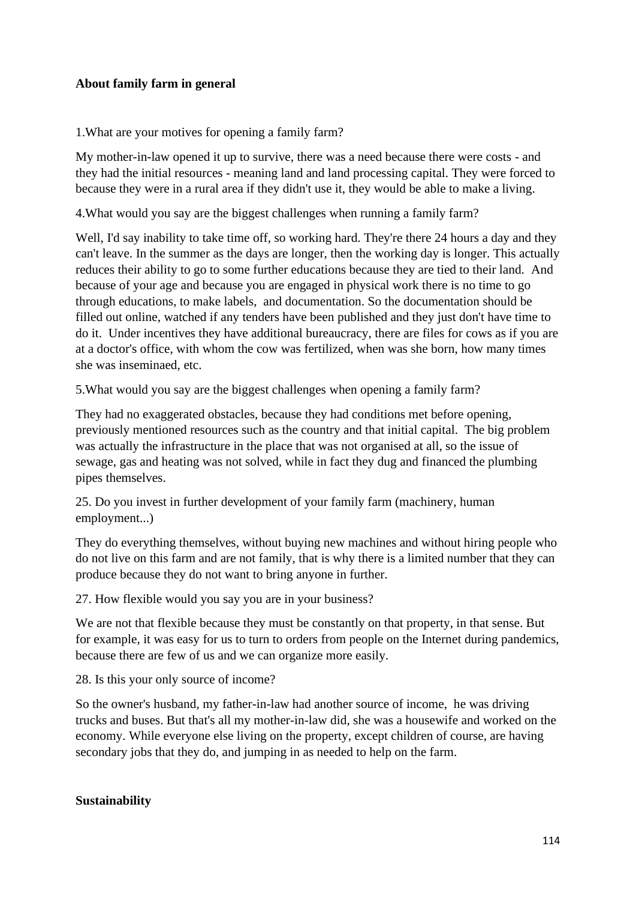## **About family farm in general**

1.What are your motives for opening a family farm?

My mother-in-law opened it up to survive, there was a need because there were costs - and they had the initial resources - meaning land and land processing capital. They were forced to because they were in a rural area if they didn't use it, they would be able to make a living.

4.What would you say are the biggest challenges when running a family farm?

Well, I'd say inability to take time off, so working hard. They're there 24 hours a day and they can't leave. In the summer as the days are longer, then the working day is longer. This actually reduces their ability to go to some further educations because they are tied to their land. And because of your age and because you are engaged in physical work there is no time to go through educations, to make labels, and documentation. So the documentation should be filled out online, watched if any tenders have been published and they just don't have time to do it. Under incentives they have additional bureaucracy, there are files for cows as if you are at a doctor's office, with whom the cow was fertilized, when was she born, how many times she was inseminaed, etc.

5.What would you say are the biggest challenges when opening a family farm?

They had no exaggerated obstacles, because they had conditions met before opening, previously mentioned resources such as the country and that initial capital. The big problem was actually the infrastructure in the place that was not organised at all, so the issue of sewage, gas and heating was not solved, while in fact they dug and financed the plumbing pipes themselves.

25. Do you invest in further development of your family farm (machinery, human employment...)

They do everything themselves, without buying new machines and without hiring people who do not live on this farm and are not family, that is why there is a limited number that they can produce because they do not want to bring anyone in further.

27. How flexible would you say you are in your business?

We are not that flexible because they must be constantly on that property, in that sense. But for example, it was easy for us to turn to orders from people on the Internet during pandemics, because there are few of us and we can organize more easily.

28. Is this your only source of income?

So the owner's husband, my father-in-law had another source of income, he was driving trucks and buses. But that's all my mother-in-law did, she was a housewife and worked on the economy. While everyone else living on the property, except children of course, are having secondary jobs that they do, and jumping in as needed to help on the farm.

#### **Sustainability**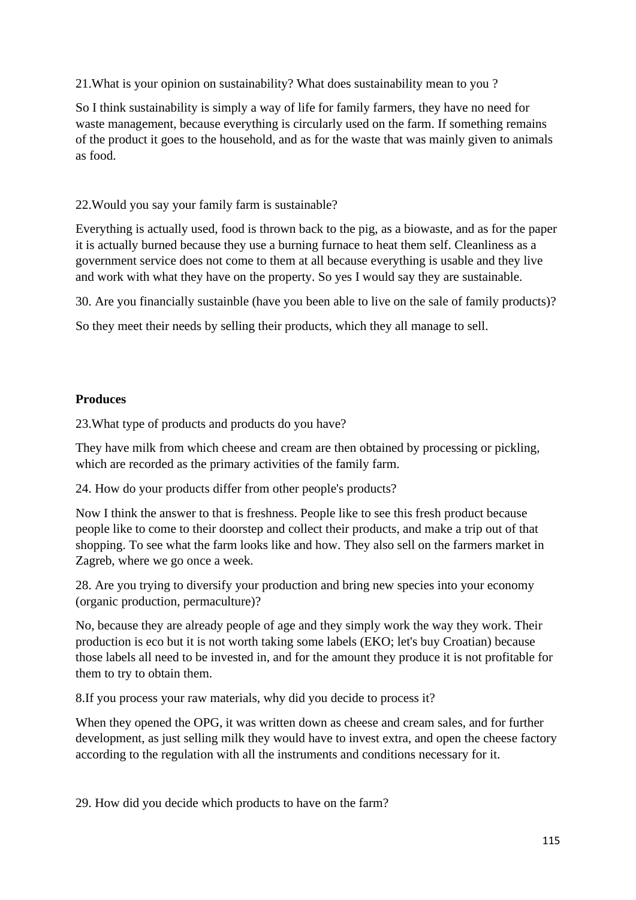21.What is your opinion on sustainability? What does sustainability mean to you ?

So I think sustainability is simply a way of life for family farmers, they have no need for waste management, because everything is circularly used on the farm. If something remains of the product it goes to the household, and as for the waste that was mainly given to animals as food.

# 22.Would you say your family farm is sustainable?

Everything is actually used, food is thrown back to the pig, as a biowaste, and as for the paper it is actually burned because they use a burning furnace to heat them self. Cleanliness as a government service does not come to them at all because everything is usable and they live and work with what they have on the property. So yes I would say they are sustainable.

30. Are you financially sustainble (have you been able to live on the sale of family products)?

So they meet their needs by selling their products, which they all manage to sell.

## **Produces**

23.What type of products and products do you have?

They have milk from which cheese and cream are then obtained by processing or pickling, which are recorded as the primary activities of the family farm.

24. How do your products differ from other people's products?

Now I think the answer to that is freshness. People like to see this fresh product because people like to come to their doorstep and collect their products, and make a trip out of that shopping. To see what the farm looks like and how. They also sell on the farmers market in Zagreb, where we go once a week.

28. Are you trying to diversify your production and bring new species into your economy (organic production, permaculture)?

No, because they are already people of age and they simply work the way they work. Their production is eco but it is not worth taking some labels (EKO; let's buy Croatian) because those labels all need to be invested in, and for the amount they produce it is not profitable for them to try to obtain them.

8.If you process your raw materials, why did you decide to process it?

When they opened the OPG, it was written down as cheese and cream sales, and for further development, as just selling milk they would have to invest extra, and open the cheese factory according to the regulation with all the instruments and conditions necessary for it.

29. How did you decide which products to have on the farm?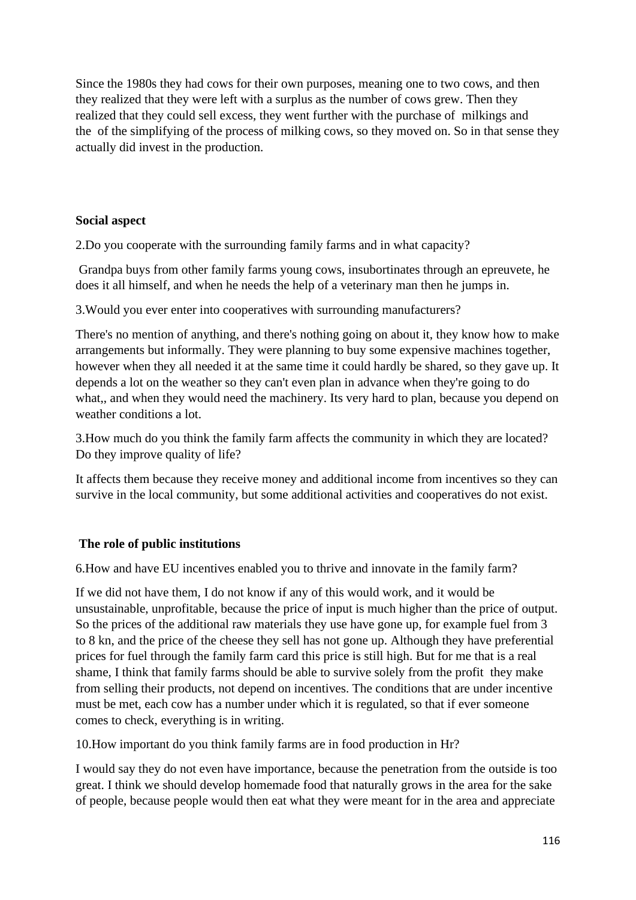Since the 1980s they had cows for their own purposes, meaning one to two cows, and then they realized that they were left with a surplus as the number of cows grew. Then they realized that they could sell excess, they went further with the purchase of milkings and the of the simplifying of the process of milking cows, so they moved on. So in that sense they actually did invest in the production.

## **Social aspect**

2.Do you cooperate with the surrounding family farms and in what capacity?

Grandpa buys from other family farms young cows, insubortinates through an epreuvete, he does it all himself, and when he needs the help of a veterinary man then he jumps in.

3.Would you ever enter into cooperatives with surrounding manufacturers?

There's no mention of anything, and there's nothing going on about it, they know how to make arrangements but informally. They were planning to buy some expensive machines together, however when they all needed it at the same time it could hardly be shared, so they gave up. It depends a lot on the weather so they can't even plan in advance when they're going to do what,, and when they would need the machinery. Its very hard to plan, because you depend on weather conditions a lot.

3.How much do you think the family farm affects the community in which they are located? Do they improve quality of life?

It affects them because they receive money and additional income from incentives so they can survive in the local community, but some additional activities and cooperatives do not exist.

## **The role of public institutions**

6.How and have EU incentives enabled you to thrive and innovate in the family farm?

If we did not have them, I do not know if any of this would work, and it would be unsustainable, unprofitable, because the price of input is much higher than the price of output. So the prices of the additional raw materials they use have gone up, for example fuel from 3 to 8 kn, and the price of the cheese they sell has not gone up. Although they have preferential prices for fuel through the family farm card this price is still high. But for me that is a real shame, I think that family farms should be able to survive solely from the profit they make from selling their products, not depend on incentives. The conditions that are under incentive must be met, each cow has a number under which it is regulated, so that if ever someone comes to check, everything is in writing.

10.How important do you think family farms are in food production in Hr?

I would say they do not even have importance, because the penetration from the outside is too great. I think we should develop homemade food that naturally grows in the area for the sake of people, because people would then eat what they were meant for in the area and appreciate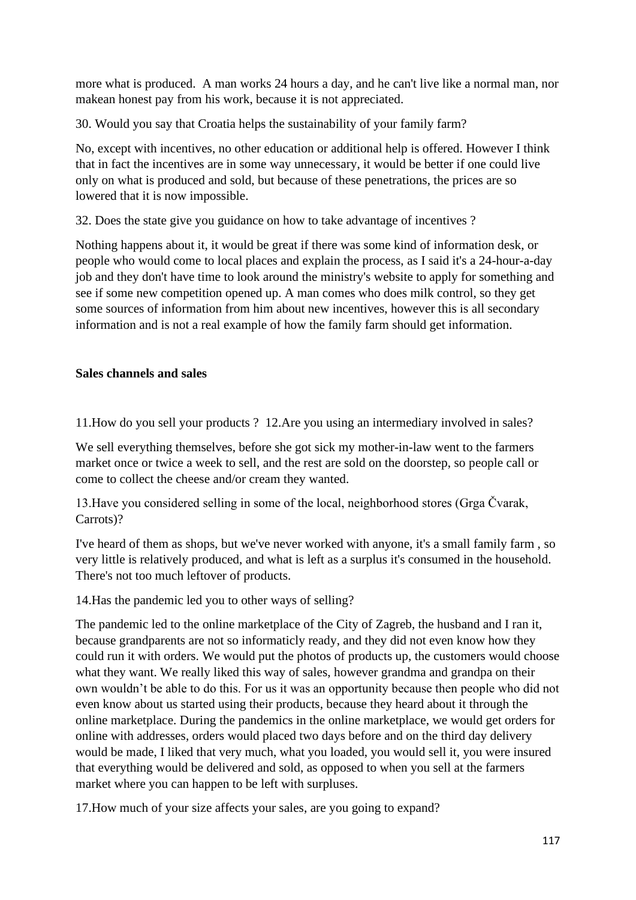more what is produced. A man works 24 hours a day, and he can't live like a normal man, nor makean honest pay from his work, because it is not appreciated.

30. Would you say that Croatia helps the sustainability of your family farm?

No, except with incentives, no other education or additional help is offered. However I think that in fact the incentives are in some way unnecessary, it would be better if one could live only on what is produced and sold, but because of these penetrations, the prices are so lowered that it is now impossible.

32. Does the state give you guidance on how to take advantage of incentives ?

Nothing happens about it, it would be great if there was some kind of information desk, or people who would come to local places and explain the process, as I said it's a 24-hour-a-day job and they don't have time to look around the ministry's website to apply for something and see if some new competition opened up. A man comes who does milk control, so they get some sources of information from him about new incentives, however this is all secondary information and is not a real example of how the family farm should get information.

## **Sales channels and sales**

11.How do you sell your products ? 12.Are you using an intermediary involved in sales?

We sell everything themselves, before she got sick my mother-in-law went to the farmers market once or twice a week to sell, and the rest are sold on the doorstep, so people call or come to collect the cheese and/or cream they wanted.

13.Have you considered selling in some of the local, neighborhood stores (Grga Čvarak, Carrots)?

I've heard of them as shops, but we've never worked with anyone, it's a small family farm , so very little is relatively produced, and what is left as a surplus it's consumed in the household. There's not too much leftover of products.

14.Has the pandemic led you to other ways of selling?

The pandemic led to the online marketplace of the City of Zagreb, the husband and I ran it, because grandparents are not so informaticly ready, and they did not even know how they could run it with orders. We would put the photos of products up, the customers would choose what they want. We really liked this way of sales, however grandma and grandpa on their own wouldn't be able to do this. For us it was an opportunity because then people who did not even know about us started using their products, because they heard about it through the online marketplace. During the pandemics in the online marketplace, we would get orders for online with addresses, orders would placed two days before and on the third day delivery would be made, I liked that very much, what you loaded, you would sell it, you were insured that everything would be delivered and sold, as opposed to when you sell at the farmers market where you can happen to be left with surpluses.

17.How much of your size affects your sales, are you going to expand?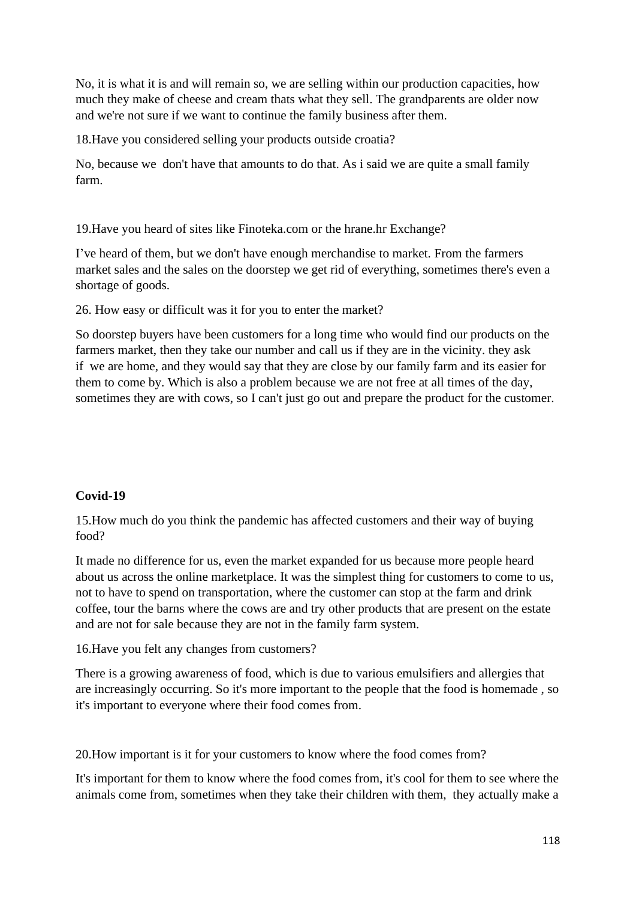No, it is what it is and will remain so, we are selling within our production capacities, how much they make of cheese and cream thats what they sell. The grandparents are older now and we're not sure if we want to continue the family business after them.

18.Have you considered selling your products outside croatia?

No, because we don't have that amounts to do that. As i said we are quite a small family farm.

19.Have you heard of sites like Finoteka.com or the hrane.hr Exchange?

I've heard of them, but we don't have enough merchandise to market. From the farmers market sales and the sales on the doorstep we get rid of everything, sometimes there's even a shortage of goods.

26. How easy or difficult was it for you to enter the market?

So doorstep buyers have been customers for a long time who would find our products on the farmers market, then they take our number and call us if they are in the vicinity. they ask if we are home, and they would say that they are close by our family farm and its easier for them to come by. Which is also a problem because we are not free at all times of the day, sometimes they are with cows, so I can't just go out and prepare the product for the customer.

# **Covid-19**

15.How much do you think the pandemic has affected customers and their way of buying food?

It made no difference for us, even the market expanded for us because more people heard about us across the online marketplace. It was the simplest thing for customers to come to us, not to have to spend on transportation, where the customer can stop at the farm and drink coffee, tour the barns where the cows are and try other products that are present on the estate and are not for sale because they are not in the family farm system.

16.Have you felt any changes from customers?

There is a growing awareness of food, which is due to various emulsifiers and allergies that are increasingly occurring. So it's more important to the people that the food is homemade , so it's important to everyone where their food comes from.

20.How important is it for your customers to know where the food comes from?

It's important for them to know where the food comes from, it's cool for them to see where the animals come from, sometimes when they take their children with them, they actually make a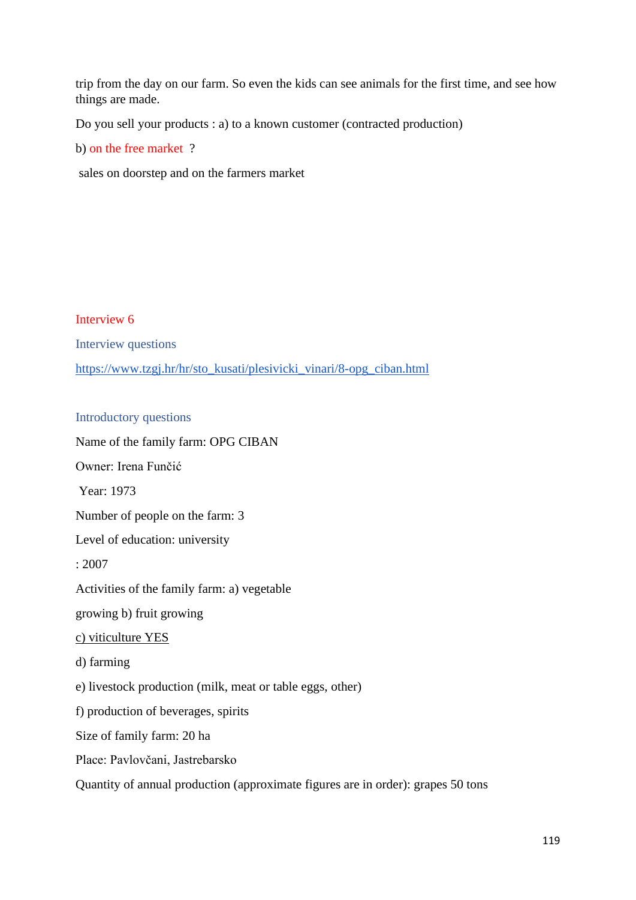trip from the day on our farm. So even the kids can see animals for the first time, and see how things are made.

Do you sell your products : a) to a known customer (contracted production)

b) on the free market ?

sales on doorstep and on the farmers market

Interview 6 Interview questions [https://www.tzgj.hr/hr/sto\\_kusati/plesivicki\\_vinari/8-opg\\_ciban.html](https://www.tzgj.hr/hr/sto_kusati/plesivicki_vinari/8-opg_ciban.html)

#### Introductory questions

Name of the family farm: OPG CIBAN Owner: Irena Funčić Year: 1973 Number of people on the farm: 3 Level of education: university : 2007 Activities of the family farm: a) vegetable growing b) fruit growing c) viticulture YES d) farming e) livestock production (milk, meat or table eggs, other) f) production of beverages, spirits Size of family farm: 20 ha Place: Pavlovčani, Jastrebarsko Quantity of annual production (approximate figures are in order): grapes 50 tons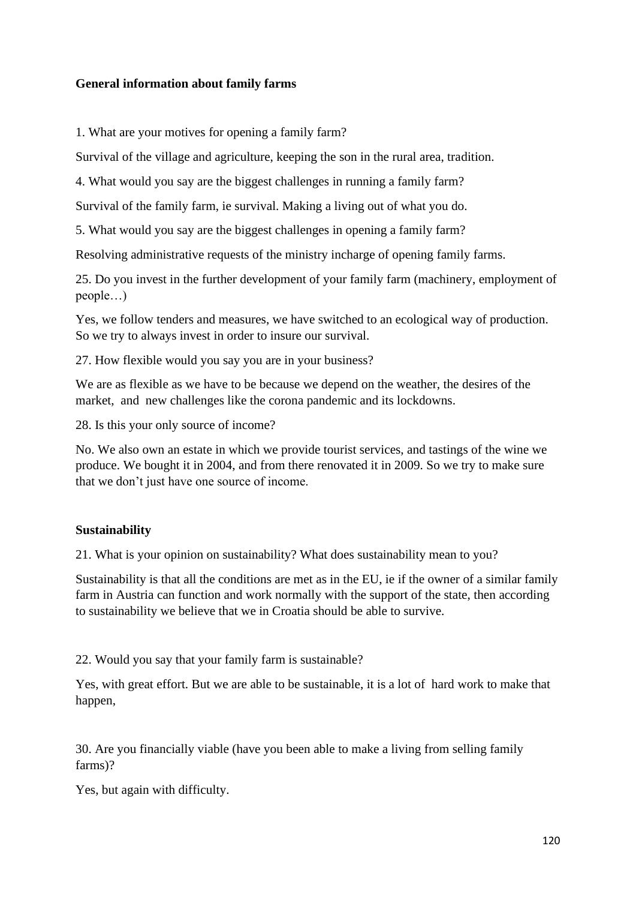#### **General information about family farms**

1. What are your motives for opening a family farm?

Survival of the village and agriculture, keeping the son in the rural area, tradition.

4. What would you say are the biggest challenges in running a family farm?

Survival of the family farm, ie survival. Making a living out of what you do.

5. What would you say are the biggest challenges in opening a family farm?

Resolving administrative requests of the ministry incharge of opening family farms.

25. Do you invest in the further development of your family farm (machinery, employment of people…)

Yes, we follow tenders and measures, we have switched to an ecological way of production. So we try to always invest in order to insure our survival.

27. How flexible would you say you are in your business?

We are as flexible as we have to be because we depend on the weather, the desires of the market, and new challenges like the corona pandemic and its lockdowns.

28. Is this your only source of income?

No. We also own an estate in which we provide tourist services, and tastings of the wine we produce. We bought it in 2004, and from there renovated it in 2009. So we try to make sure that we don't just have one source of income.

## **Sustainability**

21. What is your opinion on sustainability? What does sustainability mean to you?

Sustainability is that all the conditions are met as in the EU, ie if the owner of a similar family farm in Austria can function and work normally with the support of the state, then according to sustainability we believe that we in Croatia should be able to survive.

22. Would you say that your family farm is sustainable?

Yes, with great effort. But we are able to be sustainable, it is a lot of hard work to make that happen,

30. Are you financially viable (have you been able to make a living from selling family farms)?

Yes, but again with difficulty.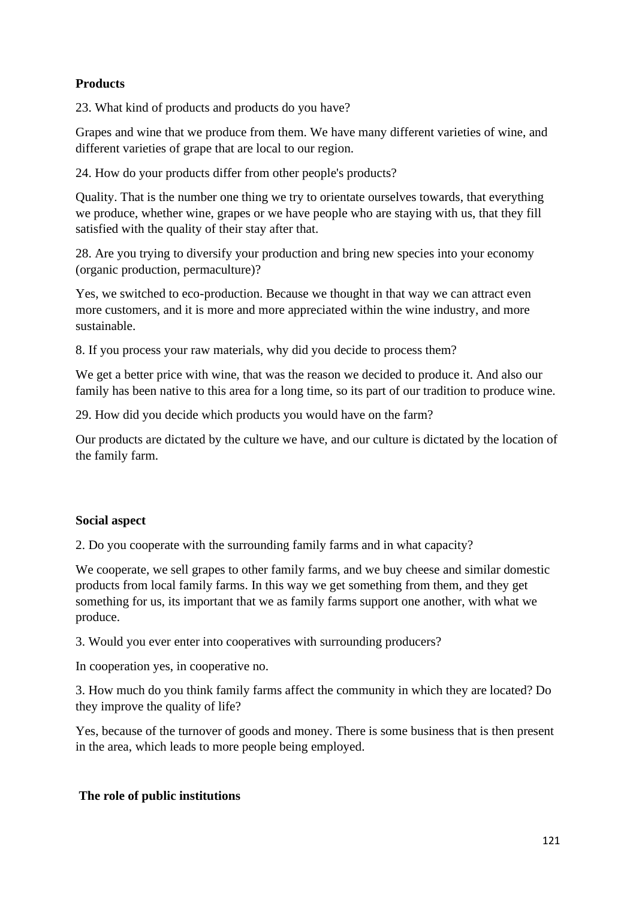# **Products**

23. What kind of products and products do you have?

Grapes and wine that we produce from them. We have many different varieties of wine, and different varieties of grape that are local to our region.

24. How do your products differ from other people's products?

Quality. That is the number one thing we try to orientate ourselves towards, that everything we produce, whether wine, grapes or we have people who are staying with us, that they fill satisfied with the quality of their stay after that.

28. Are you trying to diversify your production and bring new species into your economy (organic production, permaculture)?

Yes, we switched to eco-production. Because we thought in that way we can attract even more customers, and it is more and more appreciated within the wine industry, and more sustainable.

8. If you process your raw materials, why did you decide to process them?

We get a better price with wine, that was the reason we decided to produce it. And also our family has been native to this area for a long time, so its part of our tradition to produce wine.

29. How did you decide which products you would have on the farm?

Our products are dictated by the culture we have, and our culture is dictated by the location of the family farm.

#### **Social aspect**

2. Do you cooperate with the surrounding family farms and in what capacity?

We cooperate, we sell grapes to other family farms, and we buy cheese and similar domestic products from local family farms. In this way we get something from them, and they get something for us, its important that we as family farms support one another, with what we produce.

3. Would you ever enter into cooperatives with surrounding producers?

In cooperation yes, in cooperative no.

3. How much do you think family farms affect the community in which they are located? Do they improve the quality of life?

Yes, because of the turnover of goods and money. There is some business that is then present in the area, which leads to more people being employed.

## **The role of public institutions**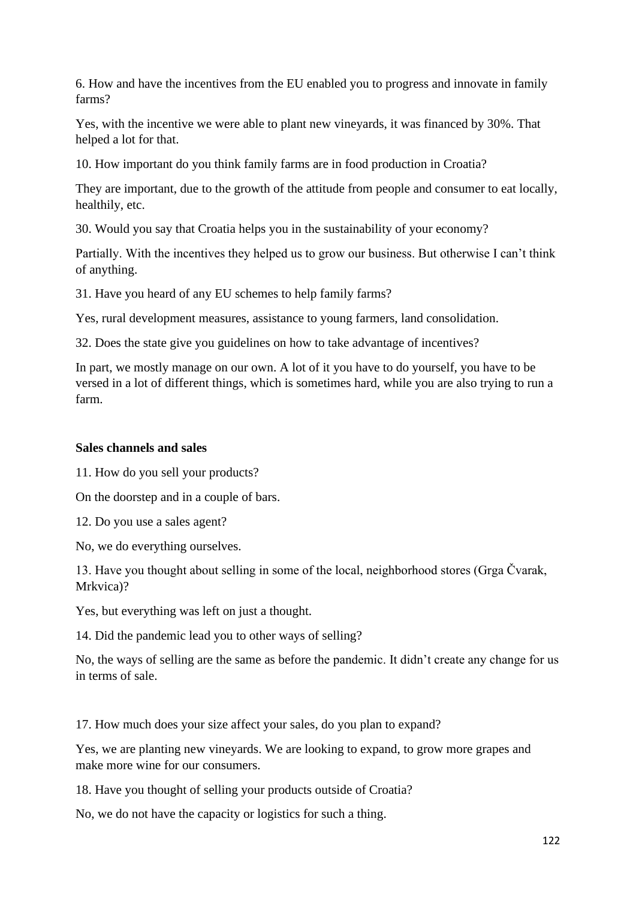6. How and have the incentives from the EU enabled you to progress and innovate in family farms?

Yes, with the incentive we were able to plant new vineyards, it was financed by 30%. That helped a lot for that.

10. How important do you think family farms are in food production in Croatia?

They are important, due to the growth of the attitude from people and consumer to eat locally, healthily, etc.

30. Would you say that Croatia helps you in the sustainability of your economy?

Partially. With the incentives they helped us to grow our business. But otherwise I can't think of anything.

31. Have you heard of any EU schemes to help family farms?

Yes, rural development measures, assistance to young farmers, land consolidation.

32. Does the state give you guidelines on how to take advantage of incentives?

In part, we mostly manage on our own. A lot of it you have to do yourself, you have to be versed in a lot of different things, which is sometimes hard, while you are also trying to run a farm.

#### **Sales channels and sales**

11. How do you sell your products?

On the doorstep and in a couple of bars.

12. Do you use a sales agent?

No, we do everything ourselves.

13. Have you thought about selling in some of the local, neighborhood stores (Grga Čvarak, Mrkvica)?

Yes, but everything was left on just a thought.

14. Did the pandemic lead you to other ways of selling?

No, the ways of selling are the same as before the pandemic. It didn't create any change for us in terms of sale.

17. How much does your size affect your sales, do you plan to expand?

Yes, we are planting new vineyards. We are looking to expand, to grow more grapes and make more wine for our consumers.

18. Have you thought of selling your products outside of Croatia?

No, we do not have the capacity or logistics for such a thing.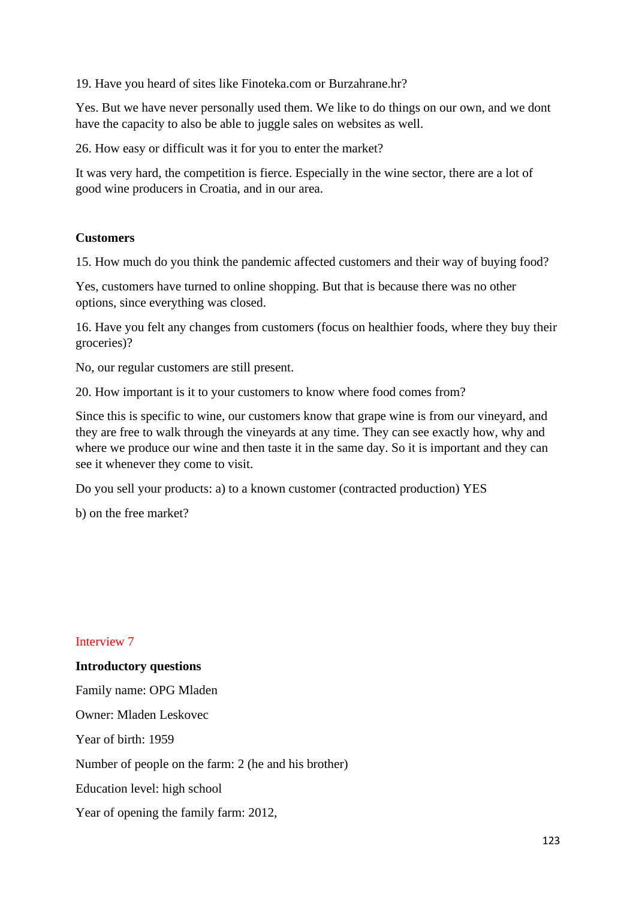19. Have you heard of sites like Finoteka.com or Burzahrane.hr?

Yes. But we have never personally used them. We like to do things on our own, and we dont have the capacity to also be able to juggle sales on websites as well.

26. How easy or difficult was it for you to enter the market?

It was very hard, the competition is fierce. Especially in the wine sector, there are a lot of good wine producers in Croatia, and in our area.

#### **Customers**

15. How much do you think the pandemic affected customers and their way of buying food?

Yes, customers have turned to online shopping. But that is because there was no other options, since everything was closed.

16. Have you felt any changes from customers (focus on healthier foods, where they buy their groceries)?

No, our regular customers are still present.

20. How important is it to your customers to know where food comes from?

Since this is specific to wine, our customers know that grape wine is from our vineyard, and they are free to walk through the vineyards at any time. They can see exactly how, why and where we produce our wine and then taste it in the same day. So it is important and they can see it whenever they come to visit.

Do you sell your products: a) to a known customer (contracted production) YES

b) on the free market?

#### Interview 7

#### **Introductory questions**

Family name: OPG Mladen Owner: Mladen Leskovec Year of birth: 1959 Number of people on the farm: 2 (he and his brother) Education level: high school Year of opening the family farm: 2012,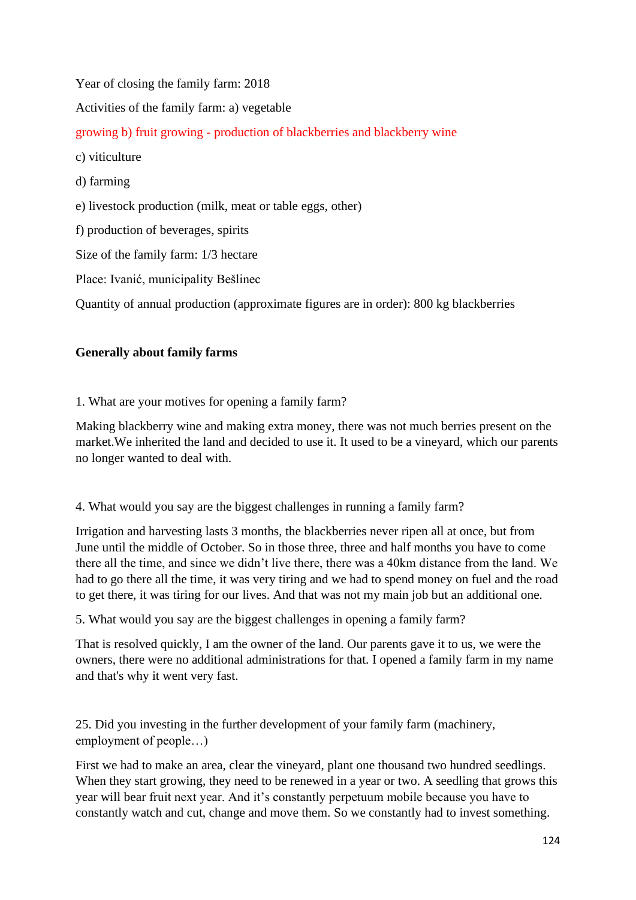Year of closing the family farm: 2018 Activities of the family farm: a) vegetable growing b) fruit growing - production of blackberries and blackberry wine c) viticulture d) farming e) livestock production (milk, meat or table eggs, other) f) production of beverages, spirits Size of the family farm: 1/3 hectare Place: Ivanić, municipality Bešlinec Quantity of annual production (approximate figures are in order): 800 kg blackberries

# **Generally about family farms**

1. What are your motives for opening a family farm?

Making blackberry wine and making extra money, there was not much berries present on the market.We inherited the land and decided to use it. It used to be a vineyard, which our parents no longer wanted to deal with.

4. What would you say are the biggest challenges in running a family farm?

Irrigation and harvesting lasts 3 months, the blackberries never ripen all at once, but from June until the middle of October. So in those three, three and half months you have to come there all the time, and since we didn't live there, there was a 40km distance from the land. We had to go there all the time, it was very tiring and we had to spend money on fuel and the road to get there, it was tiring for our lives. And that was not my main job but an additional one.

5. What would you say are the biggest challenges in opening a family farm?

That is resolved quickly, I am the owner of the land. Our parents gave it to us, we were the owners, there were no additional administrations for that. I opened a family farm in my name and that's why it went very fast.

25. Did you investing in the further development of your family farm (machinery, employment of people…)

First we had to make an area, clear the vineyard, plant one thousand two hundred seedlings. When they start growing, they need to be renewed in a year or two. A seedling that grows this year will bear fruit next year. And it's constantly perpetuum mobile because you have to constantly watch and cut, change and move them. So we constantly had to invest something.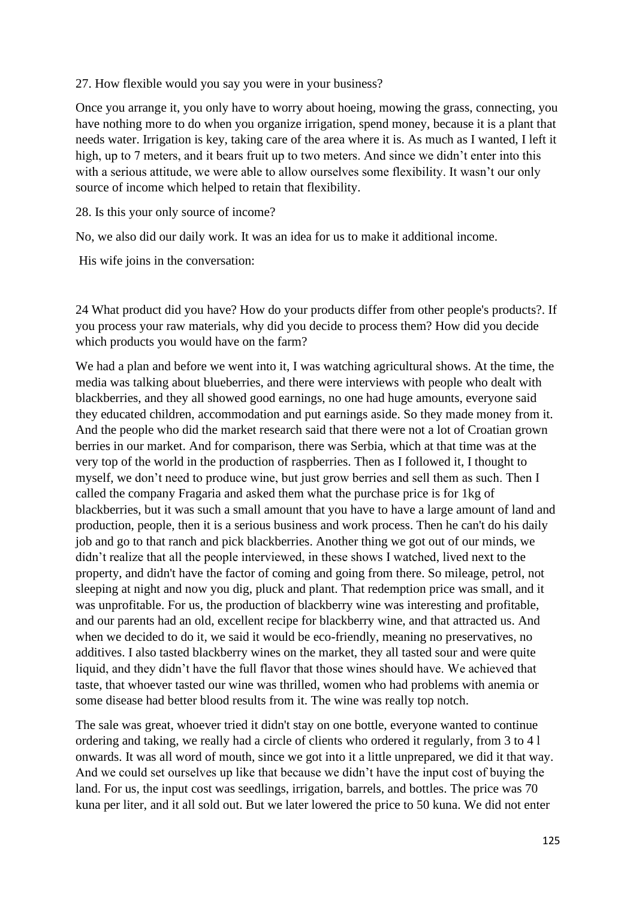#### 27. How flexible would you say you were in your business?

Once you arrange it, you only have to worry about hoeing, mowing the grass, connecting, you have nothing more to do when you organize irrigation, spend money, because it is a plant that needs water. Irrigation is key, taking care of the area where it is. As much as I wanted, I left it high, up to 7 meters, and it bears fruit up to two meters. And since we didn't enter into this with a serious attitude, we were able to allow ourselves some flexibility. It wasn't our only source of income which helped to retain that flexibility.

28. Is this your only source of income?

No, we also did our daily work. It was an idea for us to make it additional income.

His wife joins in the conversation:

24 What product did you have? How do your products differ from other people's products?. If you process your raw materials, why did you decide to process them? How did you decide which products you would have on the farm?

We had a plan and before we went into it, I was watching agricultural shows. At the time, the media was talking about blueberries, and there were interviews with people who dealt with blackberries, and they all showed good earnings, no one had huge amounts, everyone said they educated children, accommodation and put earnings aside. So they made money from it. And the people who did the market research said that there were not a lot of Croatian grown berries in our market. And for comparison, there was Serbia, which at that time was at the very top of the world in the production of raspberries. Then as I followed it, I thought to myself, we don't need to produce wine, but just grow berries and sell them as such. Then I called the company Fragaria and asked them what the purchase price is for 1kg of blackberries, but it was such a small amount that you have to have a large amount of land and production, people, then it is a serious business and work process. Then he can't do his daily job and go to that ranch and pick blackberries. Another thing we got out of our minds, we didn't realize that all the people interviewed, in these shows I watched, lived next to the property, and didn't have the factor of coming and going from there. So mileage, petrol, not sleeping at night and now you dig, pluck and plant. That redemption price was small, and it was unprofitable. For us, the production of blackberry wine was interesting and profitable, and our parents had an old, excellent recipe for blackberry wine, and that attracted us. And when we decided to do it, we said it would be eco-friendly, meaning no preservatives, no additives. I also tasted blackberry wines on the market, they all tasted sour and were quite liquid, and they didn't have the full flavor that those wines should have. We achieved that taste, that whoever tasted our wine was thrilled, women who had problems with anemia or some disease had better blood results from it. The wine was really top notch.

The sale was great, whoever tried it didn't stay on one bottle, everyone wanted to continue ordering and taking, we really had a circle of clients who ordered it regularly, from 3 to 4 l onwards. It was all word of mouth, since we got into it a little unprepared, we did it that way. And we could set ourselves up like that because we didn't have the input cost of buying the land. For us, the input cost was seedlings, irrigation, barrels, and bottles. The price was 70 kuna per liter, and it all sold out. But we later lowered the price to 50 kuna. We did not enter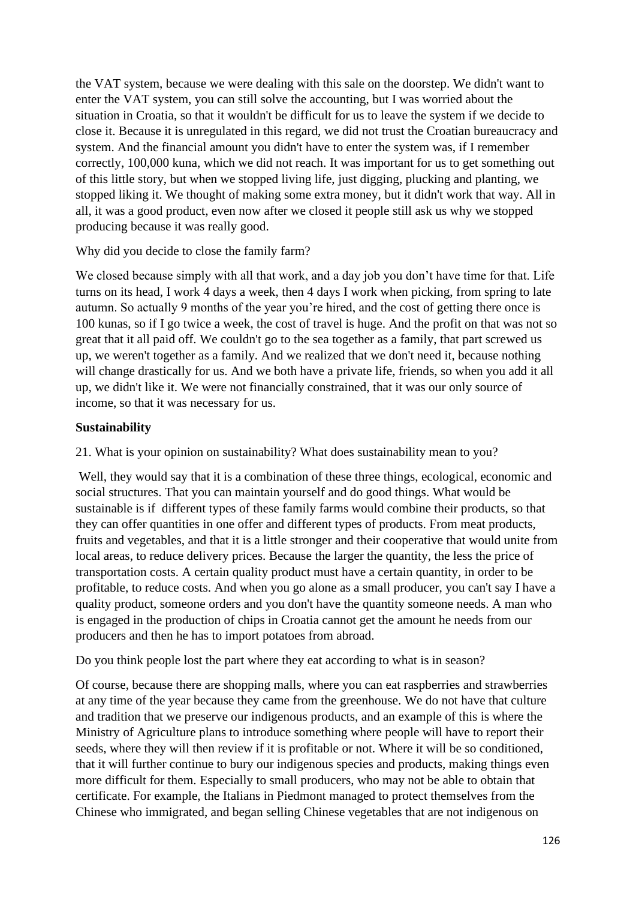the VAT system, because we were dealing with this sale on the doorstep. We didn't want to enter the VAT system, you can still solve the accounting, but I was worried about the situation in Croatia, so that it wouldn't be difficult for us to leave the system if we decide to close it. Because it is unregulated in this regard, we did not trust the Croatian bureaucracy and system. And the financial amount you didn't have to enter the system was, if I remember correctly, 100,000 kuna, which we did not reach. It was important for us to get something out of this little story, but when we stopped living life, just digging, plucking and planting, we stopped liking it. We thought of making some extra money, but it didn't work that way. All in all, it was a good product, even now after we closed it people still ask us why we stopped producing because it was really good.

Why did you decide to close the family farm?

We closed because simply with all that work, and a day job you don't have time for that. Life turns on its head, I work 4 days a week, then 4 days I work when picking, from spring to late autumn. So actually 9 months of the year you're hired, and the cost of getting there once is 100 kunas, so if I go twice a week, the cost of travel is huge. And the profit on that was not so great that it all paid off. We couldn't go to the sea together as a family, that part screwed us up, we weren't together as a family. And we realized that we don't need it, because nothing will change drastically for us. And we both have a private life, friends, so when you add it all up, we didn't like it. We were not financially constrained, that it was our only source of income, so that it was necessary for us.

## **Sustainability**

21. What is your opinion on sustainability? What does sustainability mean to you?

Well, they would say that it is a combination of these three things, ecological, economic and social structures. That you can maintain yourself and do good things. What would be sustainable is if different types of these family farms would combine their products, so that they can offer quantities in one offer and different types of products. From meat products, fruits and vegetables, and that it is a little stronger and their cooperative that would unite from local areas, to reduce delivery prices. Because the larger the quantity, the less the price of transportation costs. A certain quality product must have a certain quantity, in order to be profitable, to reduce costs. And when you go alone as a small producer, you can't say I have a quality product, someone orders and you don't have the quantity someone needs. A man who is engaged in the production of chips in Croatia cannot get the amount he needs from our producers and then he has to import potatoes from abroad.

Do you think people lost the part where they eat according to what is in season?

Of course, because there are shopping malls, where you can eat raspberries and strawberries at any time of the year because they came from the greenhouse. We do not have that culture and tradition that we preserve our indigenous products, and an example of this is where the Ministry of Agriculture plans to introduce something where people will have to report their seeds, where they will then review if it is profitable or not. Where it will be so conditioned, that it will further continue to bury our indigenous species and products, making things even more difficult for them. Especially to small producers, who may not be able to obtain that certificate. For example, the Italians in Piedmont managed to protect themselves from the Chinese who immigrated, and began selling Chinese vegetables that are not indigenous on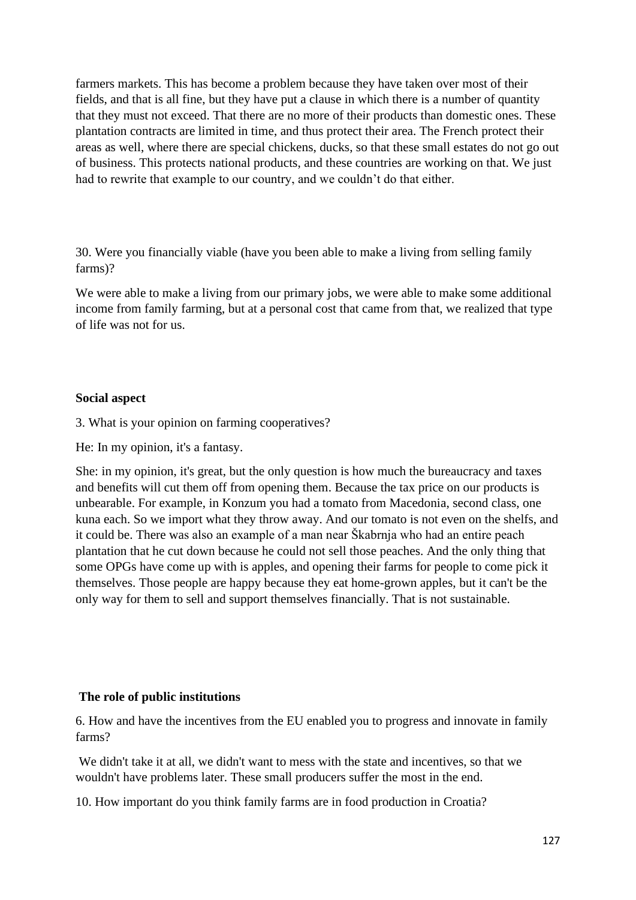farmers markets. This has become a problem because they have taken over most of their fields, and that is all fine, but they have put a clause in which there is a number of quantity that they must not exceed. That there are no more of their products than domestic ones. These plantation contracts are limited in time, and thus protect their area. The French protect their areas as well, where there are special chickens, ducks, so that these small estates do not go out of business. This protects national products, and these countries are working on that. We just had to rewrite that example to our country, and we couldn't do that either.

30. Were you financially viable (have you been able to make a living from selling family farms)?

We were able to make a living from our primary jobs, we were able to make some additional income from family farming, but at a personal cost that came from that, we realized that type of life was not for us.

#### **Social aspect**

3. What is your opinion on farming cooperatives?

He: In my opinion, it's a fantasy.

She: in my opinion, it's great, but the only question is how much the bureaucracy and taxes and benefits will cut them off from opening them. Because the tax price on our products is unbearable. For example, in Konzum you had a tomato from Macedonia, second class, one kuna each. So we import what they throw away. And our tomato is not even on the shelfs, and it could be. There was also an example of a man near Škabrnja who had an entire peach plantation that he cut down because he could not sell those peaches. And the only thing that some OPGs have come up with is apples, and opening their farms for people to come pick it themselves. Those people are happy because they eat home-grown apples, but it can't be the only way for them to sell and support themselves financially. That is not sustainable.

## **The role of public institutions**

6. How and have the incentives from the EU enabled you to progress and innovate in family farms?

We didn't take it at all, we didn't want to mess with the state and incentives, so that we wouldn't have problems later. These small producers suffer the most in the end.

10. How important do you think family farms are in food production in Croatia?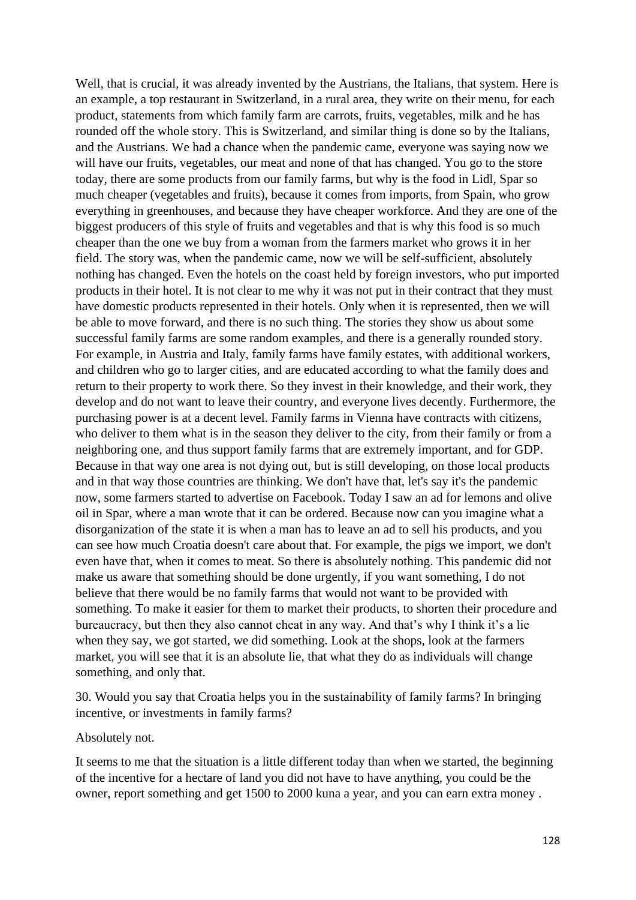Well, that is crucial, it was already invented by the Austrians, the Italians, that system. Here is an example, a top restaurant in Switzerland, in a rural area, they write on their menu, for each product, statements from which family farm are carrots, fruits, vegetables, milk and he has rounded off the whole story. This is Switzerland, and similar thing is done so by the Italians, and the Austrians. We had a chance when the pandemic came, everyone was saying now we will have our fruits, vegetables, our meat and none of that has changed. You go to the store today, there are some products from our family farms, but why is the food in Lidl, Spar so much cheaper (vegetables and fruits), because it comes from imports, from Spain, who grow everything in greenhouses, and because they have cheaper workforce. And they are one of the biggest producers of this style of fruits and vegetables and that is why this food is so much cheaper than the one we buy from a woman from the farmers market who grows it in her field. The story was, when the pandemic came, now we will be self-sufficient, absolutely nothing has changed. Even the hotels on the coast held by foreign investors, who put imported products in their hotel. It is not clear to me why it was not put in their contract that they must have domestic products represented in their hotels. Only when it is represented, then we will be able to move forward, and there is no such thing. The stories they show us about some successful family farms are some random examples, and there is a generally rounded story. For example, in Austria and Italy, family farms have family estates, with additional workers, and children who go to larger cities, and are educated according to what the family does and return to their property to work there. So they invest in their knowledge, and their work, they develop and do not want to leave their country, and everyone lives decently. Furthermore, the purchasing power is at a decent level. Family farms in Vienna have contracts with citizens, who deliver to them what is in the season they deliver to the city, from their family or from a neighboring one, and thus support family farms that are extremely important, and for GDP. Because in that way one area is not dying out, but is still developing, on those local products and in that way those countries are thinking. We don't have that, let's say it's the pandemic now, some farmers started to advertise on Facebook. Today I saw an ad for lemons and olive oil in Spar, where a man wrote that it can be ordered. Because now can you imagine what a disorganization of the state it is when a man has to leave an ad to sell his products, and you can see how much Croatia doesn't care about that. For example, the pigs we import, we don't even have that, when it comes to meat. So there is absolutely nothing. This pandemic did not make us aware that something should be done urgently, if you want something, I do not believe that there would be no family farms that would not want to be provided with something. To make it easier for them to market their products, to shorten their procedure and bureaucracy, but then they also cannot cheat in any way. And that's why I think it's a lie when they say, we got started, we did something. Look at the shops, look at the farmers market, you will see that it is an absolute lie, that what they do as individuals will change something, and only that.

30. Would you say that Croatia helps you in the sustainability of family farms? In bringing incentive, or investments in family farms?

Absolutely not.

It seems to me that the situation is a little different today than when we started, the beginning of the incentive for a hectare of land you did not have to have anything, you could be the owner, report something and get 1500 to 2000 kuna a year, and you can earn extra money .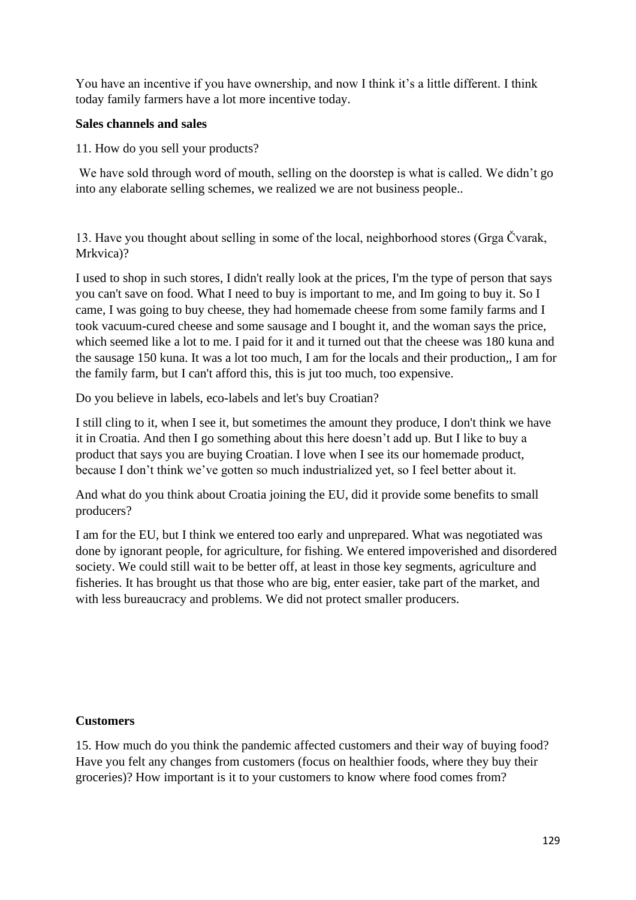You have an incentive if you have ownership, and now I think it's a little different. I think today family farmers have a lot more incentive today.

#### **Sales channels and sales**

11. How do you sell your products?

We have sold through word of mouth, selling on the doorstep is what is called. We didn't go into any elaborate selling schemes, we realized we are not business people..

13. Have you thought about selling in some of the local, neighborhood stores (Grga Čvarak, Mrkvica)?

I used to shop in such stores, I didn't really look at the prices, I'm the type of person that says you can't save on food. What I need to buy is important to me, and Im going to buy it. So I came, I was going to buy cheese, they had homemade cheese from some family farms and I took vacuum-cured cheese and some sausage and I bought it, and the woman says the price, which seemed like a lot to me. I paid for it and it turned out that the cheese was 180 kuna and the sausage 150 kuna. It was a lot too much, I am for the locals and their production,, I am for the family farm, but I can't afford this, this is jut too much, too expensive.

Do you believe in labels, eco-labels and let's buy Croatian?

I still cling to it, when I see it, but sometimes the amount they produce, I don't think we have it in Croatia. And then I go something about this here doesn't add up. But I like to buy a product that says you are buying Croatian. I love when I see its our homemade product, because I don't think we've gotten so much industrialized yet, so I feel better about it.

And what do you think about Croatia joining the EU, did it provide some benefits to small producers?

I am for the EU, but I think we entered too early and unprepared. What was negotiated was done by ignorant people, for agriculture, for fishing. We entered impoverished and disordered society. We could still wait to be better off, at least in those key segments, agriculture and fisheries. It has brought us that those who are big, enter easier, take part of the market, and with less bureaucracy and problems. We did not protect smaller producers.

## **Customers**

15. How much do you think the pandemic affected customers and their way of buying food? Have you felt any changes from customers (focus on healthier foods, where they buy their groceries)? How important is it to your customers to know where food comes from?